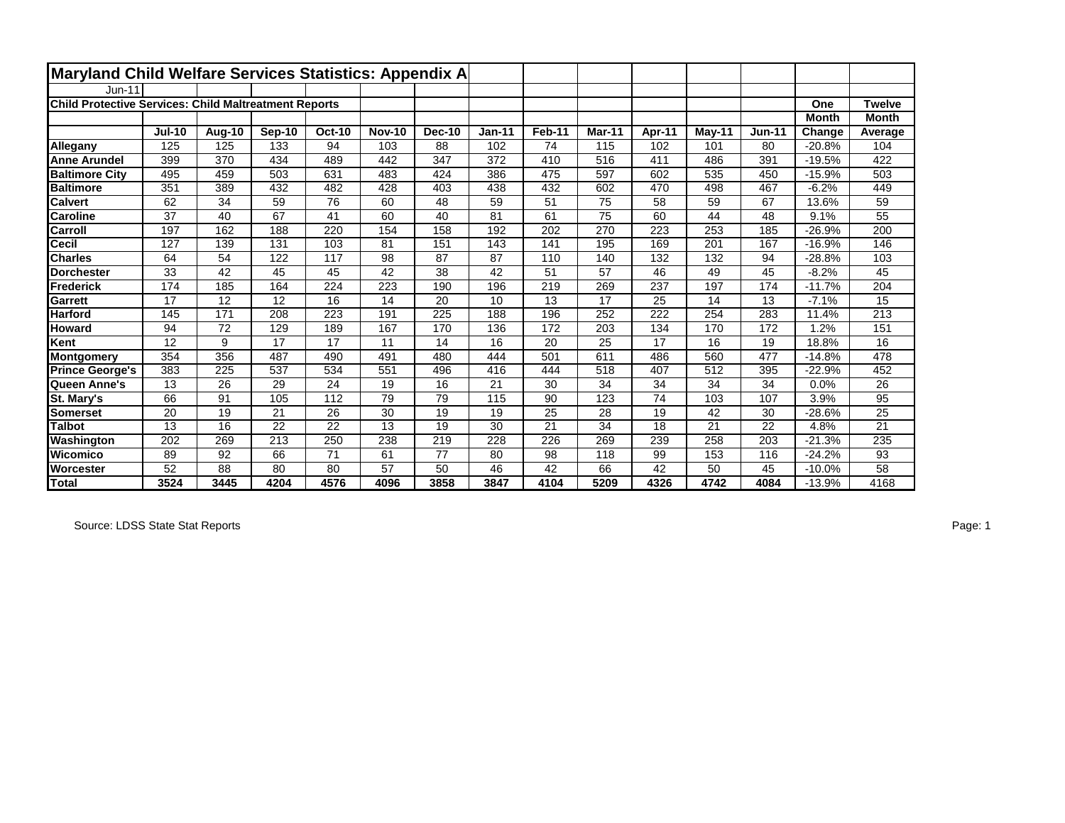| Maryland Child Welfare Services Statistics: Appendix A       |                 |        |        |               |               |               |               |        |                 |        |           |               |              |                 |
|--------------------------------------------------------------|-----------------|--------|--------|---------------|---------------|---------------|---------------|--------|-----------------|--------|-----------|---------------|--------------|-----------------|
| $Jun-11$                                                     |                 |        |        |               |               |               |               |        |                 |        |           |               |              |                 |
| <b>Child Protective Services: Child Maltreatment Reports</b> |                 |        |        |               |               |               |               |        |                 |        |           |               | One          | <b>Twelve</b>   |
|                                                              |                 |        |        |               |               |               |               |        |                 |        |           |               | <b>Month</b> | <b>Month</b>    |
|                                                              | <b>Jul-10</b>   | Aug-10 | Sep-10 | <b>Oct-10</b> | <b>Nov-10</b> | <b>Dec-10</b> | <b>Jan-11</b> | Feb-11 | Mar-11          | Apr-11 | $M$ ay-11 | <b>Jun-11</b> | Change       | Average         |
| Allegany                                                     | 125             | 125    | 133    | 94            | 103           | 88            | 102           | 74     | 115             | 102    | 101       | 80            | $-20.8%$     | 104             |
| <b>Anne Arundel</b>                                          | 399             | 370    | 434    | 489           | 442           | 347           | 372           | 410    | 516             | 411    | 486       | 391           | $-19.5%$     | 422             |
| <b>Baltimore City</b>                                        | 495             | 459    | 503    | 631           | 483           | 424           | 386           | 475    | 597             | 602    | 535       | 450           | $-15.9%$     | 503             |
| <b>Baltimore</b>                                             | 351             | 389    | 432    | 482           | 428           | 403           | 438           | 432    | 602             | 470    | 498       | 467           | $-6.2%$      | 449             |
| <b>Calvert</b>                                               | 62              | 34     | 59     | 76            | 60            | 48            | 59            | 51     | 75              | 58     | 59        | 67            | 13.6%        | 59              |
| <b>Caroline</b>                                              | 37              | 40     | 67     | 41            | 60            | 40            | 81            | 61     | $\overline{75}$ | 60     | 44        | 48            | 9.1%         | 55              |
| Carroll                                                      | 197             | 162    | 188    | 220           | 154           | 158           | 192           | 202    | 270             | 223    | 253       | 185           | $-26.9%$     | 200             |
| Cecil                                                        | 127             | 139    | 131    | 103           | 81            | 151           | 143           | 141    | 195             | 169    | 201       | 167           | $-16.9%$     | 146             |
| <b>Charles</b>                                               | 64              | 54     | 122    | 117           | 98            | 87            | 87            | 110    | 140             | 132    | 132       | 94            | $-28.8%$     | 103             |
| <b>Dorchester</b>                                            | 33              | 42     | 45     | 45            | 42            | 38            | 42            | 51     | 57              | 46     | 49        | 45            | $-8.2%$      | 45              |
| <b>Frederick</b>                                             | 174             | 185    | 164    | 224           | 223           | 190           | 196           | 219    | 269             | 237    | 197       | 174           | $-11.7%$     | 204             |
| <b>Garrett</b>                                               | 17              | 12     | 12     | 16            | 14            | 20            | 10            | 13     | 17              | 25     | 14        | 13            | $-7.1%$      | 15              |
| <b>Harford</b>                                               | 145             | 171    | 208    | 223           | 191           | 225           | 188           | 196    | 252             | 222    | 254       | 283           | 11.4%        | 213             |
| Howard                                                       | 94              | 72     | 129    | 189           | 167           | 170           | 136           | 172    | 203             | 134    | 170       | 172           | 1.2%         | 151             |
| Kent                                                         | 12              | 9      | 17     | 17            | 11            | 14            | 16            | 20     | 25              | 17     | 16        | 19            | 18.8%        | 16              |
| <b>Montgomery</b>                                            | 354             | 356    | 487    | 490           | 491           | 480           | 444           | 501    | 611             | 486    | 560       | 477           | $-14.8%$     | 478             |
| <b>Prince George's</b>                                       | 383             | 225    | 537    | 534           | 551           | 496           | 416           | 444    | 518             | 407    | 512       | 395           | $-22.9%$     | 452             |
| Queen Anne's                                                 | 13              | 26     | 29     | 24            | 19            | 16            | 21            | 30     | 34              | 34     | 34        | 34            | 0.0%         | 26              |
| St. Mary's                                                   | 66              | 91     | 105    | 112           | 79            | 79            | 115           | 90     | 123             | 74     | 103       | 107           | 3.9%         | $\overline{95}$ |
| <b>Somerset</b>                                              | 20              | 19     | 21     | 26            | 30            | 19            | 19            | 25     | 28              | 19     | 42        | 30            | $-28.6%$     | 25              |
| <b>Talbot</b>                                                | 13              | 16     | 22     | 22            | 13            | 19            | 30            | 21     | 34              | 18     | 21        | 22            | 4.8%         | 21              |
| Washington                                                   | 202             | 269    | 213    | 250           | 238           | 219           | 228           | 226    | 269             | 239    | 258       | 203           | $-21.3%$     | 235             |
| Wicomico                                                     | 89              | 92     | 66     | 71            | 61            | 77            | 80            | 98     | 118             | 99     | 153       | 116           | $-24.2%$     | 93              |
| Worcester                                                    | $\overline{52}$ | 88     | 80     | 80            | 57            | 50            | 46            | 42     | 66              | 42     | 50        | 45            | $-10.0%$     | 58              |
| <b>Total</b>                                                 | 3524            | 3445   | 4204   | 4576          | 4096          | 3858          | 3847          | 4104   | 5209            | 4326   | 4742      | 4084          | $-13.9%$     | 4168            |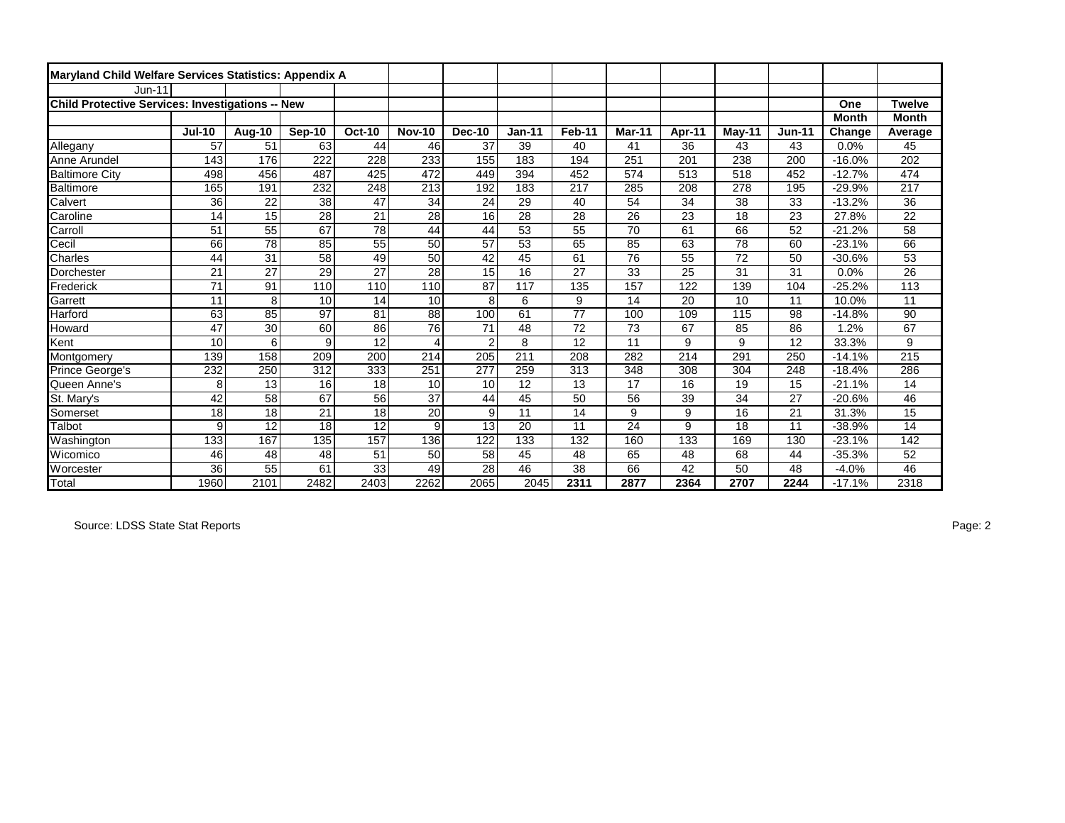| Maryland Child Welfare Services Statistics: Appendix A |               |               |                 |                 |                       |                 |                 |                 |                 |        |          |               |              |                 |
|--------------------------------------------------------|---------------|---------------|-----------------|-----------------|-----------------------|-----------------|-----------------|-----------------|-----------------|--------|----------|---------------|--------------|-----------------|
| $Jun-11$                                               |               |               |                 |                 |                       |                 |                 |                 |                 |        |          |               |              |                 |
| Child Protective Services: Investigations -- New       |               |               |                 |                 |                       |                 |                 |                 |                 |        |          |               | One          | <b>Twelve</b>   |
|                                                        |               |               |                 |                 |                       |                 |                 |                 |                 |        |          |               | <b>Month</b> | <b>Month</b>    |
|                                                        | <b>Jul-10</b> | <b>Aug-10</b> | Sep-10          | <b>Oct-10</b>   | <b>Nov-10</b>         | Dec-10          | <b>Jan-11</b>   | Feb-11          | Mar-11          | Apr-11 | $May-11$ | <b>Jun-11</b> | Change       | Average         |
| Allegany                                               | 57            | 51            | 63              | 44              | 46                    | 37              | 39              | 40              | 41              | 36     | 43       | 43            | 0.0%         | 45              |
| Anne Arundel                                           | 143           | 176           | 222             | 228             | 233                   | 155             | 183             | 194             | 251             | 201    | 238      | 200           | $-16.0%$     | 202             |
| <b>Baltimore City</b>                                  | 498           | 456           | 487             | 425             | 472                   | 449             | 394             | 452             | 574             | 513    | 518      | 452           | $-12.7%$     | 474             |
| Baltimore                                              | 165           | 191           | 232             | 248             | 213                   | 192             | 183             | 217             | 285             | 208    | 278      | 195           | $-29.9%$     | 217             |
| Calvert                                                | 36            | 22            | 38              | 47              | 34                    | 24              | 29              | 40              | 54              | 34     | 38       | 33            | $-13.2%$     | 36              |
| Caroline                                               | 14            | 15            | $\overline{28}$ | $\overline{21}$ | $\overline{28}$       | 16              | $\overline{28}$ | 28              | $\overline{26}$ | 23     | 18       | 23            | 27.8%        | $\overline{22}$ |
| Carroll                                                | 51            | 55            | 67              | 78              | 44                    | 44              | 53              | 55              | 70              | 61     | 66       | 52            | $-21.2%$     | 58              |
| Cecil                                                  | 66            | 78            | 85              | 55              | 50                    | 57              | 53              | 65              | 85              | 63     | 78       | 60            | $-23.1%$     | 66              |
| Charles                                                | 44            | 31            | 58              | 49              | 50                    | 42              | 45              | 61              | 76              | 55     | 72       | 50            | $-30.6%$     | 53              |
| Dorchester                                             | 21            | 27            | 29              | 27              | 28                    | $\overline{15}$ | 16              | 27              | 33              | 25     | 31       | 31            | 0.0%         | 26              |
| Frederick                                              | 71            | 91            | 110             | 110             | 110                   | 87              | 117             | 135             | 157             | 122    | 139      | 104           | $-25.2%$     | 113             |
| Garrett                                                | 11            | 8             | 10              | 14              | 10                    | 8               | 6               | 9               | 14              | 20     | 10       | 11            | 10.0%        | 11              |
| Harford                                                | 63            | 85            | $\overline{97}$ | 81              | 88                    | 100             | 61              | $\overline{77}$ | 100             | 109    | 115      | 98            | $-14.8%$     | 90              |
| <b>Howard</b>                                          | 47            | 30            | 60              | 86              | 76                    | 71              | 48              | 72              | 73              | 67     | 85       | 86            | 1.2%         | 67              |
| Kent                                                   | 10            | 6             | 9               | 12              | $\boldsymbol{\Delta}$ | $\overline{2}$  | 8               | 12              | 11              | 9      | 9        | 12            | 33.3%        | 9               |
| Montgomery                                             | 139           | 158           | 209             | 200             | 214                   | 205             | 211             | 208             | 282             | 214    | 291      | 250           | $-14.1%$     | 215             |
| Prince George's                                        | 232           | 250           | 312             | 333             | 251                   | 277             | 259             | 313             | 348             | 308    | 304      | 248           | $-18.4%$     | 286             |
| Queen Anne's                                           | 8             | 13            | 16              | 18              | 10                    | 10              | 12              | 13              | 17              | 16     | 19       | 15            | $-21.1%$     | 14              |
| St. Mary's                                             | 42            | 58            | 67              | 56              | $\overline{37}$       | 44              | $\overline{45}$ | 50              | 56              | 39     | 34       | 27            | $-20.6%$     | 46              |
| Somerset                                               | 18            | 18            | 21              | 18              | 20                    | 9               | 11              | 14              | 9               | 9      | 16       | 21            | 31.3%        | 15              |
| Talbot                                                 | 9             | 12            | 18              | 12              | 9                     | 13              | 20              | 11              | 24              | 9      | 18       | 11            | $-38.9%$     | 14              |
| Washington                                             | 133           | 167           | 135             | 157             | 136                   | 122             | 133             | 132             | 160             | 133    | 169      | 130           | $-23.1%$     | 142             |
| Wicomico                                               | 46            | 48            | 48              | 51              | 50                    | 58              | 45              | 48              | 65              | 48     | 68       | 44            | $-35.3%$     | 52              |
| Worcester                                              | 36            | 55            | 61              | 33              | 49                    | 28              | 46              | 38              | 66              | 42     | 50       | 48            | $-4.0%$      | 46              |
| Total                                                  | 1960          | 2101          | 2482            | 2403            | 2262                  | 2065            | 2045            | 2311            | 2877            | 2364   | 2707     | 2244          | $-17.1%$     | 2318            |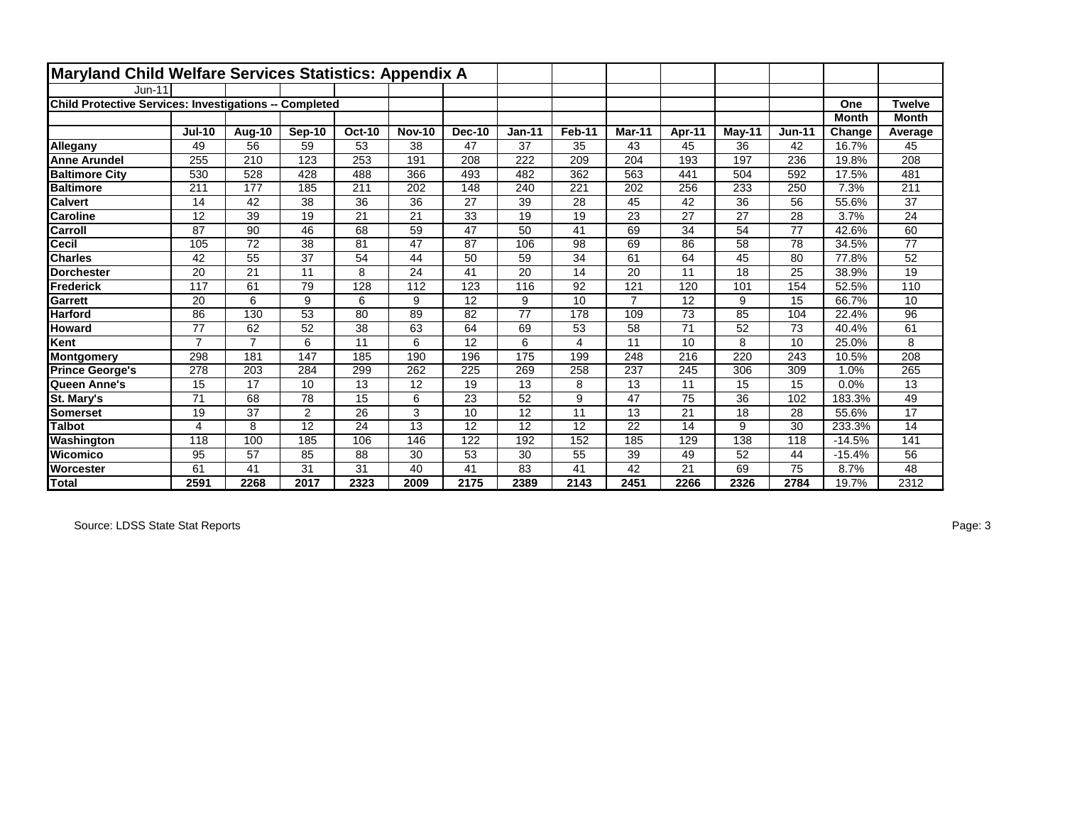| Maryland Child Welfare Services Statistics: Appendix A        |                |                |                |                 |                 |               |          |        |                |        |                 |               |              |               |
|---------------------------------------------------------------|----------------|----------------|----------------|-----------------|-----------------|---------------|----------|--------|----------------|--------|-----------------|---------------|--------------|---------------|
| Jun-11                                                        |                |                |                |                 |                 |               |          |        |                |        |                 |               |              |               |
| <b>Child Protective Services: Investigations -- Completed</b> |                |                |                |                 |                 |               |          |        |                |        |                 |               | One          | <b>Twelve</b> |
|                                                               |                |                |                |                 |                 |               |          |        |                |        |                 |               | <b>Month</b> | <b>Month</b>  |
|                                                               | <b>Jul-10</b>  | Aug-10         | Sep-10         | <b>Oct-10</b>   | <b>Nov-10</b>   | <b>Dec-10</b> | $Jan-11$ | Feb-11 | Mar-11         | Apr-11 | May-11          | <b>Jun-11</b> | Change       | Average       |
| Allegany                                                      | 49             | 56             | 59             | 53              | 38              | 47            | 37       | 35     | 43             | 45     | 36              | 42            | 16.7%        | 45            |
| <b>Anne Arundel</b>                                           | 255            | 210            | 123            | 253             | 191             | 208           | 222      | 209    | 204            | 193    | 197             | 236           | 19.8%        | 208           |
| <b>Baltimore City</b>                                         | 530            | 528            | 428            | 488             | 366             | 493           | 482      | 362    | 563            | 441    | 504             | 592           | 17.5%        | 481           |
| <b>Baltimore</b>                                              | 211            | 177            | 185            | 211             | 202             | 148           | 240      | 221    | 202            | 256    | 233             | 250           | 7.3%         | 211           |
| <b>Calvert</b>                                                | 14             | 42             | 38             | 36              | 36              | 27            | 39       | 28     | 45             | 42     | 36              | 56            | 55.6%        | 37            |
| <b>Caroline</b>                                               | 12             | 39             | 19             | $\overline{21}$ | $\overline{21}$ | 33            | 19       | 19     | 23             | 27     | $\overline{27}$ | 28            | 3.7%         | 24            |
| Carroll                                                       | 87             | 90             | 46             | 68              | 59              | 47            | 50       | 41     | 69             | 34     | 54              | 77            | 42.6%        | 60            |
| <b>Cecil</b>                                                  | 105            | 72             | 38             | 81              | 47              | 87            | 106      | 98     | 69             | 86     | 58              | 78            | 34.5%        | 77            |
| <b>Charles</b>                                                | 42             | 55             | 37             | 54              | 44              | 50            | 59       | 34     | 61             | 64     | 45              | 80            | 77.8%        | 52            |
| <b>Dorchester</b>                                             | 20             | 21             | 11             | 8               | 24              | 41            | 20       | 14     | 20             | 11     | 18              | 25            | 38.9%        | 19            |
| Frederick                                                     | 117            | 61             | 79             | 128             | 112             | 123           | 116      | 92     | 121            | 120    | 101             | 154           | 52.5%        | 110           |
| Garrett                                                       | 20             | 6              | 9              | 6               | 9               | 12            | 9        | 10     | $\overline{7}$ | 12     | 9               | 15            | 66.7%        | 10            |
| <b>Harford</b>                                                | 86             | 130            | 53             | 80              | 89              | 82            | 77       | 178    | 109            | 73     | 85              | 104           | 22.4%        | 96            |
| <b>Howard</b>                                                 | 77             | 62             | 52             | 38              | 63              | 64            | 69       | 53     | 58             | 71     | 52              | 73            | 40.4%        | 61            |
| Kent                                                          | $\overline{7}$ | $\overline{7}$ | 6              | 11              | 6               | 12            | 6        | 4      | 11             | 10     | 8               | 10            | 25.0%        | 8             |
| Montgomery                                                    | 298            | 181            | 147            | 185             | 190             | 196           | 175      | 199    | 248            | 216    | 220             | 243           | 10.5%        | 208           |
| <b>Prince George's</b>                                        | 278            | 203            | 284            | 299             | 262             | 225           | 269      | 258    | 237            | 245    | 306             | 309           | 1.0%         | 265           |
| Queen Anne's                                                  | 15             | 17             | 10             | 13              | 12              | 19            | 13       | 8      | 13             | 11     | 15              | 15            | 0.0%         | 13            |
| St. Mary's                                                    | 71             | 68             | 78             | 15              | 6               | 23            | 52       | 9      | 47             | 75     | 36              | 102           | 183.3%       | 49            |
| Somerset                                                      | 19             | 37             | $\overline{2}$ | 26              | 3               | 10            | 12       | 11     | 13             | 21     | 18              | 28            | 55.6%        | 17            |
| <b>Talbot</b>                                                 | 4              | 8              | 12             | 24              | 13              | 12            | 12       | 12     | 22             | 14     | 9               | 30            | 233.3%       | 14            |
| Washington                                                    | 118            | 100            | 185            | 106             | 146             | 122           | 192      | 152    | 185            | 129    | 138             | 118           | $-14.5%$     | 141           |
| Wicomico                                                      | 95             | 57             | 85             | 88              | 30              | 53            | 30       | 55     | 39             | 49     | 52              | 44            | $-15.4%$     | 56            |
| <b>Worcester</b>                                              | 61             | 41             | 31             | 31              | 40              | 41            | 83       | 41     | 42             | 21     | 69              | 75            | 8.7%         | 48            |
| <b>Total</b>                                                  | 2591           | 2268           | 2017           | 2323            | 2009            | 2175          | 2389     | 2143   | 2451           | 2266   | 2326            | 2784          | 19.7%        | 2312          |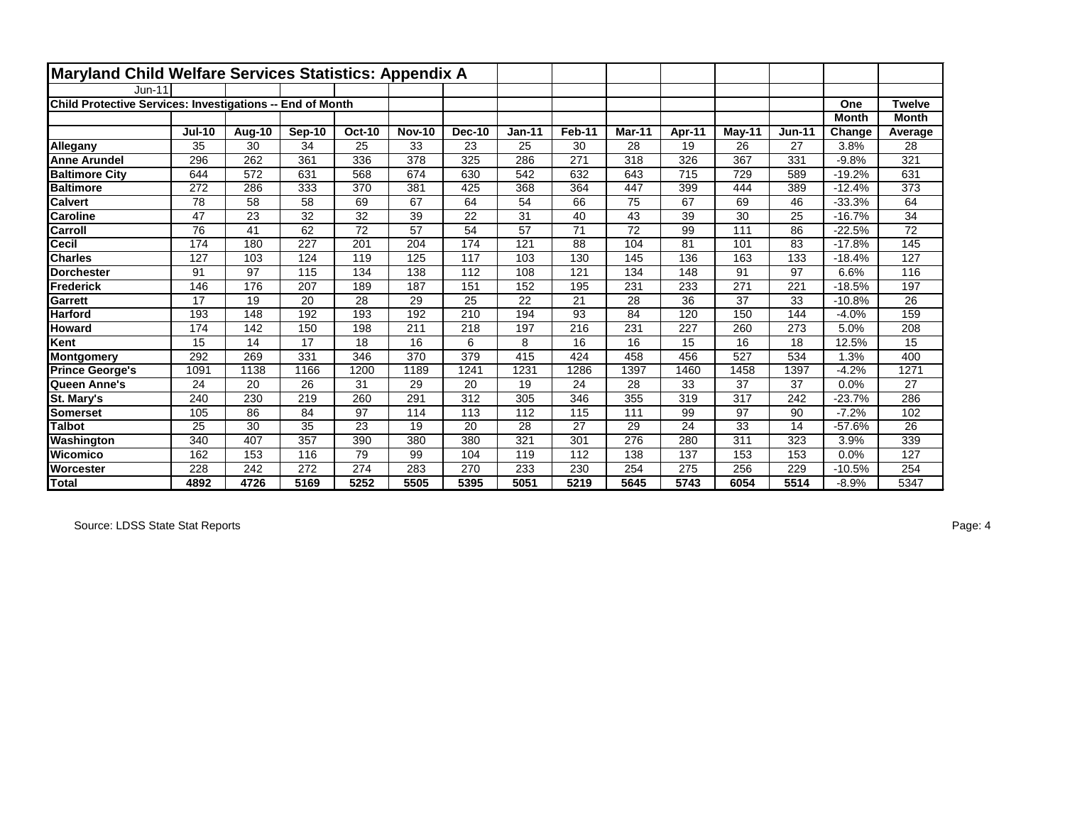| Maryland Child Welfare Services Statistics: Appendix A    |               |        |                 |                 |               |               |          |        |        |        |          |               |              |               |
|-----------------------------------------------------------|---------------|--------|-----------------|-----------------|---------------|---------------|----------|--------|--------|--------|----------|---------------|--------------|---------------|
| Jun-11                                                    |               |        |                 |                 |               |               |          |        |        |        |          |               |              |               |
| Child Protective Services: Investigations -- End of Month |               |        |                 |                 |               |               |          |        |        |        |          |               | One          | <b>Twelve</b> |
|                                                           |               |        |                 |                 |               |               |          |        |        |        |          |               | <b>Month</b> | <b>Month</b>  |
|                                                           | <b>Jul-10</b> | Aug-10 | Sep-10          | <b>Oct-10</b>   | <b>Nov-10</b> | <b>Dec-10</b> | $Jan-11$ | Feb-11 | Mar-11 | Apr-11 | $May-11$ | <b>Jun-11</b> | Change       | Average       |
| Allegany                                                  | 35            | 30     | 34              | 25              | 33            | 23            | 25       | 30     | 28     | 19     | 26       | 27            | 3.8%         | 28            |
| <b>Anne Arundel</b>                                       | 296           | 262    | 361             | 336             | 378           | 325           | 286      | 271    | 318    | 326    | 367      | 331           | $-9.8%$      | 321           |
| <b>Baltimore City</b>                                     | 644           | 572    | 631             | 568             | 674           | 630           | 542      | 632    | 643    | 715    | 729      | 589           | $-19.2%$     | 631           |
| <b>Baltimore</b>                                          | 272           | 286    | 333             | 370             | 381           | 425           | 368      | 364    | 447    | 399    | 444      | 389           | $-12.4%$     | 373           |
| <b>Calvert</b>                                            | 78            | 58     | 58              | 69              | 67            | 64            | 54       | 66     | 75     | 67     | 69       | 46            | $-33.3%$     | 64            |
| <b>Caroline</b>                                           | 47            | 23     | $\overline{32}$ | $\overline{32}$ | 39            | 22            | 31       | 40     | 43     | 39     | 30       | 25            | $-16.7%$     | 34            |
| Carroll                                                   | 76            | 41     | 62              | 72              | 57            | 54            | 57       | 71     | 72     | 99     | 111      | 86            | $-22.5%$     | 72            |
| Cecil                                                     | 174           | 180    | 227             | 201             | 204           | 174           | 121      | 88     | 104    | 81     | 101      | 83            | $-17.8%$     | 145           |
| <b>Charles</b>                                            | 127           | 103    | 124             | 119             | 125           | 117           | 103      | 130    | 145    | 136    | 163      | 133           | $-18.4%$     | 127           |
| <b>Dorchester</b>                                         | 91            | 97     | 115             | 134             | 138           | 112           | 108      | 121    | 134    | 148    | 91       | 97            | 6.6%         | 116           |
| Frederick                                                 | 146           | 176    | 207             | 189             | 187           | 151           | 152      | 195    | 231    | 233    | 271      | 221           | $-18.5%$     | 197           |
| Garrett                                                   | 17            | 19     | 20              | 28              | 29            | 25            | 22       | 21     | 28     | 36     | 37       | 33            | $-10.8%$     | 26            |
| <b>Harford</b>                                            | 193           | 148    | 192             | 193             | 192           | 210           | 194      | 93     | 84     | 120    | 150      | 144           | $-4.0%$      | 159           |
| <b>Howard</b>                                             | 174           | 142    | 150             | 198             | 211           | 218           | 197      | 216    | 231    | 227    | 260      | 273           | 5.0%         | 208           |
| Kent                                                      | 15            | 14     | 17              | 18              | 16            | 6             | 8        | 16     | 16     | 15     | 16       | 18            | 12.5%        | 15            |
| Montgomery                                                | 292           | 269    | 331             | 346             | 370           | 379           | 415      | 424    | 458    | 456    | 527      | 534           | 1.3%         | 400           |
| <b>Prince George's</b>                                    | 1091          | 1138   | 1166            | 1200            | 1189          | 1241          | 1231     | 1286   | 1397   | 1460   | 1458     | 1397          | $-4.2%$      | 1271          |
| Queen Anne's                                              | 24            | 20     | 26              | 31              | 29            | 20            | 19       | 24     | 28     | 33     | 37       | 37            | 0.0%         | 27            |
| <b>St. Mary's</b>                                         | 240           | 230    | 219             | 260             | 291           | 312           | 305      | 346    | 355    | 319    | 317      | 242           | $-23.7%$     | 286           |
| <b>Somerset</b>                                           | 105           | 86     | 84              | 97              | 114           | 113           | 112      | 115    | 111    | 99     | 97       | 90            | $-7.2%$      | 102           |
| Talbot                                                    | 25            | 30     | 35              | 23              | 19            | 20            | 28       | 27     | 29     | 24     | 33       | 14            | $-57.6%$     | 26            |
| Washington                                                | 340           | 407    | 357             | 390             | 380           | 380           | 321      | 301    | 276    | 280    | 311      | 323           | 3.9%         | 339           |
| Wicomico                                                  | 162           | 153    | 116             | 79              | 99            | 104           | 119      | 112    | 138    | 137    | 153      | 153           | 0.0%         | 127           |
| <b>Worcester</b>                                          | 228           | 242    | 272             | 274             | 283           | 270           | 233      | 230    | 254    | 275    | 256      | 229           | $-10.5%$     | 254           |
| Total                                                     | 4892          | 4726   | 5169            | 5252            | 5505          | 5395          | 5051     | 5219   | 5645   | 5743   | 6054     | 5514          | $-8.9%$      | 5347          |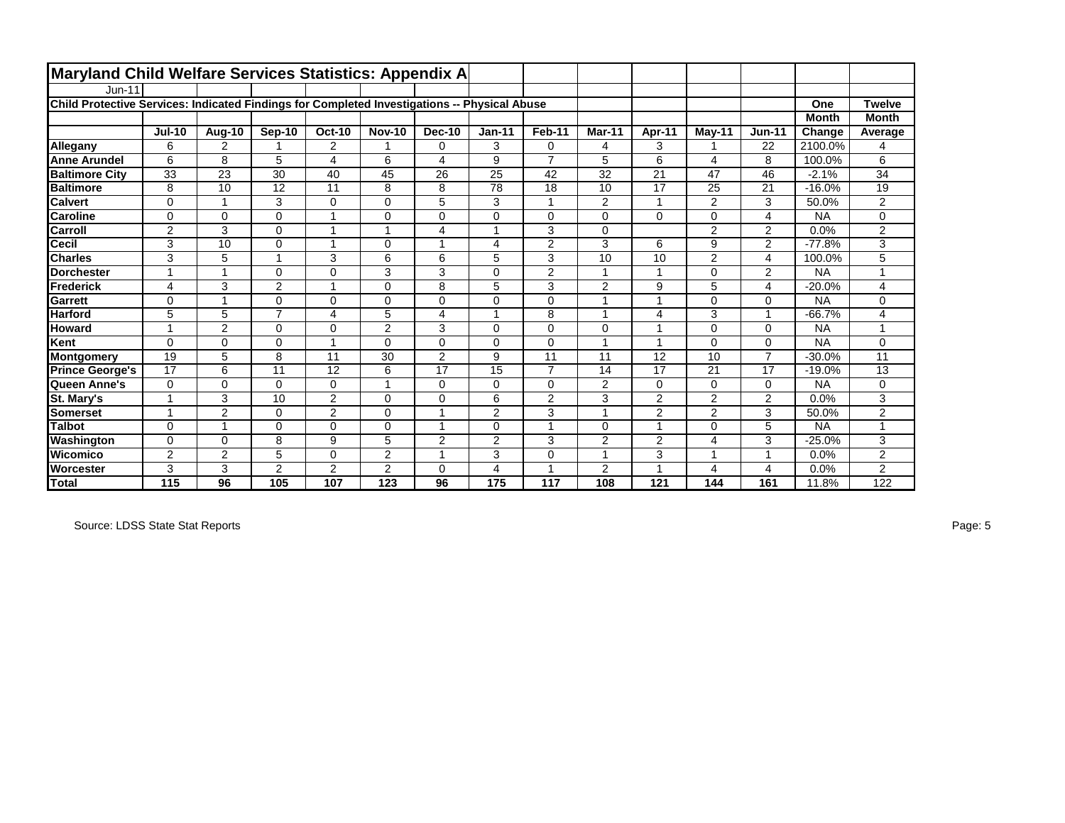| <b>Maryland Child Welfare Services Statistics: Appendix A</b>                                |                |             |                |                |                |                         |                |                |                |                |                |                |              |                          |
|----------------------------------------------------------------------------------------------|----------------|-------------|----------------|----------------|----------------|-------------------------|----------------|----------------|----------------|----------------|----------------|----------------|--------------|--------------------------|
| $Jun-11$                                                                                     |                |             |                |                |                |                         |                |                |                |                |                |                |              |                          |
| Child Protective Services: Indicated Findings for Completed Investigations -- Physical Abuse |                |             |                |                |                |                         |                |                |                |                |                |                | One          | <b>Twelve</b>            |
|                                                                                              |                |             |                |                |                |                         |                |                |                |                |                |                | <b>Month</b> | <b>Month</b>             |
|                                                                                              | <b>Jul-10</b>  | Aug-10      | Sep-10         | <b>Oct-10</b>  | <b>Nov-10</b>  | <b>Dec-10</b>           | $Jan-11$       | Feb-11         | Mar-11         | Apr-11         | $M$ ay-11      | <b>Jun-11</b>  | Change       | Average                  |
| Allegany                                                                                     | 6              | 2           |                | $\overline{2}$ | 1              | 0                       | 3              | $\mathbf 0$    | 4              | 3              |                | 22             | 2100.0%      | 4                        |
| <b>Anne Arundel</b>                                                                          | 6              | 8           | 5              | 4              | 6              | $\overline{\mathbf{4}}$ | 9              | $\overline{7}$ | 5              | 6              | 4              | 8              | 100.0%       | 6                        |
| <b>Baltimore City</b>                                                                        | 33             | 23          | 30             | 40             | 45             | 26                      | 25             | 42             | 32             | 21             | 47             | 46             | $-2.1%$      | 34                       |
| <b>Baltimore</b>                                                                             | 8              | 10          | 12             | 11             | 8              | 8                       | 78             | 18             | 10             | 17             | 25             | 21             | $-16.0%$     | 19                       |
| <b>Calvert</b>                                                                               | 0              | -1          | 3              | 0              | $\Omega$       | 5                       | 3              | 1              | $\overline{2}$ | 1              | 2              | 3              | 50.0%        | $\overline{2}$           |
| <b>Caroline</b>                                                                              | 0              | $\Omega$    | $\mathbf{0}$   | 1              | $\mathbf 0$    | 0                       | 0              | $\Omega$       | 0              | 0              | $\mathbf 0$    | 4              | <b>NA</b>    | 0                        |
| Carroll                                                                                      | 2              | 3           | $\Omega$       | 1              | -1             | 4                       | 1              | 3              | 0              |                | 2              | 2              | 0.0%         | $\overline{2}$           |
| Cecil                                                                                        | 3              | 10          | 0              | 1              | $\Omega$       | $\overline{1}$          | 4              | $\overline{2}$ | 3              | 6              | 9              | $\overline{2}$ | $-77.8%$     | 3                        |
| <b>Charles</b>                                                                               | 3              | 5           | 4              | 3              | 6              | 6                       | 5              | 3              | 10             | 10             | $\overline{2}$ | 4              | 100.0%       | 5                        |
| <b>Dorchester</b>                                                                            | 1              | 1           | 0              | 0              | 3              | 3                       | 0              | $\overline{2}$ | $\overline{1}$ | 1              | $\Omega$       | 2              | <b>NA</b>    | $\overline{\phantom{a}}$ |
| <b>Frederick</b>                                                                             | 4              | 3           | $\overline{2}$ | 1              | $\Omega$       | 8                       | 5              | 3              | $\overline{c}$ | 9              | 5              | 4              | $-20.0%$     | 4                        |
| Garrett                                                                                      | $\Omega$       | 1           | $\Omega$       | 0              | $\Omega$       | $\Omega$                | 0              | $\Omega$       | $\overline{1}$ | 1              | $\Omega$       | $\Omega$       | <b>NA</b>    | $\Omega$                 |
| <b>Harford</b>                                                                               | 5              | 5           | $\overline{7}$ | 4              | 5              | 4                       | 1              | 8              | $\mathbf 1$    | 4              | 3              | $\mathbf{1}$   | $-66.7%$     | 4                        |
| <b>Howard</b>                                                                                | 1              | 2           | $\mathbf{0}$   | 0              | 2              | 3                       | 0              | $\Omega$       | 0              | 1              | $\Omega$       | 0              | <b>NA</b>    | $\overline{ }$           |
| Kent                                                                                         | $\overline{0}$ | 0           | 0              | 1              | $\mathbf 0$    | 0                       | 0              | $\mathbf 0$    |                | 1              | $\mathbf 0$    | 0              | <b>NA</b>    | 0                        |
| <b>Montgomery</b>                                                                            | 19             | 5           | 8              | 11             | 30             | 2                       | 9              | 11             | 11             | 12             | 10             | $\overline{7}$ | $-30.0%$     | 11                       |
| <b>Prince George's</b>                                                                       | 17             | 6           | 11             | 12             | 6              | 17                      | 15             | $\overline{7}$ | 14             | 17             | 21             | 17             | $-19.0%$     | 13                       |
| Queen Anne's                                                                                 | 0              | $\mathbf 0$ | $\mathbf{0}$   | 0              |                | 0                       | 0              | $\mathbf 0$    | $\overline{2}$ | 0              | $\mathbf 0$    | 0              | <b>NA</b>    | 0                        |
| St. Mary's                                                                                   | 1              | 3           | 10             | $\overline{2}$ | $\Omega$       | $\Omega$                | 6              | $\overline{2}$ | 3              | $\overline{2}$ | $\overline{2}$ | $\overline{2}$ | 0.0%         | 3                        |
| <b>Somerset</b>                                                                              | 1              | 2           | 0              | $\overline{2}$ | $\Omega$       |                         | $\overline{2}$ | 3              |                | $\overline{2}$ | 2              | 3              | 50.0%        | $\overline{2}$           |
| <b>Talbot</b>                                                                                | 0              | 1           | $\Omega$       | 0              | $\Omega$       | $\overline{A}$          | 0              | 1              | 0              | 1              | $\Omega$       | 5              | <b>NA</b>    | $\overline{\phantom{a}}$ |
| Washington                                                                                   | 0              | $\Omega$    | 8              | 9              | 5              | $\overline{2}$          | $\overline{2}$ | 3              | $\overline{2}$ | $\overline{2}$ | $\overline{4}$ | 3              | $-25.0%$     | 3                        |
| Wicomico                                                                                     | $\overline{2}$ | 2           | 5              | 0              | $\overline{2}$ | $\overline{A}$          | 3              | $\Omega$       | $\overline{1}$ | 3              | 4              | $\overline{1}$ | 0.0%         | $\overline{2}$           |
| Worcester                                                                                    | 3              | 3           | 2              | $\overline{2}$ | 2              | 0                       | 4              | $\overline{ }$ | $\overline{2}$ | 4              | 4              | $\overline{4}$ | 0.0%         | 2                        |
| <b>Total</b>                                                                                 | 115            | 96          | 105            | 107            | 123            | 96                      | 175            | 117            | 108            | 121            | 144            | 161            | 11.8%        | 122                      |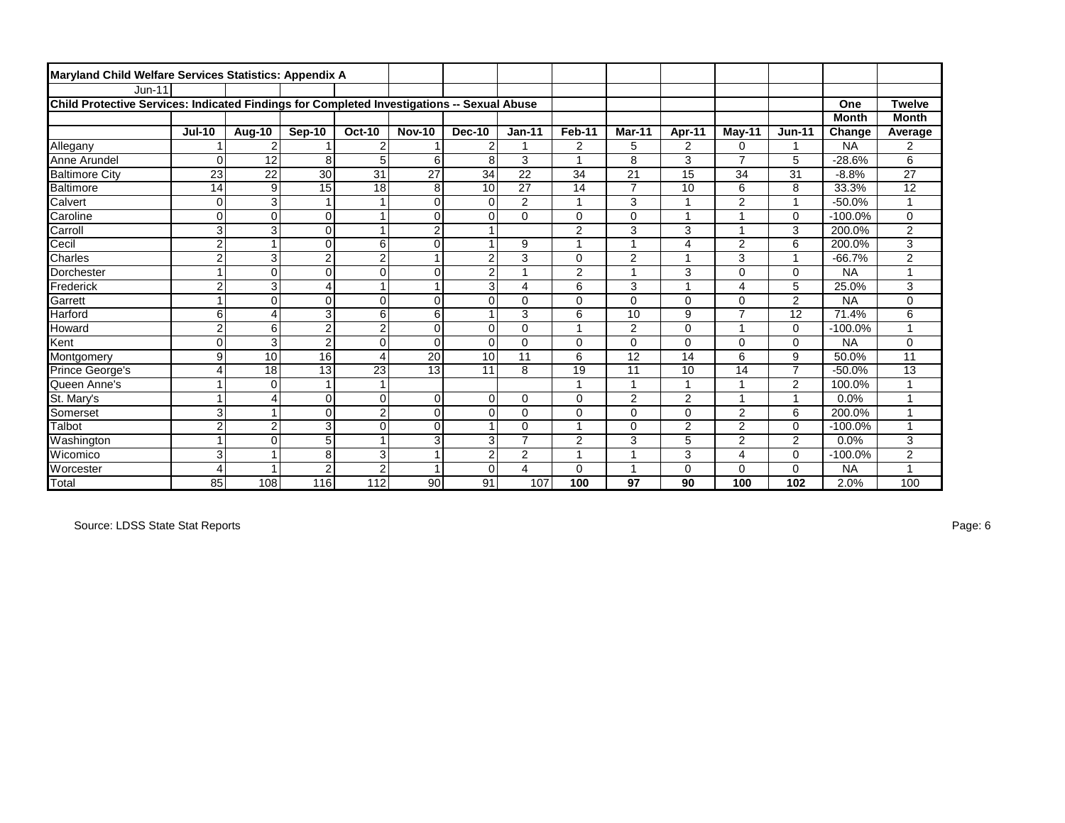| Maryland Child Welfare Services Statistics: Appendix A                                     |                |                |                |                |                 |                |                |                |                |                |                |                |              |                |
|--------------------------------------------------------------------------------------------|----------------|----------------|----------------|----------------|-----------------|----------------|----------------|----------------|----------------|----------------|----------------|----------------|--------------|----------------|
| $Jun-11$                                                                                   |                |                |                |                |                 |                |                |                |                |                |                |                |              |                |
| Child Protective Services: Indicated Findings for Completed Investigations -- Sexual Abuse |                |                |                |                |                 |                |                |                |                |                |                |                | One          | <b>Twelve</b>  |
|                                                                                            |                |                |                |                |                 |                |                |                |                |                |                |                | <b>Month</b> | <b>Month</b>   |
|                                                                                            | <b>Jul-10</b>  | Aug-10         | Sep-10         | <b>Oct-10</b>  | <b>Nov-10</b>   | <b>Dec-10</b>  | $Jan-11$       | Feb-11         | Mar-11         | Apr-11         | $M$ ay-11      | <b>Jun-11</b>  | Change       | Average        |
| Allegany                                                                                   |                | $\overline{2}$ |                | $\overline{2}$ |                 | $\overline{2}$ |                | 2              | 5              | $\overline{2}$ | 0              | 1              | <b>NA</b>    | 2              |
| Anne Arundel                                                                               | $\Omega$       | 12             | 8              | 5              | 6               | 8              | 3              | 4              | 8              | 3              | $\overline{7}$ | 5              | $-28.6%$     | 6              |
| <b>Baltimore City</b>                                                                      | 23             | 22             | 30             | 31             | $\overline{27}$ | 34             | 22             | 34             | 21             | 15             | 34             | 31             | $-8.8%$      | 27             |
| Baltimore                                                                                  | 14             | 9              | 15             | 18             | 8               | 10             | 27             | 14             | $\overline{7}$ | 10             | 6              | 8              | 33.3%        | 12             |
| Calvert                                                                                    | $\mathbf 0$    | $\overline{3}$ |                |                | $\Omega$        | $\Omega$       | $\overline{2}$ | -1             | 3              | 1              | $\overline{2}$ | $\overline{ }$ | $-50.0%$     |                |
| Caroline                                                                                   | $\mathbf 0$    | $\mathbf 0$    | $\mathbf 0$    | 1              | $\mathbf 0$     | $\Omega$       | $\Omega$       | $\Omega$       | 0              | 1              |                | $\mathbf 0$    | $-100.0%$    | 0              |
| Carroll                                                                                    | 3              | 3              | $\Omega$       | 1              | $\overline{2}$  |                |                | $\overline{2}$ | 3              | 3              | 4              | 3              | 200.0%       | 2              |
| Cecil                                                                                      | $\overline{c}$ | $\overline{1}$ | $\mathbf 0$    | 6              | $\mathbf 0$     |                | 9              | 1              |                | 4              | $\overline{2}$ | 6              | 200.0%       | 3              |
| Charles                                                                                    | $\overline{2}$ | 3              | $\overline{2}$ | $\overline{2}$ |                 | $\overline{2}$ | 3              | $\Omega$       | $\overline{2}$ | $\overline{1}$ | 3              | $\overline{1}$ | $-66.7%$     | $\overline{2}$ |
| Dorchester                                                                                 | $\overline{1}$ | $\mathbf 0$    | $\Omega$       | $\mathbf 0$    | $\mathbf 0$     | $\overline{2}$ |                | $\overline{2}$ | 4              | 3              | 0              | $\Omega$       | <b>NA</b>    |                |
| <b>Frederick</b>                                                                           | $\overline{c}$ | 3              | $\overline{4}$ |                |                 | 3              | 4              | 6              | 3              | 1              | 4              | 5              | 25.0%        | 3              |
| Garrett                                                                                    | 1              | $\Omega$       | $\Omega$       | $\Omega$       | $\Omega$        | $\Omega$       | 0              | $\Omega$       | 0              | $\Omega$       | 0              | 2              | <b>NA</b>    | 0              |
| <b>Harford</b>                                                                             | 6              | $\overline{4}$ | 3              | 6              | 6               |                | 3              | 6              | 10             | 9              | $\overline{7}$ | 12             | 71.4%        | 6              |
| Howard                                                                                     | $\overline{c}$ | 6              | $\overline{2}$ | $\overline{2}$ | $\mathbf 0$     | $\Omega$       | 0              | 1              | $\overline{2}$ | 0              | 4              | $\mathbf 0$    | $-100.0%$    |                |
| <b>Kent</b>                                                                                | 0              | 3              | $\overline{2}$ | $\mathbf 0$    | $\mathbf 0$     | $\Omega$       | 0              | $\mathbf 0$    | 0              | 0              | 0              | $\mathbf 0$    | <b>NA</b>    | 0              |
| Montgomery                                                                                 | 9              | 10             | 16             | $\overline{4}$ | 20              | 10             | 11             | 6              | 12             | 14             | 6              | 9              | 50.0%        | 11             |
| Prince George's                                                                            | 4              | 18             | 13             | 23             | 13              | 11             | 8              | 19             | 11             | 10             | 14             | $\overline{7}$ | $-50.0%$     | 13             |
| Queen Anne's                                                                               | $\mathbf{1}$   | $\Omega$       |                | 1              |                 |                |                |                |                | 1              |                | $\overline{2}$ | 100.0%       |                |
| St. Mary's                                                                                 | $\mathbf{1}$   | $\overline{4}$ | $\Omega$       | $\mathbf 0$    | $\Omega$        | $\Omega$       | 0              | $\Omega$       | $\overline{2}$ | $\overline{2}$ | 1              | 1              | 0.0%         |                |
| Somerset                                                                                   | 3              |                | $\Omega$       | $\overline{2}$ | $\Omega$        | $\Omega$       | 0              | $\mathbf 0$    | 0              | 0              | 2              | 6              | 200.0%       |                |
| Talbot                                                                                     | $\overline{c}$ | $\overline{2}$ | 3              | $\mathbf 0$    | $\mathbf 0$     |                | 0              | 1              | 0              | $\overline{2}$ | $\overline{2}$ | $\Omega$       | $-100.0%$    |                |
| Washington                                                                                 | $\overline{1}$ | $\Omega$       | 5              |                | 3               | 3              | $\overline{7}$ | $\overline{2}$ | 3              | 5              | $\overline{2}$ | $\overline{2}$ | 0.0%         | 3              |
| <b>Wicomico</b>                                                                            | 3              |                | 8              | 3              |                 | 2              | $\overline{c}$ | 4              | и              | 3              | 4              | $\Omega$       | $-100.0%$    | 2              |
| <b>Worcester</b>                                                                           | $\overline{4}$ |                | $\overline{2}$ | $\overline{2}$ |                 | $\Omega$       | 4              | $\Omega$       | 4              | $\Omega$       | 0              | $\Omega$       | <b>NA</b>    |                |
| Total                                                                                      | 85             | 108            | 116            | $\frac{11}{2}$ | 90              | 91             | 107            | 100            | 97             | 90             | 100            | 102            | 2.0%         | 100            |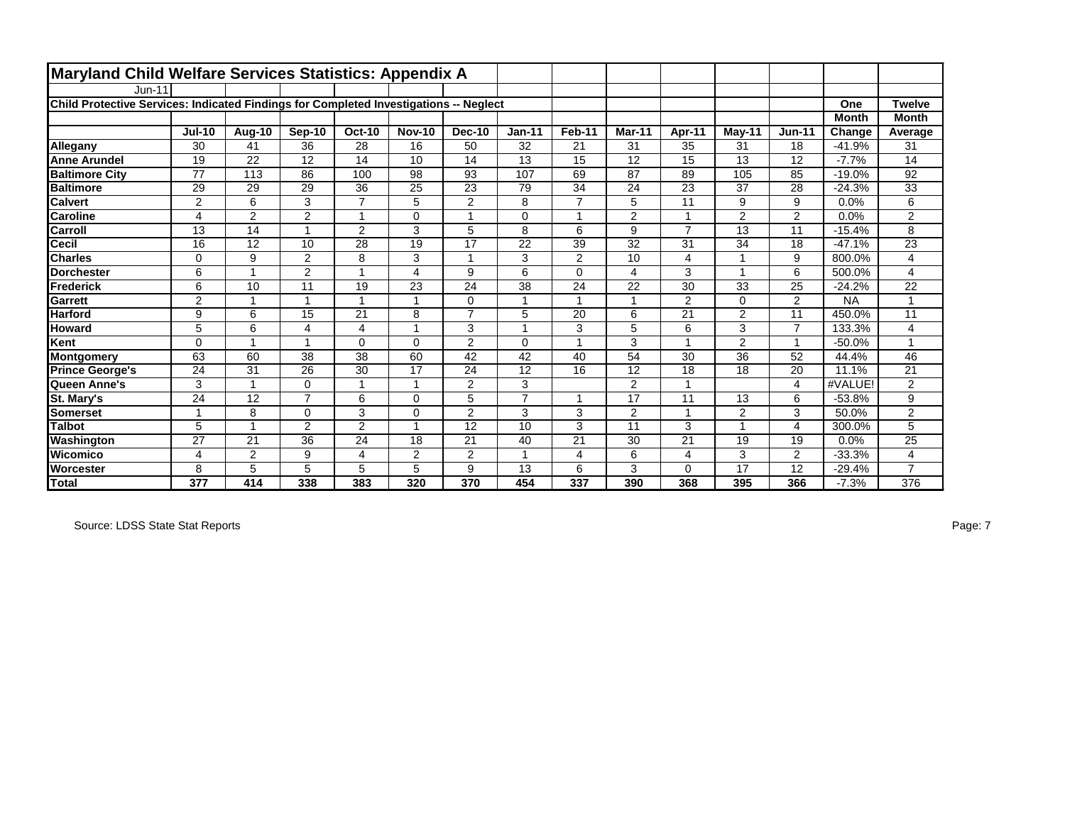| Maryland Child Welfare Services Statistics: Appendix A                                |                |                |                |                |                         |                |                |                |                |                |                |                |              |                |
|---------------------------------------------------------------------------------------|----------------|----------------|----------------|----------------|-------------------------|----------------|----------------|----------------|----------------|----------------|----------------|----------------|--------------|----------------|
| <b>Jun-11</b>                                                                         |                |                |                |                |                         |                |                |                |                |                |                |                |              |                |
| Child Protective Services: Indicated Findings for Completed Investigations -- Neglect |                |                |                |                |                         |                |                |                |                |                |                |                | One          | <b>Twelve</b>  |
|                                                                                       |                |                |                |                |                         |                |                |                |                |                |                |                | <b>Month</b> | <b>Month</b>   |
|                                                                                       | <b>Jul-10</b>  | Aug-10         | Sep-10         | <b>Oct-10</b>  | <b>Nov-10</b>           | <b>Dec-10</b>  | $Jan-11$       | Feb-11         | Mar-11         | Apr-11         | $M$ ay-11      | <b>Jun-11</b>  | Change       | Average        |
| Allegany                                                                              | 30             | 41             | 36             | 28             | 16                      | 50             | 32             | 21             | 31             | 35             | 31             | 18             | $-41.9%$     | 31             |
| <b>Anne Arundel</b>                                                                   | 19             | 22             | 12             | 14             | 10                      | 14             | 13             | 15             | 12             | 15             | 13             | 12             | $-7.7%$      | 14             |
| <b>Baltimore City</b>                                                                 | 77             | 113            | 86             | 100            | 98                      | 93             | 107            | 69             | 87             | 89             | 105            | 85             | $-19.0%$     | 92             |
| <b>Baltimore</b>                                                                      | 29             | 29             | 29             | 36             | 25                      | 23             | 79             | 34             | 24             | 23             | 37             | 28             | $-24.3%$     | 33             |
| <b>Calvert</b>                                                                        | $\overline{c}$ | 6              | 3              | $\overline{7}$ | 5                       | $\overline{2}$ | 8              | $\overline{7}$ | 5              | 11             | 9              | 9              | 0.0%         | 6              |
| <b>Caroline</b>                                                                       | 4              | $\overline{2}$ | $\overline{2}$ | 1              | $\Omega$                | $\overline{ }$ | 0              | $\mathbf{1}$   | $\overline{2}$ | 1              | $\overline{2}$ | $\overline{2}$ | 0.0%         | $\overline{2}$ |
| Carroll                                                                               | 13             | 14             |                | $\mathbf{2}$   | 3                       | 5              | 8              | 6              | 9              | $\overline{7}$ | 13             | 11             | $-15.4%$     | 8              |
| <b>Cecil</b>                                                                          | 16             | 12             | 10             | 28             | 19                      | 17             | 22             | 39             | 32             | 31             | 34             | 18             | $-47.1%$     | 23             |
| <b>Charles</b>                                                                        | $\mathbf 0$    | 9              | 2              | 8              | 3                       |                | 3              | $\overline{2}$ | 10             | $\overline{4}$ |                | 9              | 800.0%       | 4              |
| <b>Dorchester</b>                                                                     | 6              | 1              | 2              | 1              | $\overline{\mathbf{4}}$ | 9              | 6              | $\Omega$       | 4              | 3              |                | 6              | 500.0%       | 4              |
| Frederick                                                                             | 6              | 10             | 11             | 19             | 23                      | 24             | 38             | 24             | 22             | 30             | 33             | 25             | $-24.2%$     | 22             |
| <b>Garrett</b>                                                                        | 2              | $\mathbf{1}$   |                | 1              | 1                       | $\Omega$       |                | $\mathbf{1}$   | $\overline{ }$ | 2              | $\Omega$       | $\overline{2}$ | <b>NA</b>    | $\overline{1}$ |
| <b>Harford</b>                                                                        | 9              | 6              | 15             | 21             | 8                       | $\overline{7}$ | 5              | 20             | 6              | 21             | $\overline{2}$ | 11             | 450.0%       | 11             |
| <b>Howard</b>                                                                         | 5              | 6              | 4              | $\overline{4}$ | 1                       | 3              |                | 3              | 5              | 6              | 3              | $\overline{7}$ | 133.3%       | 4              |
| Kent                                                                                  | 0              | 1              | и              | $\mathbf 0$    | $\Omega$                | $\overline{2}$ | $\Omega$       | $\mathbf{1}$   | 3              | $\overline{ }$ | $\overline{2}$ | $\overline{1}$ | $-50.0%$     | 1              |
| Montgomery                                                                            | 63             | 60             | 38             | 38             | 60                      | 42             | 42             | 40             | 54             | 30             | 36             | 52             | 44.4%        | 46             |
| <b>Prince George's</b>                                                                | 24             | 31             | 26             | 30             | 17                      | 24             | 12             | 16             | 12             | 18             | 18             | 20             | 11.1%        | 21             |
| Queen Anne's                                                                          | 3              | 1              | $\Omega$       |                |                         | $\overline{2}$ | 3              |                | $\overline{2}$ |                |                | $\overline{4}$ | #VALUE!      | $\overline{2}$ |
| St. Mary's                                                                            | 24             | 12             | $\overline{7}$ | 6              | $\Omega$                | 5              | $\overline{7}$ | $\mathbf{1}$   | 17             | 11             | 13             | 6              | $-53.8%$     | 9              |
| Somerset                                                                              | 1              | 8              | $\Omega$       | 3              | $\Omega$                | $\overline{2}$ | 3              | 3              | $\overline{2}$ | 1              | $\overline{2}$ | 3              | 50.0%        | $\overline{2}$ |
| <b>Talbot</b>                                                                         | 5              | 1              | $\overline{2}$ | $\overline{2}$ | -1                      | 12             | 10             | 3              | 11             | 3              |                | 4              | 300.0%       | 5              |
| Washington                                                                            | 27             | 21             | 36             | 24             | 18                      | 21             | 40             | 21             | 30             | 21             | 19             | 19             | 0.0%         | 25             |
| Wicomico                                                                              | 4              | $\overline{2}$ | 9              | 4              | $\overline{2}$          | 2              |                | 4              | 6              | $\overline{4}$ | 3              | 2              | $-33.3%$     | 4              |
| <b>Worcester</b>                                                                      | 8              | 5              | 5              | 5              | 5                       | 9              | 13             | 6              | 3              | $\Omega$       | 17             | 12             | $-29.4%$     | $\overline{7}$ |
| <b>Total</b>                                                                          | 377            | 414            | 338            | 383            | 320                     | 370            | 454            | 337            | 390            | 368            | 395            | 366            | $-7.3%$      | 376            |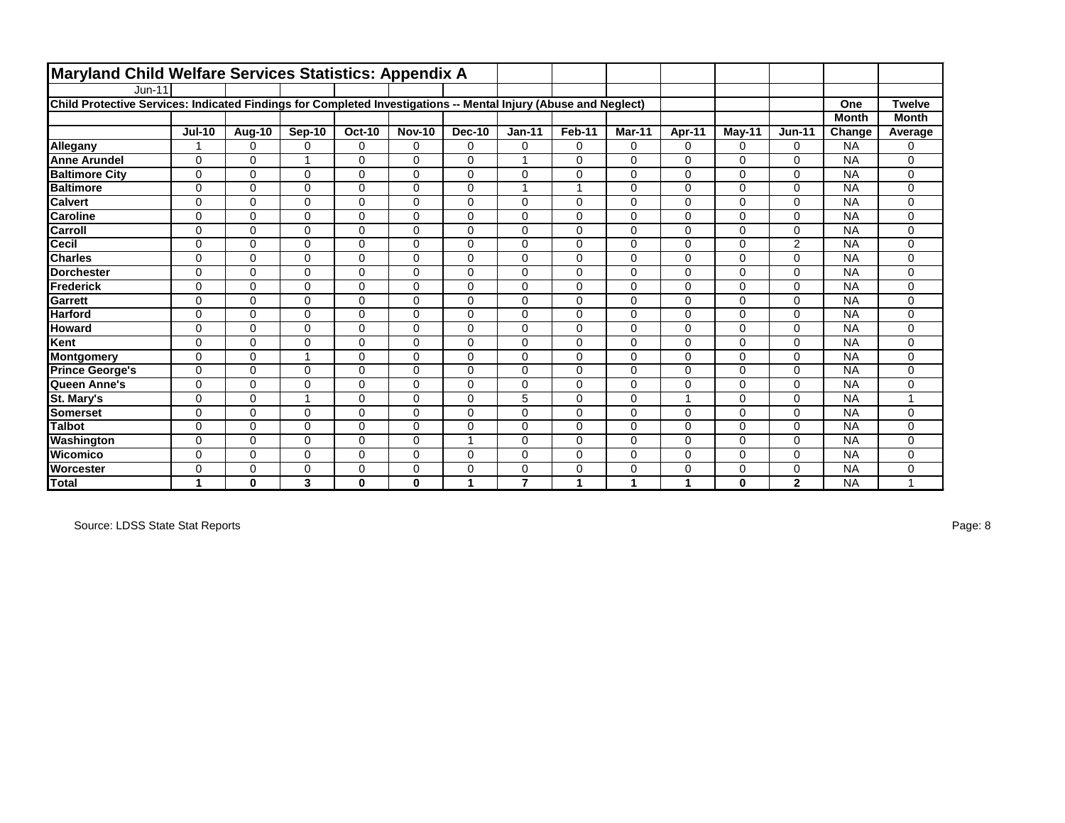| Maryland Child Welfare Services Statistics: Appendix A                                                          |               |               |          |               |               |               |                |              |          |             |              |                |              |                |
|-----------------------------------------------------------------------------------------------------------------|---------------|---------------|----------|---------------|---------------|---------------|----------------|--------------|----------|-------------|--------------|----------------|--------------|----------------|
| $Jun-11$                                                                                                        |               |               |          |               |               |               |                |              |          |             |              |                |              |                |
| Child Protective Services: Indicated Findings for Completed Investigations -- Mental Injury (Abuse and Neglect) |               |               |          |               |               |               |                |              |          |             |              |                | One          | <b>Twelve</b>  |
|                                                                                                                 |               |               |          |               |               |               |                |              |          |             |              |                | <b>Month</b> | <b>Month</b>   |
|                                                                                                                 | <b>Jul-10</b> | <b>Aug-10</b> | Sep-10   | <b>Oct-10</b> | <b>Nov-10</b> | <b>Dec-10</b> | $Jan-11$       | Feb-11       | Mar-11   | Apr-11      | $M$ ay-11    | <b>Jun-11</b>  | Change       | Average        |
| Allegany                                                                                                        | 1             | $\Omega$      | $\Omega$ | $\mathbf 0$   | $\Omega$      | $\Omega$      | 0              | 0            | $\Omega$ | $\Omega$    | $\Omega$     | $\Omega$       | <b>NA</b>    | 0              |
| <b>Anne Arundel</b>                                                                                             | $\Omega$      | $\Omega$      |          | $\mathbf 0$   | $\Omega$      | $\Omega$      |                | 0            | $\Omega$ | $\Omega$    | $\Omega$     | $\Omega$       | <b>NA</b>    | 0              |
| <b>Baltimore City</b>                                                                                           | $\mathbf 0$   | $\Omega$      | $\Omega$ | $\mathbf 0$   | $\Omega$      | $\Omega$      | 0              | 0            | 0        | $\Omega$    | $\Omega$     | $\mathbf 0$    | <b>NA</b>    | 0              |
| <b>Baltimore</b>                                                                                                | $\mathbf 0$   | 0             | $\Omega$ | $\mathbf 0$   | $\Omega$      | $\mathbf 0$   |                | 1            | 0        | $\mathbf 0$ | 0            | $\mathbf 0$    | <b>NA</b>    | 0              |
| <b>Calvert</b>                                                                                                  | $\mathbf 0$   | $\Omega$      | $\Omega$ | $\mathbf 0$   | $\Omega$      | $\Omega$      | $\Omega$       | 0            | $\Omega$ | $\mathbf 0$ | $\Omega$     | $\mathbf 0$    | <b>NA</b>    | $\mathbf{0}$   |
| <b>Caroline</b>                                                                                                 | $\mathbf 0$   | 0             | $\Omega$ | $\mathbf 0$   | $\Omega$      | $\Omega$      | 0              | 0            | $\Omega$ | $\mathbf 0$ | 0            | $\mathbf 0$    | <b>NA</b>    | 0              |
| Carroll                                                                                                         | $\Omega$      | $\Omega$      | $\Omega$ | $\mathbf 0$   | $\Omega$      | $\Omega$      | $\Omega$       | 0            | $\Omega$ | $\Omega$    | $\Omega$     | $\mathbf 0$    | <b>NA</b>    | $\mathbf{0}$   |
| <b>Cecil</b>                                                                                                    | $\mathbf 0$   | $\Omega$      | $\Omega$ | $\mathbf 0$   | $\Omega$      | $\Omega$      | $\mathbf 0$    | 0            | 0        | $\Omega$    | 0            | $\overline{2}$ | <b>NA</b>    | 0              |
| <b>Charles</b>                                                                                                  | $\mathbf 0$   | 0             | 0        | 0             | 0             | 0             | $\mathbf 0$    | 0            | 0        | 0           | 0            | $\mathbf 0$    | <b>NA</b>    | 0              |
| <b>Dorchester</b>                                                                                               | $\Omega$      | $\Omega$      | $\Omega$ | $\mathbf 0$   | $\Omega$      | $\Omega$      | $\Omega$       | $\mathbf 0$  | $\Omega$ | $\Omega$    | $\Omega$     | $\Omega$       | <b>NA</b>    | $\mathbf 0$    |
| Frederick                                                                                                       | $\mathbf 0$   | 0             | $\Omega$ | $\mathbf 0$   | $\Omega$      | $\Omega$      | $\Omega$       | 0            | $\Omega$ | $\Omega$    | $\Omega$     | $\Omega$       | <b>NA</b>    | 0              |
| <b>Garrett</b>                                                                                                  | $\mathbf 0$   | $\Omega$      | $\Omega$ | $\mathbf 0$   | $\Omega$      | $\Omega$      | $\Omega$       | 0            | $\Omega$ | $\Omega$    | 0            | $\Omega$       | <b>NA</b>    | $\mathbf{0}$   |
| <b>Harford</b>                                                                                                  | $\mathbf 0$   | $\Omega$      | $\Omega$ | $\mathbf 0$   | $\Omega$      | $\Omega$      | $\Omega$       | 0            | 0        | $\Omega$    | 0            | $\mathbf 0$    | <b>NA</b>    | 0              |
| <b>Howard</b>                                                                                                   | 0             | 0             | $\Omega$ | $\mathbf 0$   | $\Omega$      | $\mathbf 0$   | 0              | 0            | 0        | 0           | $\Omega$     | $\mathbf 0$    | <b>NA</b>    | 0              |
| Kent                                                                                                            | $\Omega$      | $\Omega$      | $\Omega$ | $\mathbf 0$   | $\Omega$      | $\Omega$      | $\Omega$       | 0            | $\Omega$ | $\mathbf 0$ | $\Omega$     | $\mathbf 0$    | <b>NA</b>    | 0              |
| <b>Montgomery</b>                                                                                               | $\mathbf 0$   | 0             |          | $\mathbf 0$   | $\Omega$      | $\Omega$      | $\Omega$       | 0            | 0        | $\mathbf 0$ | $\Omega$     | $\mathbf 0$    | <b>NA</b>    | $\mathbf{0}$   |
| <b>Prince George's</b>                                                                                          | $\mathbf 0$   | $\Omega$      | $\Omega$ | $\mathbf 0$   | $\Omega$      | $\Omega$      | $\Omega$       | 0            | $\Omega$ | $\Omega$    | $\Omega$     | $\mathbf 0$    | <b>NA</b>    | 0              |
| Queen Anne's                                                                                                    | $\mathbf 0$   | $\Omega$      | $\Omega$ | $\mathbf 0$   | $\Omega$      | $\Omega$      | $\Omega$       | $\mathbf{0}$ | $\Omega$ | $\mathbf 0$ | 0            | $\mathbf 0$    | <b>NA</b>    | 0              |
| St. Mary's                                                                                                      | 0             | $\Omega$      | 1        | $\mathbf 0$   | $\Omega$      | $\Omega$      | 5              | 0            | $\Omega$ | -1          | $\Omega$     | $\Omega$       | <b>NA</b>    |                |
| <b>Somerset</b>                                                                                                 | $\mathbf 0$   | 0             | $\Omega$ | $\mathbf 0$   | $\Omega$      | $\Omega$      | $\Omega$       | 0            | 0        | $\Omega$    | $\Omega$     | $\mathbf 0$    | <b>NA</b>    | 0              |
| <b>Talbot</b>                                                                                                   | $\Omega$      | $\Omega$      | $\Omega$ | $\mathbf 0$   | $\Omega$      | $\Omega$      | $\Omega$       | 0            | $\Omega$ | $\Omega$    | 0            | $\Omega$       | <b>NA</b>    | 0              |
| Washington                                                                                                      | $\mathbf 0$   | 0             | $\Omega$ | $\mathbf 0$   | $\Omega$      |               | $\Omega$       | 0            | $\Omega$ | $\Omega$    | $\Omega$     | $\mathbf 0$    | <b>NA</b>    | 0              |
| Wicomico                                                                                                        | 0             | $\Omega$      | $\Omega$ | $\mathbf 0$   | $\Omega$      | $\Omega$      | $\Omega$       | 0            | $\Omega$ | $\Omega$    | 0            | $\Omega$       | <b>NA</b>    | 0              |
| <b>Worcester</b>                                                                                                | $\mathbf 0$   | 0             | $\Omega$ | $\mathbf 0$   | $\Omega$      | $\Omega$      | 0              | 0            | $\Omega$ | $\mathbf 0$ | 0            | $\mathbf 0$    | <b>NA</b>    | 0              |
| <b>Total</b>                                                                                                    | 1             | $\bf{0}$      | 3        | $\bf{0}$      | 0             | 1             | $\overline{7}$ | 1            | 1        | 1           | $\mathbf{0}$ | $\mathbf{2}$   | <b>NA</b>    | $\overline{ }$ |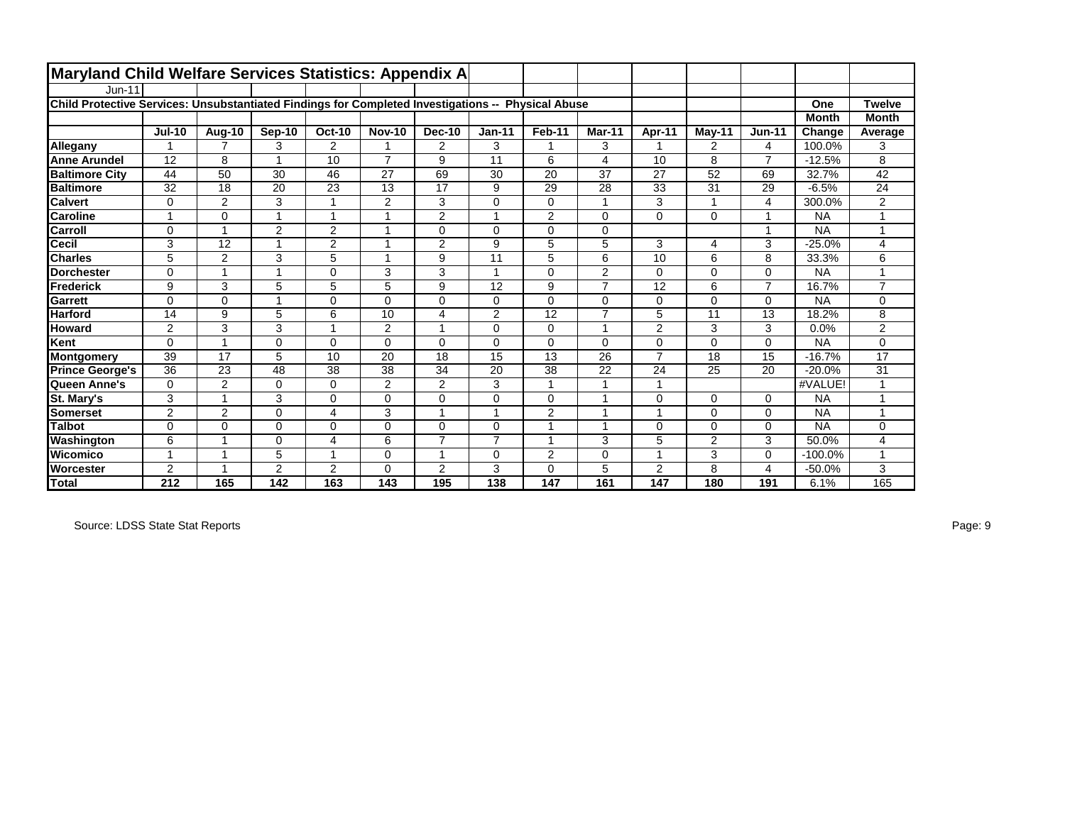| <b>Maryland Child Welfare Services Statistics: Appendix A</b>                                      |                |                |                         |                |                |                |                |                |                         |                |                |                         |              |                |
|----------------------------------------------------------------------------------------------------|----------------|----------------|-------------------------|----------------|----------------|----------------|----------------|----------------|-------------------------|----------------|----------------|-------------------------|--------------|----------------|
| $Jun-11$                                                                                           |                |                |                         |                |                |                |                |                |                         |                |                |                         |              |                |
| Child Protective Services: Unsubstantiated Findings for Completed Investigations -- Physical Abuse |                |                |                         |                |                |                |                |                |                         |                |                |                         | One          | <b>Twelve</b>  |
|                                                                                                    |                |                |                         |                |                |                |                |                |                         |                |                |                         | <b>Month</b> | <b>Month</b>   |
|                                                                                                    | $Jul-10$       | <b>Aug-10</b>  | Sep-10                  | <b>Oct-10</b>  | <b>Nov-10</b>  | <b>Dec-10</b>  | $Jan-11$       | Feb-11         | Mar-11                  | Apr-11         | $M$ ay-11      | <b>Jun-11</b>           | Change       | Average        |
| Allegany                                                                                           | 1              | $\overline{7}$ | 3                       | $\overline{2}$ | 1              | 2              | 3              | 1              | 3                       |                | 2              | $\overline{4}$          | 100.0%       | 3              |
| <b>Anne Arundel</b>                                                                                | 12             | 8              | $\overline{\mathbf{A}}$ | 10             | $\overline{7}$ | 9              | 11             | 6              | 4                       | 10             | 8              | $\overline{7}$          | $-12.5%$     | 8              |
| <b>Baltimore City</b>                                                                              | 44             | 50             | 30                      | 46             | 27             | 69             | 30             | 20             | 37                      | 27             | 52             | 69                      | 32.7%        | 42             |
| <b>Baltimore</b>                                                                                   | 32             | 18             | 20                      | 23             | 13             | 17             | 9              | 29             | 28                      | 33             | 31             | 29                      | $-6.5%$      | 24             |
| <b>Calvert</b>                                                                                     | $\Omega$       | 2              | 3                       | 1              | 2              | 3              | 0              | $\Omega$       | $\overline{\mathbf{A}}$ | 3              | 4              | 4                       | 300.0%       | $\overline{2}$ |
| <b>Caroline</b>                                                                                    | 1              | $\mathbf 0$    | $\overline{A}$          | 1              |                | $\overline{2}$ | 1              | $\overline{2}$ | 0                       | 0              | $\Omega$       | $\overline{A}$          | <b>NA</b>    | $\overline{ }$ |
| Carroll                                                                                            | $\Omega$       | -1             | 2                       | 2              | 1              | 0              | $\Omega$       | $\Omega$       | 0                       |                |                | $\overline{\mathbf{A}}$ | <b>NA</b>    | 1              |
| Cecil                                                                                              | 3              | 12             | $\overline{ }$          | $\overline{2}$ | $\overline{1}$ | $\overline{2}$ | 9              | 5              | 5                       | 3              | 4              | 3                       | $-25.0%$     | 4              |
| <b>Charles</b>                                                                                     | 5              | $\overline{2}$ | 3                       | 5              |                | 9              | 11             | 5              | 6                       | 10             | 6              | 8                       | 33.3%        | 6              |
| <b>Dorchester</b>                                                                                  | 0              | 1              | $\overline{ }$          | 0              | 3              | 3              | 1              | $\Omega$       | $\overline{2}$          | 0              | $\Omega$       | 0                       | <b>NA</b>    | 4              |
| <b>Frederick</b>                                                                                   | 9              | 3              | 5                       | 5              | 5              | 9              | 12             | 9              | $\overline{7}$          | 12             | 6              | $\overline{7}$          | 16.7%        | $\overline{7}$ |
| Garrett                                                                                            | $\Omega$       | $\Omega$       | $\overline{1}$          | 0              | $\Omega$       | $\Omega$       | 0              | $\Omega$       | $\Omega$                | 0              | $\Omega$       | $\Omega$                | <b>NA</b>    | $\Omega$       |
| <b>Harford</b>                                                                                     | 14             | 9              | 5                       | 6              | 10             | 4              | $\overline{2}$ | 12             | $\overline{7}$          | 5              | 11             | 13                      | 18.2%        | 8              |
| <b>Howard</b>                                                                                      | $\overline{2}$ | 3              | 3                       | 1              | 2              | $\overline{1}$ | 0              | $\Omega$       | $\overline{1}$          | $\overline{2}$ | 3              | 3                       | 0.0%         | $\overline{2}$ |
| Kent                                                                                               | $\overline{0}$ |                | 0                       | 0              | $\mathbf 0$    | 0              | 0              | $\mathbf 0$    | 0                       | 0              | $\mathbf 0$    | 0                       | <b>NA</b>    | 0              |
| <b>Montgomery</b>                                                                                  | 39             | 17             | 5                       | 10             | 20             | 18             | 15             | 13             | 26                      | $\overline{7}$ | 18             | 15                      | $-16.7%$     | 17             |
| <b>Prince George's</b>                                                                             | 36             | 23             | 48                      | 38             | 38             | 34             | 20             | 38             | 22                      | 24             | 25             | 20                      | $-20.0%$     | 31             |
| Queen Anne's                                                                                       | 0              | 2              | 0                       | 0              | 2              | 2              | 3              |                |                         | 1              |                |                         | #VALUE!      |                |
| St. Mary's                                                                                         | 3              | 1              | 3                       | 0              | $\Omega$       | $\Omega$       | 0              | $\Omega$       | $\overline{ }$          | 0              | $\Omega$       | $\Omega$                | <b>NA</b>    | $\overline{A}$ |
| <b>Somerset</b>                                                                                    | $\overline{2}$ | 2              | 0                       | 4              | 3              |                | 1              | $\overline{2}$ |                         |                | $\Omega$       | 0                       | <b>NA</b>    |                |
| <b>Talbot</b>                                                                                      | 0              | $\Omega$       | $\Omega$                | 0              | $\Omega$       | $\Omega$       | 0              | 1              | $\overline{A}$          | 0              | $\Omega$       | $\Omega$                | <b>NA</b>    | 0              |
| Washington                                                                                         | 6              |                | $\mathbf 0$             | 4              | 6              | $\overline{7}$ | $\overline{7}$ | 1              | 3                       | 5              | $\overline{2}$ | 3                       | 50.0%        | 4              |
| Wicomico                                                                                           | 1              | 4              | 5                       | 1              | $\Omega$       | $\overline{1}$ | 0              | $\overline{2}$ | 0                       | 1              | 3              | 0                       | $-100.0%$    | $\overline{A}$ |
| Worcester                                                                                          | 2              | 4              | 2                       | $\overline{2}$ | $\Omega$       | 2              | 3              | $\Omega$       | 5                       | $\overline{2}$ | 8              | 4                       | $-50.0%$     | 3              |
| <b>Total</b>                                                                                       | 212            | 165            | 142                     | 163            | 143            | 195            | 138            | 147            | 161                     | 147            | 180            | 191                     | 6.1%         | 165            |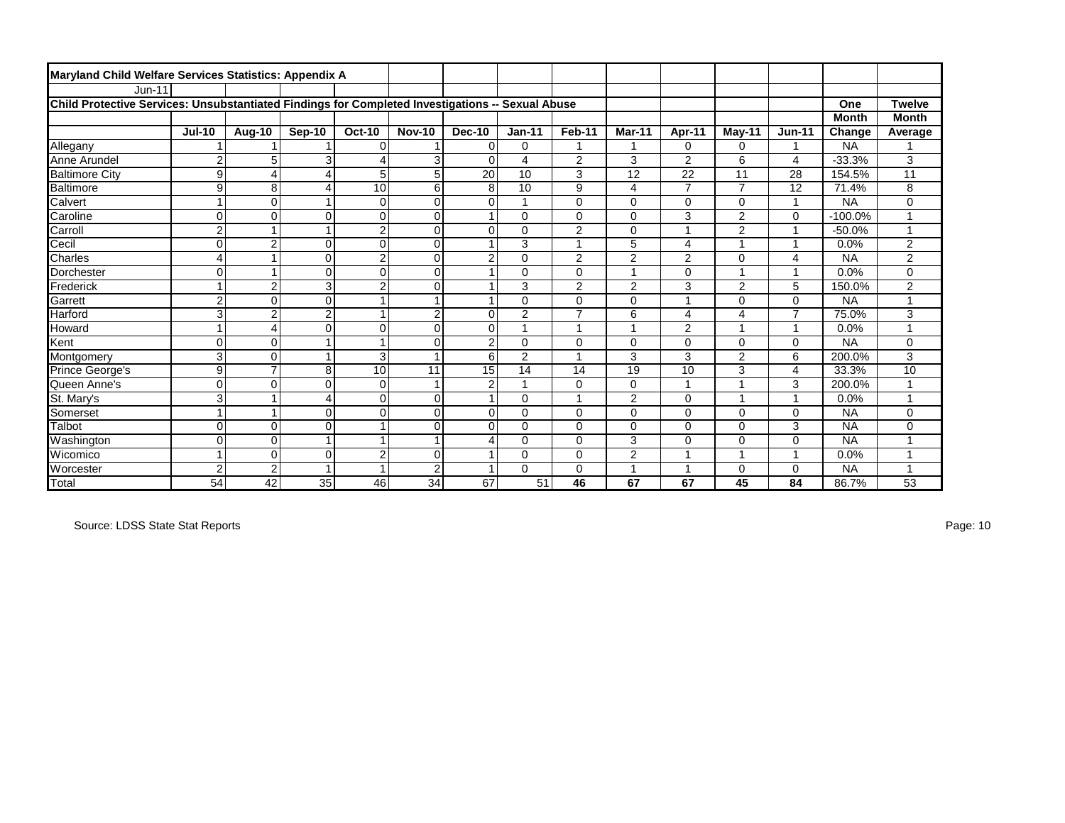| Maryland Child Welfare Services Statistics: Appendix A                                           |                         |                |                |                |                         |                |                |                         |                |                |                |                          |              |                |
|--------------------------------------------------------------------------------------------------|-------------------------|----------------|----------------|----------------|-------------------------|----------------|----------------|-------------------------|----------------|----------------|----------------|--------------------------|--------------|----------------|
| <b>Jun-11</b>                                                                                    |                         |                |                |                |                         |                |                |                         |                |                |                |                          |              |                |
| Child Protective Services: Unsubstantiated Findings for Completed Investigations -- Sexual Abuse |                         |                |                |                |                         |                |                |                         |                |                |                |                          | One          | <b>Twelve</b>  |
|                                                                                                  |                         |                |                |                |                         |                |                |                         |                |                |                |                          | <b>Month</b> | <b>Month</b>   |
|                                                                                                  | <b>Jul-10</b>           | Aug-10         | Sep-10         | <b>Oct-10</b>  | <b>Nov-10</b>           | <b>Dec-10</b>  | $Jan-11$       | Feb-11                  | Mar-11         | Apr-11         | May-11         | $Jun-11$                 | Change       | Average        |
| Allegany                                                                                         |                         |                |                | $\Omega$       |                         | $\mathbf 0$    | 0              | 1                       | 1              | 0              | 0              | 1                        | <b>NA</b>    |                |
| Anne Arundel                                                                                     | $\overline{\mathbf{c}}$ | 5              | 3              | 4              | 3                       | $\Omega$       | 4              | $\overline{2}$          | 3              | $\overline{c}$ | 6              | 4                        | $-33.3%$     | 3              |
| <b>Baltimore City</b>                                                                            | 9                       | 4              | $\overline{4}$ | 5              | 5                       | 20             | 10             | 3                       | 12             | 22             | 11             | 28                       | 154.5%       | 11             |
| <b>Baltimore</b>                                                                                 | 9                       | 8              | 4              | 10             | 6                       | 8              | 10             | 9                       | 4              | $\overline{7}$ | $\overline{7}$ | 12                       | 71.4%        | 8              |
| Calvert                                                                                          | 1                       | $\Omega$       |                | $\Omega$       | $\mathbf 0$             | $\Omega$       |                | $\mathbf 0$             | 0              | 0              | 0              | $\overline{ }$           | <b>NA</b>    | 0              |
| Caroline                                                                                         | $\mathbf 0$             | $\Omega$       | $\Omega$       | 0              | $\mathbf 0$             |                | 0              | $\Omega$                | 0              | 3              | $\overline{2}$ | $\mathbf 0$              | $-100.0%$    | 1              |
| Carroll                                                                                          | $\overline{2}$          |                |                | $\overline{2}$ | $\Omega$                | $\Omega$       | $\Omega$       | $\overline{2}$          | 0              | $\overline{1}$ | $\overline{2}$ | $\overline{\phantom{a}}$ | $-50.0%$     | 1              |
| Cecil                                                                                            | $\mathbf 0$             | $\overline{2}$ | 0              | $\mathbf 0$    | $\mathbf 0$             |                | 3              | 1                       | 5              | 4              |                |                          | 0.0%         | $\overline{2}$ |
| Charles                                                                                          | $\overline{4}$          |                | $\Omega$       | $\overline{c}$ | $\mathbf 0$             | $\overline{c}$ | $\Omega$       | $\overline{2}$          | $\overline{2}$ | $\overline{2}$ | 0              | 4                        | <b>NA</b>    | $\overline{c}$ |
| Dorchester                                                                                       | $\mathbf 0$             |                | $\Omega$       | $\mathbf 0$    | $\mathbf 0$             |                | $\Omega$       | 0                       | 4              | 0              | 4              | 1                        | 0.0%         | 0              |
| Frederick                                                                                        | 1                       | $\overline{2}$ | 3              | $\overline{2}$ | $\Omega$                |                | 3              | $\overline{2}$          | $\overline{c}$ | 3              | $\overline{c}$ | 5                        | 150.0%       | $\overline{c}$ |
| Garrett                                                                                          | $\overline{c}$          | $\Omega$       | $\Omega$       | $\overline{ }$ | $\overline{\mathbf{1}}$ |                | 0              | $\mathbf 0$             | 0              | 1              | 0              | $\mathbf 0$              | <b>NA</b>    | 4              |
| Harford                                                                                          | 3                       | $\overline{2}$ | $\overline{2}$ | 4              | $\overline{2}$          | $\Omega$       | 2              | $\overline{7}$          | 6              | 4              | 4              | $\overline{7}$           | 75.0%        | 3              |
| Howard                                                                                           | 1                       | 4              | $\mathbf 0$    | $\mathbf 0$    | $\mathbf 0$             | $\mathbf 0$    |                | 1                       |                | $\overline{2}$ |                |                          | 0.0%         |                |
| Kent                                                                                             | $\mathbf 0$             | $\Omega$       | 1              |                | $\mathbf 0$             | $\overline{2}$ | 0              | $\mathbf 0$             | 0              | 0              | 0              | $\mathbf 0$              | <b>NA</b>    | 0              |
| Montgomery                                                                                       | 3                       | $\Omega$       |                | 3              | $\overline{\mathbf{1}}$ | 6              | $\overline{2}$ | 4                       | 3              | 3              | $\overline{2}$ | 6                        | 200.0%       | 3              |
| Prince George's                                                                                  | 9                       | $\overline{7}$ | 8              | 10             | 11                      | 15             | 14             | 14                      | 19             | 10             | 3              | 4                        | 33.3%        | 10             |
| Queen Anne's                                                                                     | $\mathbf 0$             | $\Omega$       | 0              | $\mathbf 0$    | $\overline{ }$          | $\overline{2}$ |                | $\mathbf 0$             | 0              | 1              |                | 3                        | 200.0%       |                |
| St. Mary's                                                                                       | 3                       |                | $\overline{4}$ | 0              | $\mathbf 0$             |                | $\Omega$       | $\overline{\mathbf{1}}$ | $\overline{2}$ | 0              | 4              | и                        | 0.0%         |                |
| Somerset                                                                                         | 1                       |                | $\Omega$       | $\Omega$       | $\Omega$                | $\Omega$       | $\Omega$       | $\Omega$                | 0              | $\overline{0}$ | 0              | $\mathbf 0$              | <b>NA</b>    | 0              |
| Talbot                                                                                           | $\mathbf 0$             | $\Omega$       | 0              |                | $\mathbf 0$             | $\Omega$       | $\Omega$       | $\mathbf 0$             | 0              | 0              | 0              | 3                        | <b>NA</b>    | 0              |
| Washington                                                                                       | $\mathbf 0$             | $\Omega$       |                |                | $\overline{\mathbf{1}}$ | Δ              | $\Omega$       | $\mathbf 0$             | 3              | $\overline{0}$ | 0              | $\mathbf 0$              | <b>NA</b>    |                |
| Wicomico                                                                                         | 1                       | $\Omega$       | $\Omega$       | $\overline{2}$ | $\Omega$                |                | 0              | $\Omega$                | $\overline{2}$ | 1              | ۸              | 1                        | 0.0%         |                |
| Worcester                                                                                        | $\overline{2}$          | $\overline{c}$ | $\overline{ }$ |                | $\overline{2}$          |                | $\Omega$       | 0                       |                | 1              | 0              | $\mathbf 0$              | <b>NA</b>    |                |
| <b>Total</b>                                                                                     | $\overline{54}$         | 42             | 35             | 46             | 34                      | 67             | 51             | 46                      | 67             | 67             | 45             | 84                       | 86.7%        | 53             |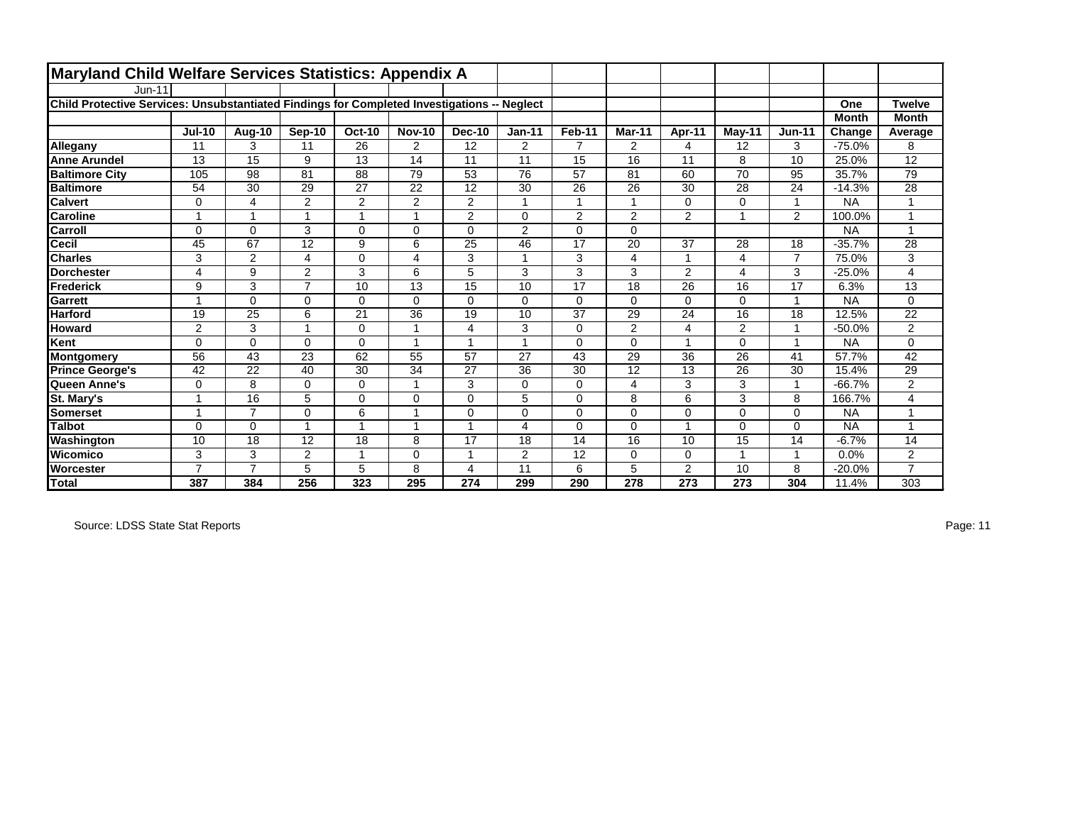| Maryland Child Welfare Services Statistics: Appendix A                                      |                |                |                |                |                |                |                |                      |                |                |                |                |              |                 |
|---------------------------------------------------------------------------------------------|----------------|----------------|----------------|----------------|----------------|----------------|----------------|----------------------|----------------|----------------|----------------|----------------|--------------|-----------------|
| <b>Jun-11</b>                                                                               |                |                |                |                |                |                |                |                      |                |                |                |                |              |                 |
| Child Protective Services: Unsubstantiated Findings for Completed Investigations -- Neglect |                |                |                |                |                |                |                |                      |                |                |                |                | One          | <b>Twelve</b>   |
|                                                                                             |                |                |                |                |                |                |                |                      |                |                |                |                | <b>Month</b> | <b>Month</b>    |
|                                                                                             | <b>Jul-10</b>  | Aug-10         | Sep-10         | <b>Oct-10</b>  | <b>Nov-10</b>  | <b>Dec-10</b>  | $Jan-11$       | Feb-11               | Mar-11         | Apr-11         | $M$ ay-11      | <b>Jun-11</b>  | Change       | Average         |
| Allegany                                                                                    | 11             | 3              | 11             | 26             | $\overline{2}$ | 12             | $\overline{2}$ | $\overline{7}$       | $\overline{2}$ | 4              | 12             | 3              | $-75.0%$     | 8               |
| <b>Anne Arundel</b>                                                                         | 13             | 15             | 9              | 13             | 14             | 11             | 11             | 15                   | 16             | 11             | 8              | 10             | 25.0%        | $\overline{12}$ |
| <b>Baltimore City</b>                                                                       | 105            | 98             | 81             | 88             | 79             | 53             | 76             | 57                   | 81             | 60             | 70             | 95             | 35.7%        | 79              |
| <b>Baltimore</b>                                                                            | 54             | 30             | 29             | 27             | 22             | 12             | 30             | 26                   | 26             | 30             | 28             | 24             | $-14.3%$     | 28              |
| <b>Calvert</b>                                                                              | 0              | 4              | $\overline{2}$ | $\overline{2}$ | $\overline{2}$ | $\overline{c}$ |                | $\blacktriangleleft$ |                | $\Omega$       | 0              | 1              | <b>NA</b>    |                 |
| <b>Caroline</b>                                                                             | 1              | 1              | 1              | 1              | 1              | $\overline{2}$ | 0              | $\overline{2}$       | $\overline{2}$ | 2              |                | $\overline{2}$ | 100.0%       |                 |
| Carroll                                                                                     | $\Omega$       | $\Omega$       | 3              | $\mathbf 0$    | $\Omega$       | $\Omega$       | 2              | $\Omega$             | $\Omega$       |                |                |                | <b>NA</b>    |                 |
| <b>Cecil</b>                                                                                | 45             | 67             | 12             | 9              | 6              | 25             | 46             | 17                   | 20             | 37             | 28             | 18             | $-35.7%$     | 28              |
| <b>Charles</b>                                                                              | 3              | $\overline{2}$ | 4              | $\mathbf 0$    | 4              | 3              |                | 3                    | 4              |                | 4              | $\overline{7}$ | 75.0%        | 3               |
| <b>Dorchester</b>                                                                           | 4              | 9              | 2              | 3              | 6              | 5              | 3              | 3                    | 3              | 2              | 4              | 3              | $-25.0%$     | 4               |
| Frederick                                                                                   | 9              | 3              | $\overline{7}$ | 10             | 13             | 15             | 10             | 17                   | 18             | 26             | 16             | 17             | 6.3%         | 13              |
| Garrett                                                                                     | 4              | $\Omega$       | $\Omega$       | $\mathbf 0$    | $\Omega$       | $\Omega$       | $\Omega$       | 0                    | $\Omega$       | 0              | $\Omega$       | $\overline{1}$ | <b>NA</b>    | $\mathbf 0$     |
| <b>Harford</b>                                                                              | 19             | 25             | 6              | 21             | 36             | 19             | 10             | 37                   | 29             | 24             | 16             | 18             | 12.5%        | 22              |
| <b>Howard</b>                                                                               | $\overline{2}$ | 3              |                | $\mathbf 0$    | -1             | 4              | 3              | $\mathbf 0$          | $\overline{2}$ | $\overline{4}$ | $\overline{2}$ | -1             | $-50.0%$     | $\overline{2}$  |
| Kent                                                                                        | 0              | $\Omega$       | $\Omega$       | $\mathbf 0$    | $\overline{ }$ | $\overline{ }$ |                | 0                    | $\Omega$       | $\overline{1}$ | $\Omega$       | $\overline{1}$ | <b>NA</b>    | $\mathbf 0$     |
| Montgomery                                                                                  | 56             | 43             | 23             | 62             | 55             | 57             | 27             | 43                   | 29             | 36             | 26             | 41             | 57.7%        | 42              |
| <b>Prince George's</b>                                                                      | 42             | 22             | 40             | 30             | 34             | 27             | 36             | 30                   | 12             | 13             | 26             | 30             | 15.4%        | 29              |
| Queen Anne's                                                                                | $\Omega$       | 8              | $\Omega$       | $\mathbf 0$    |                | 3              | $\Omega$       | 0                    | 4              | 3              | 3              | $\overline{1}$ | $-66.7%$     | $\overline{2}$  |
| St. Mary's                                                                                  | 1              | 16             | 5              | $\mathbf 0$    | $\Omega$       | $\Omega$       | 5              | 0                    | 8              | 6              | 3              | 8              | 166.7%       | 4               |
| Somerset                                                                                    | 4              | $\overline{7}$ | $\Omega$       | 6              |                | $\Omega$       | $\Omega$       | 0                    | $\Omega$       | $\Omega$       | 0              | $\Omega$       | <b>NA</b>    |                 |
| <b>Talbot</b>                                                                               | $\mathbf 0$    | $\Omega$       |                | 1              | -1             | $\overline{ }$ | 4              | 0                    | 0              | $\overline{ }$ | 0              | 0              | <b>NA</b>    | 4               |
| Washington                                                                                  | 10             | 18             | 12             | 18             | 8              | 17             | 18             | 14                   | 16             | 10             | 15             | 14             | $-6.7%$      | 14              |
| Wicomico                                                                                    | 3              | 3              | 2              | 1              | $\Omega$       | 1              | $\mathbf{2}$   | 12                   | 0              | 0              |                | 1              | 0.0%         | $\overline{a}$  |
| <b>Worcester</b>                                                                            | $\overline{7}$ | $\overline{7}$ | 5              | 5              | 8              | 4              | 11             | 6                    | 5              | 2              | 10             | 8              | $-20.0%$     | $\overline{7}$  |
| <b>Total</b>                                                                                | 387            | 384            | 256            | 323            | 295            | 274            | 299            | 290                  | 278            | 273            | 273            | 304            | 11.4%        | 303             |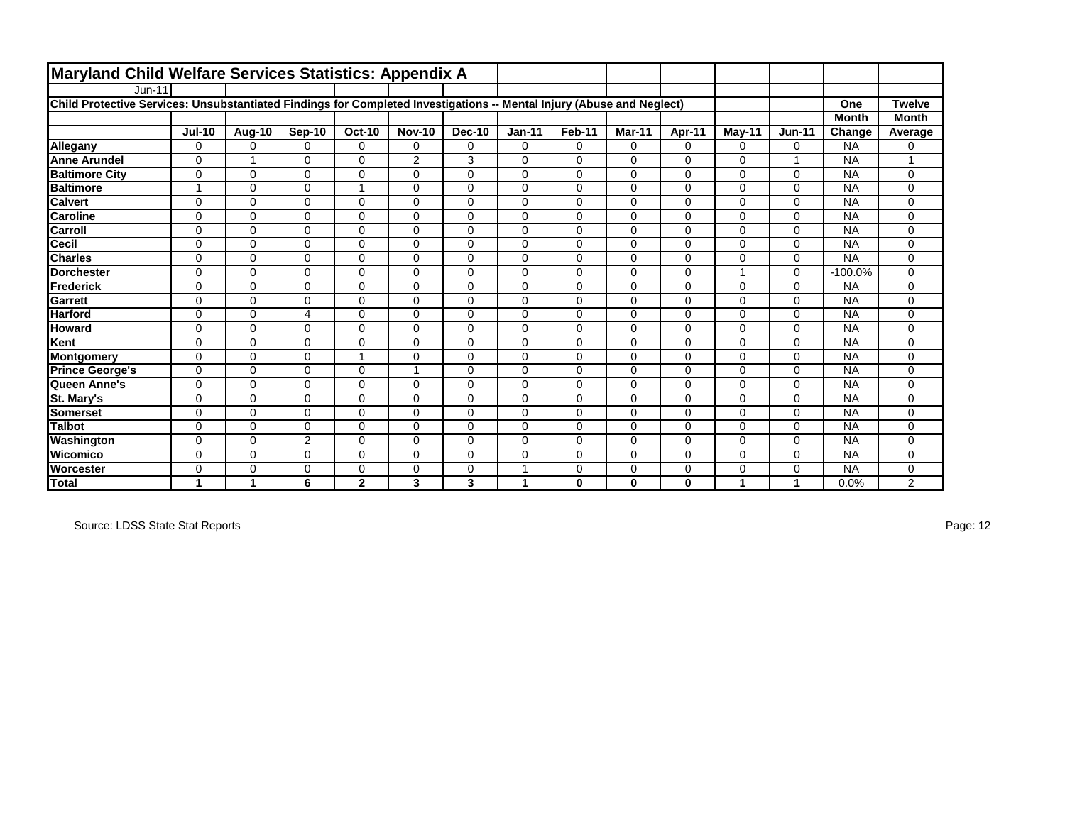| Maryland Child Welfare Services Statistics: Appendix A                                                                |               |               |                |               |                |               |          |             |          |              |           |               |              |                |
|-----------------------------------------------------------------------------------------------------------------------|---------------|---------------|----------------|---------------|----------------|---------------|----------|-------------|----------|--------------|-----------|---------------|--------------|----------------|
| $Jun-11$                                                                                                              |               |               |                |               |                |               |          |             |          |              |           |               |              |                |
| Child Protective Services: Unsubstantiated Findings for Completed Investigations -- Mental Injury (Abuse and Neglect) |               |               |                |               |                |               |          |             |          |              |           |               | One          | <b>Twelve</b>  |
|                                                                                                                       |               |               |                |               |                |               |          |             |          |              |           |               | <b>Month</b> | <b>Month</b>   |
|                                                                                                                       | <b>Jul-10</b> | <b>Aug-10</b> | Sep-10         | <b>Oct-10</b> | <b>Nov-10</b>  | <b>Dec-10</b> | $Jan-11$ | Feb-11      | Mar-11   | Apr-11       | $M$ ay-11 | <b>Jun-11</b> | Change       | Average        |
| Allegany                                                                                                              | 0             | $\Omega$      | $\Omega$       | $\mathbf 0$   | $\Omega$       | $\Omega$      | 0        | 0           | $\Omega$ | $\Omega$     | $\Omega$  | $\Omega$      | <b>NA</b>    | 0              |
| <b>Anne Arundel</b>                                                                                                   | $\Omega$      | 1             | $\Omega$       | $\mathbf 0$   | $\overline{2}$ | 3             | $\Omega$ | 0           | $\Omega$ | $\Omega$     | $\Omega$  | -1            | <b>NA</b>    |                |
| <b>Baltimore City</b>                                                                                                 | $\mathbf 0$   | $\Omega$      | $\Omega$       | $\mathbf 0$   | $\Omega$       | $\Omega$      | 0        | 0           | 0        | $\Omega$     | 0         | $\mathbf 0$   | <b>NA</b>    | 0              |
| <b>Baltimore</b>                                                                                                      | 1             | 0             | $\Omega$       | 1             | $\Omega$       | $\Omega$      | $\Omega$ | 0           | 0        | $\mathbf 0$  | 0         | $\mathbf 0$   | <b>NA</b>    | 0              |
| <b>Calvert</b>                                                                                                        | $\mathbf 0$   | $\Omega$      | $\Omega$       | $\mathbf 0$   | $\Omega$       | $\Omega$      | $\Omega$ | 0           | $\Omega$ | $\mathbf 0$  | $\Omega$  | $\mathbf 0$   | <b>NA</b>    | $\mathbf 0$    |
| <b>Caroline</b>                                                                                                       | $\mathbf 0$   | 0             | $\Omega$       | $\mathbf 0$   | $\Omega$       | $\Omega$      | 0        | 0           | $\Omega$ | $\mathbf 0$  | 0         | $\mathbf 0$   | <b>NA</b>    | 0              |
| Carroll                                                                                                               | $\Omega$      | $\Omega$      | $\Omega$       | $\mathbf 0$   | $\Omega$       | $\Omega$      | $\Omega$ | 0           | $\Omega$ | $\Omega$     | $\Omega$  | $\Omega$      | <b>NA</b>    | $\mathbf 0$    |
| <b>Cecil</b>                                                                                                          | $\mathbf 0$   | $\Omega$      | $\Omega$       | $\mathbf 0$   | $\Omega$       | $\Omega$      | $\Omega$ | 0           | $\Omega$ | $\Omega$     | 0         | $\mathbf 0$   | <b>NA</b>    | 0              |
| <b>Charles</b>                                                                                                        | $\mathbf 0$   | 0             | 0              | 0             | 0              | 0             | $\Omega$ | 0           | 0        | 0            | 0         | $\mathbf 0$   | <b>NA</b>    | 0              |
| <b>Dorchester</b>                                                                                                     | $\Omega$      | $\Omega$      | $\Omega$       | $\mathbf 0$   | $\Omega$       | $\Omega$      | $\Omega$ | $\mathbf 0$ | $\Omega$ | $\Omega$     |           | $\Omega$      | $-100.0%$    | $\mathbf 0$    |
| Frederick                                                                                                             | $\mathbf 0$   | 0             | $\Omega$       | $\mathbf 0$   | $\Omega$       | $\Omega$      | $\Omega$ | 0           | $\Omega$ | $\Omega$     | $\Omega$  | $\Omega$      | <b>NA</b>    | $\mathbf 0$    |
| <b>Garrett</b>                                                                                                        | $\Omega$      | $\Omega$      | $\Omega$       | $\mathbf 0$   | $\Omega$       | $\Omega$      | $\Omega$ | 0           | $\Omega$ | $\Omega$     | 0         | $\Omega$      | <b>NA</b>    | $\mathbf 0$    |
| <b>Harford</b>                                                                                                        | $\mathbf 0$   | $\Omega$      | 4              | $\mathbf 0$   | $\Omega$       | $\Omega$      | $\Omega$ | 0           | 0        | $\Omega$     | 0         | $\mathbf 0$   | <b>NA</b>    | 0              |
| <b>Howard</b>                                                                                                         | $\mathbf 0$   | 0             | $\Omega$       | $\mathbf 0$   | $\Omega$       | $\mathbf 0$   | 0        | 0           | 0        | 0            | $\Omega$  | $\mathbf 0$   | <b>NA</b>    | 0              |
| Kent                                                                                                                  | $\Omega$      | $\Omega$      | $\Omega$       | $\mathbf 0$   | $\Omega$       | $\Omega$      | $\Omega$ | 0           | $\Omega$ | 0            | $\Omega$  | $\mathbf 0$   | <b>NA</b>    | 0              |
| <b>Montgomery</b>                                                                                                     | $\mathbf 0$   | $\Omega$      | $\Omega$       | 1             | $\Omega$       | $\Omega$      | $\Omega$ | 0           | 0        | $\mathbf 0$  | $\Omega$  | $\mathbf 0$   | <b>NA</b>    | $\mathbf 0$    |
| <b>Prince George's</b>                                                                                                | $\mathbf 0$   | $\Omega$      | $\Omega$       | $\mathbf 0$   | -1             | $\Omega$      | $\Omega$ | 0           | $\Omega$ | $\Omega$     | $\Omega$  | $\mathbf 0$   | <b>NA</b>    | 0              |
| Queen Anne's                                                                                                          | $\mathbf 0$   | $\Omega$      | $\Omega$       | $\mathbf 0$   | $\Omega$       | $\Omega$      | $\Omega$ | $\mathbf 0$ | $\Omega$ | $\mathbf 0$  | 0         | $\mathbf 0$   | <b>NA</b>    | 0              |
| St. Mary's                                                                                                            | 0             | $\Omega$      | 0              | $\mathbf 0$   | $\Omega$       | $\Omega$      | $\Omega$ | 0           | $\Omega$ | $\Omega$     | $\Omega$  | $\Omega$      | <b>NA</b>    | 0              |
| <b>Somerset</b>                                                                                                       | $\mathbf 0$   | 0             | $\Omega$       | $\mathbf 0$   | $\Omega$       | $\Omega$      | $\Omega$ | 0           | $\Omega$ | $\Omega$     | $\Omega$  | $\mathbf 0$   | <b>NA</b>    | $\mathbf 0$    |
| <b>Talbot</b>                                                                                                         | $\Omega$      | $\Omega$      | $\Omega$       | $\mathbf 0$   | $\Omega$       | $\Omega$      | $\Omega$ | 0           | $\Omega$ | $\Omega$     | 0         | $\Omega$      | <b>NA</b>    | 0              |
| Washington                                                                                                            | $\mathbf 0$   | 0             | $\overline{2}$ | $\mathbf 0$   | $\Omega$       | $\Omega$      | $\Omega$ | 0           | $\Omega$ | $\Omega$     | $\Omega$  | $\mathbf 0$   | <b>NA</b>    | 0              |
| Wicomico                                                                                                              | 0             | $\Omega$      | $\Omega$       | $\mathbf 0$   | $\Omega$       | $\Omega$      | $\Omega$ | 0           | $\Omega$ | $\Omega$     | 0         | $\Omega$      | <b>NA</b>    | 0              |
| <b>Worcester</b>                                                                                                      | $\mathbf 0$   | 0             | $\Omega$       | $\mathbf 0$   | $\Omega$       | 0             |          | 0           | $\Omega$ | 0            | 0         | $\mathbf 0$   | <b>NA</b>    | 0              |
| <b>Total</b>                                                                                                          | 1             | 1             | 6              | $\mathbf{2}$  | 3              | 3             | 1        | $\bf{0}$    | $\bf{0}$ | $\mathbf{0}$ | 1         | 1             | 0.0%         | $\overline{2}$ |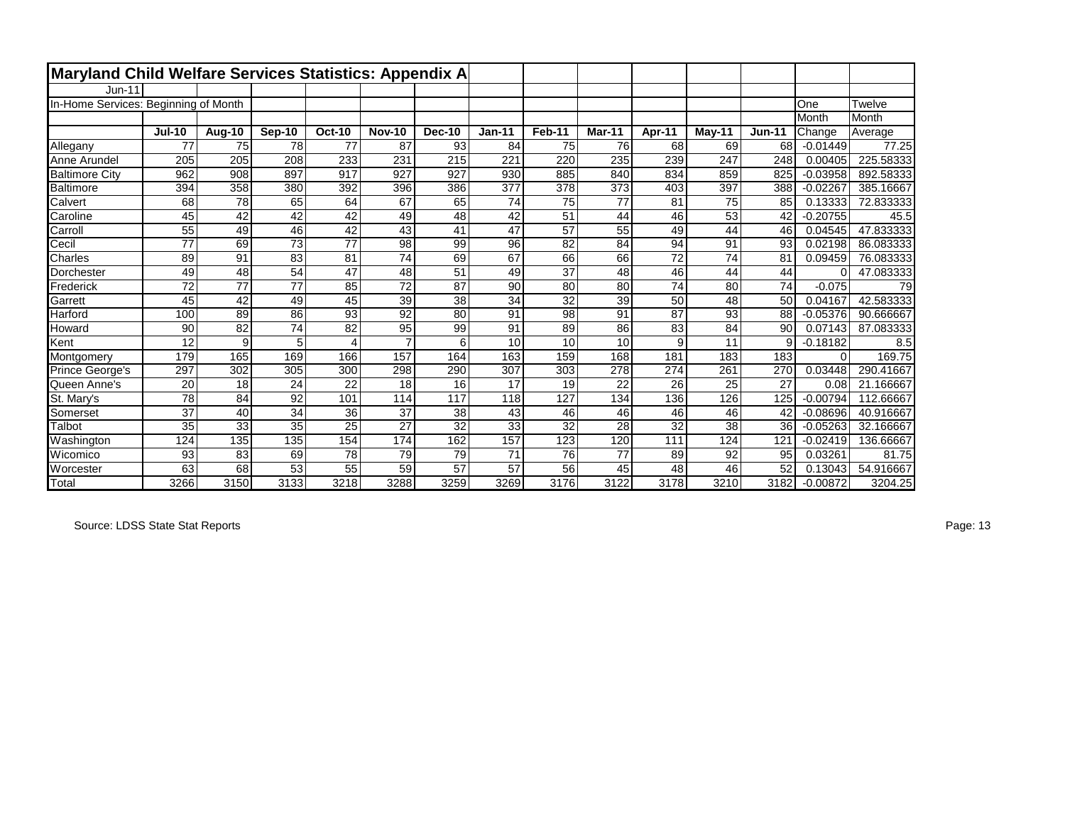| Maryland Child Welfare Services Statistics: Appendix A |                 |               |                 |                 |                |                 |                 |        |                 |                 |                 |               |            |           |
|--------------------------------------------------------|-----------------|---------------|-----------------|-----------------|----------------|-----------------|-----------------|--------|-----------------|-----------------|-----------------|---------------|------------|-----------|
| Jun-11                                                 |                 |               |                 |                 |                |                 |                 |        |                 |                 |                 |               |            |           |
| In-Home Services: Beginning of Month                   |                 |               |                 |                 |                |                 |                 |        |                 |                 |                 |               | One        | Twelve    |
|                                                        |                 |               |                 |                 |                |                 |                 |        |                 |                 |                 |               | Month      | Month     |
|                                                        | <b>Jul-10</b>   | <b>Aug-10</b> | Sep-10          | <b>Oct-10</b>   | <b>Nov-10</b>  | Dec-10          | $Jan-11$        | Feb-11 | Mar-11          | Apr-11          | $M$ ay-11       | <b>Jun-11</b> | Change     | Average   |
| Allegany                                               | 77              | 75            | 78              | 77              | 87             | 93              | 84              | 75     | 76              | 68              | 69              | 68            | $-0.01449$ | 77.25     |
| Anne Arundel                                           | 205             | 205           | 208             | 233             | 231            | 215             | 221             | 220    | 235             | 239             | 247             | 248           | 0.00405    | 225.58333 |
| <b>Baltimore City</b>                                  | 962             | 908           | 897             | 917             | 927            | 927             | 930             | 885    | 840             | 834             | 859             | 825           | $-0.03958$ | 892.58333 |
| Baltimore                                              | 394             | 358           | 380             | 392             | 396            | 386             | 377             | 378    | 373             | 403             | 397             | 388           | $-0.02267$ | 385.16667 |
| Calvert                                                | 68              | 78            | 65              | 64              | 67             | 65              | 74              | 75     | $\overline{77}$ | 81              | 75              | 85            | 0.13333    | 72.833333 |
| Caroline                                               | 45              | 42            | $\overline{42}$ | 42              | 49             | 48              | 42              | 51     | 44              | 46              | $\overline{53}$ | 42            | $-0.20755$ | 45.5      |
| Carroll                                                | 55              | 49            | 46              | 42              | 43             | 41              | 47              | 57     | 55              | 49              | 44              | 46            | 0.04545    | 47.833333 |
| Cecil                                                  | $\overline{77}$ | 69            | 73              | $\overline{77}$ | 98             | 99              | 96              | 82     | 84              | 94              | 91              | 93            | 0.02198    | 86.083333 |
| Charles                                                | 89              | 91            | 83              | 81              | 74             | 69              | 67              | 66     | 66              | $\overline{72}$ | 74              | 81            | 0.09459    | 76.083333 |
| Dorchester                                             | 49              | 48            | 54              | 47              | 48             | 51              | 49              | 37     | 48              | 46              | 44              | 44            | 0          | 47.083333 |
| Frederick                                              | 72              | 77            | 77              | 85              | 72             | 87              | 90              | 80     | 80              | 74              | 80              | 74            | $-0.075$   | 79        |
| Garrett                                                | 45              | 42            | 49              | 45              | 39             | 38              | 34              | 32     | $\overline{39}$ | 50              | 48              | 50            | 0.04167    | 42.583333 |
| Harford                                                | 100             | 89            | 86              | 93              | 92             | 80              | 91              | 98     | 91              | 87              | 93              | 88            | $-0.05376$ | 90.666667 |
| Howard                                                 | 90              | 82            | 74              | 82              | 95             | 99              | 91              | 89     | 86              | 83              | 84              | 90            | 0.07143    | 87.083333 |
| Kent                                                   | 12              | 9             | 5               | 4               | $\overline{7}$ | 6               | 10              | 10     | 10              | 9               | 11              | 9             | $-0.18182$ | 8.5       |
| Montgomery                                             | 179             | 165           | 169             | 166             | 157            | 164             | 163             | 159    | 168             | 181             | 183             | 183           | $\Omega$   | 169.75    |
| Prince George's                                        | 297             | 302           | 305             | 300             | 298            | 290             | 307             | 303    | 278             | 274             | 261             | 270           | 0.03448    | 290.41667 |
| Queen Anne's                                           | 20              | 18            | 24              | 22              | 18             | 16              | 17              | 19     | 22              | 26              | 25              | 27            | 0.08       | 21.166667 |
| St. Mary's                                             | 78              | 84            | 92              | 101             | 114            | 117             | 118             | 127    | 134             | 136             | 126             | 125           | $-0.00794$ | 112.66667 |
| Somerset                                               | 37              | 40            | 34              | 36              | 37             | 38              | 43              | 46     | 46              | 46              | 46              | 42            | $-0.08696$ | 40.916667 |
| Talbot                                                 | 35              | 33            | 35              | $\overline{25}$ | 27             | $\overline{32}$ | $\overline{33}$ | 32     | 28              | $\overline{32}$ | 38              | 36            | $-0.05263$ | 32.166667 |
| Washington                                             | 124             | 135           | 135             | 154             | 174            | 162             | 157             | 123    | 120             | 111             | 124             | 121           | $-0.02419$ | 136.66667 |
| Wicomico                                               | 93              | 83            | 69              | 78              | 79             | 79              | 71              | 76     | 77              | 89              | 92              | 95            | 0.03261    | 81.75     |
| Worcester                                              | 63              | 68            | 53              | 55              | 59             | 57              | 57              | 56     | 45              | 48              | 46              | 52            | 0.13043    | 54.916667 |
| <b>T</b> otal                                          | 3266            | 3150          | 3133            | 3218            | 3288           | 3259            | 3269            | 3176   | 3122            | 3178            | 3210            | 3182          | $-0.00872$ | 3204.25   |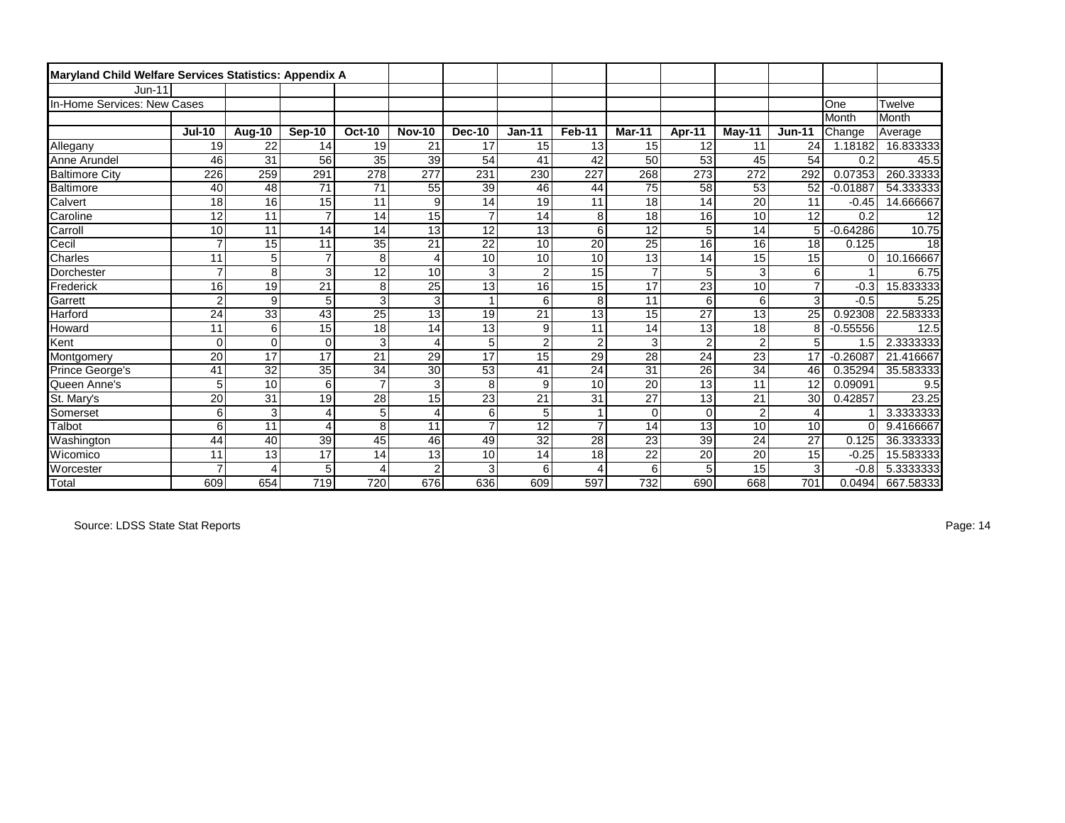| Maryland Child Welfare Services Statistics: Appendix A |                 |                 |                 |                           |                         |                 |                 |                 |                 |                 |                 |                 |            |           |
|--------------------------------------------------------|-----------------|-----------------|-----------------|---------------------------|-------------------------|-----------------|-----------------|-----------------|-----------------|-----------------|-----------------|-----------------|------------|-----------|
| <b>Jun-11</b>                                          |                 |                 |                 |                           |                         |                 |                 |                 |                 |                 |                 |                 |            |           |
| In-Home Services: New Cases                            |                 |                 |                 |                           |                         |                 |                 |                 |                 |                 |                 |                 | One        | Twelve    |
|                                                        |                 |                 |                 |                           |                         |                 |                 |                 |                 |                 |                 |                 | Month      | Month     |
|                                                        | <b>Jul-10</b>   | Aug-10          | Sep-10          | <b>Oct-10</b>             | <b>Nov-10</b>           | <b>Dec-10</b>   | $Jan-11$        | Feb-11          | Mar-11          | Apr-11          | $M$ ay-11       | $Jun-11$        | Change     | Average   |
| Allegany                                               | 19              | 22              | 14              | 19                        | 21                      | 17              | 15              | 13              | 15              | 12              | 11              | 24              | 1.18182    | 16.833333 |
| Anne Arundel                                           | 46              | 31              | 56              | 35                        | 39                      | 54              | 41              | 42              | 50              | 53              | 45              | 54              | 0.2        | 45.5      |
| <b>Baltimore City</b>                                  | 226             | 259             | 291             | 278                       | 277                     | 231             | 230             | 227             | 268             | 273             | 272             | 292             | 0.07353    | 260.33333 |
| Baltimore                                              | 40              | 48              | 71              | 71                        | 55                      | 39              | 46              | 44              | 75              | 58              | $\overline{53}$ | 52              | $-0.01887$ | 54.333333 |
| Calvert                                                | 18              | 16              | 15              | 11                        | 9                       | 14              | 19              | 11              | $\overline{18}$ | 14              | $\overline{20}$ | 11              | $-0.45$    | 14.666667 |
| Caroline                                               | 12              | 11              | $\overline{7}$  | 14                        | 15                      | $\overline{7}$  | 14              | 8               | 18              | 16              | 10              | 12              | 0.2        | 12        |
| Carroll                                                | 10              | 11              | 14              | 14                        | $\overline{13}$         | 12              | 13              | 6               | $\overline{12}$ | 5               | 14              | 5               | $-0.64286$ | 10.75     |
| Cecil                                                  | 7               | 15              | 11              | $\overline{35}$           | $\overline{21}$         | $\overline{22}$ | 10              | 20              | $\overline{25}$ | 16              | 16              | 18              | 0.125      | 18        |
| Charles                                                | 11              | 5               | $\overline{7}$  | 8                         | $\overline{\mathbf{4}}$ | 10              | 10              | 10              | $\overline{13}$ | 14              | 15              | 15              | C          | 10.166667 |
| Dorchester                                             | 7               | 8               | 3               | 12                        | 10                      | 3               | $\overline{2}$  | 15              | $\overline{7}$  | 5               | 3               | 6               |            | 6.75      |
| Frederick                                              | 16              | 19              | 21              | 8                         | $\overline{25}$         | $\overline{13}$ | 16              | $\overline{15}$ | $\overline{17}$ | 23              | 10              | $\overline{7}$  | $-0.3$     | 15.833333 |
| Garrett                                                | $\overline{c}$  | 9               | 5               | $\overline{\overline{3}}$ | $\overline{3}$          |                 | 6               | $\overline{8}$  | 11              | 6               | 6               | $\overline{3}$  | $-0.5$     | 5.25      |
| Harford                                                | $\overline{24}$ | $\overline{33}$ | $\overline{43}$ | $\overline{25}$           | $\overline{13}$         | 19              | $\overline{21}$ | $\overline{13}$ | $\overline{15}$ | $\overline{27}$ | $\overline{13}$ | $\overline{25}$ | 0.92308    | 22.583333 |
| Howard                                                 | 11              | 6               | 15              | 18                        | 14                      | 13              | 9               | 11              | 14              | 13              | 18              | 8               | $-0.55556$ | 12.5      |
| Kent                                                   | 0               | $\Omega$        | $\mathbf 0$     | 3                         | 4                       | 5               | $\overline{c}$  | $\overline{2}$  | 3               | $\overline{2}$  | $\overline{2}$  | 5               | 1.5        | 2.3333333 |
| Montgomery                                             | 20              | 17              | $\overline{17}$ | 21                        | 29                      | 17              | 15              | 29              | $\overline{28}$ | 24              | $\overline{23}$ | 17              | $-0.26087$ | 21.416667 |
| Prince George's                                        | 41              | 32              | $\overline{35}$ | 34                        | 30                      | 53              | 41              | 24              | 31              | 26              | 34              | 46              | 0.35294    | 35.583333 |
| Queen Anne's                                           | 5               | 10              | 6               | $\overline{7}$            | 3                       | 8               | 9               | 10              | 20              | 13              | 11              | 12              | 0.09091    | 9.5       |
| St. Mary's                                             | $\overline{20}$ | $\overline{31}$ | $\overline{19}$ | $\overline{28}$           | 15                      | $\overline{23}$ | $\overline{21}$ | $\overline{31}$ | $\overline{27}$ | $\overline{13}$ | $\overline{21}$ | 30              | 0.42857    | 23.25     |
| Somerset                                               | 6               | 3               | 4               | 5                         | $\overline{\mathbf{4}}$ | 6               | 5               |                 | $\Omega$        | $\Omega$        | $\overline{2}$  | 4               |            | 3.3333333 |
| Talbot                                                 | 6               | 11              | 4               | $\overline{8}$            | 11                      | $\overline{7}$  | 12              | $\overline{7}$  | 14              | 13              | 10              | 10              | $\Omega$   | 9.4166667 |
| Washington                                             | 44              | 40              | 39              | 45                        | 46                      | 49              | $\overline{32}$ | $\overline{28}$ | $\overline{23}$ | 39              | 24              | 27              | 0.125      | 36.333333 |
| Wicomico                                               | 11              | 13              | 17              | 14                        | 13                      | 10              | 14              | 18              | 22              | 20              | 20              | $\overline{15}$ | $-0.25$    | 15.583333 |
| Worcester                                              | $\overline{7}$  | 4               | 5               | $\overline{4}$            | $\overline{2}$          | 3               | 6               | 4               | 6               | 5               | 15              | 3               | $-0.8$     | 5.3333333 |
| Total                                                  | 609             | 654             | 719             | 720                       | 676                     | 636             | 609             | 597             | 732             | 690             | 668             | 701             | 0.0494     | 667.58333 |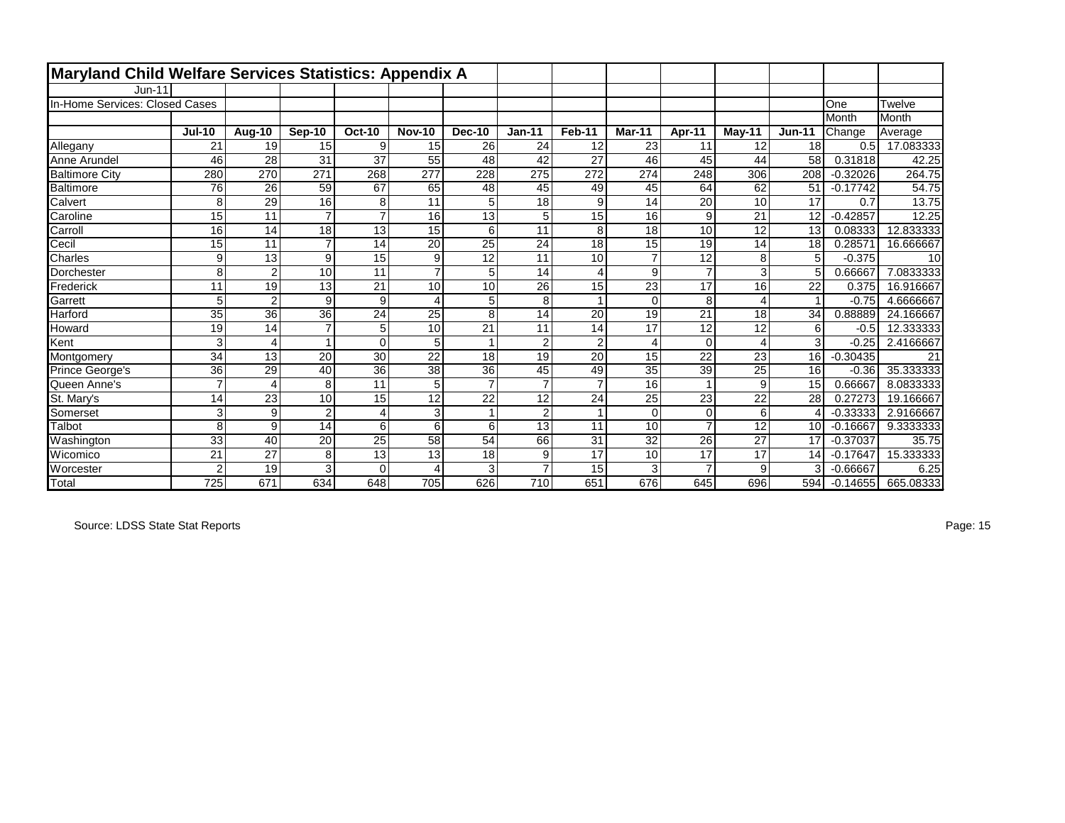| Maryland Child Welfare Services Statistics: Appendix A |                 |                |                 |                 |                 |                 |                 |                |                 |                |                 |               |            |           |
|--------------------------------------------------------|-----------------|----------------|-----------------|-----------------|-----------------|-----------------|-----------------|----------------|-----------------|----------------|-----------------|---------------|------------|-----------|
| $Jun-11$                                               |                 |                |                 |                 |                 |                 |                 |                |                 |                |                 |               |            |           |
| In-Home Services: Closed Cases                         |                 |                |                 |                 |                 |                 |                 |                |                 |                |                 |               | One        | Twelve    |
|                                                        |                 |                |                 |                 |                 |                 |                 |                |                 |                |                 |               | Month      | Month     |
|                                                        | <b>Jul-10</b>   | Aug-10         | Sep-10          | <b>Oct-10</b>   | <b>Nov-10</b>   | <b>Dec-10</b>   | $Jan-11$        | Feb-11         | Mar-11          | Apr-11         | May-11          | <b>Jun-11</b> | Change     | Average   |
| Allegany                                               | 21              | 19             | 15              | 9               | 15              | 26              | 24              | 12             | 23              | 11             | 12              | 18            | 0.5        | 17.083333 |
| Anne Arundel                                           | 46              | 28             | 31              | 37              | 55              | 48              | 42              | 27             | 46              | 45             | 44              | 58            | 0.31818    | 42.25     |
| <b>Baltimore City</b>                                  | 280             | 270            | 271             | 268             | 277             | 228             | 275             | 272            | 274             | 248            | 306             | 208           | $-0.32026$ | 264.75    |
| Baltimore                                              | 76              | 26             | 59              | 67              | 65              | 48              | 45              | 49             | 45              | 64             | 62              | 51            | $-0.17742$ | 54.75     |
| Calvert                                                | 8               | 29             | 16              | 8               | $\overline{11}$ | 5               | 18              | 9              | 14              | 20             | 10              | 17            | 0.7        | 13.75     |
| Caroline                                               | 15              | 11             | $\overline{7}$  | $\overline{7}$  | 16              | 13              | 5               | 15             | 16              | 9              | 21              | 12            | $-0.42857$ | 12.25     |
| Carroll                                                | 16              | 14             | 18              | 13              | 15              | 6               | 11              | 8              | 18              | 10             | 12              | 13            | 0.08333    | 12.833333 |
| Cecil                                                  | $\overline{15}$ | 11             | $\overline{7}$  | 14              | $\overline{20}$ | 25              | 24              | 18             | 15              | 19             | 14              | 18            | 0.28571    | 16.666667 |
| Charles                                                | 9               | 13             | 9               | 15              | 9               | 12              | 11              | 10             | $\overline{7}$  | 12             | 8               | 5             | $-0.375$   | 10        |
| Dorchester                                             | 8               | $\overline{2}$ | 10              | 11              | $\overline{7}$  | 5               | 14              | $\overline{4}$ | 9               | $\overline{7}$ | 3               | 5             | 0.66667    | 7.0833333 |
| Frederick                                              | 11              | 19             | 13              | 21              | 10              | 10              | 26              | 15             | 23              | 17             | 16              | 22            | 0.375      | 16.916667 |
| Garrett                                                | 5               | $\overline{c}$ | 9               | 9               | $\overline{4}$  | 5               | 8               |                | $\Omega$        | 8              | $\overline{4}$  |               | $-0.75$    | 4.6666667 |
| Harford                                                | 35              | 36             | $\overline{36}$ | $\overline{24}$ | $\overline{25}$ | 8               | 14              | 20             | 19              | 21             | 18              | 34            | 0.88889    | 24.166667 |
| Howard                                                 | 19              | 14             | $\overline{7}$  | 5               | 10              | 21              | 11              | 14             | 17              | 12             | 12              | 6             | $-0.5$     | 12.333333 |
| Kent                                                   | 3               | 4              |                 | $\Omega$        | 5               |                 | $\overline{2}$  | $\overline{c}$ | 4               | $\Omega$       | $\overline{4}$  | 3             | $-0.25$    | 2.4166667 |
| Montgomery                                             | 34              | 13             | 20              | 30              | $\overline{22}$ | 18              | 19              | 20             | 15              | 22             | 23              | 16            | $-0.30435$ | 21        |
| <b>Prince George's</b>                                 | 36              | 29             | 40              | $\overline{36}$ | 38              | 36              | 45              | 49             | 35              | 39             | $\overline{25}$ | 16            | $-0.36$    | 35.333333 |
| Queen Anne's                                           | $\overline{7}$  | 4              | 8               | 11              | 5               | 7               | $\overline{7}$  | 7              | 16              |                | 9               | 15            | 0.66667    | 8.0833333 |
| St. Mary's                                             | 14              | 23             | 10              | 15              | $\overline{12}$ | $\overline{22}$ | $\overline{12}$ | 24             | $\overline{25}$ | 23             | $\overline{22}$ | 28            | 0.27273    | 19.166667 |
| Somerset                                               | 3               | 9              | $\overline{2}$  | 4               | 3               |                 | $\overline{2}$  |                | $\Omega$        | $\Omega$       | 6               |               | $-0.33333$ | 2.9166667 |
| Talbot                                                 | 8               | 9              | 14              | 6               | 6               | 6               | 13              | 11             | 10              | $\overline{7}$ | 12              | 10            | $-0.16667$ | 9.3333333 |
| Washington                                             | 33              | 40             | $\overline{20}$ | $\overline{25}$ | $\overline{58}$ | 54              | 66              | 31             | $\overline{32}$ | 26             | 27              | 17            | $-0.37037$ | 35.75     |
| Wicomico                                               | 21              | 27             | 8               | 13              | 13              | 18              | 9               | 17             | 10              | 17             | 17              | 14            | $-0.17647$ | 15.333333 |
| Worcester                                              | 2               | 19             | 3               | $\Omega$        | 4               | 3               | $\overline{7}$  | 15             | 3               | $\overline{7}$ | 9               |               | $-0.66667$ | 6.25      |
| Total                                                  | 725             | 671            | 634             | 648             | 705             | 626             | 710             | 651            | 676             | 645            | 696             | 594           | $-0.14655$ | 665.08333 |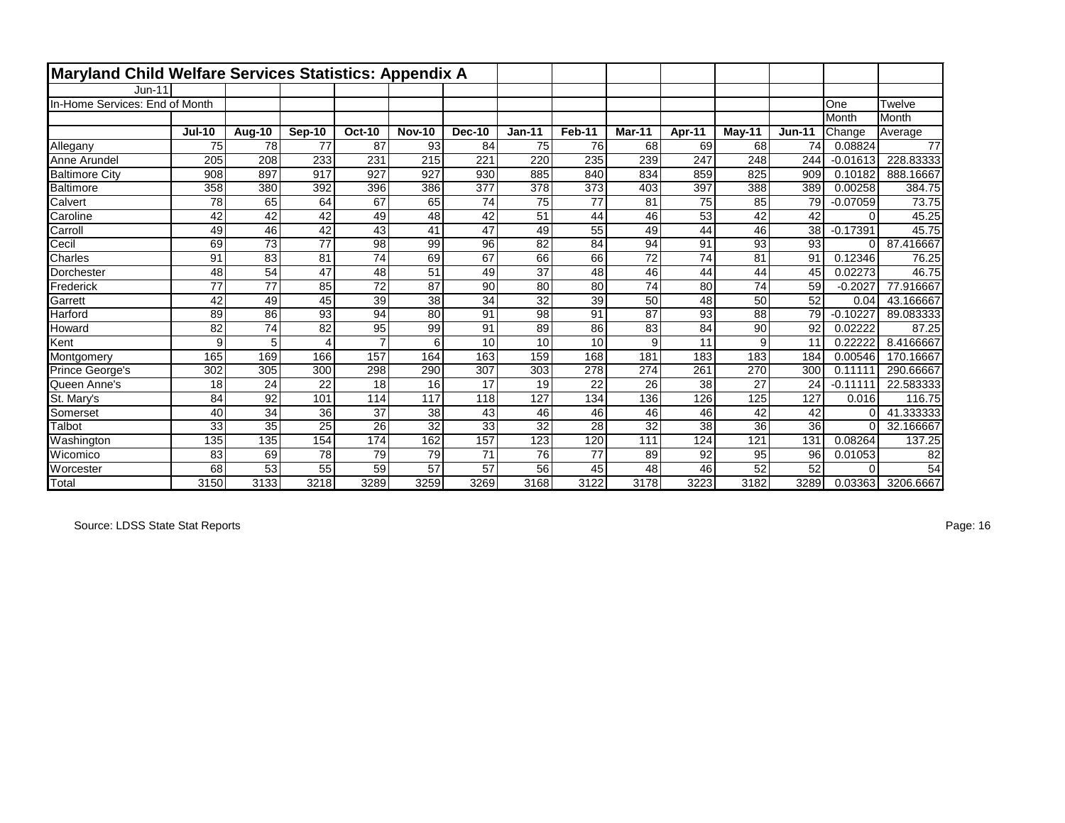| Maryland Child Welfare Services Statistics: Appendix A |               |        |        |                 |                 |                 |                 |                  |        |        |          |                 |            |           |
|--------------------------------------------------------|---------------|--------|--------|-----------------|-----------------|-----------------|-----------------|------------------|--------|--------|----------|-----------------|------------|-----------|
| $Jun-11$                                               |               |        |        |                 |                 |                 |                 |                  |        |        |          |                 |            |           |
| In-Home Services: End of Month                         |               |        |        |                 |                 |                 |                 |                  |        |        |          |                 | One        | Twelve    |
|                                                        |               |        |        |                 |                 |                 |                 |                  |        |        |          |                 | Month      | Month     |
|                                                        | <b>Jul-10</b> | Aug-10 | Sep-10 | <b>Oct-10</b>   | <b>Nov-10</b>   | <b>Dec-10</b>   | $Jan-11$        | Feb-11           | Mar-11 | Apr-11 | $May-11$ | $Jun-11$        | Change     | Average   |
| Allegany                                               | 75            | 78     | 77     | 87              | 93              | 84              | 75              | 76               | 68     | 69     | 68       | 74              | 0.08824    | 77        |
| Anne Arundel                                           | 205           | 208    | 233    | 231             | 215             | 221             | 220             | 235              | 239    | 247    | 248      | 244             | $-0.01613$ | 228.83333 |
| <b>Baltimore City</b>                                  | 908           | 897    | 917    | 927             | 927             | 930             | 885             | 840              | 834    | 859    | 825      | 909             | 0.10182    | 888.16667 |
| Baltimore                                              | 358           | 380    | 392    | 396             | 386             | 377             | 378             | $\overline{373}$ | 403    | 397    | 388      | 389             | 0.00258    | 384.75    |
| Calvert                                                | 78            | 65     | 64     | 67              | 65              | 74              | 75              | 77               | 81     | 75     | 85       | 79              | $-0.07059$ | 73.75     |
| Caroline                                               | 42            | 42     | 42     | 49              | 48              | 42              | 51              | 44               | 46     | 53     | 42       | 42              | $\Omega$   | 45.25     |
| Carroll                                                | 49            | 46     | 42     | 43              | 41              | 47              | 49              | 55               | 49     | 44     | 46       | 38              | $-0.17391$ | 45.75     |
| Cecil                                                  | 69            | 73     | 77     | 98              | 99              | 96              | 82              | 84               | 94     | 91     | 93       | 93              | $\Omega$   | 87.416667 |
| Charles                                                | 91            | 83     | 81     | $\overline{74}$ | 69              | 67              | 66              | 66               | 72     | 74     | 81       | 91              | 0.12346    | 76.25     |
| Dorchester                                             | 48            | 54     | 47     | 48              | 51              | 49              | $\overline{37}$ | 48               | 46     | 44     | 44       | 45              | 0.02273    | 46.75     |
| Frederick                                              | 77            | 77     | 85     | 72              | 87              | 90              | 80              | 80               | 74     | 80     | 74       | 59              | $-0.2027$  | 77.916667 |
| Garrett                                                | 42            | 49     | 45     | $\overline{39}$ | $\overline{38}$ | $\overline{34}$ | $\overline{32}$ | $\overline{39}$  | 50     | 48     | 50       | $\overline{52}$ | 0.04       | 43.166667 |
| Harford                                                | 89            | 86     | 93     | 94              | 80              | 91              | 98              | 91               | 87     | 93     | 88       | 79              | $-0.10227$ | 89.083333 |
| Howard                                                 | 82            | 74     | 82     | 95              | 99              | 91              | 89              | 86               | 83     | 84     | 90       | 92              | 0.02222    | 87.25     |
| Kent                                                   | 9             | 5      | Δ      | $\overline{7}$  | 6               | 10              | 10              | 10               | 9      | 11     | 9        | 11              | 0.22222    | 8.4166667 |
| Montgomery                                             | 165           | 169    | 166    | 157             | 164             | 163             | 159             | 168              | 181    | 183    | 183      | 184             | 0.00546    | 170.16667 |
| Prince George's                                        | 302           | 305    | 300    | 298             | 290             | 307             | 303             | 278              | 274    | 261    | 270      | 300             | 0.11111    | 290.66667 |
| Queen Anne's                                           | 18            | 24     | 22     | 18              | 16              | 17              | 19              | 22               | 26     | 38     | 27       | 24              | $-0.11111$ | 22.583333 |
| St. Mary's                                             | 84            | 92     | 101    | 114             | 117             | 118             | 127             | 134              | 136    | 126    | 125      | 127             | 0.016      | 116.75    |
| Somerset                                               | 40            | 34     | 36     | 37              | 38              | 43              | 46              | 46               | 46     | 46     | 42       | 42              | C          | 41.333333 |
| Talbot                                                 | 33            | 35     | 25     | 26              | 32              | 33              | 32              | 28               | 32     | 38     | 36       | 36              | $\Omega$   | 32.166667 |
| Washington                                             | 135           | 135    | 154    | 174             | 162             | 157             | 123             | 120              | 111    | 124    | 121      | 131             | 0.08264    | 137.25    |
| Wicomico                                               | 83            | 69     | 78     | 79              | 79              | 71              | 76              | 77               | 89     | 92     | 95       | 96              | 0.01053    | 82        |
| Worcester                                              | 68            | 53     | 55     | 59              | 57              | 57              | 56              | 45               | 48     | 46     | 52       | 52              |            | 54        |
| Total                                                  | 3150          | 3133   | 3218   | 3289            | 3259            | 3269            | 3168            | 3122             | 3178   | 3223   | 3182     | 3289            | 0.03363    | 3206.6667 |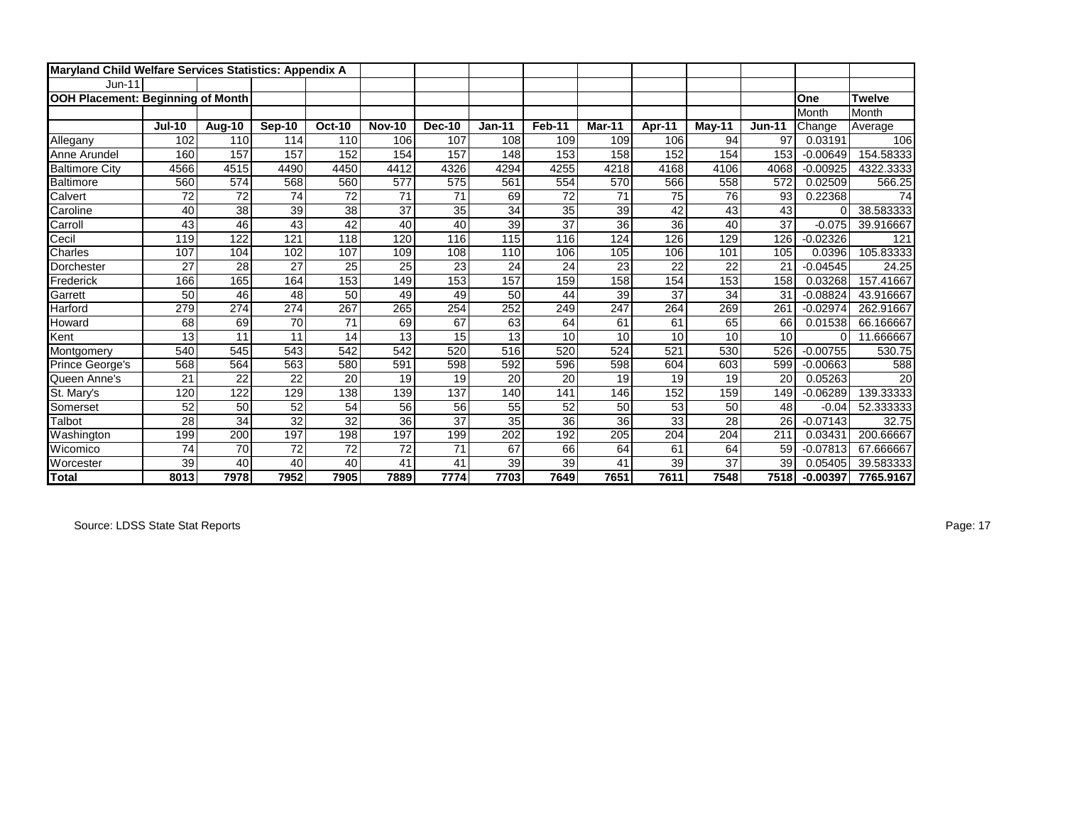| <b>Maryland Child Welfare Services Statistics: Appendix A</b> |               |        |               |               |               |                 |                 |        |        |        |        |          |            |               |
|---------------------------------------------------------------|---------------|--------|---------------|---------------|---------------|-----------------|-----------------|--------|--------|--------|--------|----------|------------|---------------|
| $Jun-11$                                                      |               |        |               |               |               |                 |                 |        |        |        |        |          |            |               |
| OOH Placement: Beginning of Month                             |               |        |               |               |               |                 |                 |        |        |        |        |          | One        | <b>Twelve</b> |
|                                                               |               |        |               |               |               |                 |                 |        |        |        |        |          | Month      | Month         |
|                                                               | <b>Jul-10</b> | Aug-10 | <b>Sep-10</b> | <b>Oct-10</b> | <b>Nov-10</b> | <b>Dec-10</b>   | <b>Jan-11</b>   | Feb-11 | Mar-11 | Apr-11 | May-11 | $Jun-11$ | Change     | Average       |
| Allegany                                                      | 102           | 110    | 114           | 110           | 106           | 107             | 108             | 109    | 109    | 106    | 94     | 97       | 0.03191    | 106           |
| Anne Arundel                                                  | 160           | 157    | 157           | 152           | 154           | 157             | 148             | 153    | 158    | 152    | 154    | 153      | $-0.00649$ | 154.58333     |
| <b>Baltimore City</b>                                         | 4566          | 4515   | 4490          | 4450          | 4412          | 4326            | 4294            | 4255   | 4218   | 4168   | 4106   | 4068     | $-0.00925$ | 4322.3333     |
| <b>Baltimore</b>                                              | 560           | 574    | 568           | 560           | 577           | 575             | 561             | 554    | 570    | 566    | 558    | 572      | 0.02509    | 566.25        |
| Calvert                                                       | 72            | 72     | 74            | 72            | 71            | 71              | 69              | 72     | 71     | 75     | 76     | 93       | 0.22368    | 74            |
| Caroline                                                      | 40            | 38     | 39            | 38            | 37            | 35              | $\overline{34}$ | 35     | 39     | 42     | 43     | 43       | 0          | 38.583333     |
| Carroll                                                       | 43            | 46     | 43            | 42            | 40            | 40              | 39              | 37     | 36     | 36     | 40     | 37       | $-0.075$   | 39.916667     |
| Cecil                                                         | 119           | 122    | 121           | 118           | 120           | 116             | 115             | 116    | 124    | 126    | 129    | 126      | $-0.02326$ | 121           |
| Charles                                                       | 107           | 104    | 102           | 107           | 109           | 108             | 110             | 106    | 105    | 106    | 101    | 105      | 0.0396     | 105.83333     |
| Dorchester                                                    | 27            | 28     | 27            | 25            | 25            | 23              | 24              | 24     | 23     | 22     | 22     | 21       | $-0.04545$ | 24.25         |
| Frederick                                                     | 166           | 165    | 164           | 153           | 149           | 153             | 157             | 159    | 158    | 154    | 153    | 158      | 0.03268    | 157.41667     |
| Garrett                                                       | 50            | 46     | 48            | 50            | 49            | 49              | 50              | 44     | 39     | 37     | 34     | 31       | $-0.08824$ | 43.916667     |
| Harford                                                       | 279           | 274    | 274           | 267           | 265           | 254             | 252             | 249    | 247    | 264    | 269    | 261      | $-0.02974$ | 262.91667     |
| Howard                                                        | 68            | 69     | 70            | 71            | 69            | 67              | 63              | 64     | 61     | 61     | 65     | 66       | 0.01538    | 66.166667     |
| Kent                                                          | 13            | 11     | 11            | 14            | 13            | 15              | 13              | 10     | 10     | 10     | 10     | 10       | $\Omega$   | 11.666667     |
| Montgomery                                                    | 540           | 545    | 543           | 542           | 542           | 520             | 516             | 520    | 524    | 521    | 530    | 526      | $-0.00755$ | 530.75        |
| Prince George's                                               | 568           | 564    | 563           | 580           | 591           | 598             | 592             | 596    | 598    | 604    | 603    | 599      | $-0.00663$ | 588           |
| Queen Anne's                                                  | 21            | 22     | 22            | 20            | 19            | 19              | 20              | 20     | 19     | 19     | 19     | 20       | 0.05263    | 20            |
| St. Mary's                                                    | 120           | 122    | 129           | 138           | 139           | 137             | 140             | 141    | 146    | 152    | 159    | 149      | $-0.06289$ | 139.33333     |
| Somerset                                                      | 52            | 50     | 52            | 54            | 56            | 56              | 55              | 52     | 50     | 53     | 50     | 48       | $-0.04$    | 52.333333     |
| Talbot                                                        | 28            | 34     | 32            | 32            | 36            | $\overline{37}$ | 35              | 36     | 36     | 33     | 28     | 26       | $-0.07143$ | 32.75         |
| Washington                                                    | 199           | 200    | 197           | 198           | 197           | 199             | 202             | 192    | 205    | 204    | 204    | 211      | 0.03431    | 200.66667     |
| Wicomico                                                      | 74            | 70     | 72            | 72            | 72            | 71              | 67              | 66     | 64     | 61     | 64     | 59       | $-0.07813$ | 67.666667     |
| Worcester                                                     | 39            | 40     | 40            | 40            | 41            | 41              | 39              | 39     | 41     | 39     | 37     | 39       | 0.05405    | 39.583333     |
| <b>Total</b>                                                  | 8013          | 7978   | 7952          | 7905          | 7889          | 7774            | 7703            | 7649   | 7651   | 7611   | 7548   | 7518     | $-0.00397$ | 7765.9167     |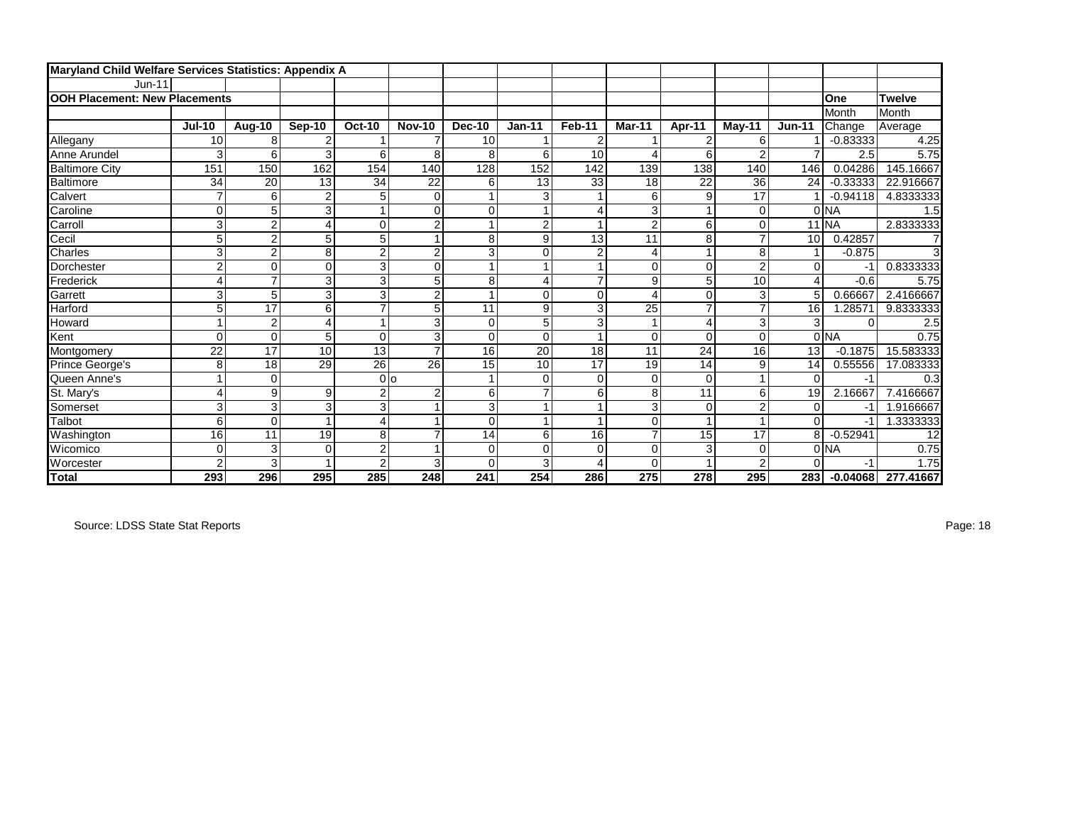| Maryland Child Welfare Services Statistics: Appendix A |                         |                |                |                           |                |                 |                 |                |                |                |                |                |            |               |
|--------------------------------------------------------|-------------------------|----------------|----------------|---------------------------|----------------|-----------------|-----------------|----------------|----------------|----------------|----------------|----------------|------------|---------------|
| $Jun-11$                                               |                         |                |                |                           |                |                 |                 |                |                |                |                |                |            |               |
| <b>OOH Placement: New Placements</b>                   |                         |                |                |                           |                |                 |                 |                |                |                |                |                | One        | <b>Twelve</b> |
|                                                        |                         |                |                |                           |                |                 |                 |                |                |                |                |                | Month      | Month         |
|                                                        | <b>Jul-10</b>           | Aug-10         | Sep-10         | <b>Oct-10</b>             | <b>Nov-10</b>  | <b>Dec-10</b>   | $Jan-11$        | Feb-11         | <b>Mar-11</b>  | Apr-11         | $M$ ay-11      | <b>Jun-11</b>  | Change     | Average       |
| Allegany                                               | 10                      | 8              |                |                           |                | 10 <sup>1</sup> |                 | $\overline{2}$ |                | $\overline{2}$ | 6              |                | $-0.83333$ | 4.25          |
| Anne Arundel                                           | 3                       | 6              | 3              | 6                         | 8              | 8               | 6               | 10             | ⊿              | 6              | 2              |                | 2.5        | 5.75          |
| <b>Baltimore City</b>                                  | 151                     | 150            | 162            | 154                       | 140            | 128             | 152             | 142            | 139            | 138            | 140            | 146            | 0.04286    | 145.16667     |
| <b>Baltimore</b>                                       | 34                      | 20             | 13             | 34                        | 22             | 6               | 13              | 33             | 18             | 22             | 36             | 24             | $-0.33333$ | 22.916667     |
| Calvert                                                | $\overline{7}$          | 6              | $\overline{2}$ | 5                         | $\mathbf 0$    |                 | 3               |                | 6              | $\overline{9}$ | 17             |                | $-0.94118$ | 4.8333333     |
| Caroline                                               | 0                       | 5              | 3              |                           | 0              | $\mathbf 0$     |                 | 4              | 3              |                | 0              |                | 0 NA       | 1.5           |
| Carroll                                                | 3                       | $\overline{2}$ | 4              | 0                         | $\overline{2}$ |                 | $\overline{2}$  |                | $\overline{2}$ | 6              | 0              |                | $11$ NA    | 2.8333333     |
| Cecil                                                  | 5                       | $\overline{2}$ | 5              | 5                         | 1              | 8               | 9               | 13             | 11             | 8              |                | 10             | 0.42857    |               |
| Charles                                                | 3                       | $\overline{2}$ | 8              | $\overline{2}$            | $\overline{2}$ | 3               | $\mathbf 0$     | $\overline{2}$ | $\overline{4}$ |                | 8              |                | $-0.875$   |               |
| Dorchester                                             | $\overline{\mathbf{c}}$ | 0              | $\mathbf 0$    | 3                         | 0              |                 |                 |                | 0              | $\Omega$       | $\overline{c}$ | $\Omega$       | $-1$       | 0.8333333     |
| Frederick                                              | 4                       | $\overline{ }$ | 3              | $\overline{\overline{3}}$ | 5              | 8               | 4               | $\overline{7}$ | 9              | 5 <sup>1</sup> | 10             | $\overline{4}$ | $-0.6$     | 5.75          |
| Garrett                                                | 3                       | 5              | 3              | 3                         | $\overline{c}$ |                 | $\Omega$        | $\mathbf 0$    | $\overline{4}$ | 0              | 3              | 5              | 0.66667    | 2.4166667     |
| Harford                                                | 5                       | 17             | 6              | $\overline{7}$            | 5              | 11              | 9               | 3              | 25             | $\overline{ }$ | ⇁              | 16             | 1.28571    | 9.8333333     |
| Howard                                                 | 1                       | $\overline{2}$ | 4              | $\mathbf{1}$              | 3              | $\Omega$        | 5               | 3              |                | 4              | 3              | 3              | $\Omega$   | 2.5           |
| Kent                                                   | 0                       | 0              | 5              | $\Omega$                  | 3              | $\Omega$        | $\Omega$        |                | $\mathbf 0$    | $\Omega$       | $\Omega$       |                | 0 NA       | 0.75          |
| Montgomery                                             | 22                      | 17             | 10             | 13                        | $\overline{7}$ | 16              | $\overline{20}$ | 18             | 11             | 24             | 16             | 13             | $-0.1875$  | 15.583333     |
| Prince George's                                        | 8                       | 18             | 29             | 26                        | 26             | 15              | 10              | 17             | 19             | 14             | 9              | 14             | 0.55556    | 17.083333     |
| Queen Anne's                                           | 1                       | 0              |                | 0lo                       |                |                 | $\mathbf 0$     | $\mathbf 0$    | $\mathbf 0$    | $\Omega$       |                | $\Omega$       | -1         | 0.3           |
| St. Mary's                                             | 4                       | 9              | 9              | $\overline{2}$            | $\overline{2}$ | 6               | $\overline{7}$  | 6              | 8              | 11             | 6              | 19             | 2.16667    | 7.4166667     |
| Somerset                                               | 3                       | 3              | 3              | $\overline{3}$            |                | 3               |                 |                | 3              | $\Omega$       | 2              | $\mathbf 0$    | -1         | 1.9166667     |
| Talbot                                                 | 6                       | $\Omega$       |                | 4                         |                | $\Omega$        |                 |                | $\mathbf 0$    |                |                | $\Omega$       | $-1$       | 1.3333333     |
| Washington                                             | 16                      | 11             | 19             | 8                         | $\overline{7}$ | 14              | 6               | 16             | $\overline{7}$ | 15             | 17             | 8              | $-0.52941$ | 12            |
| Wicomico                                               | 0                       | 3              | $\mathbf 0$    | $\overline{2}$            | 1              | $\mathbf 0$     | $\mathbf 0$     | $\mathbf 0$    | $\mathbf 0$    | 3              | $\mathsf{C}$   |                | 0 NA       | 0.75          |
| Worcester                                              | $\overline{2}$          | 3              |                | $\overline{2}$            | 3              | $\Omega$        | 3               | 4              | $\Omega$       |                | $\overline{2}$ | $\Omega$       | $-1$       | 1.75          |
| <b>Total</b>                                           | 293                     | 296            | 295            | 285                       | 248            | 241             | 254             | 286            | 275            | 278            | 295            | 283            | $-0.04068$ | 277.41667     |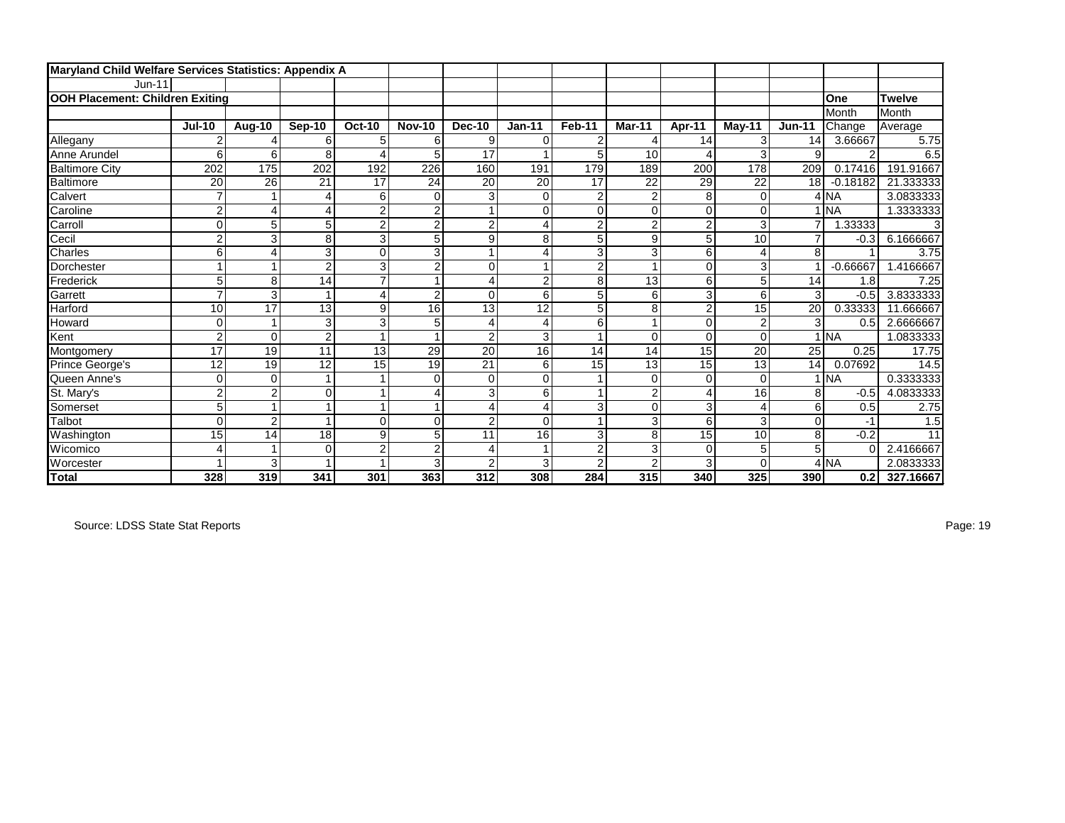| Maryland Child Welfare Services Statistics: Appendix A |                 |                |                |                |                         |                |                |                |                |                |                |                 |                |               |
|--------------------------------------------------------|-----------------|----------------|----------------|----------------|-------------------------|----------------|----------------|----------------|----------------|----------------|----------------|-----------------|----------------|---------------|
| $Jun-11$                                               |                 |                |                |                |                         |                |                |                |                |                |                |                 |                |               |
| <b>OOH Placement: Children Exiting</b>                 |                 |                |                |                |                         |                |                |                |                |                |                |                 | One            | <b>Twelve</b> |
|                                                        |                 |                |                |                |                         |                |                |                |                |                |                |                 | Month          | Month         |
|                                                        | <b>Jul-10</b>   | Aug-10         | Sep-10         | <b>Oct-10</b>  | <b>Nov-10</b>           | <b>Dec-10</b>  | $Jan-11$       | <b>Feb-11</b>  | Mar-11         | Apr-11         | May-11         | <b>Jun-11</b>   | Change         | Average       |
| Allegany                                               | 2               |                | 6              | 5              | 6                       | 9              | 0              | 2              |                | 14             | 3              | 14              | 3.66667        | 5.75          |
| Anne Arundel                                           | 6               | 6              | 8              | Δ              | 5                       | 17             |                | 5              | 10             | Δ              | 3              | 9               | $\overline{2}$ | 6.5           |
| <b>Baltimore City</b>                                  | 202             | 175            | 202            | 192            | 226                     | 160            | 191            | 179            | 189            | 200            | 178            | 209             | 0.17416        | 191.91667     |
| Baltimore                                              | 20              | 26             | 21             | 17             | 24                      | 20             | 20             | 17             | 22             | 29             | 22             | 18 <sup>1</sup> | $-0.18182$     | 21.333333     |
| Calvert                                                | $\overline{7}$  |                | Δ              | 6              | $\overline{0}$          | 3              | $\mathbf 0$    | $\overline{c}$ | $\overline{c}$ | 8              | $\mathbf 0$    |                 | $4$ NA         | 3.0833333     |
| Caroline                                               | $\overline{c}$  | 4              | 4              | $\overline{2}$ | $\overline{c}$          |                | $\mathbf 0$    | 0              | $\mathbf 0$    | $\Omega$       | $\mathbf 0$    |                 | <b>NA</b>      | 1.3333333     |
| Carroll                                                | 0               | 5              | 5              | $\overline{2}$ | $\overline{2}$          | $\overline{2}$ | 4              | $\overline{2}$ | $\overline{c}$ | $\overline{2}$ | 3              | 7               | 1.33333        |               |
| Cecil                                                  | $\overline{2}$  | 3              | 8              | 3              | 5                       | 9              | 8              | 5              | 9              | 5              | 10             |                 | $-0.3$         | 6.1666667     |
| Charles                                                | 6               | 4              | 3              | $\overline{O}$ | 3                       |                | 4              | 3              | 3              | 6              | $\overline{4}$ | 8               |                | 3.75          |
| Dorchester                                             | 1               |                | $\overline{2}$ | 3              | $\overline{\mathbf{c}}$ | $\Omega$       |                | $\overline{2}$ | $\overline{ }$ | $\Omega$       | 3              |                 | $-0.66667$     | 1.4166667     |
| Frederick                                              | 5               | 8              | 14             | $\overline{7}$ | 1                       | 4              | $\overline{2}$ | 8              | 13             | 6              | 5              | 14              | 1.8            | 7.25          |
| Garrett                                                | $\overline{7}$  | 3              |                | 4              | $\overline{c}$          | $\Omega$       | 6              | 5              | 6              | 3              | 6              | 3               | $-0.5$         | 3.8333333     |
| Harford                                                | 10              | 17             | 13             | 9              | 16                      | 13             | 12             | $\overline{5}$ | 8              | $\overline{2}$ | 15             | 20              | 0.33333        | 11.666667     |
| Howard                                                 | 0               |                | 3              | 3              | 5                       | 4              | $\overline{4}$ | 6              | $\overline{1}$ | $\Omega$       | $\overline{2}$ | 3               | 0.5            | 2.6666667     |
| Kent                                                   | $\overline{c}$  | 0              | $\overline{2}$ | 1              | 1                       | $\overline{2}$ | 3              | 1              | $\Omega$       | $\Omega$       | $\mathbf 0$    |                 | <b>INA</b>     | 1.0833333     |
| Montgomery                                             | 17              | 19             | 11             | 13             | 29                      | 20             | 16             | 14             | 14             | 15             | 20             | 25              | 0.25           | 17.75         |
| Prince George's                                        | 12              | 19             | 12             | 15             | 19                      | 21             | 6              | 15             | 13             | 15             | 13             | 14              | 0.07692        | 14.5          |
| Queen Anne's                                           | 0               | 0              |                |                | $\mathbf 0$             | $\overline{0}$ | $\Omega$       |                | $\Omega$       | $\Omega$       | $\Omega$       |                 | <b>INA</b>     | 0.3333333     |
| St. Mary's                                             | $\overline{c}$  | $\overline{2}$ | 0              |                | 4                       | 3              | 6              | $\mathbf{1}$   | $\overline{c}$ |                | 16             | 8               | $-0.5$         | 4.0833333     |
| Somerset                                               | 5               |                |                |                | 1                       | 4              | 4              | 3              | $\Omega$       | 3              | $\overline{4}$ | 6               | 0.5            | 2.75          |
| Talbot                                                 | 0               | $\overline{2}$ |                | $\Omega$       | 0                       | 2              | $\Omega$       | $\mathbf{1}$   | 3              | 6              | 3              | $\Omega$        | $-1$           | 1.5           |
| Washington                                             | $\overline{15}$ | 14             | 18             | 9              | $\overline{5}$          | 11             | 16             | 3              | 8              | 15             | 10             | 8               | $-0.2$         | 11            |
| Wicomico                                               | 4               |                | $\Omega$       | $\overline{c}$ | $\overline{c}$          | 4              |                | $\overline{2}$ | 3              | $\Omega$       | 5              | 5               | $\Omega$       | 2.4166667     |
| Worcester                                              |                 | 3              |                |                | 3                       | 2              | 3              | $\overline{c}$ | $\overline{2}$ | 3              | $\Omega$       |                 | $4$ NA         | 2.0833333     |
| <b>Total</b>                                           | 328             | 319            | 341            | 301            | 363                     | 312            | 308            | 284            | 315            | 340            | 325            | 390             | 0.2            | 327.16667     |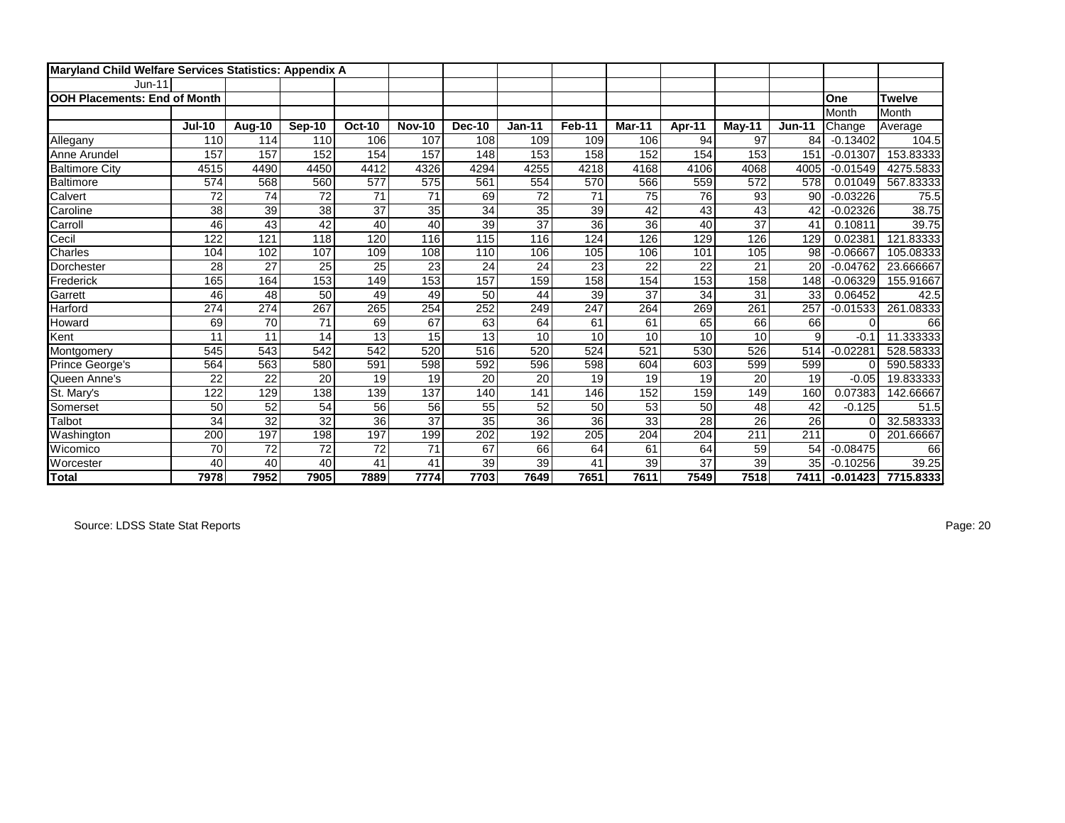| Maryland Child Welfare Services Statistics: Appendix A |               |        |                 |                 |                 |                 |                 |                |                  |        |           |                 |            |               |
|--------------------------------------------------------|---------------|--------|-----------------|-----------------|-----------------|-----------------|-----------------|----------------|------------------|--------|-----------|-----------------|------------|---------------|
| $Jun-11$                                               |               |        |                 |                 |                 |                 |                 |                |                  |        |           |                 |            |               |
| <b>IOOH Placements: End of Month</b>                   |               |        |                 |                 |                 |                 |                 |                |                  |        |           |                 | One        | <b>Twelve</b> |
|                                                        |               |        |                 |                 |                 |                 |                 |                |                  |        |           |                 | Month      | Month         |
|                                                        | <b>Jul-10</b> | Aug-10 | <b>Sep-10</b>   | <b>Oct-10</b>   | <b>Nov-10</b>   | <b>Dec-10</b>   | <b>Jan-11</b>   | Feb-11         | Mar-11           | Apr-11 | $M$ ay-11 | <b>Jun-11</b>   | Change     | Average       |
| Allegany                                               | 110           | 114    | 110             | 106             | 107             | 108             | 109             | 109            | 106              | 94     | 97        | 84              | $-0.13402$ | 104.5         |
| Anne Arundel                                           | 157           | 157    | 152             | 154             | 157             | 148             | 153             | 158            | 152              | 154    | 153       | 151             | $-0.01307$ | 153.83333     |
| <b>Baltimore City</b>                                  | 4515          | 4490   | 4450            | 4412            | 4326            | 4294            | 4255            | 4218           | 4168             | 4106   | 4068      | 4005            | $-0.01549$ | 4275.5833     |
| Baltimore                                              | 574           | 568    | 560             | 577             | 575             | 561             | 554             | 570            | 566              | 559    | 572       | 578             | 0.01049    | 567.83333     |
| Calvert                                                | 72            | 74     | 72              | 71              | $\overline{71}$ | 69              | $\overline{72}$ | 71             | 75               | 76     | 93        | 90              | $-0.03226$ | 75.5          |
| Caroline                                               | 38            | 39     | $\overline{38}$ | $\overline{37}$ | $\overline{35}$ | $\overline{34}$ | $\overline{35}$ | 39             | 42               | 43     | 43        | 42              | $-0.02326$ | 38.75         |
| Carroll                                                | 46            | 43     | 42              | 40              | 40              | $\overline{39}$ | $\overline{37}$ | 36             | 36               | 40     | 37        | 41              | 0.10811    | 39.75         |
| Cecil                                                  | 122           | 121    | 118             | 120             | 116             | 115             | 116             | $\frac{1}{24}$ | 126              | 129    | 126       | 129             | 0.02381    | 121.83333     |
| Charles                                                | 104           | 102    | 107             | 109             | 108             | 110             | 106             | 105            | 106              | 101    | 105       | 98              | $-0.06667$ | 105.08333     |
| Dorchester                                             | 28            | 27     | 25              | 25              | 23              | 24              | 24              | 23             | 22               | 22     | 21        | 20              | $-0.04762$ | 23.666667     |
| Frederick                                              | 165           | 164    | 153             | 149             | 153             | 157             | 159             | 158            | 154              | 153    | 158       | 148             | $-0.06329$ | 155.91667     |
| Garrett                                                | 46            | 48     | 50              | 49              | 49              | 50              | 44              | 39             | 37               | 34     | 31        | 33              | 0.06452    | 42.5          |
| Harford                                                | 274           | 274    | 267             | 265             | 254             | 252             | 249             | 247            | 264              | 269    | 261       | 257             | $-0.01533$ | 261.08333     |
| Howard                                                 | 69            | 70     | 71              | 69              | 67              | 63              | 64              | 61             | 61               | 65     | 66        | 66              | O          | 66            |
| Kent                                                   | 11            | 11     | 14              | 13              | 15              | 13              | 10              | 10             | 10               | 10     | 10        | 9               | $-0.1$     | 11.333333     |
| Montgomery                                             | 545           | 543    | 542             | 542             | 520             | 516             | 520             | 524            | 521              | 530    | 526       | 514             | $-0.02281$ | 528.58333     |
| Prince George's                                        | 564           | 563    | 580             | 591             | 598             | 592             | 596             | 598            | 604              | 603    | 599       | 599             | $\Omega$   | 590.58333     |
| Queen Anne's                                           | 22            | 22     | 20              | 19              | 19              | 20              | 20              | 19             | 19               | 19     | 20        | 19              | $-0.05$    | 19.833333     |
| St. Mary's                                             | 122           | 129    | 138             | 139             | 137             | 140             | 141             | 146            | 152              | 159    | 149       | 160             | 0.07383    | 142.66667     |
| Somerset                                               | 50            | 52     | 54              | 56              | 56              | 55              | 52              | 50             | 53               | 50     | 48        | 42              | $-0.125$   | 51.5          |
| Talbot                                                 | 34            | 32     | 32              | 36              | $\overline{37}$ | $\overline{35}$ | 36              | 36             | 33               | 28     | 26        | $\overline{26}$ | $\sqrt{ }$ | 32.583333     |
| Washington                                             | 200           | 197    | 198             | 197             | 199             | 202             | 192             | 205            | $\overline{204}$ | 204    | 211       | 211             | $\Omega$   | 201.66667     |
| Wicomico                                               | 70            | 72     | 72              | 72              | 71              | 67              | 66              | 64             | 61               | 64     | 59        | 54              | $-0.08475$ | 66            |
| Worcester                                              | 40            | 40     | 40              | 41              | 41              | 39              | 39              | 41             | 39               | 37     | 39        | 35              | $-0.10256$ | 39.25         |
| <b>Total</b>                                           | 7978          | 7952   | 7905            | 7889            | 7774            | 7703            | 7649            | 7651           | 7611             | 7549   | 7518      | 7411            | $-0.01423$ | 7715.8333     |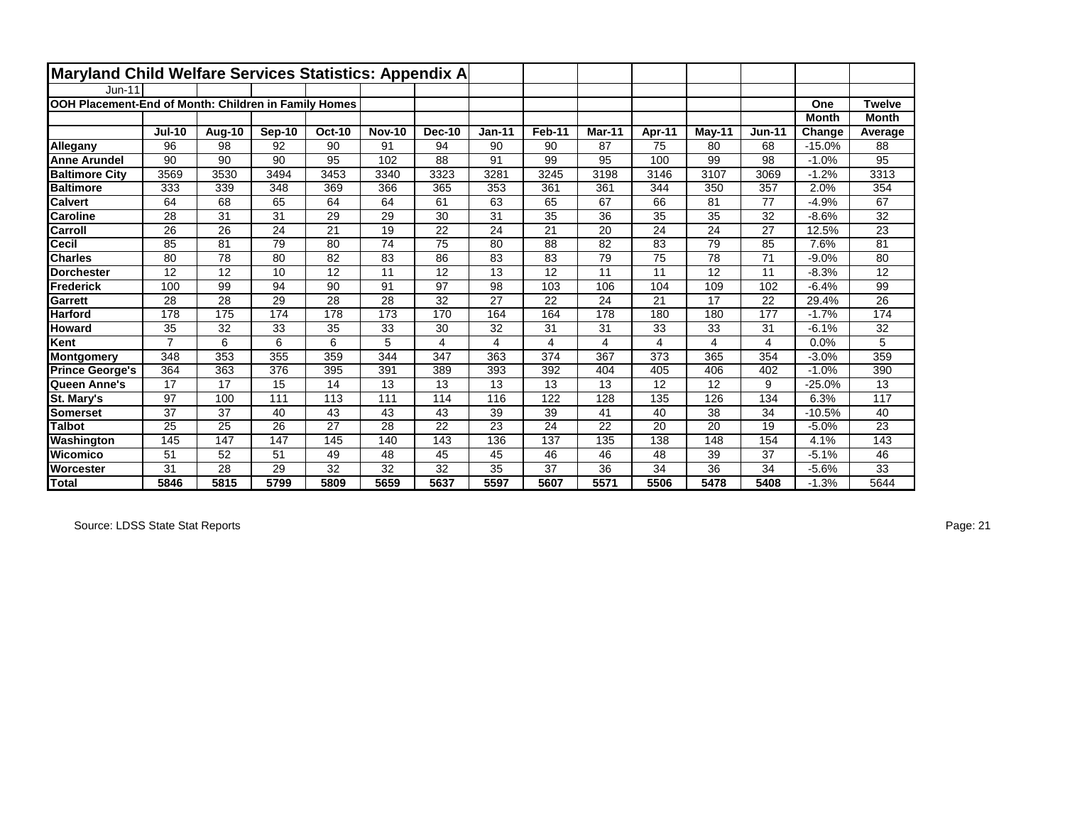| Maryland Child Welfare Services Statistics: Appendix A |                |        |        |               |               |        |                 |        |               |        |                 |               |              |                 |
|--------------------------------------------------------|----------------|--------|--------|---------------|---------------|--------|-----------------|--------|---------------|--------|-----------------|---------------|--------------|-----------------|
| $Jun-11$                                               |                |        |        |               |               |        |                 |        |               |        |                 |               |              |                 |
| OOH Placement-End of Month: Children in Family Homes   |                |        |        |               |               |        |                 |        |               |        |                 |               | One          | <b>Twelve</b>   |
|                                                        |                |        |        |               |               |        |                 |        |               |        |                 |               | <b>Month</b> | <b>Month</b>    |
|                                                        | <b>Jul-10</b>  | Aug-10 | Sep-10 | <b>Oct-10</b> | <b>Nov-10</b> | Dec-10 | <b>Jan-11</b>   | Feb-11 | <b>Mar-11</b> | Apr-11 | $M$ ay-11       | <b>Jun-11</b> | Change       | Average         |
| Allegany                                               | 96             | 98     | 92     | 90            | 91            | 94     | 90              | 90     | 87            | 75     | 80              | 68            | $-15.0%$     | 88              |
| <b>Anne Arundel</b>                                    | 90             | 90     | 90     | 95            | 102           | 88     | 91              | 99     | 95            | 100    | 99              | 98            | $-1.0%$      | 95              |
| <b>Baltimore City</b>                                  | 3569           | 3530   | 3494   | 3453          | 3340          | 3323   | 3281            | 3245   | 3198          | 3146   | 3107            | 3069          | $-1.2%$      | 3313            |
| <b>Baltimore</b>                                       | 333            | 339    | 348    | 369           | 366           | 365    | 353             | 361    | 361           | 344    | 350             | 357           | 2.0%         | 354             |
| <b>Calvert</b>                                         | 64             | 68     | 65     | 64            | 64            | 61     | 63              | 65     | 67            | 66     | 81              | 77            | $-4.9%$      | 67              |
| <b>Caroline</b>                                        | 28             | 31     | 31     | 29            | 29            | 30     | $\overline{31}$ | 35     | 36            | 35     | 35              | 32            | $-8.6%$      | $\overline{32}$ |
| Carroll                                                | 26             | 26     | 24     | 21            | 19            | 22     | 24              | 21     | 20            | 24     | 24              | 27            | 12.5%        | 23              |
| <b>Cecil</b>                                           | 85             | 81     | 79     | 80            | 74            | 75     | 80              | 88     | 82            | 83     | 79              | 85            | 7.6%         | 81              |
| <b>Charles</b>                                         | 80             | 78     | 80     | 82            | 83            | 86     | 83              | 83     | 79            | 75     | 78              | 71            | $-9.0%$      | 80              |
| <b>Dorchester</b>                                      | 12             | 12     | 10     | 12            | 11            | 12     | 13              | 12     | 11            | 11     | 12              | 11            | $-8.3%$      | 12              |
| Frederick                                              | 100            | 99     | 94     | 90            | 91            | 97     | 98              | 103    | 106           | 104    | 109             | 102           | $-6.4%$      | 99              |
| Garrett                                                | 28             | 28     | 29     | 28            | 28            | 32     | 27              | 22     | 24            | 21     | 17              | 22            | 29.4%        | 26              |
| <b>Harford</b>                                         | 178            | 175    | 174    | 178           | 173           | 170    | 164             | 164    | 178           | 180    | 180             | 177           | $-1.7%$      | 174             |
| <b>Howard</b>                                          | 35             | 32     | 33     | 35            | 33            | 30     | 32              | 31     | 31            | 33     | 33              | 31            | $-6.1%$      | 32              |
| Kent                                                   | $\overline{7}$ | 6      | 6      | 6             | 5             | 4      | 4               | 4      | 4             | 4      | 4               | 4             | 0.0%         | 5               |
| Montgomery                                             | 348            | 353    | 355    | 359           | 344           | 347    | 363             | 374    | 367           | 373    | 365             | 354           | $-3.0%$      | 359             |
| <b>Prince George's</b>                                 | 364            | 363    | 376    | 395           | 391           | 389    | 393             | 392    | 404           | 405    | 406             | 402           | $-1.0%$      | 390             |
| Queen Anne's                                           | 17             | 17     | 15     | 14            | 13            | 13     | 13              | 13     | 13            | 12     | 12              | 9             | $-25.0%$     | 13              |
| St. Mary's                                             | 97             | 100    | 111    | 113           | 111           | 114    | 116             | 122    | 128           | 135    | 126             | 134           | 6.3%         | 117             |
| Somerset                                               | 37             | 37     | 40     | 43            | 43            | 43     | 39              | 39     | 41            | 40     | 38              | 34            | $-10.5%$     | 40              |
| <b>Talbot</b>                                          | 25             | 25     | 26     | 27            | 28            | 22     | 23              | 24     | 22            | 20     | 20              | 19            | $-5.0%$      | 23              |
| Washington                                             | 145            | 147    | 147    | 145           | 140           | 143    | 136             | 137    | 135           | 138    | 148             | 154           | 4.1%         | 143             |
| Wicomico                                               | 51             | 52     | 51     | 49            | 48            | 45     | 45              | 46     | 46            | 48     | 39              | 37            | $-5.1%$      | 46              |
| <b>Worcester</b>                                       | 31             | 28     | 29     | 32            | 32            | 32     | 35              | 37     | 36            | 34     | $\overline{36}$ | 34            | $-5.6%$      | 33              |
| Total                                                  | 5846           | 5815   | 5799   | 5809          | 5659          | 5637   | 5597            | 5607   | 5571          | 5506   | 5478            | 5408          | $-1.3%$      | 5644            |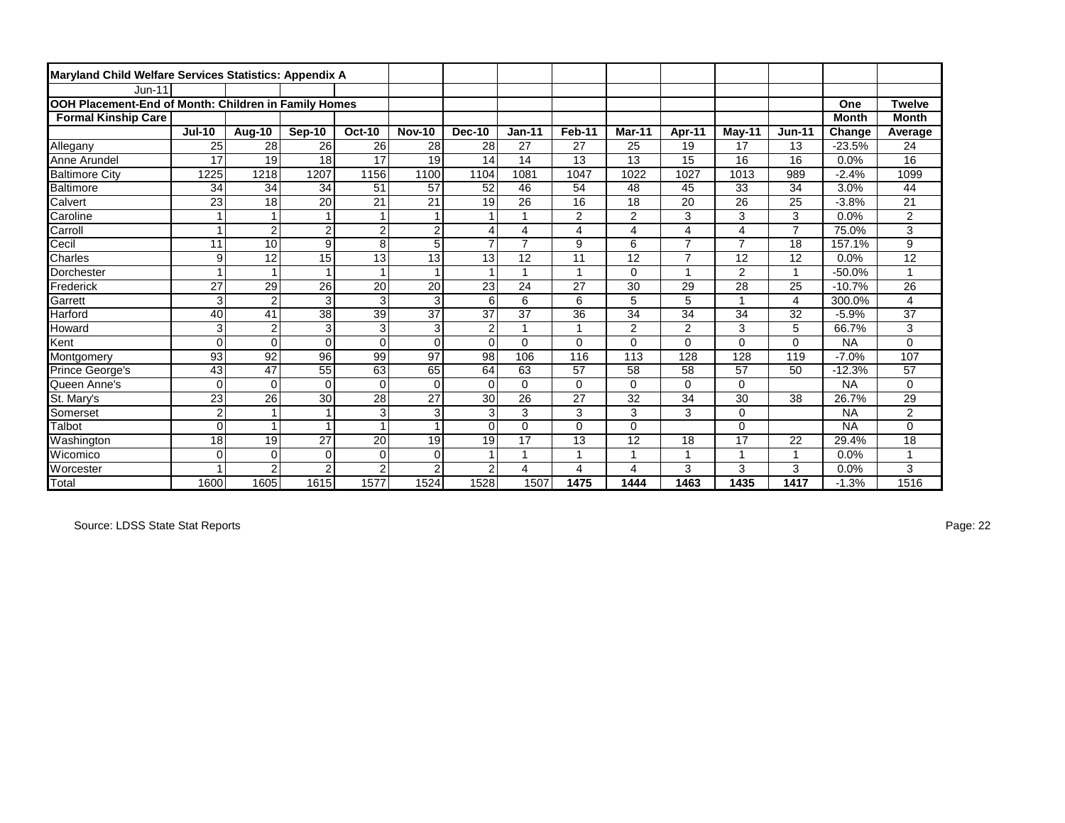| Maryland Child Welfare Services Statistics: Appendix A |                |                |                 |                |                 |                |                 |                |                |                |                |                |              |                |
|--------------------------------------------------------|----------------|----------------|-----------------|----------------|-----------------|----------------|-----------------|----------------|----------------|----------------|----------------|----------------|--------------|----------------|
| $Jun-11$                                               |                |                |                 |                |                 |                |                 |                |                |                |                |                |              |                |
| OOH Placement-End of Month: Children in Family Homes   |                |                |                 |                |                 |                |                 |                |                |                |                |                | One          | <b>Twelve</b>  |
| <b>Formal Kinship Care</b>                             |                |                |                 |                |                 |                |                 |                |                |                |                |                | <b>Month</b> | <b>Month</b>   |
|                                                        | <b>Jul-10</b>  | Aug-10         | Sep-10          | <b>Oct-10</b>  | <b>Nov-10</b>   | <b>Dec-10</b>  | $Jan-11$        | Feb-11         | Mar-11         | Apr-11         | $May-11$       | <b>Jun-11</b>  | Change       | Average        |
| Allegany                                               | 25             | 28             | 26              | 26             | 28              | 28             | 27              | 27             | 25             | 19             | 17             | 13             | $-23.5%$     | 24             |
| Anne Arundel                                           | 17             | 19             | 18              | 17             | 19              | 14             | 14              | 13             | 13             | 15             | 16             | 16             | 0.0%         | 16             |
| <b>Baltimore City</b>                                  | 1225           | 1218           | 1207            | 1156           | 1100            | 1104           | 1081            | 1047           | 1022           | 1027           | 1013           | 989            | $-2.4%$      | 1099           |
| Baltimore                                              | 34             | 34             | 34              | 51             | 57              | 52             | 46              | 54             | 48             | 45             | 33             | 34             | 3.0%         | 44             |
| Calvert                                                | 23             | 18             | 20              | 21             | 21              | 19             | 26              | 16             | 18             | 20             | 26             | 25             | $-3.8%$      | 21             |
| Caroline                                               | $\mathbf{1}$   |                | $\overline{1}$  | 1              | $\overline{1}$  |                |                 | $\overline{2}$ | $\overline{2}$ | 3              | 3              | 3              | 0.0%         | $\overline{2}$ |
| Carroll                                                | 1              | $\overline{2}$ | $\overline{2}$  | $\overline{2}$ | $\overline{2}$  | 4              | 4               | $\overline{4}$ | 4              | 4              | 4              | $\overline{7}$ | 75.0%        | 3              |
| Cecil                                                  | 11             | 10             | 9               | 8              | 5               | $\overline{ }$ | $\overline{7}$  | 9              | 6              | $\overline{7}$ | $\overline{7}$ | 18             | 157.1%       | 9              |
| <b>Charles</b>                                         | 9              | 12             | 15              | 13             | $\overline{13}$ | 13             | 12              | 11             | 12             | $\overline{7}$ | 12             | 12             | 0.0%         | 12             |
| Dorchester                                             | 1              |                | $\overline{1}$  |                |                 |                | 4               | $\overline{1}$ | 0              | 1              | 2              | $\overline{1}$ | $-50.0%$     | 1              |
| <b>Frederick</b>                                       | 27             | 29             | $\overline{26}$ | 20             | $\overline{20}$ | 23             | 24              | 27             | 30             | 29             | 28             | 25             | $-10.7%$     | 26             |
| Garrett                                                | $\mathbf{3}$   | $\overline{2}$ | 3               | $\overline{3}$ | 3               | 6              | 6               | 6              | 5              | 5              |                | $\overline{4}$ | 300.0%       | 4              |
| Harford                                                | 40             | 41             | 38              | 39             | 37              | 37             | 37              | 36             | 34             | 34             | 34             | 32             | $-5.9%$      | 37             |
| Howard                                                 | 3              | $\overline{2}$ | 3               | 3              | 3               | $\overline{2}$ |                 | $\overline{1}$ | 2              | $\overline{2}$ | 3              | 5              | 66.7%        | 3              |
| Kent                                                   | $\Omega$       | $\Omega$       | $\Omega$        | $\Omega$       | $\Omega$        | $\Omega$       | $\Omega$        | $\Omega$       | 0              | $\Omega$       | 0              | $\Omega$       | <b>NA</b>    | $\Omega$       |
| Montgomery                                             | 93             | 92             | 96              | 99             | 97              | 98             | 106             | 116            | 113            | 128            | 128            | 119            | $-7.0%$      | 107            |
| Prince George's                                        | 43             | 47             | 55              | 63             | 65              | 64             | 63              | 57             | 58             | 58             | 57             | 50             | $-12.3%$     | 57             |
| Queen Anne's                                           | 0              | $\Omega$       | $\Omega$        | $\Omega$       | $\Omega$        | $\Omega$       | $\Omega$        | $\Omega$       | $\Omega$       | $\Omega$       | $\Omega$       |                | <b>NA</b>    | $\Omega$       |
| St. Mary's                                             | 23             | 26             | 30              | 28             | $\overline{27}$ | 30             | $\overline{26}$ | 27             | 32             | 34             | 30             | 38             | 26.7%        | 29             |
| Somerset                                               | $\overline{2}$ |                |                 | $\mathbf{3}$   | 3               | 3              | 3               | 3              | 3              | 3              | 0              |                | <b>NA</b>    | $\overline{a}$ |
| Talbot                                                 | $\Omega$       |                |                 |                |                 | $\Omega$       | 0               | $\Omega$       | 0              |                | 0              |                | <b>NA</b>    | 0              |
| Washington                                             | 18             | 19             | 27              | 20             | 19              | 19             | 17              | 13             | 12             | 18             | 17             | 22             | 29.4%        | 18             |
| Wicomico                                               | $\Omega$       | $\Omega$       | $\Omega$        | $\mathbf 0$    | $\mathbf 0$     |                |                 | 1              |                | 1              |                | 1              | 0.0%         |                |
| <b>Worcester</b>                                       |                | $\overline{2}$ | $\overline{2}$  | $\overline{2}$ | $\overline{2}$  | $\overline{2}$ | 4               | 4              | 4              | 3              | 3              | 3              | 0.0%         | 3              |
| Total                                                  | 1600           | 1605           | 1615            | 1577           | 1524            | 1528           | 1507            | 1475           | 1444           | 1463           | 1435           | 1417           | $-1.3%$      | 1516           |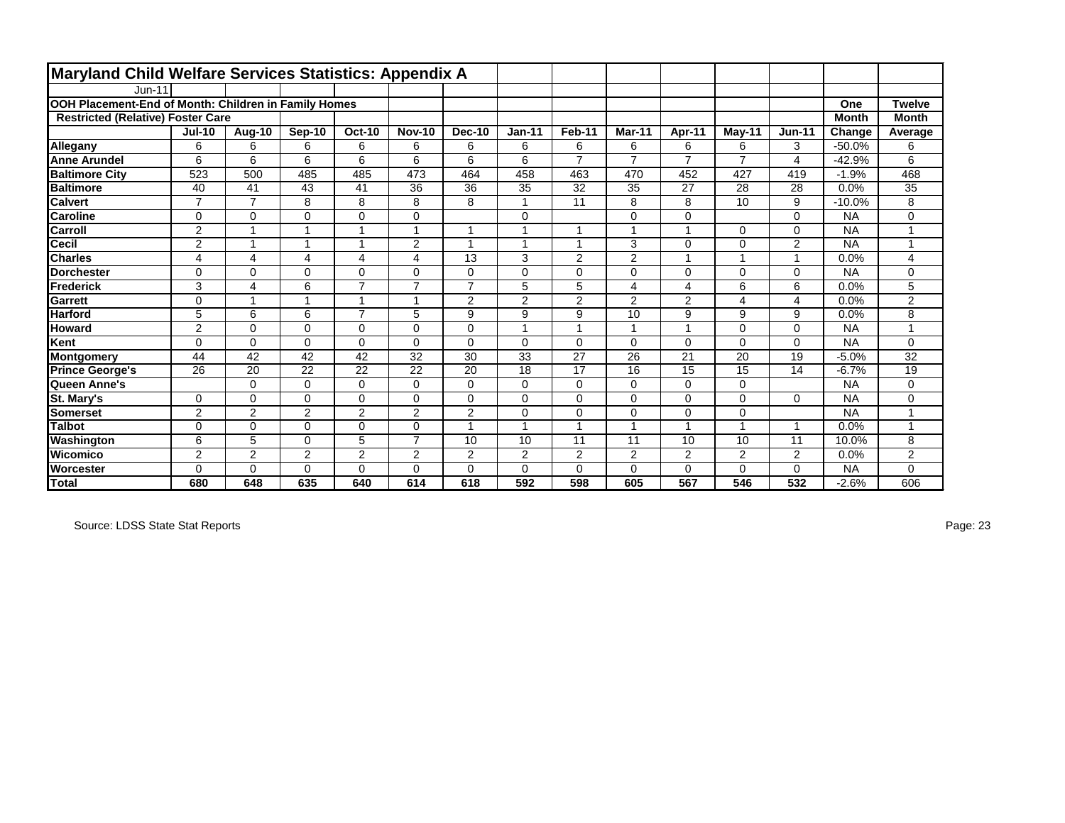| <b>Maryland Child Welfare Services Statistics: Appendix A</b> |                |                |          |                |                |                |                |                |                |                |                |                |              |                |
|---------------------------------------------------------------|----------------|----------------|----------|----------------|----------------|----------------|----------------|----------------|----------------|----------------|----------------|----------------|--------------|----------------|
| <b>Jun-11</b>                                                 |                |                |          |                |                |                |                |                |                |                |                |                |              |                |
| OOH Placement-End of Month: Children in Family Homes          |                |                |          |                |                |                |                |                |                |                |                |                | One          | <b>Twelve</b>  |
| <b>Restricted (Relative) Foster Care</b>                      |                |                |          |                |                |                |                |                |                |                |                |                | <b>Month</b> | <b>Month</b>   |
|                                                               | <b>Jul-10</b>  | Aug-10         | Sep-10   | <b>Oct-10</b>  | <b>Nov-10</b>  | <b>Dec-10</b>  | $Jan-11$       | Feb-11         | Mar-11         | Apr-11         | May-11         | <b>Jun-11</b>  | Change       | Average        |
| Allegany                                                      | 6              | 6              | 6        | 6              | 6              | 6              | 6              | 6              | 6              | 6              | 6              | 3              | $-50.0%$     | 6              |
| <b>Anne Arundel</b>                                           | 6              | 6              | 6        | 6              | 6              | 6              | 6              | $\overline{7}$ | $\overline{ }$ | $\overline{7}$ | $\overline{7}$ | $\overline{4}$ | $-42.9%$     | 6              |
| <b>Baltimore City</b>                                         | 523            | 500            | 485      | 485            | 473            | 464            | 458            | 463            | 470            | 452            | 427            | 419            | $-1.9%$      | 468            |
| <b>Baltimore</b>                                              | 40             | 41             | 43       | 41             | 36             | 36             | 35             | 32             | 35             | 27             | 28             | 28             | 0.0%         | 35             |
| <b>Calvert</b>                                                | $\overline{7}$ | $\overline{7}$ | 8        | 8              | 8              | 8              |                | 11             | 8              | 8              | 10             | 9              | $-10.0%$     | 8              |
| <b>Caroline</b>                                               | 0              | 0              | $\Omega$ | $\mathbf 0$    | $\Omega$       |                | 0              |                | $\Omega$       | $\Omega$       |                | 0              | <b>NA</b>    | 0              |
| Carroll                                                       | $\overline{2}$ | 1              |          |                |                | -1             |                |                |                |                | $\Omega$       | $\Omega$       | <b>NA</b>    |                |
| <b>Cecil</b>                                                  | $\overline{c}$ | 1              |          | 1              | 2              | $\overline{1}$ |                | $\overline{A}$ | 3              | $\Omega$       | 0              | $\overline{2}$ | <b>NA</b>    |                |
| <b>Charles</b>                                                | 4              | 4              | 4        | 4              | 4              | 13             | 3              | $\overline{2}$ | 2              |                |                | $\mathbf{1}$   | 0.0%         | $\overline{4}$ |
| <b>Dorchester</b>                                             | $\Omega$       | $\Omega$       | $\Omega$ | $\mathbf 0$    | $\Omega$       | $\Omega$       | $\Omega$       | $\mathbf 0$    | $\Omega$       | $\Omega$       | $\Omega$       | $\Omega$       | <b>NA</b>    | $\mathbf 0$    |
| Frederick                                                     | 3              | 4              | 6        | $\overline{7}$ | $\overline{7}$ | $\overline{7}$ | 5              | 5              | 4              | $\overline{4}$ | 6              | 6              | 0.0%         | 5              |
| Garrett                                                       | 0              | 1              |          | 1              | 4              | $\overline{2}$ | $\overline{2}$ | $\overline{2}$ | 2              | $\overline{2}$ | 4              | $\overline{4}$ | 0.0%         | $\overline{2}$ |
| <b>Harford</b>                                                | 5              | 6              | 6        | $\overline{7}$ | 5              | 9              | 9              | 9              | 10             | 9              | 9              | 9              | 0.0%         | 8              |
| <b>Howard</b>                                                 | $\overline{2}$ | $\Omega$       | $\Omega$ | $\mathbf 0$    | $\Omega$       | $\Omega$       | 1              | $\overline{ }$ |                |                | $\Omega$       | $\mathbf 0$    | <b>NA</b>    |                |
| Kent                                                          | $\Omega$       | $\Omega$       | $\Omega$ | $\mathbf 0$    | $\Omega$       | $\Omega$       | $\Omega$       | 0              | $\Omega$       | $\Omega$       | $\Omega$       | 0              | <b>NA</b>    | 0              |
| Montgomery                                                    | 44             | 42             | 42       | 42             | 32             | 30             | 33             | 27             | 26             | 21             | 20             | 19             | $-5.0%$      | 32             |
| <b>Prince George's</b>                                        | 26             | 20             | 22       | 22             | 22             | 20             | 18             | 17             | 16             | 15             | 15             | 14             | $-6.7%$      | 19             |
| Queen Anne's                                                  |                | $\Omega$       | $\Omega$ | 0              | $\Omega$       | $\Omega$       | $\Omega$       | $\mathbf 0$    | $\Omega$       | $\Omega$       | $\Omega$       |                | <b>NA</b>    | $\mathbf 0$    |
| St. Mary's                                                    | 0              | $\Omega$       | $\Omega$ | $\mathbf 0$    | $\Omega$       | $\Omega$       | $\Omega$       | $\mathbf 0$    | $\Omega$       | $\Omega$       | $\Omega$       | $\Omega$       | <b>NA</b>    | $\mathbf 0$    |
| Somerset                                                      | $\overline{2}$ | $\overline{2}$ | 2        | $\overline{2}$ | $\overline{2}$ | $\overline{2}$ | $\Omega$       | $\mathbf 0$    | $\Omega$       | $\Omega$       | $\Omega$       |                | <b>NA</b>    |                |
| <b>Talbot</b>                                                 | 0              | $\Omega$       | $\Omega$ | $\mathbf 0$    | $\Omega$       | 1              | 1              | $\overline{1}$ |                | $\overline{ }$ |                | $\mathbf{1}$   | 0.0%         |                |
| Washington                                                    | 6              | 5              | $\Omega$ | 5              | $\overline{7}$ | 10             | 10             | 11             | 11             | 10             | 10             | 11             | 10.0%        | 8              |
| Wicomico                                                      | $\overline{2}$ | $\overline{2}$ | 2        | $\overline{2}$ | 2              | 2              | 2              | $\mathbf{2}$   | $\mathbf{2}$   | 2              | 2              | 2              | 0.0%         | $\mathbf{2}$   |
| <b>Worcester</b>                                              | $\Omega$       | 0              | $\Omega$ | $\mathbf 0$    | $\Omega$       | $\Omega$       | $\Omega$       | $\mathbf 0$    | $\Omega$       | 0              | 0              | $\mathbf 0$    | <b>NA</b>    | $\Omega$       |
| Total                                                         | 680            | 648            | 635      | 640            | 614            | 618            | 592            | 598            | 605            | 567            | 546            | 532            | $-2.6%$      | 606            |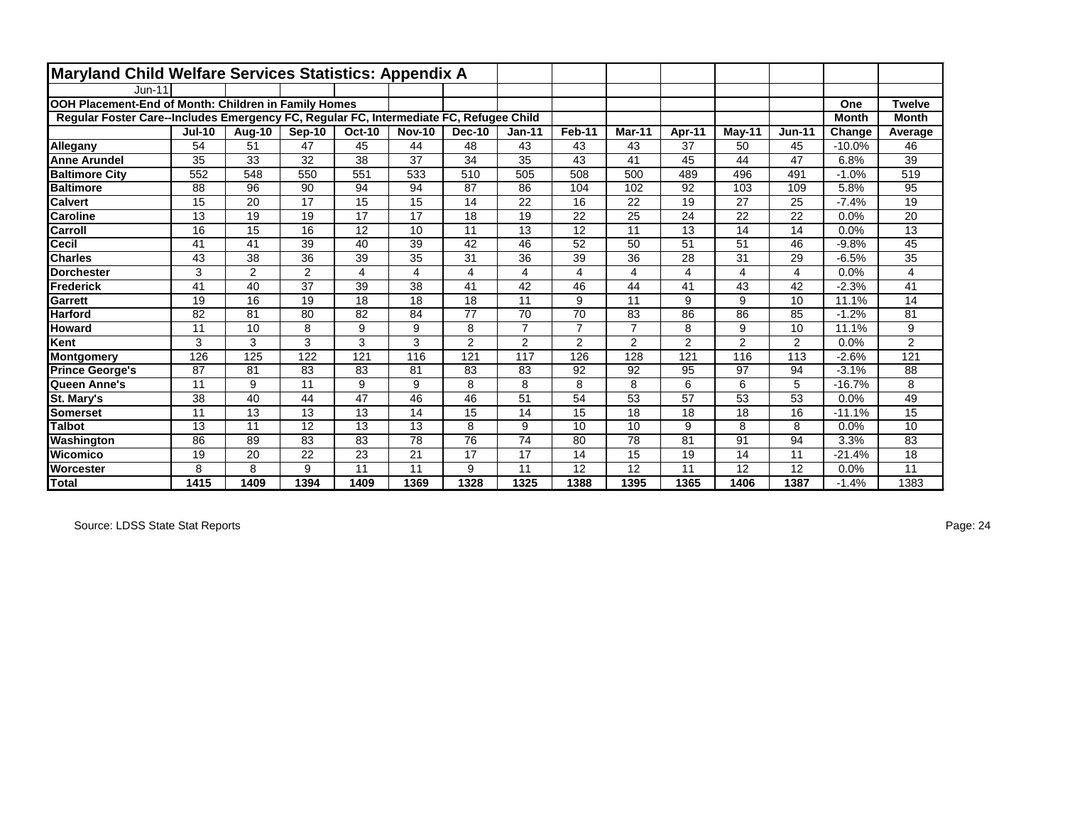| Maryland Child Welfare Services Statistics: Appendix A                                 |               |        |                |                 |               |                |                |                 |                |        |           |                 |              |                 |
|----------------------------------------------------------------------------------------|---------------|--------|----------------|-----------------|---------------|----------------|----------------|-----------------|----------------|--------|-----------|-----------------|--------------|-----------------|
| $Jun-11$                                                                               |               |        |                |                 |               |                |                |                 |                |        |           |                 |              |                 |
| OOH Placement-End of Month: Children in Family Homes                                   |               |        |                |                 |               |                |                |                 |                |        |           |                 | One          | <b>Twelve</b>   |
| Regular Foster Care--Includes Emergency FC, Regular FC, Intermediate FC, Refugee Child |               |        |                |                 |               |                |                |                 |                |        |           |                 | <b>Month</b> | <b>Month</b>    |
|                                                                                        | <b>Jul-10</b> | Aug-10 | Sep-10         | <b>Oct-10</b>   | <b>Nov-10</b> | <b>Dec-10</b>  | $Jan-11$       | Feb-11          | Mar-11         | Apr-11 | $M$ ay-11 | <b>Jun-11</b>   | Change       | Average         |
| Allegany                                                                               | 54            | 51     | 47             | 45              | 44            | 48             | 43             | 43              | 43             | 37     | 50        | 45              | $-10.0%$     | 46              |
| <b>Anne Arundel</b>                                                                    | 35            | 33     | 32             | 38              | 37            | 34             | 35             | 43              | 41             | 45     | 44        | 47              | 6.8%         | 39              |
| <b>Baltimore City</b>                                                                  | 552           | 548    | 550            | 551             | 533           | 510            | 505            | 508             | 500            | 489    | 496       | 491             | $-1.0%$      | 519             |
| <b>Baltimore</b>                                                                       | 88            | 96     | 90             | 94              | 94            | 87             | 86             | 104             | 102            | 92     | 103       | 109             | 5.8%         | 95              |
| <b>Calvert</b>                                                                         | 15            | 20     | 17             | 15              | 15            | 14             | 22             | 16              | 22             | 19     | 27        | 25              | $-7.4%$      | 19              |
| <b>Caroline</b>                                                                        | 13            | 19     | 19             | $\overline{17}$ | 17            | 18             | 19             | 22              | 25             | 24     | 22        | 22              | 0.0%         | 20              |
| Carroll                                                                                | 16            | 15     | 16             | 12              | 10            | 11             | 13             | 12              | 11             | 13     | 14        | 14              | 0.0%         | 13              |
| <b>Cecil</b>                                                                           | 41            | 41     | 39             | 40              | 39            | 42             | 46             | 52              | 50             | 51     | 51        | 46              | $-9.8%$      | 45              |
| <b>Charles</b>                                                                         | 43            | 38     | 36             | 39              | 35            | 31             | 36             | 39              | 36             | 28     | 31        | 29              | $-6.5%$      | $\overline{35}$ |
| <b>Dorchester</b>                                                                      | 3             | 2      | $\overline{2}$ | 4               | 4             | 4              | 4              | 4               | 4              | 4      | 4         | $\overline{4}$  | 0.0%         | 4               |
| Frederick                                                                              | 41            | 40     | 37             | 39              | 38            | 41             | 42             | 46              | 44             | 41     | 43        | 42              | $-2.3%$      | 41              |
| <b>Garrett</b>                                                                         | 19            | 16     | 19             | 18              | 18            | 18             | 11             | 9               | 11             | 9      | 9         | 10              | 11.1%        | 14              |
| <b>Harford</b>                                                                         | 82            | 81     | 80             | 82              | 84            | 77             | 70             | $\overline{70}$ | 83             | 86     | 86        | 85              | $-1.2%$      | 81              |
| <b>Howard</b>                                                                          | 11            | 10     | 8              | 9               | 9             | 8              | $\overline{7}$ | $\overline{7}$  | $\overline{7}$ | 8      | 9         | 10              | 11.1%        | 9               |
| Kent                                                                                   | 3             | 3      | 3              | 3               | 3             | $\overline{2}$ | $\overline{2}$ | 2               | $\overline{2}$ | 2      | 2         | 2               | 0.0%         | $\overline{2}$  |
| Montgomery                                                                             | 126           | 125    | 122            | 121             | 116           | 121            | 117            | 126             | 128            | 121    | 116       | 113             | $-2.6%$      | 121             |
| <b>Prince George's</b>                                                                 | 87            | 81     | 83             | 83              | 81            | 83             | 83             | 92              | 92             | 95     | 97        | 94              | $-3.1%$      | 88              |
| Queen Anne's                                                                           | 11            | 9      | 11             | 9               | 9             | 8              | 8              | 8               | 8              | 6      | 6         | 5               | $-16.7%$     | 8               |
| St. Mary's                                                                             | 38            | 40     | 44             | 47              | 46            | 46             | 51             | 54              | 53             | 57     | 53        | $\overline{53}$ | 0.0%         | 49              |
| Somerset                                                                               | 11            | 13     | 13             | 13              | 14            | 15             | 14             | 15              | 18             | 18     | 18        | 16              | $-11.1%$     | 15              |
| Talbot                                                                                 | 13            | 11     | 12             | 13              | 13            | 8              | 9              | 10              | 10             | 9      | 8         | 8               | 0.0%         | 10              |
| Washington                                                                             | 86            | 89     | 83             | 83              | 78            | 76             | 74             | 80              | 78             | 81     | 91        | 94              | 3.3%         | 83              |
| Wicomico                                                                               | 19            | 20     | 22             | 23              | 21            | 17             | 17             | 14              | 15             | 19     | 14        | 11              | $-21.4%$     | 18              |
| <b>Worcester</b>                                                                       | 8             | 8      | 9              | 11              | 11            | 9              | 11             | 12              | 12             | 11     | 12        | 12              | 0.0%         | 11              |
| <b>Total</b>                                                                           | 1415          | 1409   | 1394           | 1409            | 1369          | 1328           | 1325           | 1388            | 1395           | 1365   | 1406      | 1387            | $-1.4%$      | 1383            |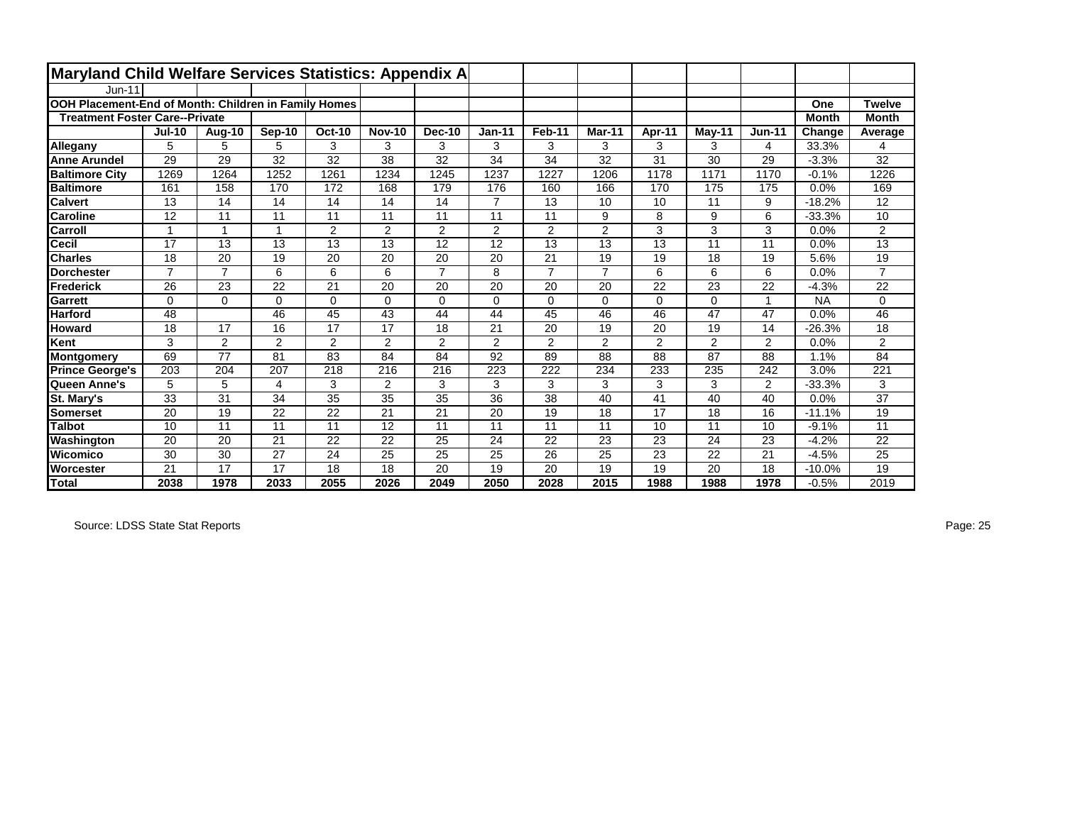| Maryland Child Welfare Services Statistics: Appendix A |                |                 |                |               |               |                |                |                 |                |          |          |                |              |                  |
|--------------------------------------------------------|----------------|-----------------|----------------|---------------|---------------|----------------|----------------|-----------------|----------------|----------|----------|----------------|--------------|------------------|
| $Jun-11$                                               |                |                 |                |               |               |                |                |                 |                |          |          |                |              |                  |
| OOH Placement-End of Month: Children in Family Homes   |                |                 |                |               |               |                |                |                 |                |          |          |                | One          | <b>Twelve</b>    |
| <b>Treatment Foster Care--Private</b>                  |                |                 |                |               |               |                |                |                 |                |          |          |                | <b>Month</b> | <b>Month</b>     |
|                                                        | <b>Jul-10</b>  | Aug-10          | Sep-10         | <b>Oct-10</b> | <b>Nov-10</b> | <b>Dec-10</b>  | $Jan-11$       | Feb-11          | <b>Mar-11</b>  | Apr-11   | $May-11$ | $Jun-11$       | Change       | Average          |
| Allegany                                               | 5              | 5               | 5              | 3             | 3             | 3              | 3              | 3               | 3              | 3        | 3        | 4              | 33.3%        | 4                |
| <b>Anne Arundel</b>                                    | 29             | 29              | 32             | 32            | 38            | 32             | 34             | 34              | 32             | 31       | 30       | 29             | $-3.3%$      | 32               |
| <b>Baltimore City</b>                                  | 1269           | 1264            | 1252           | 1261          | 1234          | 1245           | 1237           | 1227            | 1206           | 1178     | 1171     | 1170           | $-0.1%$      | 1226             |
| <b>Baltimore</b>                                       | 161            | 158             | 170            | 172           | 168           | 179            | 176            | 160             | 166            | 170      | 175      | 175            | 0.0%         | 169              |
| <b>Calvert</b>                                         | 13             | 14              | 14             | 14            | 14            | 14             | $\overline{7}$ | 13              | 10             | 10       | 11       | 9              | $-18.2%$     | 12               |
| <b>Caroline</b>                                        | 12             | 11              | 11             | 11            | 11            | 11             | 11             | 11              | 9              | 8        | 9        | 6              | $-33.3%$     | 10               |
| Carroll                                                | 1              |                 | 1              | 2             | 2             | $\overline{2}$ | $\overline{2}$ | $\overline{2}$  | $\overline{2}$ | 3        | 3        | 3              | 0.0%         | $\overline{a}$   |
| Cecil                                                  | 17             | 13              | 13             | 13            | 13            | 12             | 12             | 13              | 13             | 13       | 11       | 11             | 0.0%         | 13               |
| <b>Charles</b>                                         | 18             | 20              | 19             | 20            | 20            | 20             | 20             | 21              | 19             | 19       | 18       | 19             | 5.6%         | 19               |
| <b>Dorchester</b>                                      | $\overline{7}$ | $\overline{7}$  | 6              | 6             | 6             | $\overline{7}$ | 8              | $\overline{7}$  | $\overline{7}$ | 6        | 6        | 6              | 0.0%         | $\overline{7}$   |
| <b>Frederick</b>                                       | 26             | 23              | 22             | 21            | 20            | 20             | 20             | 20              | 20             | 22       | 23       | 22             | $-4.3%$      | 22               |
| Garrett                                                | $\Omega$       | $\Omega$        | $\Omega$       | $\Omega$      | $\Omega$      | $\Omega$       | $\Omega$       | $\Omega$        | $\Omega$       | $\Omega$ | $\Omega$ | $\mathbf{1}$   | <b>NA</b>    | $\Omega$         |
| Harford                                                | 48             |                 | 46             | 45            | 43            | 44             | 44             | 45              | 46             | 46       | 47       | 47             | 0.0%         | 46               |
| <b>Howard</b>                                          | 18             | 17              | 16             | 17            | 17            | 18             | 21             | 20              | 19             | 20       | 19       | 14             | $-26.3%$     | 18               |
| Kent                                                   | 3              | 2               | $\overline{2}$ | 2             | 2             | $\overline{2}$ | 2              | 2               | $\overline{2}$ | 2        | 2        | $\overline{2}$ | 0.0%         | $\overline{2}$   |
| <b>Montgomery</b>                                      | 69             | 77              | 81             | 83            | 84            | 84             | 92             | 89              | 88             | 88       | 87       | 88             | 1.1%         | 84               |
| <b>Prince George's</b>                                 | 203            | 204             | 207            | 218           | 216           | 216            | 223            | 222             | 234            | 233      | 235      | 242            | 3.0%         | $\overline{221}$ |
| Queen Anne's                                           | 5              | 5               | 4              | 3             | 2             | 3              | 3              | 3               | 3              | 3        | 3        | 2              | $-33.3%$     | 3                |
| St. Mary's                                             | 33             | $\overline{31}$ | 34             | 35            | 35            | 35             | 36             | $\overline{38}$ | 40             | 41       | 40       | 40             | 0.0%         | $\overline{37}$  |
| <b>Somerset</b>                                        | 20             | 19              | 22             | 22            | 21            | 21             | 20             | 19              | 18             | 17       | 18       | 16             | $-11.1%$     | 19               |
| <b>Talbot</b>                                          | 10             | 11              | 11             | 11            | 12            | 11             | 11             | 11              | 11             | 10       | 11       | 10             | $-9.1%$      | 11               |
| Washington                                             | 20             | 20              | 21             | 22            | 22            | 25             | 24             | 22              | 23             | 23       | 24       | 23             | $-4.2%$      | 22               |
| Wicomico                                               | 30             | 30              | 27             | 24            | 25            | 25             | 25             | 26              | 25             | 23       | 22       | 21             | $-4.5%$      | 25               |
| Worcester                                              | 21             | 17              | 17             | 18            | 18            | 20             | 19             | 20              | 19             | 19       | 20       | 18             | $-10.0%$     | 19               |
| <b>Total</b>                                           | 2038           | 1978            | 2033           | 2055          | 2026          | 2049           | 2050           | 2028            | 2015           | 1988     | 1988     | 1978           | $-0.5\%$     | 2019             |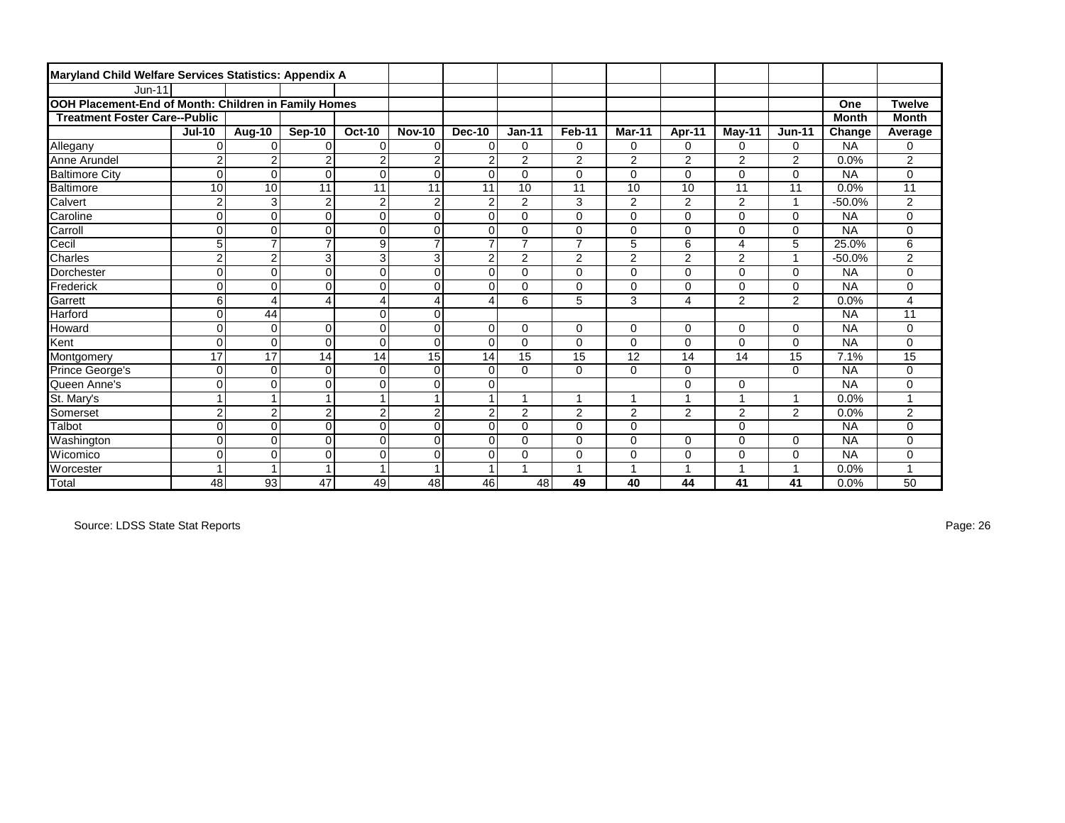| Maryland Child Welfare Services Statistics: Appendix A |                |                 |                |                         |                |                |                |                |                |                          |                |                |              |                |
|--------------------------------------------------------|----------------|-----------------|----------------|-------------------------|----------------|----------------|----------------|----------------|----------------|--------------------------|----------------|----------------|--------------|----------------|
| $Jun-11$                                               |                |                 |                |                         |                |                |                |                |                |                          |                |                |              |                |
| OOH Placement-End of Month: Children in Family Homes   |                |                 |                |                         |                |                |                |                |                |                          |                |                | One          | <b>Twelve</b>  |
| <b>Treatment Foster Care--Public</b>                   |                |                 |                |                         |                |                |                |                |                |                          |                |                | <b>Month</b> | <b>Month</b>   |
|                                                        | <b>Jul-10</b>  | Aug-10          | Sep-10         | <b>Oct-10</b>           | <b>Nov-10</b>  | Dec-10         | $Jan-11$       | Feb-11         | Mar-11         | Apr-11                   | May-11         | <b>Jun-11</b>  | Change       | Average        |
| Allegany                                               | $\overline{0}$ | $\Omega$        | $\Omega$       | $\mathbf 0$             | $\Omega$       | $\mathbf 0$    | 0              | $\mathbf 0$    | 0              | 0                        | 0              | 0              | <b>NA</b>    | 0              |
| Anne Arundel                                           | $\mathbf 2$    | $\overline{2}$  | $\overline{2}$ | $\overline{2}$          | $\overline{2}$ | $\overline{2}$ | 2              | $\overline{2}$ | 2              | $\overline{2}$           | 2              | $\overline{2}$ | 0.0%         | 2              |
| <b>Baltimore City</b>                                  | $\Omega$       | $\Omega$        | $\mathbf 0$    | $\mathbf 0$             | $\overline{0}$ | $\Omega$       | 0              | $\mathbf 0$    | $\Omega$       | 0                        | 0              | $\mathbf 0$    | <b>NA</b>    | 0              |
| Baltimore                                              | 10             | 10              | 11             | 11                      | 11             | 11             | 10             | 11             | 10             | 10                       | 11             | 11             | 0.0%         | 11             |
| Calvert                                                | $\overline{2}$ | 3               | $\overline{2}$ | $\overline{2}$          | $\overline{2}$ | $\overline{2}$ | $\overline{2}$ | 3              | 2              | 2                        | $\overline{2}$ | $\overline{1}$ | $-50.0%$     | $\overline{2}$ |
| Caroline                                               | $\overline{0}$ | 0               | $\mathbf 0$    | $\mathbf 0$             | $\mathbf 0$    | $\mathbf 0$    | 0              | $\mathbf 0$    | 0              | $\Omega$                 | 0              | $\Omega$       | <b>NA</b>    | 0              |
| Carroll                                                | 0              | $\Omega$        | $\Omega$       | $\Omega$                | $\mathbf 0$    | $\Omega$       | $\Omega$       | $\Omega$       | $\Omega$       | $\Omega$                 | 0              | $\Omega$       | <b>NA</b>    | 0              |
| Cecil                                                  | 5              | $\overline{7}$  | $\overline{7}$ | 9                       | $\overline{7}$ | $\overline{7}$ | $\overline{7}$ | $\overline{7}$ | 5              | 6                        | 4              | 5              | 25.0%        | 6              |
| <b>Charles</b>                                         | $\overline{c}$ | $\overline{c}$  | 3              | 3                       | 3              | $\overline{2}$ | $\overline{c}$ | $\overline{2}$ | $\overline{2}$ | $\overline{2}$           | $\overline{c}$ | $\overline{1}$ | $-50.0%$     | $\overline{c}$ |
| Dorchester                                             | $\overline{0}$ | 0               | $\mathbf 0$    | $\mathbf 0$             | $\mathbf 0$    | $\mathbf 0$    | $\Omega$       | $\Omega$       | 0              | 0                        | 0              | $\Omega$       | <b>NA</b>    | 0              |
| <b>Frederick</b>                                       | $\Omega$       | 0               | $\Omega$       | $\Omega$                | $\Omega$       | $\Omega$       | $\Omega$       | $\Omega$       | 0              | $\Omega$                 | 0              | $\mathbf 0$    | <b>NA</b>    | 0              |
| Garrett                                                | $6 \mid$       | 4               | $\overline{4}$ | $\overline{4}$          | $\overline{4}$ | $\overline{4}$ | 6              | 5              | 3              | 4                        | $\overline{2}$ | $\overline{2}$ | 0.0%         | 4              |
| <b>Harford</b>                                         | $\Omega$       | 44              |                | 0                       | $\mathbf 0$    |                |                |                |                |                          |                |                | <b>NA</b>    | 11             |
| Howard                                                 | $\overline{0}$ | 0               | $\mathbf 0$    | $\mathbf 0$             | $\mathbf 0$    | $\mathbf 0$    | 0              | $\mathbf 0$    | 0              | 0                        | 0              | $\mathbf 0$    | <b>NA</b>    | 0              |
| Kent                                                   | $\overline{0}$ | $\overline{0}$  | $\mathbf 0$    | $\mathbf 0$             | $\mathbf 0$    | $\Omega$       | 0              | $\mathbf 0$    | 0              | 0                        | 0              | $\mathbf 0$    | <b>NA</b>    | 0              |
| Montgomery                                             | 17             | $\overline{17}$ | 14             | 14                      | 15             | 14             | 15             | 15             | 12             | 14                       | 14             | 15             | 7.1%         | 15             |
| Prince George's                                        | $\overline{0}$ | $\Omega$        | $\Omega$       | $\mathbf 0$             | $\mathbf 0$    | $\mathbf 0$    | 0              | $\mathbf 0$    | $\Omega$       | $\Omega$                 |                | $\mathbf 0$    | <b>NA</b>    | 0              |
| Queen Anne's                                           | 0              | $\Omega$        | $\mathbf 0$    | $\mathbf 0$             | $\mathbf 0$    | $\mathbf 0$    |                |                |                | 0                        | 0              |                | <b>NA</b>    | 0              |
| St. Mary's                                             | $\mathbf{1}$   | 1               | $\overline{1}$ | $\overline{1}$          | $\overline{1}$ | $\overline{1}$ |                | $\overline{1}$ |                | $\overline{\phantom{a}}$ |                | 1              | 0.0%         |                |
| Somerset                                               | $\overline{c}$ | $\overline{c}$  | $\overline{2}$ | $\overline{c}$          | $\overline{2}$ | $\overline{2}$ | 2              | $\overline{2}$ | 2              | $\overline{2}$           | 2              | $\overline{2}$ | 0.0%         | $\overline{c}$ |
| Talbot                                                 | $\overline{0}$ | 0               | $\mathbf 0$    | $\mathbf 0$             | $\mathbf 0$    | $\mathbf 0$    | 0              | $\mathbf 0$    | 0              |                          | 0              |                | <b>NA</b>    | 0              |
| Washington                                             | $\overline{0}$ | $\overline{0}$  | $\Omega$       | $\Omega$                | $\Omega$       | $\Omega$       | $\Omega$       | $\Omega$       | 0              | $\Omega$                 | 0              | $\mathbf 0$    | <b>NA</b>    | 0              |
| <b>Wicomico</b>                                        | $\Omega$       | $\Omega$        | $\Omega$       | $\Omega$                | $\Omega$       | $\Omega$       | $\Omega$       | $\Omega$       | 0              | $\Omega$                 | 0              | $\Omega$       | <b>NA</b>    | 0              |
| Worcester                                              | $\mathbf{1}$   |                 |                | $\overline{\mathbf{A}}$ |                |                |                | $\overline{1}$ |                | 4                        |                | 1              | 0.0%         |                |
| Total                                                  | 48             | 93              | 47             | 49                      | 48             | 46             | 48             | 49             | 40             | 44                       | 41             | 41             | 0.0%         | 50             |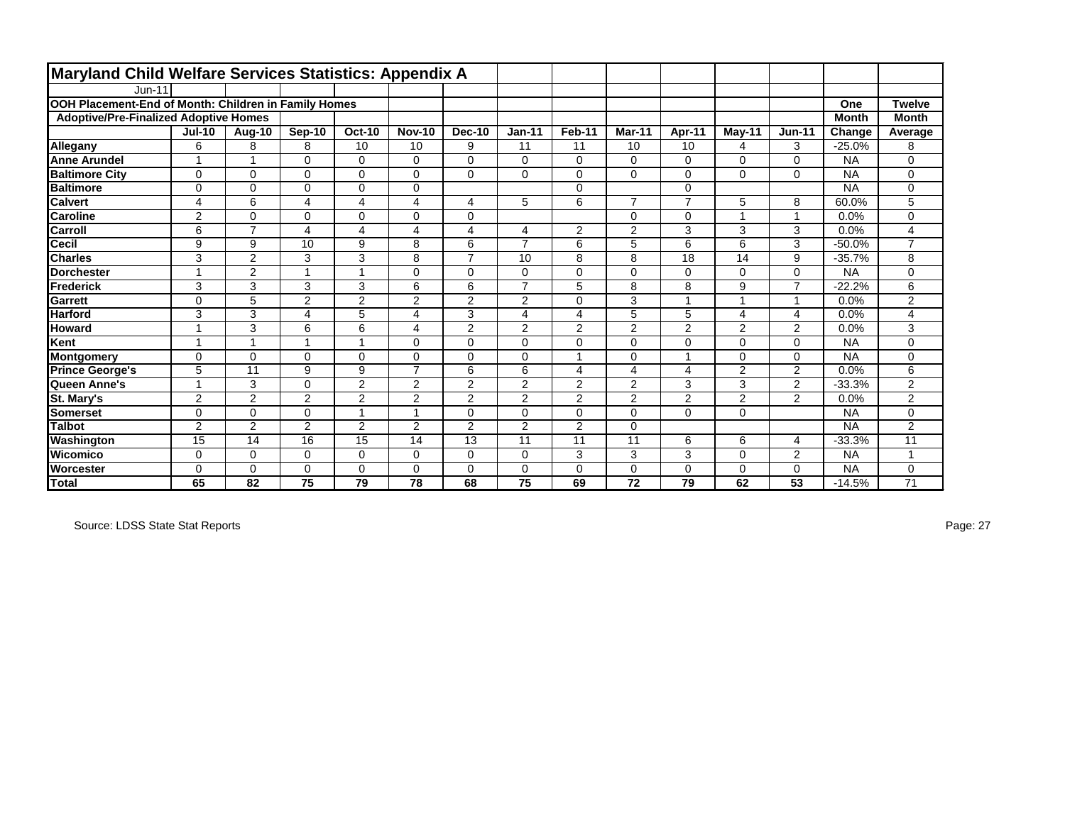| Maryland Child Welfare Services Statistics: Appendix A |                |                |                |                |                |                |                |                |          |                         |                |                |              |                |
|--------------------------------------------------------|----------------|----------------|----------------|----------------|----------------|----------------|----------------|----------------|----------|-------------------------|----------------|----------------|--------------|----------------|
| $Jun-11$                                               |                |                |                |                |                |                |                |                |          |                         |                |                |              |                |
| OOH Placement-End of Month: Children in Family Homes   |                |                |                |                |                |                |                |                |          |                         |                |                | One          | <b>Twelve</b>  |
| <b>Adoptive/Pre-Finalized Adoptive Homes</b>           |                |                |                |                |                |                |                |                |          |                         |                |                | <b>Month</b> | <b>Month</b>   |
|                                                        | <b>Jul-10</b>  | Aug-10         | Sep-10         | <b>Oct-10</b>  | <b>Nov-10</b>  | <b>Dec-10</b>  | $Jan-11$       | Feb-11         | Mar-11   | Apr-11                  | $May-11$       | <b>Jun-11</b>  | Change       | Average        |
| Allegany                                               | 6              | 8              | 8              | 10             | 10             | 9              | 11             | 11             | 10       | 10                      | 4              | 3              | $-25.0%$     | 8              |
| <b>Anne Arundel</b>                                    |                | 1              | $\Omega$       | 0              | $\Omega$       | $\Omega$       | $\Omega$       | $\mathbf 0$    | $\Omega$ | 0                       | 0              | $\mathbf 0$    | <b>NA</b>    | 0              |
| <b>Baltimore City</b>                                  | $\mathbf 0$    | 0              | $\Omega$       | 0              | $\Omega$       | $\Omega$       | $\Omega$       | $\Omega$       | $\Omega$ | $\Omega$                | $\Omega$       | $\Omega$       | <b>NA</b>    | $\mathbf 0$    |
| <b>Baltimore</b>                                       | $\mathbf 0$    | 0              | $\Omega$       | 0              | 0              |                |                | $\mathbf 0$    |          | 0                       |                |                | <b>NA</b>    | $\mathbf 0$    |
| <b>Calvert</b>                                         | 4              | 6              | 4              | 4              | 4              | 4              | 5              | 6              | ⇁        | $\overline{7}$          | 5              | 8              | 60.0%        | 5              |
| <b>Caroline</b>                                        | $\overline{2}$ | 0              | $\Omega$       | 0              | $\Omega$       | $\Omega$       |                |                | $\Omega$ | $\Omega$                |                | $\mathbf{1}$   | 0.0%         | $\mathbf 0$    |
| <b>Carroll</b>                                         | 6              | $\overline{7}$ | 4              | 4              | 4              | 4              | 4              | 2              | 2        | 3                       | 3              | 3              | 0.0%         | $\overline{4}$ |
| <b>Cecil</b>                                           | 9              | 9              | 10             | 9              | 8              | 6              | $\overline{7}$ | 6              | 5        | 6                       | 6              | 3              | $-50.0%$     | $\overline{ }$ |
| <b>Charles</b>                                         | 3              | $\overline{2}$ | 3              | 3              | 8              | $\overline{7}$ | 10             | 8              | 8        | 18                      | 14             | 9              | $-35.7%$     | 8              |
| <b>Dorchester</b>                                      | ٠              | $\overline{2}$ | 4              | 1              | $\Omega$       | $\Omega$       | $\Omega$       | $\mathbf 0$    | $\Omega$ | $\Omega$                | $\Omega$       | $\mathbf 0$    | <b>NA</b>    | $\mathbf 0$    |
| Frederick                                              | 3              | 3              | 3              | 3              | 6              | 6              | $\overline{7}$ | 5              | 8        | 8                       | 9              | $\overline{7}$ | $-22.2%$     | 6              |
| Garrett                                                | $\mathbf 0$    | 5              | $\overline{2}$ | $\overline{c}$ | $\overline{2}$ | $\overline{2}$ | $\overline{2}$ | $\mathbf 0$    | 3        | $\overline{\mathbf{A}}$ |                | $\mathbf{1}$   | 0.0%         | $\overline{2}$ |
| <b>Harford</b>                                         | 3              | 3              | 4              | 5              | 4              | 3              | 4              | 4              | 5        | 5                       | 4              | $\overline{4}$ | 0.0%         | 4              |
| <b>Howard</b>                                          | $\overline{ }$ | 3              | 6              | 6              | 4              | $\overline{2}$ | 2              | $\overline{2}$ | 2        | $\overline{2}$          | 2              | 2              | 0.0%         | 3              |
| Kent                                                   | $\overline{ }$ | 1              | 4              | 1              | $\Omega$       | $\Omega$       | $\Omega$       | $\mathbf 0$    | $\Omega$ | $\Omega$                | $\Omega$       | $\Omega$       | <b>NA</b>    | $\mathbf 0$    |
| Montgomery                                             | $\mathbf 0$    | $\Omega$       | $\Omega$       | 0              | $\Omega$       | $\Omega$       | $\Omega$       | 1              | $\Omega$ |                         | $\Omega$       | $\mathbf 0$    | <b>NA</b>    | 0              |
| <b>Prince George's</b>                                 | 5              | 11             | 9              | 9              | $\overline{7}$ | 6              | 6              | 4              | 4        | 4                       | 2              | 2              | 0.0%         | 6              |
| Queen Anne's                                           | $\overline{ }$ | 3              | $\Omega$       | $\overline{2}$ | $\overline{2}$ | $\overline{2}$ | $\overline{2}$ | $\overline{2}$ | 2        | 3                       | 3              | $\overline{2}$ | $-33.3%$     | $\overline{2}$ |
| St. Mary's                                             | 2              | $\overline{2}$ | $\overline{2}$ | $\overline{2}$ | $\overline{2}$ | 2              | 2              | 2              | 2        | $\overline{2}$          | $\overline{2}$ | 2              | 0.0%         | $\overline{2}$ |
| <b>Somerset</b>                                        | $\Omega$       | 0              | $\Omega$       | 1              |                | $\Omega$       | $\Omega$       | $\mathbf 0$    | $\Omega$ | $\Omega$                | $\Omega$       |                | <b>NA</b>    | $\Omega$       |
| <b>Talbot</b>                                          | $\overline{2}$ | $\overline{2}$ | $\overline{2}$ | $\overline{2}$ | $\overline{2}$ | 2              | $\overline{2}$ | $\overline{2}$ | $\Omega$ |                         |                |                | <b>NA</b>    | 2              |
| Washington                                             | 15             | 14             | 16             | 15             | 14             | 13             | 11             | 11             | 11       | 6                       | 6              | 4              | $-33.3%$     | 11             |
| Wicomico                                               | 0              | $\mathbf 0$    | $\Omega$       | 0              | 0              | $\Omega$       | $\Omega$       | 3              | 3        | 3                       | 0              | 2              | <b>NA</b>    |                |
| <b>Worcester</b>                                       | $\Omega$       | 0              | $\Omega$       | 0              | $\Omega$       | $\Omega$       | $\Omega$       | $\mathbf 0$    | $\Omega$ | $\Omega$                | $\Omega$       | $\mathbf 0$    | <b>NA</b>    | $\mathbf 0$    |
| <b>Total</b>                                           | 65             | 82             | 75             | 79             | 78             | 68             | 75             | 69             | 72       | 79                      | 62             | 53             | $-14.5%$     | 71             |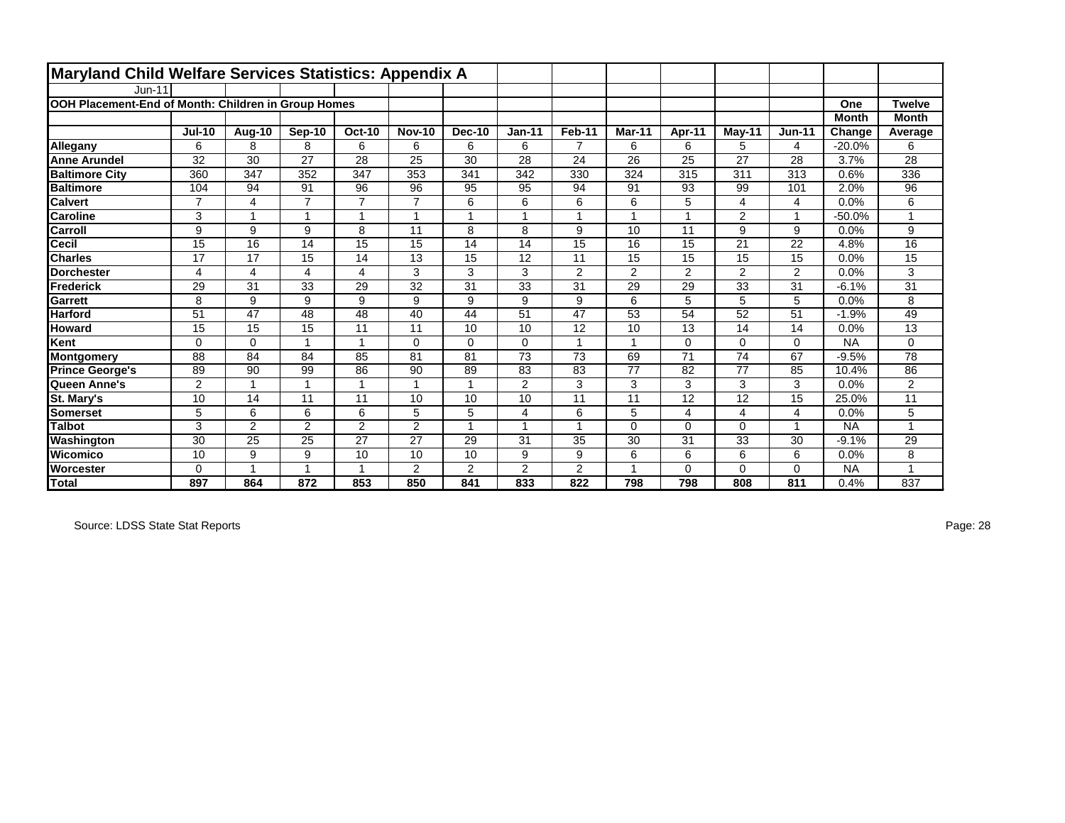| Maryland Child Welfare Services Statistics: Appendix A |                |                |                |                |                |                |                |                 |                |                |                 |                |              |                 |
|--------------------------------------------------------|----------------|----------------|----------------|----------------|----------------|----------------|----------------|-----------------|----------------|----------------|-----------------|----------------|--------------|-----------------|
| $Jun-11$                                               |                |                |                |                |                |                |                |                 |                |                |                 |                |              |                 |
| OOH Placement-End of Month: Children in Group Homes    |                |                |                |                |                |                |                |                 |                |                |                 |                | One          | <b>Twelve</b>   |
|                                                        |                |                |                |                |                |                |                |                 |                |                |                 |                | <b>Month</b> | <b>Month</b>    |
|                                                        | <b>Jul-10</b>  | Aug-10         | Sep-10         | <b>Oct-10</b>  | <b>Nov-10</b>  | <b>Dec-10</b>  | $Jan-11$       | Feb-11          | Mar-11         | Apr-11         | $May-11$        | <b>Jun-11</b>  | Change       | Average         |
| Allegany                                               | 6              | 8              | 8              | 6              | 6              | 6              | 6              | 7               | 6              | 6              | 5               | 4              | $-20.0%$     | 6               |
| <b>Anne Arundel</b>                                    | 32             | 30             | 27             | 28             | 25             | 30             | 28             | 24              | 26             | 25             | 27              | 28             | 3.7%         | 28              |
| <b>Baltimore City</b>                                  | 360            | 347            | 352            | 347            | 353            | 341            | 342            | 330             | 324            | 315            | 311             | 313            | 0.6%         | 336             |
| <b>Baltimore</b>                                       | 104            | 94             | 91             | 96             | 96             | 95             | 95             | 94              | 91             | 93             | 99              | 101            | 2.0%         | 96              |
| <b>Calvert</b>                                         | $\overline{7}$ | 4              | $\overline{7}$ | $\overline{7}$ |                | 6              | 6              | 6               | 6              | 5              | 4               | 4              | 0.0%         | 6               |
| <b>Caroline</b>                                        | 3              | $\overline{ }$ | 4              | 1              |                |                |                | $\overline{1}$  |                |                | $\overline{2}$  | $\mathbf{1}$   | $-50.0%$     |                 |
| Carroll                                                | 9              | 9              | 9              | 8              | 11             | 8              | 8              | 9               | 10             | 11             | 9               | 9              | 0.0%         | 9               |
| <b>Cecil</b>                                           | 15             | 16             | 14             | 15             | 15             | 14             | 14             | 15              | 16             | 15             | 21              | 22             | 4.8%         | 16              |
| <b>Charles</b>                                         | 17             | 17             | 15             | 14             | 13             | 15             | 12             | 11              | 15             | 15             | 15              | 15             | 0.0%         | 15              |
| <b>Dorchester</b>                                      | 4              | 4              | 4              | 4              | 3              | 3              | 3              | $\overline{2}$  | $\overline{2}$ | 2              | $\overline{2}$  | $\overline{2}$ | 0.0%         | 3               |
| Frederick                                              | 29             | 31             | 33             | 29             | 32             | 31             | 33             | 31              | 29             | 29             | 33              | 31             | $-6.1%$      | 31              |
| <b>Garrett</b>                                         | 8              | 9              | 9              | 9              | 9              | 9              | 9              | 9               | 6              | 5              | 5               | 5              | 0.0%         | 8               |
| <b>Harford</b>                                         | 51             | 47             | 48             | 48             | 40             | 44             | 51             | 47              | 53             | 54             | 52              | 51             | $-1.9%$      | 49              |
| <b>Howard</b>                                          | 15             | 15             | 15             | 11             | 11             | 10             | 10             | 12              | 10             | 13             | 14              | 14             | 0.0%         | 13              |
| Kent                                                   | $\Omega$       | $\Omega$       | 4              | $\mathbf{1}$   | $\Omega$       | $\Omega$       | $\Omega$       | 1               |                | $\Omega$       | $\Omega$        | $\mathbf 0$    | <b>NA</b>    | 0               |
| Montgomery                                             | 88             | 84             | 84             | 85             | 81             | 81             | 73             | 73              | 69             | 71             | 74              | 67             | $-9.5%$      | 78              |
| <b>Prince George's</b>                                 | 89             | 90             | 99             | 86             | 90             | 89             | 83             | 83              | 77             | 82             | 77              | 85             | 10.4%        | 86              |
| Queen Anne's                                           | $\overline{2}$ | 1              |                | 1              |                |                | $\overline{2}$ | 3               | 3              | 3              | 3               | 3              | 0.0%         | $\overline{a}$  |
| St. Mary's                                             | 10             | 14             | 11             | 11             | 10             | 10             | 10             | $\overline{11}$ | 11             | 12             | $\overline{12}$ | 15             | 25.0%        | $\overline{11}$ |
| Somerset                                               | 5              | 6              | 6              | 6              | 5              | 5              | 4              | 6               | 5              | $\overline{4}$ | 4               | $\overline{4}$ | 0.0%         | 5               |
| <b>Talbot</b>                                          | 3              | $\overline{2}$ | $\overline{2}$ | $\overline{2}$ | $\overline{2}$ | 1              |                | 1               | $\Omega$       | $\Omega$       | $\Omega$        | $\mathbf{1}$   | <b>NA</b>    |                 |
| Washington                                             | 30             | 25             | 25             | 27             | 27             | 29             | 31             | 35              | 30             | 31             | 33              | 30             | $-9.1%$      | 29              |
| Wicomico                                               | 10             | 9              | 9              | 10             | 10             | 10             | 9              | 9               | 6              | 6              | 6               | 6              | 0.0%         | 8               |
| <b>Worcester</b>                                       | $\Omega$       | 1              | 4              | $\mathbf{1}$   | $\overline{2}$ | $\overline{2}$ | $\overline{2}$ | $\overline{2}$  |                | $\Omega$       | $\Omega$        | $\mathbf 0$    | <b>NA</b>    |                 |
| <b>Total</b>                                           | 897            | 864            | 872            | 853            | 850            | 841            | 833            | 822             | 798            | 798            | 808             | 811            | 0.4%         | 837             |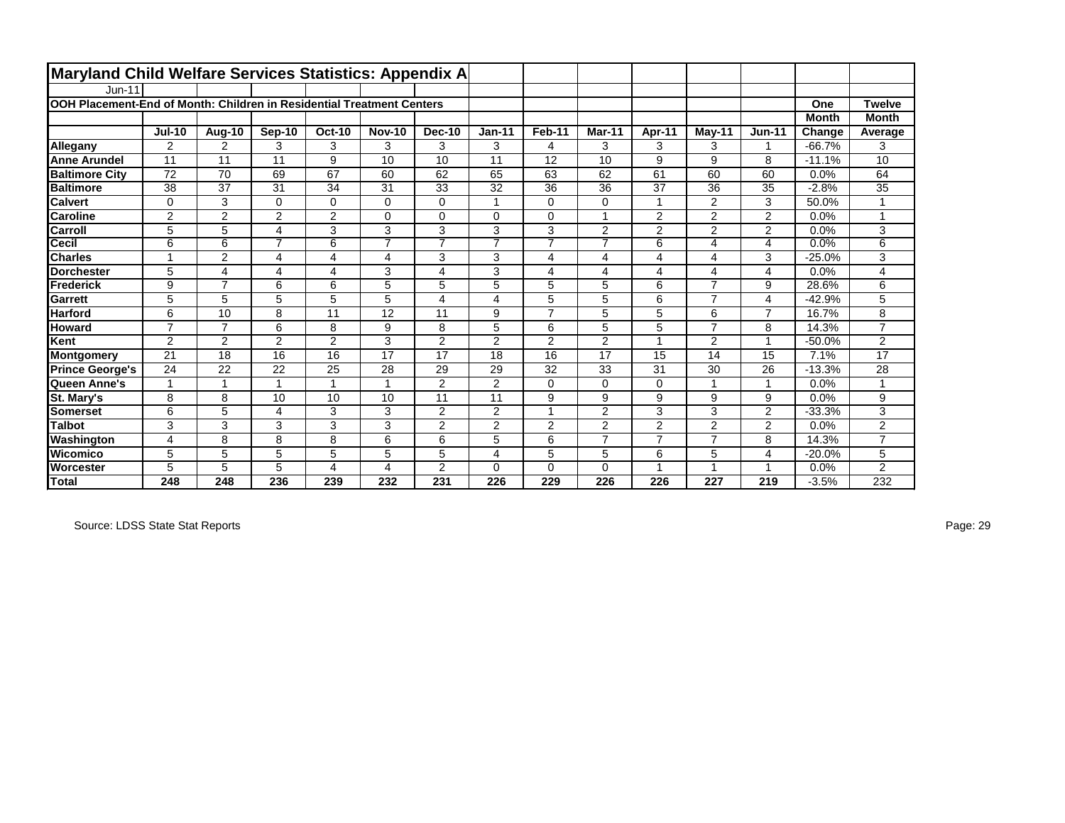| Maryland Child Welfare Services Statistics: Appendix A                |                |                         |                |                |                |                |                |                |                |                |                         |                |              |                |
|-----------------------------------------------------------------------|----------------|-------------------------|----------------|----------------|----------------|----------------|----------------|----------------|----------------|----------------|-------------------------|----------------|--------------|----------------|
| $Jun-11$                                                              |                |                         |                |                |                |                |                |                |                |                |                         |                |              |                |
| OOH Placement-End of Month: Children in Residential Treatment Centers |                |                         |                |                |                |                |                |                |                |                |                         |                | One          | <b>Twelve</b>  |
|                                                                       |                |                         |                |                |                |                |                |                |                |                |                         |                | <b>Month</b> | <b>Month</b>   |
|                                                                       | <b>Jul-10</b>  | Aug-10                  | Sep-10         | <b>Oct-10</b>  | <b>Nov-10</b>  | Dec-10         | $Jan-11$       | Feb-11         | Mar-11         | Apr-11         | $M$ ay-11               | <b>Jun-11</b>  | Change       | Average        |
| Allegany                                                              | 2              | 2                       | 3              | 3              | 3              | 3              | 3              | 4              | 3              | 3              | 3                       | 1              | $-66.7%$     | 3              |
| <b>Anne Arundel</b>                                                   | 11             | 11                      | 11             | 9              | 10             | 10             | 11             | 12             | 10             | 9              | 9                       | 8              | $-11.1%$     | 10             |
| <b>Baltimore City</b>                                                 | 72             | 70                      | 69             | 67             | 60             | 62             | 65             | 63             | 62             | 61             | 60                      | 60             | 0.0%         | 64             |
| <b>Baltimore</b>                                                      | 38             | 37                      | 31             | 34             | 31             | 33             | 32             | 36             | 36             | 37             | 36                      | 35             | $-2.8%$      | 35             |
| <b>Calvert</b>                                                        | $\mathbf 0$    | 3                       | $\Omega$       | $\mathbf 0$    | $\Omega$       | $\Omega$       | $\overline{ }$ | $\Omega$       | 0              | $\overline{ }$ | 2                       | 3              | 50.0%        |                |
| <b>Caroline</b>                                                       | 2              | $\overline{2}$          | $\overline{2}$ | 2              | $\mathbf 0$    | 0              | $\Omega$       | $\Omega$       | 1              | 2              | 2                       | $\overline{2}$ | 0.0%         | 1              |
| Carroll                                                               | 5              | 5                       | 4              | 3              | 3              | 3              | 3              | 3              | $\overline{2}$ | 2              | 2                       | $\overline{2}$ | 0.0%         | 3              |
| Cecil                                                                 | 6              | 6                       | $\overline{7}$ | 6              | $\overline{7}$ | $\overline{7}$ | 7              | $\overline{7}$ | $\overline{7}$ | 6              | 4                       | 4              | 0.0%         | 6              |
| <b>Charles</b>                                                        | 1              | 2                       | 4              | 4              | $\overline{4}$ | 3              | 3              | $\overline{4}$ | 4              | $\overline{4}$ | 4                       | 3              | $-25.0%$     | 3              |
| <b>Dorchester</b>                                                     | 5              | $\overline{\mathbf{4}}$ | 4              | 4              | 3              | 4              | 3              | $\overline{4}$ | 4              | 4              | $\overline{\mathbf{4}}$ | 4              | 0.0%         | 4              |
| <b>Frederick</b>                                                      | 9              | $\overline{7}$          | 6              | 6              | 5              | 5              | 5              | 5              | 5              | 6              | $\overline{7}$          | 9              | 28.6%        | 6              |
| Garrett                                                               | 5              | 5                       | 5              | 5              | 5              | 4              | 4              | 5              | 5              | 6              | $\overline{7}$          | 4              | $-42.9%$     | 5              |
| <b>Harford</b>                                                        | 6              | 10                      | 8              | 11             | 12             | 11             | 9              | $\overline{7}$ | 5              | 5              | 6                       | $\overline{7}$ | 16.7%        | 8              |
| Howard                                                                | $\overline{7}$ | $\overline{7}$          | 6              | 8              | 9              | 8              | 5              | 6              | 5              | 5              | $\overline{7}$          | 8              | 14.3%        | $\overline{7}$ |
| Kent                                                                  | $\overline{2}$ | $\overline{2}$          | $\overline{2}$ | $\overline{2}$ | 3              | $\overline{2}$ | $\overline{2}$ | $\overline{2}$ | $\overline{2}$ | 4              | $\overline{2}$          | 1              | $-50.0%$     | $\overline{2}$ |
| <b>Montgomery</b>                                                     | 21             | 18                      | 16             | 16             | 17             | 17             | 18             | 16             | 17             | 15             | 14                      | 15             | 7.1%         | 17             |
| <b>Prince George's</b>                                                | 24             | 22                      | 22             | 25             | 28             | 29             | 29             | 32             | 33             | 31             | 30                      | 26             | $-13.3%$     | 28             |
| Queen Anne's                                                          | 1              |                         | 1              | и              | 1              | 2              | 2              | $\Omega$       | 0              | $\mathbf 0$    |                         | 1              | 0.0%         | 1              |
| St. Mary's                                                            | 8              | 8                       | 10             | 10             | 10             | 11             | 11             | 9              | 9              | 9              | 9                       | 9              | 0.0%         | 9              |
| <b>Somerset</b>                                                       | 6              | 5                       | 4              | 3              | 3              | $\overline{2}$ | 2              |                | $\overline{2}$ | 3              | 3                       | $\overline{2}$ | $-33.3%$     | 3              |
| <b>Talbot</b>                                                         | 3              | 3                       | 3              | 3              | 3              | $\overline{2}$ | 2              | $\overline{2}$ | $\overline{2}$ | $\overline{2}$ | $\overline{2}$          | $\overline{2}$ | 0.0%         | $\overline{2}$ |
| Washington                                                            | 4              | 8                       | 8              | 8              | 6              | 6              | 5              | 6              | 7              | $\overline{7}$ | $\overline{7}$          | 8              | 14.3%        | $\overline{7}$ |
| Wicomico                                                              | 5              | 5                       | 5              | 5              | 5              | 5              | 4              | 5              | 5              | 6              | 5                       | 4              | $-20.0%$     | 5              |
| Worcester                                                             | 5              | 5                       | 5              | 4              | 4              | $\overline{2}$ | $\Omega$       | $\Omega$       | $\Omega$       | -4             | 4                       | 1              | 0.0%         | $\overline{2}$ |
| <b>Total</b>                                                          | 248            | 248                     | 236            | 239            | 232            | 231            | 226            | 229            | 226            | 226            | 227                     | 219            | $-3.5%$      | 232            |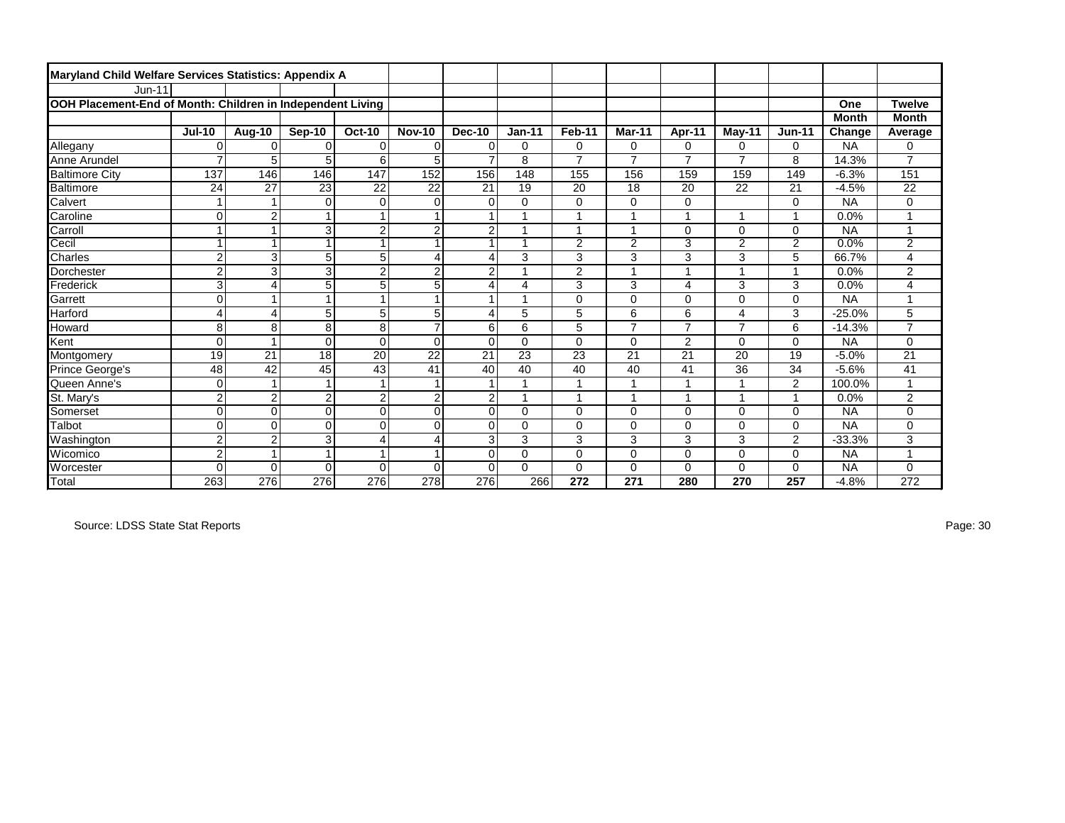| Maryland Child Welfare Services Statistics: Appendix A     |                         |                |                |                 |                |                |          |                |                |                |                |                |              |                         |
|------------------------------------------------------------|-------------------------|----------------|----------------|-----------------|----------------|----------------|----------|----------------|----------------|----------------|----------------|----------------|--------------|-------------------------|
| $Jun-11$                                                   |                         |                |                |                 |                |                |          |                |                |                |                |                |              |                         |
| OOH Placement-End of Month: Children in Independent Living |                         |                |                |                 |                |                |          |                |                |                |                |                | One          | <b>Twelve</b>           |
|                                                            |                         |                |                |                 |                |                |          |                |                |                |                |                | <b>Month</b> | <b>Month</b>            |
|                                                            | <b>Jul-10</b>           | Aug-10         | Sep-10         | <b>Oct-10</b>   | <b>Nov-10</b>  | Dec-10         | $Jan-11$ | Feb-11         | Mar-11         | Apr-11         | $M$ ay-11      | <b>Jun-11</b>  | Change       | Average                 |
| Allegany                                                   | $\Omega$                | $\Omega$       | $\Omega$       | $\Omega$        | $\Omega$       | $\mathbf 0$    | $\Omega$ | 0              | 0              | 0              | 0              | $\Omega$       | <b>NA</b>    | 0                       |
| Anne Arundel                                               | $\overline{7}$          | 5              | 5              | 6               | 5              |                | 8        | $\overline{7}$ | $\overline{7}$ | $\overline{7}$ | $\overline{7}$ | 8              | 14.3%        | $\overline{7}$          |
| <b>Baltimore City</b>                                      | 137                     | 146            | 146            | $\frac{1}{147}$ | 152            | 156            | 148      | 155            | 156            | 159            | 159            | 149            | $-6.3%$      | 151                     |
| Baltimore                                                  | 24                      | 27             | 23             | 22              | 22             | 21             | 19       | 20             | 18             | 20             | 22             | 21             | $-4.5%$      | 22                      |
| Calvert                                                    | $\mathbf{1}$            | 1              | $\mathbf 0$    | $\mathbf 0$     | $\mathbf 0$    | $\mathbf 0$    | 0        | $\mathbf 0$    | 0              | $\mathbf 0$    |                | $\mathbf 0$    | <b>NA</b>    | 0                       |
| Caroline                                                   | $\overline{0}$          | $\overline{2}$ | $\overline{ }$ | 1               | $\mathbf{1}$   |                |          | $\overline{1}$ |                | $\overline{1}$ |                | 1              | 0.0%         |                         |
| Carroll                                                    | 1                       |                | 3              | $\overline{2}$  | $\overline{2}$ | $\overline{2}$ |          | 1              |                | 0              | 0              | $\mathbf 0$    | <b>NA</b>    |                         |
| Cecil                                                      | 1                       |                |                | $\overline{1}$  |                |                |          | $\overline{2}$ | $\overline{2}$ | 3              | $\overline{2}$ | $\overline{2}$ | 0.0%         | $\overline{2}$          |
| <b>Charles</b>                                             | $\overline{\mathbf{c}}$ | 3              | 5              | 5               | $\overline{4}$ | 4              | 3        | 3              | 3              | 3              | 3              | 5              | 66.7%        | 4                       |
| Dorchester                                                 | $\overline{c}$          | 3              | 3              | $\overline{2}$  | $\overline{2}$ | $\overline{2}$ | 4        | $\overline{2}$ | A              | 1              | и              | $\overline{1}$ | 0.0%         | $\overline{a}$          |
| Frederick                                                  | 3                       | 4              | 5              | 5               | 5              | Δ              | 4        | 3              | 3              | 4              | 3              | 3              | 0.0%         | 4                       |
| Garrett                                                    | $\overline{0}$          |                |                | 1               | $\overline{1}$ |                |          | $\mathbf 0$    | 0              | $\Omega$       | 0              | $\mathbf 0$    | <b>NA</b>    |                         |
| <b>Harford</b>                                             | 4                       | 4              | 5              | 5               | 5              | Δ              | 5        | 5              | 6              | 6              | 4              | 3              | $-25.0%$     | 5                       |
| Howard                                                     | 8                       | 8              | 8              | $\overline{8}$  | $\overline{7}$ | 6              | 6        | 5              | $\overline{7}$ | $\overline{7}$ | 7              | 6              | $-14.3%$     | $\overline{7}$          |
| Kent                                                       | 0                       | $\overline{ }$ | $\mathbf 0$    | $\mathbf 0$     | $\mathbf 0$    | $\mathbf 0$    | 0        | $\mathbf 0$    | 0              | $\overline{2}$ | 0              | $\mathbf 0$    | <b>NA</b>    | 0                       |
| Montgomery                                                 | 19                      | 21             | 18             | 20              | 22             | 21             | 23       | 23             | 21             | 21             | 20             | 19             | $-5.0%$      | 21                      |
| Prince George's                                            | 48                      | 42             | 45             | 43              | 41             | 40             | 40       | 40             | 40             | 41             | 36             | 34             | $-5.6%$      | 41                      |
| Queen Anne's                                               | $\overline{0}$          |                |                | -1              |                |                |          |                |                |                |                | $\overline{2}$ | 100.0%       |                         |
| St. Mary's                                                 | $\mathbf 2$             | $\overline{2}$ | $\overline{2}$ | $\overline{2}$  | $\overline{2}$ | $\overline{2}$ |          | $\overline{1}$ |                | $\overline{ }$ |                | $\overline{1}$ | 0.0%         | $\overline{\mathbf{c}}$ |
| Somerset                                                   | $\Omega$                | $\Omega$       | $\Omega$       | $\Omega$        | $\Omega$       | $\Omega$       | $\Omega$ | $\Omega$       | 0              | $\Omega$       | 0              | $\Omega$       | <b>NA</b>    | 0                       |
| Talbot                                                     | $\overline{0}$          | $\Omega$       | $\Omega$       | $\mathbf 0$     | $\mathbf 0$    | $\Omega$       | 0        | $\mathbf 0$    | 0              | $\Omega$       | 0              | $\mathbf 0$    | <b>NA</b>    | 0                       |
| Washington                                                 | $\overline{\mathbf{c}}$ | $\overline{2}$ | 3              | $\overline{4}$  | $\overline{4}$ | 3              | 3        | 3              | 3              | 3              | 3              | $\overline{2}$ | $-33.3%$     | 3                       |
| <b>Wicomico</b>                                            | $\overline{2}$          | 1              |                |                 |                | $\mathbf 0$    | 0        | $\mathbf 0$    | 0              | 0              | 0              | $\mathbf 0$    | <b>NA</b>    |                         |
| Worcester                                                  | $\Omega$                | $\mathbf 0$    | $\Omega$       | $\Omega$        | $\Omega$       | $\Omega$       | $\Omega$ | $\Omega$       | 0              | $\Omega$       | 0              | $\Omega$       | <b>NA</b>    | 0                       |
| Total                                                      | 263                     | 276            | 276            | 276             | 278            | 276            | 266      | 272            | 271            | 280            | 270            | 257            | $-4.8%$      | 272                     |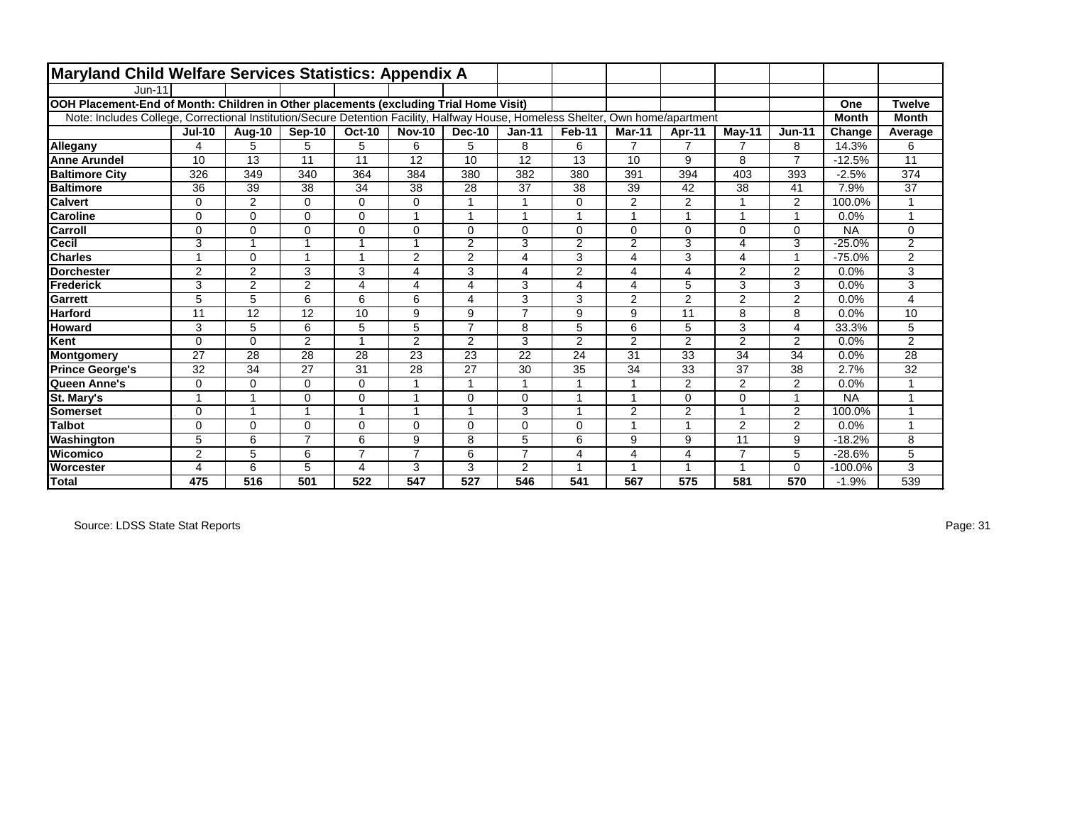| Maryland Child Welfare Services Statistics: Appendix A                                                                          |                |                |                |                |                         |                |                |                |                |                         |                |                |              |                |
|---------------------------------------------------------------------------------------------------------------------------------|----------------|----------------|----------------|----------------|-------------------------|----------------|----------------|----------------|----------------|-------------------------|----------------|----------------|--------------|----------------|
| $Jun-11$                                                                                                                        |                |                |                |                |                         |                |                |                |                |                         |                |                |              |                |
| OOH Placement-End of Month: Children in Other placements (excluding Trial Home Visit)                                           |                |                |                |                |                         |                |                |                |                |                         |                |                | One          | <b>Twelve</b>  |
| Note: Includes College, Correctional Institution/Secure Detention Facility, Halfway House, Homeless Shelter, Own home/apartment |                |                |                |                |                         |                |                |                |                |                         |                |                | <b>Month</b> | <b>Month</b>   |
|                                                                                                                                 | <b>Jul-10</b>  | Aug-10         | Sep-10         | <b>Oct-10</b>  | <b>Nov-10</b>           | Dec-10         | $Jan-11$       | Feb-11         | Mar-11         | Apr-11                  | May-11         | <b>Jun-11</b>  | Change       | Average        |
| Allegany                                                                                                                        | 4              | 5              | 5              | 5              | 6                       | 5              | 8              | 6              | $\overline{7}$ | $\overline{7}$          | $\overline{7}$ | 8              | 14.3%        | 6              |
| <b>Anne Arundel</b>                                                                                                             | 10             | 13             | 11             | 11             | 12                      | 10             | 12             | 13             | 10             | 9                       | 8              | $\overline{7}$ | $-12.5%$     | 11             |
| <b>Baltimore City</b>                                                                                                           | 326            | 349            | 340            | 364            | 384                     | 380            | 382            | 380            | 391            | 394                     | 403            | 393            | $-2.5%$      | 374            |
| <b>Baltimore</b>                                                                                                                | 36             | 39             | 38             | 34             | 38                      | 28             | 37             | 38             | 39             | 42                      | 38             | 41             | 7.9%         | 37             |
| <b>Calvert</b>                                                                                                                  | 0              | 2              | $\Omega$       | $\mathbf 0$    | $\Omega$                |                |                | $\mathbf 0$    | 2              | 2                       |                | 2              | 100.0%       |                |
| <b>Caroline</b>                                                                                                                 | $\Omega$       | $\Omega$       | $\Omega$       | $\mathbf 0$    |                         |                |                | $\mathbf{1}$   |                |                         |                | $\overline{1}$ | 0.0%         |                |
| Carroll                                                                                                                         | $\mathbf 0$    | $\Omega$       | $\Omega$       | $\mathbf 0$    | $\Omega$                | $\Omega$       | $\Omega$       | 0              | $\Omega$       | $\Omega$                | $\Omega$       | $\mathbf 0$    | <b>NA</b>    | $\mathbf 0$    |
| <b>Cecil</b>                                                                                                                    | 3              | 1              |                | 1              | -1                      | 2              | 3              | $\overline{2}$ | $\overline{2}$ | 3                       | 4              | 3              | $-25.0%$     | $\overline{2}$ |
| <b>Charles</b>                                                                                                                  |                | $\Omega$       |                | $\overline{ }$ | $\overline{2}$          | $\overline{2}$ | 4              | 3              | 4              | 3                       | 4              | -1             | $-75.0%$     | $\overline{2}$ |
| <b>Dorchester</b>                                                                                                               | 2              | $\overline{2}$ | 3              | 3              | $\overline{\mathbf{4}}$ | 3              | 4              | $\overline{2}$ | 4              | $\overline{\mathbf{4}}$ | 2              | $\overline{2}$ | 0.0%         | 3              |
| Frederick                                                                                                                       | 3              | $\overline{2}$ | $\overline{2}$ | 4              | 4                       | 4              | 3              | 4              | 4              | 5                       | 3              | 3              | 0.0%         | 3              |
| <b>Garrett</b>                                                                                                                  | 5              | 5              | 6              | 6              | 6                       | 4              | 3              | 3              | 2              | $\overline{2}$          | 2              | $\overline{2}$ | 0.0%         | 4              |
| <b>Harford</b>                                                                                                                  | 11             | 12             | 12             | 10             | 9                       | 9              | $\overline{7}$ | 9              | 9              | 11                      | 8              | 8              | 0.0%         | 10             |
| <b>Howard</b>                                                                                                                   | 3              | 5              | 6              | 5              | 5                       | $\overline{7}$ | 8              | 5              | 6              | 5                       | 3              | $\overline{4}$ | 33.3%        | 5              |
| Kent                                                                                                                            | 0              | $\Omega$       | 2              | 1              | $\overline{2}$          | $\overline{2}$ | 3              | $\overline{2}$ | 2              | 2                       | $\overline{2}$ | $\overline{2}$ | 0.0%         | $\overline{2}$ |
| <b>Montgomery</b>                                                                                                               | 27             | 28             | 28             | 28             | 23                      | 23             | 22             | 24             | 31             | 33                      | 34             | 34             | 0.0%         | 28             |
| <b>Prince George's</b>                                                                                                          | 32             | 34             | 27             | 31             | 28                      | 27             | 30             | 35             | 34             | 33                      | 37             | 38             | 2.7%         | 32             |
| Queen Anne's                                                                                                                    | $\mathbf 0$    | $\Omega$       | $\Omega$       | $\mathbf 0$    |                         |                |                | 1              |                | 2                       | $\overline{2}$ | $\overline{2}$ | 0.0%         |                |
| <b>St. Mary's</b>                                                                                                               | и              | 1              | $\Omega$       | $\mathbf 0$    |                         | $\Omega$       | $\Omega$       | $\overline{ }$ |                | $\Omega$                | $\Omega$       | 1              | <b>NA</b>    |                |
| Somerset                                                                                                                        | $\Omega$       | 1              |                | 1              |                         |                | 3              | $\mathbf 1$    | $\overline{2}$ | $\overline{2}$          |                | $\overline{2}$ | 100.0%       |                |
| <b>Talbot</b>                                                                                                                   | $\Omega$       | $\Omega$       | $\Omega$       | $\mathbf 0$    | $\Omega$                | $\Omega$       | $\Omega$       | 0              |                | $\overline{ }$          | $\overline{2}$ | $\overline{2}$ | 0.0%         | 4              |
| Washington                                                                                                                      | 5              | 6              | $\overline{7}$ | 6              | 9                       | 8              | 5              | 6              | 9              | 9                       | 11             | 9              | $-18.2%$     | 8              |
| Wicomico                                                                                                                        | $\overline{2}$ | 5              | 6              | $\overline{7}$ | $\overline{7}$          | 6              | $\overline{7}$ | $\overline{4}$ | 4              | $\overline{4}$          | $\overline{7}$ | 5              | $-28.6%$     | 5              |
| <b>Worcester</b>                                                                                                                | 4              | 6              | 5              | 4              | 3                       | 3              | $\overline{2}$ | $\overline{1}$ |                |                         |                | $\Omega$       | $-100.0%$    | 3              |
| <b>Total</b>                                                                                                                    | 475            | 516            | 501            | 522            | 547                     | 527            | 546            | 541            | 567            | 575                     | 581            | 570            | $-1.9%$      | 539            |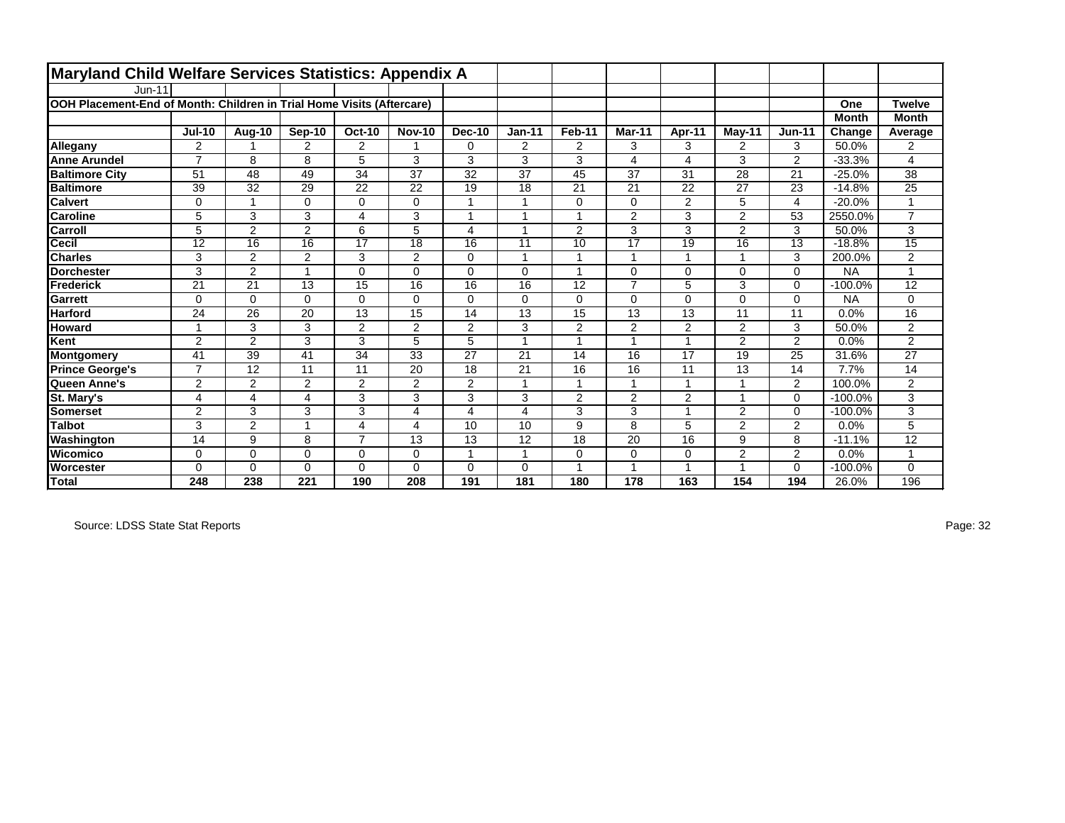| Maryland Child Welfare Services Statistics: Appendix A                |                         |                 |                 |                 |                 |                 |                 |                 |                 |                 |                |                 |              |                 |
|-----------------------------------------------------------------------|-------------------------|-----------------|-----------------|-----------------|-----------------|-----------------|-----------------|-----------------|-----------------|-----------------|----------------|-----------------|--------------|-----------------|
| $Jun-11$                                                              |                         |                 |                 |                 |                 |                 |                 |                 |                 |                 |                |                 |              |                 |
| OOH Placement-End of Month: Children in Trial Home Visits (Aftercare) |                         |                 |                 |                 |                 |                 |                 |                 |                 |                 |                |                 | One          | <b>Twelve</b>   |
|                                                                       |                         |                 |                 |                 |                 |                 |                 |                 |                 |                 |                |                 | <b>Month</b> | <b>Month</b>    |
|                                                                       | <b>Jul-10</b>           | Aug-10          | Sep-10          | <b>Oct-10</b>   | <b>Nov-10</b>   | <b>Dec-10</b>   | $Jan-11$        | Feb-11          | Mar-11          | Apr-11          | $M$ ay-11      | $Jun-11$        | Change       | Average         |
| Allegany                                                              | 2                       | 1               | 2               | $\overline{2}$  |                 | $\Omega$        | $\overline{2}$  | 2               | 3               | 3               | 2              | 3               | 50.0%        | $\overline{2}$  |
| <b>Anne Arundel</b>                                                   | $\overline{7}$          | 8               | 8               | 5               | 3               | 3               | 3               | 3               | 4               | $\overline{4}$  | 3              | $\overline{2}$  | $-33.3%$     | 4               |
| <b>Baltimore City</b>                                                 | 51                      | 48              | 49              | 34              | 37              | 32              | 37              | 45              | 37              | 31              | 28             | 21              | $-25.0%$     | 38              |
| <b>Baltimore</b>                                                      | 39                      | 32              | 29              | 22              | 22              | 19              | 18              | 21              | 21              | 22              | 27             | 23              | $-14.8%$     | 25              |
| <b>Calvert</b>                                                        | $\mathbf 0$             | $\mathbf{1}$    | 0               | $\mathbf 0$     | 0               | $\overline{1}$  | 1               | $\mathbf 0$     | 0               | 2               | 5              | $\overline{4}$  | $-20.0%$     | $\overline{ }$  |
| <b>Caroline</b>                                                       | 5                       | 3               | 3               | 4               | 3               | 1               | 1               | $\overline{ }$  | $\overline{2}$  | 3               | 2              | 53              | 2550.0%      | $\overline{7}$  |
| Carroll                                                               | 5                       | $\overline{2}$  | $\overline{2}$  | 6               | 5               | 4               | 1               | 2               | 3               | 3               | 2              | 3               | 50.0%        | 3               |
| Cecil                                                                 | $\overline{12}$         | $\overline{16}$ | $\overline{16}$ | $\overline{17}$ | $\overline{18}$ | $\overline{16}$ | $\overline{11}$ | $\overline{10}$ | $\overline{17}$ | $\overline{19}$ | 16             | $\overline{13}$ | $-18.8%$     | $\overline{15}$ |
| <b>Charles</b>                                                        | 3                       | 2               | 2               | 3               | 2               | $\Omega$        |                 | -1              |                 | 1               |                | 3               | 200.0%       | 2               |
| <b>Dorchester</b>                                                     | 3                       | 2               | 1               | 0               | $\Omega$        | $\Omega$        | $\Omega$        | $\overline{ }$  | $\Omega$        | $\Omega$        | $\Omega$       | $\mathbf 0$     | <b>NA</b>    | $\overline{ }$  |
| Frederick                                                             | 21                      | 21              | 13              | 15              | 16              | 16              | 16              | 12              | $\overline{7}$  | 5               | 3              | $\Omega$        | $-100.0%$    | 12              |
| <b>Garrett</b>                                                        | $\mathbf 0$             | $\Omega$        | $\Omega$        | $\mathbf 0$     | $\Omega$        | $\Omega$        | $\Omega$        | 0               | $\Omega$        | $\Omega$        | 0              | $\mathbf 0$     | <b>NA</b>    | 0               |
| <b>Harford</b>                                                        | 24                      | 26              | 20              | 13              | 15              | 14              | 13              | 15              | 13              | 13              | 11             | 11              | 0.0%         | 16              |
| <b>Howard</b>                                                         | $\overline{\mathbf{1}}$ | 3               | 3               | $\overline{c}$  | 2               | $\overline{2}$  | 3               | $\mathbf{2}$    | $\overline{2}$  | 2               | 2              | 3               | 50.0%        | $\overline{2}$  |
| Kent                                                                  | $\overline{2}$          | $\overline{2}$  | 3               | 3               | 5               | 5               | $\overline{ }$  | $\overline{A}$  |                 | $\overline{ }$  | 2              | 2               | 0.0%         | $\overline{2}$  |
| Montgomery                                                            | 41                      | 39              | 41              | 34              | 33              | 27              | 21              | 14              | 16              | 17              | 19             | 25              | 31.6%        | 27              |
| <b>Prince George's</b>                                                | $\overline{7}$          | 12              | 11              | 11              | 20              | 18              | 21              | 16              | 16              | 11              | 13             | 14              | 7.7%         | 14              |
| Queen Anne's                                                          | $\overline{2}$          | 2               | $\overline{2}$  | $\overline{c}$  | $\overline{2}$  | $\overline{2}$  |                 |                 |                 | 1               |                | 2               | 100.0%       | $\overline{c}$  |
| St. Mary's                                                            | 4                       | 4               | 4               | 3               | 3               | 3               | 3               | 2               | $\overline{2}$  | $\overline{2}$  |                | $\mathbf 0$     | $-100.0%$    | 3               |
| Somerset                                                              | $\overline{2}$          | 3               | 3               | 3               | 4               | 4               | 4               | 3               | 3               | 1               | 2              | $\Omega$        | $-100.0%$    | 3               |
| <b>Talbot</b>                                                         | 3                       | $\overline{2}$  | 4               | 4               | 4               | 10              | 10              | 9               | 8               | 5               | 2              | $\overline{2}$  | 0.0%         | 5               |
| Washington                                                            | 14                      | 9               | 8               | $\overline{7}$  | 13              | 13              | 12              | 18              | 20              | 16              | 9              | 8               | $-11.1%$     | 12              |
| Wicomico                                                              | 0                       | 0               | $\Omega$        | 0               | $\Omega$        | 1               | 1               | $\mathbf 0$     | 0               | $\mathbf 0$     | $\overline{2}$ | 2               | 0.0%         | $\overline{ }$  |
| <b>Worcester</b>                                                      | $\Omega$                | 0               | $\Omega$        | $\Omega$        | $\Omega$        | $\Omega$        | $\Omega$        |                 |                 | $\overline{A}$  |                | $\Omega$        | $-100.0%$    | $\Omega$        |
| Total                                                                 | 248                     | 238             | 221             | 190             | 208             | 191             | 181             | 180             | 178             | 163             | 154            | 194             | 26.0%        | 196             |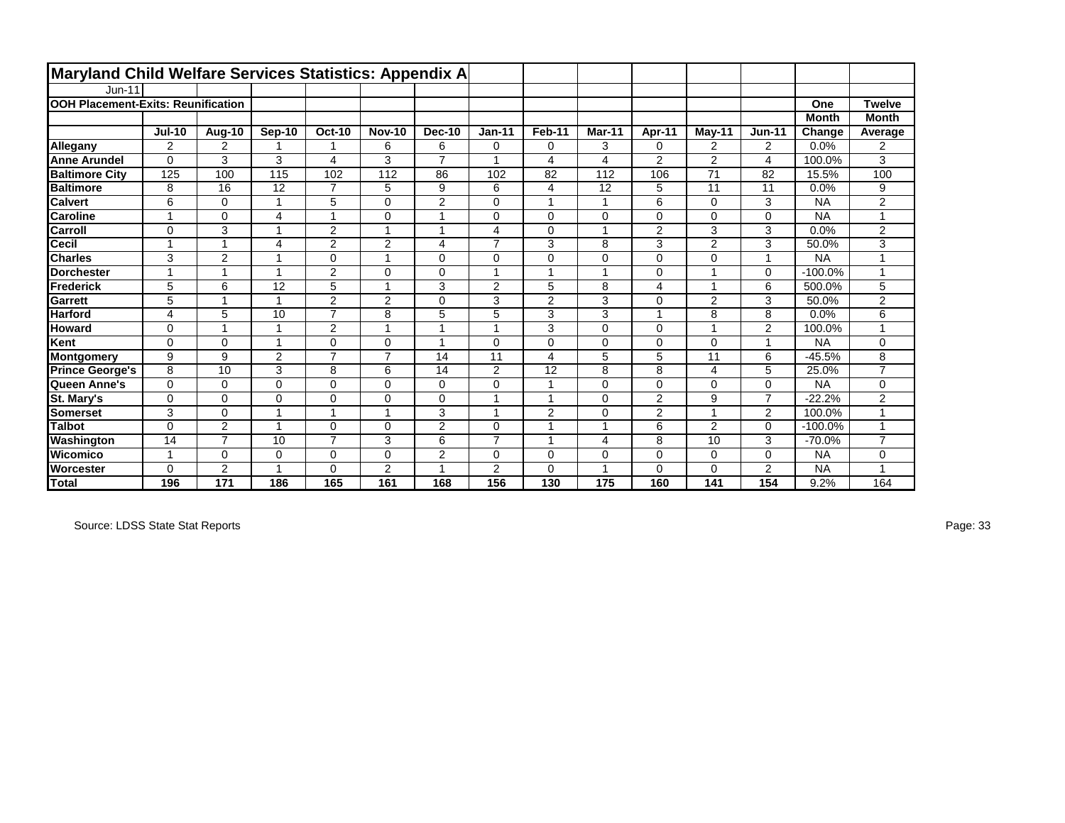| Maryland Child Welfare Services Statistics: Appendix A |                |                |                |                |                         |                |                         |                         |        |                |                |                |              |                |
|--------------------------------------------------------|----------------|----------------|----------------|----------------|-------------------------|----------------|-------------------------|-------------------------|--------|----------------|----------------|----------------|--------------|----------------|
| <b>Jun-11</b>                                          |                |                |                |                |                         |                |                         |                         |        |                |                |                |              |                |
| <b>OOH Placement-Exits: Reunification</b>              |                |                |                |                |                         |                |                         |                         |        |                |                |                | One          | <b>Twelve</b>  |
|                                                        |                |                |                |                |                         |                |                         |                         |        |                |                |                | <b>Month</b> | <b>Month</b>   |
|                                                        | <b>Jul-10</b>  | Aug-10         | Sep-10         | <b>Oct-10</b>  | <b>Nov-10</b>           | <b>Dec-10</b>  | $Jan-11$                | Feb-11                  | Mar-11 | Apr-11         | May-11         | <b>Jun-11</b>  | Change       | Average        |
| Allegany                                               | 2              | 2              |                |                | 6                       | 6              | $\mathbf 0$             | 0                       | 3      | $\mathbf 0$    | 2              | $\overline{2}$ | 0.0%         | 2              |
| <b>Anne Arundel</b>                                    | $\Omega$       | 3              | 3              | 4              | 3                       | $\overline{7}$ | $\overline{\mathbf{A}}$ | $\overline{\mathbf{4}}$ | 4      | $\overline{2}$ | $\overline{2}$ | 4              | 100.0%       | 3              |
| <b>Baltimore City</b>                                  | 125            | 100            | 115            | 102            | 112                     | 86             | 102                     | 82                      | 112    | 106            | 71             | 82             | 15.5%        | 100            |
| <b>Baltimore</b>                                       | 8              | 16             | 12             | $\overline{7}$ | 5                       | 9              | 6                       | 4                       | 12     | 5              | 11             | 11             | 0.0%         | 9              |
| <b>Calvert</b>                                         | 6              | $\Omega$       | 1              | 5              | $\Omega$                | 2              | $\mathbf 0$             | $\overline{ }$          | 1      | 6              | $\Omega$       | 3              | <b>NA</b>    | $\overline{2}$ |
| <b>Caroline</b>                                        | $\overline{1}$ | $\Omega$       | 4              | -1             | $\Omega$                | 1              | $\mathbf 0$             | $\Omega$                | 0      | $\Omega$       | $\Omega$       | 0              | <b>NA</b>    | $\overline{ }$ |
| <b>Carroll</b>                                         | $\Omega$       | 3              |                | $\overline{2}$ | $\overline{ }$          | 1              | $\overline{4}$          | $\Omega$                | 1      | 2              | 3              | 3              | 0.0%         | 2              |
| Cecil                                                  | $\overline{ }$ | 1              | 4              | 2              | $\overline{2}$          | 4              | $\overline{7}$          | 3                       | 8      | 3              | $\overline{2}$ | 3              | 50.0%        | 3              |
| <b>Charles</b>                                         | 3              | $\overline{2}$ |                | $\mathbf 0$    | $\overline{\mathbf{A}}$ | 0              | $\mathbf 0$             | $\Omega$                | 0      | $\Omega$       | $\Omega$       | 1              | <b>NA</b>    |                |
| <b>IDorchester</b>                                     | $\overline{1}$ | $\overline{1}$ | 1              | $\overline{2}$ | $\Omega$                | $\mathbf 0$    | 1                       | $\overline{A}$          | 1      | $\mathbf 0$    |                | 0              | $-100.0%$    | 1              |
| Frederick                                              | 5              | 6              | 12             | 5              | $\overline{A}$          | 3              | $\overline{2}$          | 5                       | 8      | $\overline{4}$ |                | 6              | 500.0%       | 5              |
| Garrett                                                | 5              | $\overline{1}$ | 1              | 2              | 2                       | 0              | 3                       | $\overline{2}$          | 3      | $\mathbf 0$    | 2              | 3              | 50.0%        | $\overline{2}$ |
| <b>Harford</b>                                         | 4              | 5              | 10             | $\overline{7}$ | 8                       | 5              | 5                       | 3                       | 3      |                | 8              | 8              | 0.0%         | 6              |
| <b>Howard</b>                                          | $\mathbf 0$    | 1              | 1              | 2              | $\overline{ }$          | 1              | -1                      | 3                       | 0      | $\mathbf 0$    |                | $\overline{2}$ | 100.0%       | 4              |
| Kent                                                   | $\Omega$       | $\Omega$       | 1              | $\mathbf 0$    | $\Omega$                | 1              | $\mathbf 0$             | 0                       | 0      | $\mathbf 0$    | $\Omega$       | 1              | <b>NA</b>    | 0              |
| Montgomery                                             | 9              | 9              | $\overline{2}$ | $\overline{7}$ | $\overline{7}$          | 14             | 11                      | 4                       | 5      | 5              | 11             | 6              | $-45.5%$     | 8              |
| <b>Prince George's</b>                                 | 8              | 10             | 3              | 8              | 6                       | 14             | 2                       | 12                      | 8      | 8              | 4              | 5              | 25.0%        | $\overline{7}$ |
| Queen Anne's                                           | $\mathbf 0$    | 0              | $\mathbf 0$    | $\mathbf 0$    | $\Omega$                | 0              | $\mathbf 0$             |                         | 0      | $\mathbf 0$    | 0              | 0              | <b>NA</b>    | 0              |
| St. Mary's                                             | $\mathbf 0$    | $\Omega$       | $\mathbf 0$    | $\Omega$       | $\Omega$                | 0              | $\overline{1}$          | $\overline{ }$          | 0      | 2              | 9              | $\overline{7}$ | $-22.2%$     | $\overline{2}$ |
| Somerset                                               | 3              | $\Omega$       |                |                |                         | 3              | -1                      | $\overline{2}$          | 0      | 2              |                | $\overline{2}$ | 100.0%       |                |
| <b>Talbot</b>                                          | $\Omega$       | 2              | 1              | $\Omega$       | $\Omega$                | 2              | $\mathbf 0$             |                         | 1      | 6              | 2              | 0              | $-100.0%$    | 1              |
| Washington                                             | 14             | $\overline{7}$ | 10             | $\overline{7}$ | 3                       | 6              | $\overline{7}$          | $\overline{ }$          | 4      | 8              | 10             | 3              | $-70.0%$     | $\overline{7}$ |
| Wicomico                                               | 4              | $\Omega$       | $\Omega$       | $\mathbf 0$    | $\Omega$                | $\overline{2}$ | $\mathbf 0$             | $\Omega$                | 0      | $\Omega$       | $\Omega$       | 0              | <b>NA</b>    | $\Omega$       |
| Worcester                                              | $\Omega$       | $\overline{2}$ | 1              | $\Omega$       | 2                       | 1              | 2                       | $\Omega$                | 1      | $\Omega$       | $\Omega$       | 2              | <b>NA</b>    |                |
| <b>Total</b>                                           | 196            | 171            | 186            | 165            | 161                     | 168            | 156                     | 130                     | 175    | 160            | 141            | 154            | 9.2%         | 164            |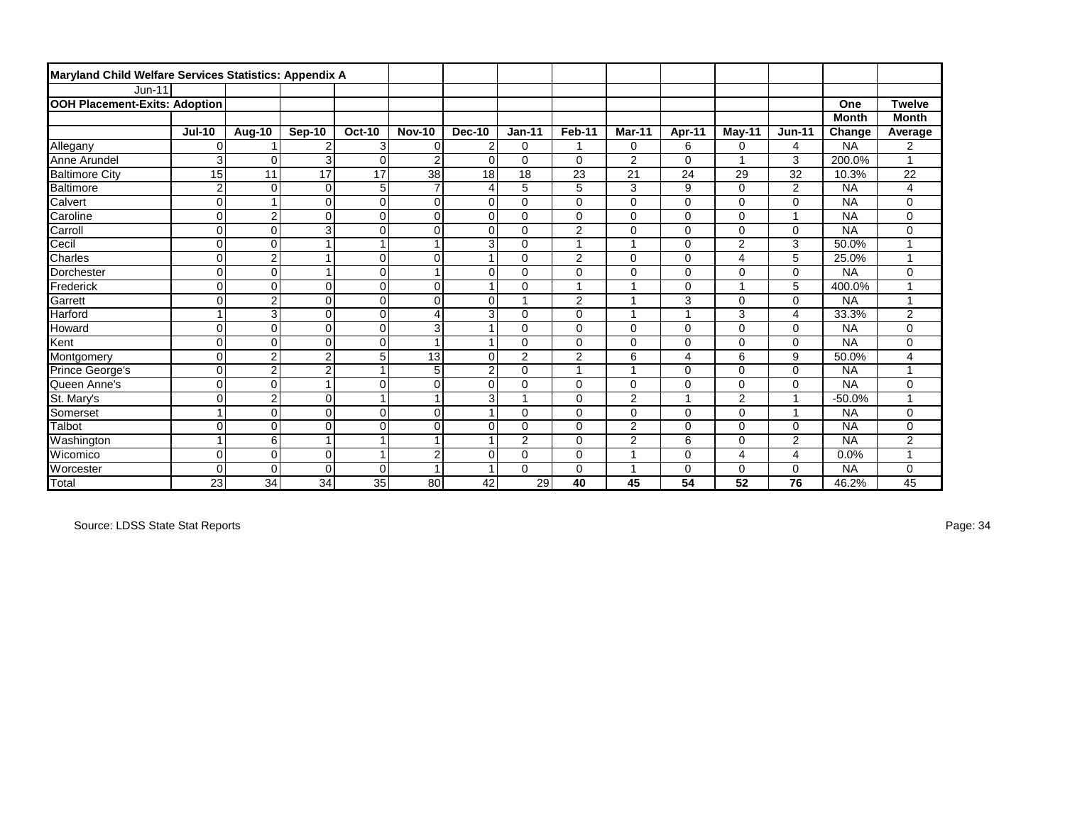| Maryland Child Welfare Services Statistics: Appendix A |                 |                      |                 |                |                 |                |                |                |                |          |                |                |              |                |
|--------------------------------------------------------|-----------------|----------------------|-----------------|----------------|-----------------|----------------|----------------|----------------|----------------|----------|----------------|----------------|--------------|----------------|
| $Jun-11$                                               |                 |                      |                 |                |                 |                |                |                |                |          |                |                |              |                |
| <b>OOH Placement-Exits: Adoption</b>                   |                 |                      |                 |                |                 |                |                |                |                |          |                |                | One          | <b>Twelve</b>  |
|                                                        |                 |                      |                 |                |                 |                |                |                |                |          |                |                | <b>Month</b> | <b>Month</b>   |
|                                                        | <b>Jul-10</b>   | Aug-10               | Sep-10          | <b>Oct-10</b>  | <b>Nov-10</b>   | <b>Dec-10</b>  | $Jan-11$       | Feb-11         | <b>Mar-11</b>  | Apr-11   | May-11         | <b>Jun-11</b>  | Change       | Average        |
| Allegany                                               | $\mathbf 0$     |                      | $\overline{2}$  | 3              | $\mathbf 0$     | $\overline{2}$ | 0              | 1              | 0              | 6        | 0              | 4              | <b>NA</b>    | 2              |
| Anne Arundel                                           | 3               | $\Omega$             | 3               | $\mathbf 0$    | $\overline{2}$  | $\overline{0}$ | 0              | $\mathbf 0$    | $\overline{2}$ | $\Omega$ |                | 3              | 200.0%       |                |
| <b>Baltimore City</b>                                  | 15              | 11                   | $\overline{17}$ | 17             | $\overline{38}$ | 18             | 18             | 23             | 21             | 24       | 29             | 32             | 10.3%        | 22             |
| Baltimore                                              | $\overline{c}$  | $\Omega$             | $\Omega$        | 5              | $\overline{7}$  | 4              | 5              | 5              | 3              | 9        | $\Omega$       | 2              | <b>NA</b>    | 4              |
| Calvert                                                | $\overline{0}$  | $\blacktriangleleft$ | $\Omega$        | $\mathbf 0$    | $\mathbf 0$     | $\mathbf 0$    | $\mathbf 0$    | $\mathbf 0$    | $\Omega$       | $\Omega$ | $\mathbf 0$    | $\mathbf 0$    | <b>NA</b>    | 0              |
| Caroline                                               | 0               | $\overline{2}$       | $\mathbf 0$     | $\mathbf 0$    | $\mathbf 0$     | $\mathbf 0$    | 0              | $\mathbf 0$    | $\Omega$       | $\Omega$ | 0              | $\overline{1}$ | <b>NA</b>    | 0              |
| Carroll                                                | $\mathsf 0$     | $\mathbf 0$          | 3               | $\overline{0}$ | $\mathbf 0$     | $\Omega$       | 0              | 2              | $\Omega$       | $\Omega$ | $\Omega$       | $\mathbf 0$    | <b>NA</b>    | 0              |
| Cecil                                                  | $\mathbf 0$     | 0                    | 1               | $\overline{1}$ | $\overline{1}$  | 3              | 0              | 1              |                | $\Omega$ | $\overline{2}$ | 3              | 50.0%        |                |
| Charles                                                | $\mathsf 0$     | $\overline{c}$       | 1               | $\overline{0}$ | $\mathbf 0$     |                | 0              | $\overline{2}$ | $\Omega$       | $\Omega$ | 4              | 5              | 25.0%        |                |
| Dorchester                                             | $\overline{0}$  | $\Omega$             | 1               | $\mathbf 0$    | $\overline{1}$  | $\Omega$       | 0              | $\mathbf 0$    | 0              | $\Omega$ | 0              | $\mathbf 0$    | <b>NA</b>    | 0              |
| Frederick                                              | $\overline{0}$  | $\Omega$             | $\overline{0}$  | $\mathbf 0$    | $\mathbf 0$     |                | 0              | 1              |                | 0        |                | 5              | 400.0%       |                |
| Garrett                                                | $\overline{0}$  | $\overline{2}$       | $\Omega$        | $\mathbf 0$    | $\mathbf 0$     | $\Omega$       |                | 2              |                | 3        | 0              | $\mathbf 0$    | <b>NA</b>    | $\overline{ }$ |
| Harford                                                | $\mathbf 1$     | 3                    | $\Omega$        | $\mathbf 0$    | $\overline{4}$  | 3              | 0              | $\mathbf 0$    | и              | ٠        | 3              | 4              | 33.3%        | $\overline{2}$ |
| Howard                                                 | $\mathbf 0$     | $\Omega$             | $\Omega$        | $\overline{0}$ | 3               |                | 0              | $\mathbf 0$    | 0              | 0        | 0              | $\mathbf 0$    | <b>NA</b>    | 0              |
| Kent                                                   | 0               | $\Omega$             | $\Omega$        | $\overline{0}$ | $\overline{ }$  |                | 0              | $\mathbf 0$    | $\Omega$       | 0        | 0              | $\mathbf 0$    | <b>NA</b>    | 0              |
| Montgomery                                             | 0               | $\overline{2}$       | $\overline{2}$  | 5              | 13              | $\Omega$       | $\overline{2}$ | 2              | 6              | 4        | 6              | 9              | 50.0%        | 4              |
| Prince George's                                        | $\mathsf 0$     | $\overline{2}$       | $\overline{c}$  |                | 5               | $\overline{2}$ | 0              | $\overline{1}$ |                | $\Omega$ | 0              | $\mathbf 0$    | <b>NA</b>    |                |
| Queen Anne's                                           | 0               | 0                    | $\overline{1}$  | $\mathbf 0$    | $\mathbf 0$     | $\mathbf 0$    | 0              | $\mathbf 0$    | 0              | 0        | 0              | $\mathbf 0$    | <b>NA</b>    | 0              |
| St. Mary's                                             | $\mathbf 0$     | $\overline{2}$       | $\Omega$        | 1              | $\overline{1}$  | 3              |                | $\Omega$       | $\overline{2}$ | и        | $\overline{2}$ | $\overline{1}$ | $-50.0%$     |                |
| Somerset                                               | $\overline{1}$  | $\Omega$             | $\Omega$        | $\mathbf 0$    | $\mathbf 0$     |                | 0              | $\mathbf 0$    | $\Omega$       | $\Omega$ | 0              | 1              | <b>NA</b>    | 0              |
| Talbot                                                 | $\mathbf 0$     | $\Omega$             | $\Omega$        | $\mathbf 0$    | $\mathbf 0$     | $\Omega$       | 0              | $\mathbf 0$    | $\overline{2}$ | $\Omega$ | 0              | $\mathbf 0$    | <b>NA</b>    | 0              |
| Washington                                             | $\overline{1}$  | 6                    |                 |                | 1               |                | $\overline{c}$ | $\mathbf 0$    | $\overline{2}$ | 6        | 0              | $\overline{2}$ | <b>NA</b>    | $\overline{c}$ |
| Wicomico                                               | $\mathbf 0$     | $\Omega$             | $\Omega$        | $\overline{1}$ | $\overline{2}$  | $\Omega$       | $\Omega$       | $\mathbf 0$    |                | $\Omega$ | 4              | $\overline{4}$ | 0.0%         |                |
| Worcester                                              | $\mathbf 0$     | $\Omega$             | $\Omega$        | $\Omega$       | $\overline{ }$  |                | $\Omega$       | $\mathbf 0$    |                | $\Omega$ | 0              | 0              | <b>NA</b>    | 0              |
| <b>Total</b>                                           | $\overline{23}$ | 34                   | 34              | 35             | 80              | 42             | 29             | 40             | 45             | 54       | 52             | 76             | 46.2%        | 45             |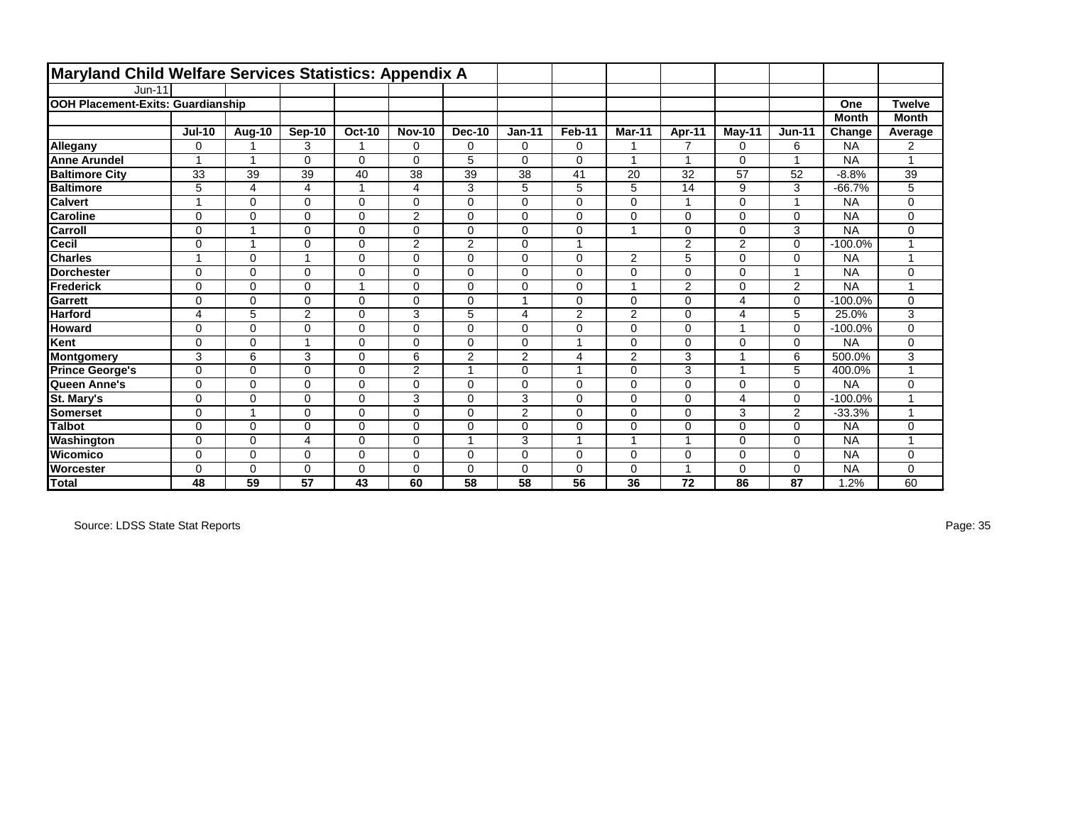| Maryland Child Welfare Services Statistics: Appendix A |               |             |                |             |                |                |                |             |                |                         |                |                |              |                |
|--------------------------------------------------------|---------------|-------------|----------------|-------------|----------------|----------------|----------------|-------------|----------------|-------------------------|----------------|----------------|--------------|----------------|
| $Jun-11$                                               |               |             |                |             |                |                |                |             |                |                         |                |                |              |                |
| <b>OOH Placement-Exits: Guardianship</b>               |               |             |                |             |                |                |                |             |                |                         |                |                | One          | <b>Twelve</b>  |
|                                                        |               |             |                |             |                |                |                |             |                |                         |                |                | <b>Month</b> | <b>Month</b>   |
|                                                        | <b>Jul-10</b> | Aug-10      | Sep-10         | $Oct-10$    | <b>Nov-10</b>  | <b>Dec-10</b>  | $Jan-11$       | Feb-11      | Mar-11         | Apr-11                  | May-11         | <b>Jun-11</b>  | Change       | Average        |
| Allegany                                               | $\mathbf 0$   | 1           | 3              | 1           | 0              | 0              | $\mathbf 0$    | $\mathbf 0$ |                | $\overline{7}$          | 0              | 6              | <b>NA</b>    | $\overline{2}$ |
| <b>Anne Arundel</b>                                    | ٠             | 1           | $\Omega$       | 0           | $\Omega$       | 5              | $\Omega$       | $\mathbf 0$ |                | $\overline{ }$          | $\Omega$       | $\mathbf{1}$   | <b>NA</b>    |                |
| <b>Baltimore City</b>                                  | 33            | 39          | 39             | 40          | 38             | 39             | 38             | 41          | 20             | 32                      | 57             | 52             | $-8.8%$      | 39             |
| <b>Baltimore</b>                                       | 5             | 4           | 4              | 1           | 4              | 3              | 5              | 5           | 5              | 14                      | 9              | 3              | $-66.7%$     | 5              |
| <b>Calvert</b>                                         | и             | $\Omega$    | $\Omega$       | 0           | 0              | $\Omega$       | $\Omega$       | $\mathbf 0$ | $\Omega$       | $\overline{\mathbf{A}}$ | $\Omega$       | $\overline{1}$ | <b>NA</b>    | $\mathbf 0$    |
| <b>Caroline</b>                                        | 0             | 0           | $\Omega$       | 0           | $\overline{2}$ | $\Omega$       | $\Omega$       | $\mathbf 0$ | $\Omega$       | $\Omega$                | 0              | $\mathbf 0$    | <b>NA</b>    | $\mathbf 0$    |
| Carroll                                                | $\mathbf 0$   | 1           | $\Omega$       | 0           | $\Omega$       | $\Omega$       | $\Omega$       | $\mathbf 0$ | -1             | $\Omega$                | $\Omega$       | 3              | <b>NA</b>    | $\mathbf 0$    |
| <b>Cecil</b>                                           | $\mathbf 0$   | 1           | $\Omega$       | 0           | $\overline{2}$ | $\overline{2}$ | $\Omega$       | 1           |                | $\overline{2}$          | $\overline{2}$ | $\mathbf 0$    | $-100.0%$    |                |
| <b>Charles</b>                                         | и             | $\Omega$    | 4              | 0           | $\Omega$       | $\Omega$       | $\Omega$       | $\mathbf 0$ | $\overline{2}$ | 5                       | $\Omega$       | $\mathbf 0$    | <b>NA</b>    |                |
| <b>Dorchester</b>                                      | $\mathbf 0$   | $\Omega$    | $\Omega$       | 0           | $\Omega$       | $\Omega$       | $\Omega$       | $\mathbf 0$ | $\Omega$       | $\Omega$                | 0              | $\mathbf{1}$   | <b>NA</b>    | $\mathbf 0$    |
| Frederick                                              | $\Omega$      | $\Omega$    | $\Omega$       | 1           | $\Omega$       | $\Omega$       | $\Omega$       | $\mathbf 0$ |                | $\overline{2}$          | $\Omega$       | $\overline{2}$ | <b>NA</b>    |                |
| <b>Garrett</b>                                         | $\mathbf 0$   | $\Omega$    | $\Omega$       | 0           | $\Omega$       | $\Omega$       | ٠              | $\Omega$    | $\Omega$       | $\Omega$                | 4              | $\mathbf 0$    | $-100.0%$    | $\mathbf 0$    |
| <b>Harford</b>                                         | 4             | 5           | $\overline{2}$ | 0           | 3              | 5              | 4              | 2           | 2              | 0                       | 4              | 5              | 25.0%        | 3              |
| <b>Howard</b>                                          | $\mathbf 0$   | 0           | $\Omega$       | 0           | $\Omega$       | $\Omega$       | $\Omega$       | $\mathbf 0$ | $\Omega$       | $\Omega$                |                | $\mathbf 0$    | $-100.0%$    | $\mathbf 0$    |
| Kent                                                   | 0             | 0           | ł              | 0           | 0              | $\mathbf 0$    | $\Omega$       | 1           | $\Omega$       | 0                       | 0              | $\mathbf 0$    | <b>NA</b>    | $\mathbf 0$    |
| Montgomery                                             | 3             | 6           | 3              | 0           | 6              | $\overline{2}$ | $\overline{2}$ | 4           | 2              | 3                       |                | 6              | 500.0%       | 3              |
| <b>Prince George's</b>                                 | 0             | 0           | $\Omega$       | 0           | $\overline{2}$ | 1              | $\Omega$       | 1           | $\Omega$       | 3                       |                | 5              | 400.0%       |                |
| Queen Anne's                                           | $\mathbf 0$   | $\Omega$    | $\Omega$       | 0           | $\Omega$       | $\Omega$       | $\Omega$       | $\mathbf 0$ | $\Omega$       | $\Omega$                | $\Omega$       | $\mathbf 0$    | <b>NA</b>    | $\mathbf 0$    |
| St. Mary's                                             | $\Omega$      | 0           | $\Omega$       | $\Omega$    | 3              | $\Omega$       | 3              | $\Omega$    | $\Omega$       | $\Omega$                | 4              | $\Omega$       | $-100.0%$    |                |
| <b>Somerset</b>                                        | $\mathbf 0$   | 1           | $\Omega$       | 0           | $\Omega$       | $\Omega$       | 2              | $\mathbf 0$ | $\Omega$       | $\Omega$                | 3              | 2              | $-33.3%$     |                |
| <b>Talbot</b>                                          | $\Omega$      | $\Omega$    | $\Omega$       | 0           | $\Omega$       | $\Omega$       | $\Omega$       | $\mathbf 0$ | $\Omega$       | $\Omega$                | $\Omega$       | $\mathbf 0$    | <b>NA</b>    | $\mathbf 0$    |
| Washington                                             | $\mathbf 0$   | $\mathbf 0$ | 4              | $\mathbf 0$ | $\Omega$       | 1              | 3              | 1           |                |                         | $\Omega$       | $\mathbf 0$    | <b>NA</b>    |                |
| IWicomico                                              | $\Omega$      | 0           | $\Omega$       | 0           | $\Omega$       | $\Omega$       | $\Omega$       | $\mathbf 0$ | $\Omega$       | $\Omega$                | $\Omega$       | $\Omega$       | <b>NA</b>    | $\Omega$       |
| Worcester                                              | $\Omega$      | $\mathbf 0$ | $\Omega$       | 0           | $\Omega$       | $\Omega$       | $\Omega$       | $\mathbf 0$ | $\Omega$       |                         | $\Omega$       | $\mathbf 0$    | <b>NA</b>    | 0              |
| Total                                                  | 48            | 59          | 57             | 43          | 60             | 58             | 58             | 56          | 36             | 72                      | 86             | 87             | .2%          | 60             |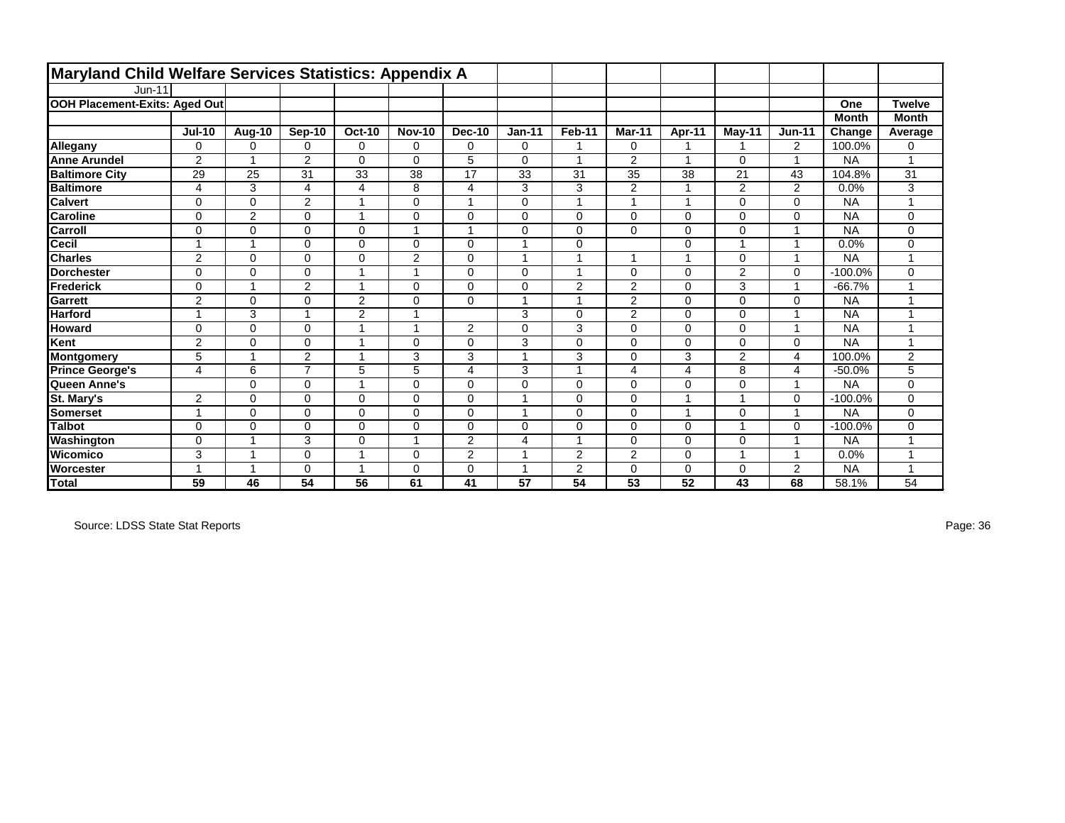| Maryland Child Welfare Services Statistics: Appendix A |                |                |                |                |               |                |          |                |                         |                |                |                |              |               |
|--------------------------------------------------------|----------------|----------------|----------------|----------------|---------------|----------------|----------|----------------|-------------------------|----------------|----------------|----------------|--------------|---------------|
| $Jun-11$                                               |                |                |                |                |               |                |          |                |                         |                |                |                |              |               |
| OOH Placement-Exits: Aged Out                          |                |                |                |                |               |                |          |                |                         |                |                |                | One          | <b>Twelve</b> |
|                                                        |                |                |                |                |               |                |          |                |                         |                |                |                | <b>Month</b> | <b>Month</b>  |
|                                                        | <b>Jul-10</b>  | <b>Aug-10</b>  | Sep-10         | $Oct-10$       | <b>Nov-10</b> | <b>Dec-10</b>  | $Jan-11$ | Feb-11         | Mar-11                  | Apr-11         | May-11         | <b>Jun-11</b>  | Change       | Average       |
| Allegany                                               | 0              | 0              | $\Omega$       | 0              | 0             | 0              | $\Omega$ | 1              | 0                       |                |                | 2              | 100.0%       | $\Omega$      |
| <b>Anne Arundel</b>                                    | $\overline{2}$ | 1              | $\overline{2}$ | 0              | $\Omega$      | 5              | $\Omega$ | 1              | 2                       | 1              | 0              | $\mathbf{1}$   | <b>NA</b>    |               |
| <b>Baltimore City</b>                                  | 29             | 25             | 31             | 33             | 38            | 17             | 33       | 31             | 35                      | 38             | 21             | 43             | 104.8%       | 31            |
| <b>Baltimore</b>                                       | 4              | 3              | 4              | 4              | 8             | 4              | 3        | 3              | $\overline{2}$          |                | $\overline{2}$ | $\overline{2}$ | 0.0%         | 3             |
| <b>Calvert</b>                                         | 0              | $\Omega$       | $\overline{2}$ | $\mathbf 1$    | $\Omega$      | 1              | $\Omega$ | 1              | $\overline{\mathbf{A}}$ |                | $\Omega$       | $\mathbf 0$    | <b>NA</b>    |               |
| <b>Caroline</b>                                        | $\mathbf 0$    | $\overline{2}$ | 0              | $\mathbf 1$    | 0             | $\mathbf 0$    | $\Omega$ | $\mathbf 0$    | $\Omega$                | $\Omega$       | 0              | $\mathbf 0$    | <b>NA</b>    | 0             |
| <b>Carroll</b>                                         | $\mathbf 0$    | $\Omega$       | $\Omega$       | 0              |               |                | $\Omega$ | $\mathbf 0$    | $\Omega$                | $\Omega$       | $\Omega$       | $\mathbf{1}$   | <b>NA</b>    | 0             |
| Cecil                                                  | 1              | 1              | $\Omega$       | 0              | $\Omega$      | $\Omega$       |          | $\mathbf 0$    |                         | $\Omega$       |                | $\mathbf{1}$   | 0.0%         | $\mathbf 0$   |
| <b>Charles</b>                                         | $\overline{2}$ | $\Omega$       | $\Omega$       | 0              | $\mathbf{2}$  | $\Omega$       |          | $\overline{1}$ |                         |                | $\Omega$       | $\mathbf{1}$   | <b>NA</b>    |               |
| <b>Dorchester</b>                                      | 0              | $\mathbf 0$    | $\Omega$       | 1              | 4             | $\Omega$       | $\Omega$ | 1              | $\Omega$                | $\Omega$       | 2              | $\mathbf 0$    | $-100.0%$    | $\mathbf 0$   |
| Frederick                                              | $\mathbf 0$    | 1              | $\overline{2}$ | 1              | $\Omega$      | $\Omega$       | $\Omega$ | $\overline{c}$ | 2                       | $\Omega$       | 3              | $\mathbf{1}$   | $-66.7%$     |               |
| Garrett                                                | 2              | $\Omega$       | $\Omega$       | $\overline{2}$ | $\Omega$      | $\Omega$       | 4        | 1              | 2                       | $\Omega$       | 0              | $\mathbf 0$    | <b>NA</b>    |               |
| <b>Harford</b>                                         | 1              | 3              | 1              | $\overline{2}$ | 1             |                | 3        | $\mathbf 0$    | 2                       | $\Omega$       | 0              | $\mathbf{1}$   | <b>NA</b>    |               |
| <b>Howard</b>                                          | $\mathbf 0$    | 0              | 0              | $\overline{1}$ | 4             | 2              | $\Omega$ | 3              | $\Omega$                | 0              | 0              | $\mathbf{1}$   | <b>NA</b>    |               |
| Kent                                                   | $\overline{2}$ | 0              | $\Omega$       | 1              | $\Omega$      | $\Omega$       | 3        | $\mathbf 0$    | $\Omega$                | $\Omega$       | 0              | $\mathbf 0$    | <b>NA</b>    |               |
| Montgomery                                             | 5              | 1              | $\overline{2}$ | $\mathbf{1}$   | 3             | 3              | 4        | 3              | $\Omega$                | 3              | 2              | $\overline{4}$ | 100.0%       | 2             |
| <b>Prince George's</b>                                 | 4              | 6              | $\overline{7}$ | 5              | 5             | 4              | 3        | 1              | 4                       | $\overline{4}$ | 8              | $\overline{4}$ | $-50.0%$     | 5             |
| Queen Anne's                                           |                | $\mathbf 0$    | 0              | 1              | 0             | $\mathbf 0$    | $\Omega$ | $\mathbf 0$    | $\Omega$                | $\Omega$       | 0              | $\mathbf{1}$   | <b>NA</b>    | $\mathbf 0$   |
| St. Mary's                                             | 2              | 0              | $\Omega$       | 0              | $\Omega$      | $\Omega$       |          | $\mathbf 0$    | $\Omega$                |                |                | $\mathbf 0$    | $-100.0%$    | $\mathbf 0$   |
| <b>Somerset</b>                                        | 4              | 0              | $\Omega$       | 0              | $\Omega$      | $\Omega$       |          | $\mathbf 0$    | $\Omega$                |                | $\Omega$       | $\overline{1}$ | <b>NA</b>    | $\mathbf 0$   |
| <b>Talbot</b>                                          | $\mathbf 0$    | 0              | $\Omega$       | 0              | 0             | $\Omega$       | $\Omega$ | $\mathbf 0$    | $\Omega$                | $\Omega$       |                | $\mathbf 0$    | $-100.0%$    | 0             |
| Washington                                             | $\mathbf 0$    | 1              | 3              | 0              | 4             | $\overline{2}$ | 4        | 1              | $\Omega$                | $\Omega$       | $\Omega$       | $\mathbf{1}$   | <b>NA</b>    |               |
| IWicomico                                              | 3              | 1              | $\Omega$       | $\mathbf{1}$   | $\Omega$      | 2              | ٠        | 2              | 2                       | $\Omega$       |                | $\mathbf{1}$   | 0.0%         |               |
| <b>Worcester</b>                                       |                | 1              | $\Omega$       | 1              | $\Omega$      | $\mathbf 0$    | 4        | 2              | $\Omega$                | $\Omega$       | 0              | $\overline{2}$ | <b>NA</b>    |               |
| Total                                                  | 59             | 46             | 54             | 56             | 61            | 41             | 57       | 54             | 53                      | 52             | 43             | 68             | 58.1%        | 54            |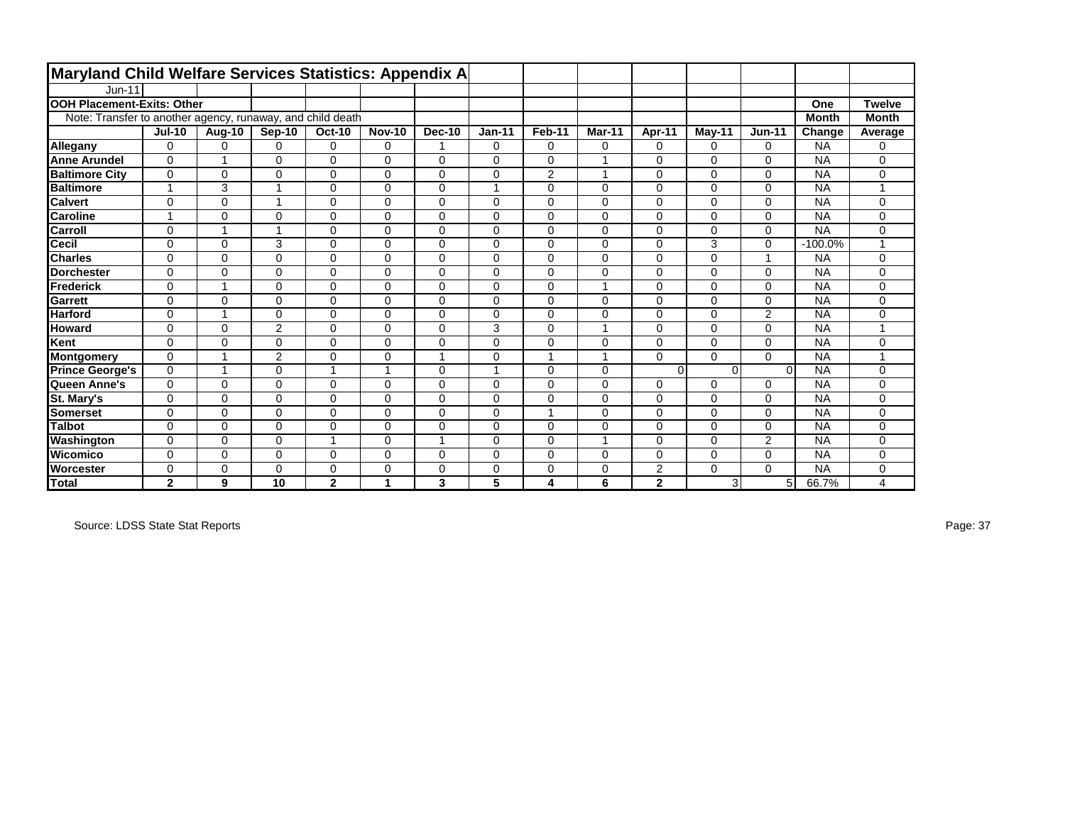| <b>Maryland Child Welfare Services Statistics: Appendix A</b> |                         |                |                |                |               |               |                |                |                |                |          |                |              |               |
|---------------------------------------------------------------|-------------------------|----------------|----------------|----------------|---------------|---------------|----------------|----------------|----------------|----------------|----------|----------------|--------------|---------------|
| Jun-11                                                        |                         |                |                |                |               |               |                |                |                |                |          |                |              |               |
| <b>OOH Placement-Exits: Other</b>                             |                         |                |                |                |               |               |                |                |                |                |          |                | One          | <b>Twelve</b> |
| Note: Transfer to another agency, runaway, and child death    |                         |                |                |                |               |               |                |                |                |                |          |                | <b>Month</b> | <b>Month</b>  |
|                                                               | $Jul-10$                | Aug-10         | <b>Sep-10</b>  | <b>Oct-10</b>  | <b>Nov-10</b> | <b>Dec-10</b> | $Jan-11$       | Feb-11         | Mar-11         | Apr-11         | May-11   | $Jun-11$       | Change       | Average       |
| Allegany                                                      | 0                       | 0              | $\mathbf 0$    | $\mathbf 0$    | 0             |               | $\mathbf 0$    | 0              | 0              | $\mathbf 0$    | 0        | 0              | <b>NA</b>    | 0             |
| <b>Anne Arundel</b>                                           | $\Omega$                | $\overline{ }$ | $\Omega$       | $\Omega$       | $\Omega$      | $\mathbf 0$   | $\Omega$       | $\Omega$       | 1              | $\Omega$       | $\Omega$ | 0              | <b>NA</b>    | $\Omega$      |
| <b>Baltimore City</b>                                         | $\mathbf 0$             | 0              | $\mathbf 0$    | 0              | 0             | $\mathbf 0$   | $\mathbf 0$    | $\overline{2}$ | 1              | $\mathbf 0$    | $\Omega$ | 0              | <b>NA</b>    | 0             |
| <b>Baltimore</b>                                              | $\overline{ }$          | 3              |                | $\mathbf 0$    | $\Omega$      | $\mathbf 0$   | $\overline{1}$ | $\Omega$       | 0              | $\mathbf 0$    | $\Omega$ | 0              | <b>NA</b>    |               |
| <b>Calvert</b>                                                | $\mathbf 0$             | $\Omega$       | 1              | $\mathbf 0$    | $\Omega$      | 0             | $\Omega$       | $\Omega$       | 0              | $\mathbf 0$    | $\Omega$ | 0              | <b>NA</b>    | $\Omega$      |
| <b>Caroline</b>                                               | $\overline{\mathbf{1}}$ | $\Omega$       | $\mathbf 0$    | $\Omega$       | $\Omega$      | 0             | $\Omega$       | $\Omega$       | 0              | $\Omega$       | $\Omega$ | 0              | <b>NA</b>    | $\mathbf 0$   |
| <b>Carroll</b>                                                | $\Omega$                | 1              | 1              | $\Omega$       | $\Omega$      | $\Omega$      | $\Omega$       | $\Omega$       | 0              | $\Omega$       | $\Omega$ | 0              | <b>NA</b>    | $\Omega$      |
| Cecil                                                         | $\Omega$                | $\Omega$       | 3              | $\Omega$       | $\Omega$      | $\mathbf 0$   | $\Omega$       | $\Omega$       | 0              | $\Omega$       | 3        | 0              | $-100.0%$    |               |
| <b>Charles</b>                                                | $\Omega$                | $\Omega$       | $\mathbf 0$    | $\mathbf 0$    | $\Omega$      | $\mathbf 0$   | $\mathbf 0$    | $\Omega$       | 0              | $\Omega$       | $\Omega$ | 1              | <b>NA</b>    | $\Omega$      |
| <b>IDorchester</b>                                            | $\Omega$                | $\Omega$       | $\mathbf 0$    | $\Omega$       | $\Omega$      | $\mathbf 0$   | $\Omega$       | $\Omega$       | 0              | $\Omega$       | $\Omega$ | 0              | <b>NA</b>    | 0             |
| <b>Frederick</b>                                              | $\mathbf 0$             | $\overline{ }$ | $\mathbf 0$    | $\mathbf 0$    | $\Omega$      | $\mathbf 0$   | $\mathbf 0$    | $\overline{0}$ | 1              | $\mathbf 0$    | $\Omega$ | 0              | <b>NA</b>    | $\Omega$      |
| Garrett                                                       | $\mathbf 0$             | $\Omega$       | 0              | $\Omega$       | $\Omega$      | 0             | $\Omega$       | $\Omega$       | 0              | $\Omega$       | $\Omega$ | 0              | <b>NA</b>    | $\Omega$      |
| <b>Harford</b>                                                | $\mathbf 0$             | $\overline{1}$ | 0              | $\mathbf 0$    | 0             | $\mathbf 0$   | $\mathbf 0$    | 0              | 0              | $\mathbf 0$    | $\Omega$ | 2              | <b>NA</b>    | 0             |
| <b>Howard</b>                                                 | $\mathbf 0$             | 0              | $\overline{2}$ | $\mathbf 0$    | 0             | $\mathbf 0$   | 3              | 0              | 1              | $\mathbf 0$    | 0        | 0              | <b>NA</b>    | 4             |
| Kent                                                          | $\Omega$                | $\Omega$       | $\mathbf 0$    | $\mathbf 0$    | $\Omega$      | $\mathbf 0$   | $\mathbf 0$    | $\Omega$       | 0              | $\mathbf 0$    | $\Omega$ | 0              | <b>NA</b>    | $\Omega$      |
| Montgomery                                                    | $\mathbf 0$             |                | $\overline{2}$ | $\mathbf 0$    | $\Omega$      | 1             | $\mathbf 0$    |                | $\overline{ }$ | $\Omega$       | $\Omega$ | $\Omega$       | <b>NA</b>    |               |
| <b>Prince George's</b>                                        | $\Omega$                | $\mathbf{1}$   | $\mathbf 0$    | $\overline{1}$ | $\mathbf{1}$  | $\mathbf 0$   | $\overline{1}$ | $\Omega$       | 0              | $\Omega$       | $\Omega$ | $\Omega$       | <b>NA</b>    | $\Omega$      |
| Queen Anne's                                                  | $\mathbf 0$             | $\Omega$       | $\mathbf 0$    | $\mathbf 0$    | $\Omega$      | 0             | $\mathbf 0$    | 0              | 0              | $\mathbf 0$    | 0        | 0              | <b>NA</b>    | 0             |
| St. Mary's                                                    | $\mathbf 0$             | $\Omega$       | $\mathbf 0$    | $\Omega$       | $\Omega$      | 0             | $\Omega$       | $\Omega$       | 0              | $\Omega$       | $\Omega$ | 0              | <b>NA</b>    | $\Omega$      |
| Somerset                                                      | $\Omega$                | $\Omega$       | $\mathbf 0$    | $\Omega$       | $\Omega$      | $\mathbf 0$   | $\mathbf 0$    |                | 0              | $\Omega$       | $\Omega$ | 0              | <b>NA</b>    | $\Omega$      |
| <b>Talbot</b>                                                 | $\Omega$                | $\Omega$       | $\mathbf 0$    | $\mathbf 0$    | $\Omega$      | $\mathbf 0$   | $\Omega$       | $\Omega$       | 0              | $\Omega$       | $\Omega$ | 0              | <b>NA</b>    | 0             |
| Washington                                                    | $\mathbf 0$             | $\Omega$       | $\mathbf 0$    | -1             | $\Omega$      | 1             | $\mathbf 0$    | $\Omega$       | 1              | $\mathbf 0$    | $\Omega$ | $\overline{2}$ | <b>NA</b>    | $\Omega$      |
| Wicomico                                                      | $\Omega$                | $\Omega$       | $\Omega$       | $\Omega$       | $\Omega$      | $\Omega$      | $\Omega$       | $\Omega$       | 0              | $\Omega$       | $\Omega$ | 0              | <b>NA</b>    | $\Omega$      |
| Worcester                                                     | $\mathbf 0$             | $\Omega$       | 0              | 0              | $\Omega$      | 0             | 0              | 0              | 0              | $\overline{2}$ | $\Omega$ | 0              | <b>NA</b>    | 0             |
| <b>Total</b>                                                  | $\mathbf{2}$            | 9              | 10             | $\mathbf{2}$   | 1             | 3             | 5              | 4              | 6              | $\mathbf{2}$   | 3        | 5 <sup>1</sup> | 66.7%        | 4             |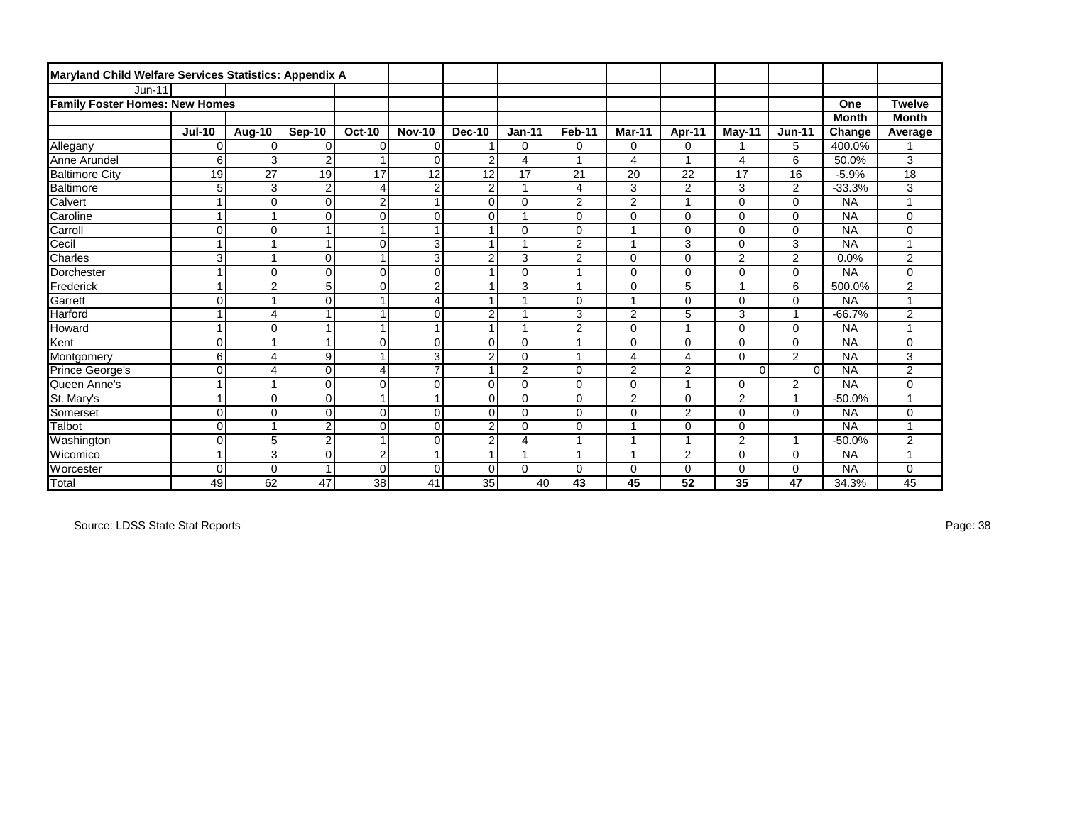| Maryland Child Welfare Services Statistics: Appendix A |                |                |                |                      |                |                |                |                |                |                          |                |                |              |                |
|--------------------------------------------------------|----------------|----------------|----------------|----------------------|----------------|----------------|----------------|----------------|----------------|--------------------------|----------------|----------------|--------------|----------------|
| <b>Jun-11</b>                                          |                |                |                |                      |                |                |                |                |                |                          |                |                |              |                |
| <b>Family Foster Homes: New Homes</b>                  |                |                |                |                      |                |                |                |                |                |                          |                |                | One          | <b>Twelve</b>  |
|                                                        |                |                |                |                      |                |                |                |                |                |                          |                |                | <b>Month</b> | <b>Month</b>   |
|                                                        | <b>Jul-10</b>  | Aug-10         | Sep-10         | <b>Oct-10</b>        | <b>Nov-10</b>  | <b>Dec-10</b>  | $Jan-11$       | Feb-11         | <b>Mar-11</b>  | Apr-11                   | May-11         | <b>Jun-11</b>  | Change       | Average        |
| Allegany                                               | $\mathbf 0$    | $\Omega$       | $\Omega$       | $\mathbf 0$          | $\mathbf 0$    |                | 0              | $\mathbf 0$    | 0              | 0                        |                | 5              | 400.0%       |                |
| Anne Arundel                                           | 6              | $\overline{3}$ | $\overline{2}$ |                      | $\mathbf 0$    | $\overline{2}$ | 4              | 1              | 4              | и                        | 4              | 6              | 50.0%        | 3              |
| <b>Baltimore City</b>                                  | 19             | 27             | 19             | 17                   | 12             | 12             | 17             | 21             | 20             | 22                       | 17             | 16             | $-5.9%$      | 18             |
| Baltimore                                              | 5              | 3              | $\overline{c}$ | $\overline{4}$       | $\overline{2}$ | $\overline{2}$ |                | 4              | 3              | $\overline{2}$           | 3              | $\overline{2}$ | $-33.3%$     | 3              |
| Calvert                                                | $\mathbf{1}$   | $\Omega$       | $\Omega$       | $\overline{c}$       | 1              | $\mathbf 0$    | $\mathbf 0$    | 2              | $\overline{2}$ | $\overline{\phantom{a}}$ | $\mathbf 0$    | $\mathbf 0$    | <b>NA</b>    |                |
| Caroline                                               | 1              | $\mathbf{1}$   | $\mathbf 0$    | 0                    | $\mathbf 0$    | $\mathbf 0$    |                | $\mathbf 0$    | $\Omega$       | $\Omega$                 | 0              | $\mathbf 0$    | <b>NA</b>    | 0              |
| Carroll                                                | 0              | $\Omega$       |                |                      | 1              |                | 0              | $\mathbf 0$    |                | $\Omega$                 | $\Omega$       | $\mathbf 0$    | <b>NA</b>    | 0              |
| Cecil                                                  | $\overline{1}$ | 1              | 1              | $\mathbf 0$          | 3              | 1              |                | $\overline{2}$ |                | 3                        | $\Omega$       | 3              | <b>NA</b>    |                |
| Charles                                                | 3              |                | $\Omega$       |                      | 3              | $\overline{2}$ | 3              | $\overline{2}$ | $\Omega$       | $\Omega$                 | 2              | $\overline{2}$ | 0.0%         | $\overline{c}$ |
| Dorchester                                             | $\mathbf{1}$   | $\Omega$       | $\Omega$       | $\mathbf 0$          | $\mathbf 0$    |                | 0              | 1              | 0              | 0                        | 0              | $\mathbf 0$    | <b>NA</b>    | 0              |
| Frederick                                              | $\mathbf{1}$   | $\overline{c}$ | 5              | $\mathbf 0$          | $\overline{2}$ |                | 3              | 1              | 0              | 5                        |                | 6              | 500.0%       | $\overline{c}$ |
| Garrett                                                | $\mathbf 0$    | $\mathbf{1}$   | $\Omega$       | $\overline{ }$       | $\overline{4}$ | $\overline{A}$ |                | $\mathbf 0$    | 4              | 0                        | 0              | $\mathbf 0$    | <b>NA</b>    | 4              |
| Harford                                                | $\mathbf 1$    | 4              |                | 1                    | $\mathbf 0$    | $\overline{2}$ |                | 3              | $\overline{2}$ | 5                        | 3              | $\mathbf{1}$   | $-66.7%$     | $\overline{2}$ |
| Howard                                                 | $\mathbf{1}$   | $\mathbf 0$    |                | $\overline{A}$       | $\overline{ }$ |                |                | 2              | 0              |                          | 0              | $\mathbf 0$    | <b>NA</b>    |                |
| Kent                                                   | 0              |                | 1              | $\mathbf 0$          | $\mathbf 0$    | $\mathbf 0$    | 0              | 1              | $\Omega$       | 0                        | 0              | $\mathbf 0$    | <b>NA</b>    | 0              |
| Montgomery                                             | 6              | 4              | 9              |                      | 3              | $\overline{2}$ | 0              | $\overline{ }$ | 4              | 4                        | $\Omega$       | 2              | <b>NA</b>    | 3              |
| Prince George's                                        | $\mathbf 0$    | 4              | $\Omega$       | $\overline{4}$       | $\overline{7}$ | $\overline{1}$ | $\overline{2}$ | $\mathbf 0$    | 2              | $\overline{c}$           | $\Omega$       | $\Omega$       | <b>NA</b>    | $\overline{c}$ |
| Queen Anne's                                           | $\mathbf 1$    | $\overline{ }$ | $\mathbf 0$    | $\mathbf 0$          | $\mathbf 0$    | $\mathbf 0$    | 0              | $\mathbf 0$    | 0              | $\overline{\phantom{a}}$ | 0              | $\overline{2}$ | <b>NA</b>    | 0              |
| St. Mary's                                             | $\mathbf 1$    | $\Omega$       | $\Omega$       | $\blacktriangleleft$ | $\overline{1}$ | $\Omega$       | 0              | $\Omega$       | $\overline{2}$ | $\Omega$                 | $\overline{2}$ | $\overline{1}$ | $-50.0%$     |                |
| Somerset                                               | $\mathbf 0$    | $\Omega$       | $\Omega$       | $\mathbf 0$          | $\mathbf 0$    | 0              | 0              | $\Omega$       | $\Omega$       | $\overline{c}$           | 0              | $\Omega$       | <b>NA</b>    | 0              |
| Talbot                                                 | $\mathbf 0$    |                | $\overline{2}$ | $\mathbf 0$          | $\mathbf 0$    | $\overline{2}$ | 0              | $\mathbf 0$    |                | 0                        | 0              |                | <b>NA</b>    |                |
| Washington                                             | $\mathbf 0$    | 5              | $\overline{2}$ |                      | $\mathbf 0$    | $\overline{2}$ | 4              | 1              |                | ٠                        | $\overline{c}$ | $\overline{1}$ | $-50.0%$     | $\overline{c}$ |
| Wicomico                                               | 1              | 3              | $\Omega$       | $\overline{c}$       | $\overline{1}$ | $\overline{A}$ |                | $\overline{1}$ |                | 2                        | 0              | $\mathbf 0$    | <b>NA</b>    |                |
| Worcester                                              | $\mathbf 0$    | $\Omega$       | 1              | $\Omega$             | $\Omega$       | $\mathbf 0$    | $\Omega$       | $\mathbf 0$    | 0              | 0                        | 0              | 0              | <b>NA</b>    | 0              |
| <b>Total</b>                                           | 49             | 62             | 47             | 38                   | 41             | 35             | 40             | 43             | 45             | 52                       | 35             | 47             | 34.3%        | 45             |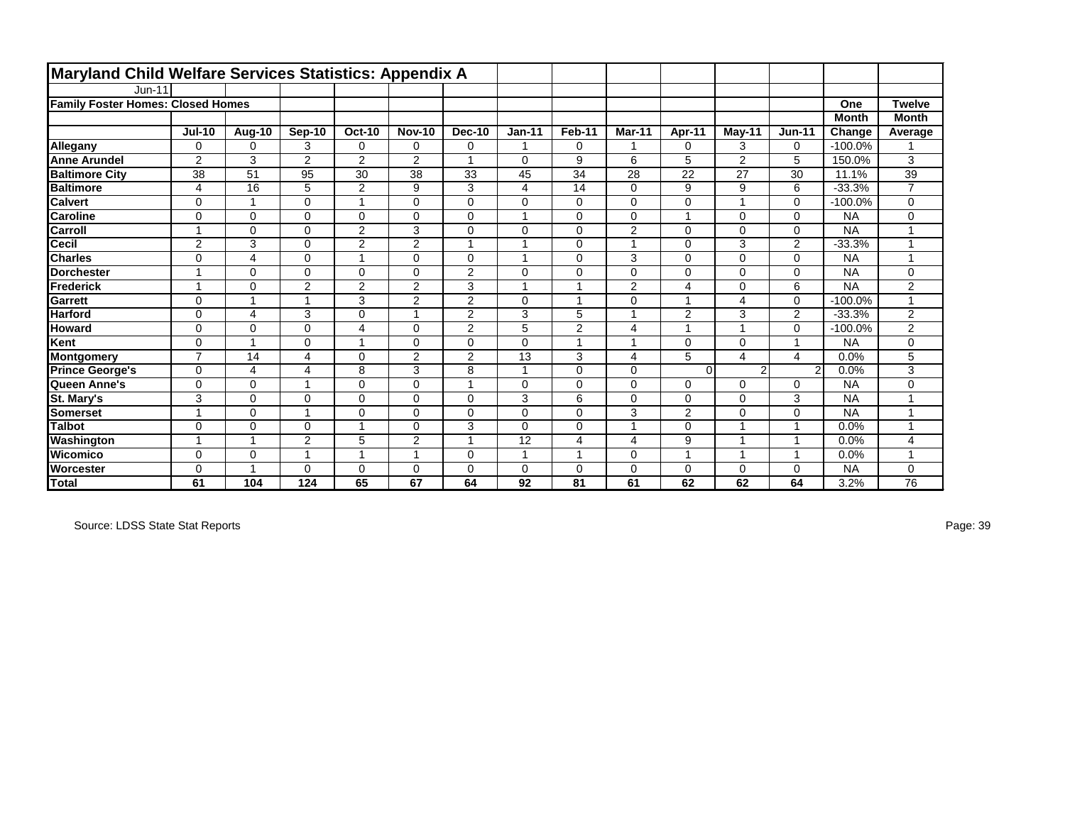| Maryland Child Welfare Services Statistics: Appendix A |                          |             |                |                |                |                |             |                |              |                |                        |                |              |                |
|--------------------------------------------------------|--------------------------|-------------|----------------|----------------|----------------|----------------|-------------|----------------|--------------|----------------|------------------------|----------------|--------------|----------------|
| $Jun-11$                                               |                          |             |                |                |                |                |             |                |              |                |                        |                |              |                |
| <b>Family Foster Homes: Closed Homes</b>               |                          |             |                |                |                |                |             |                |              |                |                        |                | One          | <b>Twelve</b>  |
|                                                        |                          |             |                |                |                |                |             |                |              |                |                        |                | <b>Month</b> | <b>Month</b>   |
|                                                        | <b>Jul-10</b>            | Aug-10      | Sep-10         | $Oct-10$       | <b>Nov-10</b>  | <b>Dec-10</b>  | $Jan-11$    | Feb-11         | Mar-11       | Apr-11         | May-11                 | <b>Jun-11</b>  | Change       | Average        |
| Allegany                                               | 0                        | 0           | 3              | 0              | 0              | $\mathbf 0$    |             | $\mathbf 0$    |              | 0              | 3                      | 0              | $-100.0%$    |                |
| <b>Anne Arundel</b>                                    | $\overline{2}$           | 3           | $\overline{2}$ | $\overline{2}$ | $\overline{2}$ | 1              | $\Omega$    | 9              | 6            | 5              | 2                      | 5              | 150.0%       | 3              |
| <b>Baltimore City</b>                                  | 38                       | 51          | 95             | 30             | 38             | 33             | 45          | 34             | 28           | 22             | 27                     | 30             | 11.1%        | 39             |
| <b>Baltimore</b>                                       | 4                        | 16          | 5              | $\overline{2}$ | 9              | 3              | 4           | 14             | $\Omega$     | 9              | 9                      | 6              | $-33.3%$     | $\overline{7}$ |
| <b>Calvert</b>                                         | 0                        | 1           | $\Omega$       | $\mathbf{1}$   | $\Omega$       | $\Omega$       | $\Omega$    | $\mathbf 0$    | $\Omega$     | $\Omega$       |                        | $\mathbf 0$    | $-100.0\%$   | $\mathbf 0$    |
| <b>Caroline</b>                                        | $\mathbf 0$              | $\mathbf 0$ | $\Omega$       | 0              | 0              | $\mathbf 0$    | 1           | $\mathbf 0$    | $\Omega$     | $\overline{ }$ | 0                      | $\mathbf 0$    | <b>NA</b>    | 0              |
| <b>Carroll</b>                                         | $\overline{\phantom{a}}$ | $\Omega$    | $\Omega$       | $\overline{2}$ | 3              | $\Omega$       | $\Omega$    | $\mathbf 0$    | $\mathbf{2}$ | $\Omega$       | $\Omega$               | $\mathbf 0$    | <b>NA</b>    |                |
| <b>Cecil</b>                                           | $\overline{2}$           | 3           | $\Omega$       | $\overline{2}$ | $\overline{2}$ | 1              |             | $\mathbf 0$    |              | $\Omega$       | 3                      | $\overline{2}$ | $-33.3%$     |                |
| <b>Charles</b>                                         | $\mathbf 0$              | 4           | $\Omega$       | 1              | $\Omega$       | $\mathbf 0$    |             | $\mathbf 0$    | 3            | $\Omega$       | $\Omega$               | $\mathbf 0$    | <b>NA</b>    |                |
| <b>Dorchester</b>                                      | $\overline{1}$           | 0           | $\Omega$       | 0              | $\Omega$       | $\overline{2}$ | $\Omega$    | $\mathbf 0$    | $\Omega$     | $\Omega$       | 0                      | $\mathbf 0$    | <b>NA</b>    | $\mathbf 0$    |
| Frederick                                              | -4                       | 0           | $\overline{2}$ | $\overline{2}$ | $\overline{2}$ | 3              |             | $\overline{1}$ | 2            | $\overline{4}$ | $\Omega$               | 6              | <b>NA</b>    | $\overline{c}$ |
| Garrett                                                | $\mathbf 0$              | 1           | 4              | 3              | $\overline{2}$ | $\overline{2}$ | $\Omega$    | 1              | $\Omega$     | $\overline{ }$ | 4                      | $\mathbf 0$    | $-100.0%$    |                |
| <b>Harford</b>                                         | $\mathbf 0$              | 4           | 3              | 0              | 1              | 2              | 3           | 5              |              | $\overline{2}$ | 3                      | 2              | $-33.3%$     | $\overline{2}$ |
| <b>Howard</b>                                          | $\mathbf 0$              | 0           | 0              | 4              | 0              | $\overline{2}$ | 5           | $\overline{c}$ | 4            | $\overline{ }$ |                        | $\mathbf 0$    | $-100.0%$    | $\overline{2}$ |
| Kent                                                   | $\Omega$                 | 1           | $\Omega$       | $\mathbf{1}$   | $\Omega$       | $\Omega$       | $\Omega$    | 1              |              | $\Omega$       | 0                      | $\mathbf{1}$   | <b>NA</b>    | $\mathbf 0$    |
| Montgomery                                             | $\overline{7}$           | 14          | 4              | 0              | $\overline{2}$ | $\overline{2}$ | 13          | 3              | 4            | 5              | $\boldsymbol{\Lambda}$ | 4              | 0.0%         | 5              |
| <b>Prince George's</b>                                 | 0                        | 4           | 4              | 8              | 3              | 8              |             | $\mathbf 0$    | $\Omega$     | $\Omega$       | 2                      | $\overline{2}$ | 0.0%         | 3              |
| Queen Anne's                                           | $\mathbf 0$              | $\mathbf 0$ | 4              | 0              | 0              | $\overline{ }$ | $\mathbf 0$ | $\mathbf 0$    | $\Omega$     | 0              | 0                      | 0              | <b>NA</b>    | 0              |
| St. Mary's                                             | 3                        | 0           | $\Omega$       | 0              | $\Omega$       | $\Omega$       | 3           | 6              | $\Omega$     | $\Omega$       | $\Omega$               | 3              | <b>NA</b>    |                |
| <b>Somerset</b>                                        | и                        | $\Omega$    | 1              | 0              | $\Omega$       | $\Omega$       | $\Omega$    | $\mathbf 0$    | 3            | $\overline{2}$ | $\Omega$               | $\mathbf 0$    | <b>NA</b>    |                |
| <b>Talbot</b>                                          | $\mathbf 0$              | 0           | $\Omega$       | 1              | $\Omega$       | 3              | $\Omega$    | $\mathbf 0$    |              | $\Omega$       |                        | $\mathbf{1}$   | 0.0%         |                |
| Washington                                             | $\overline{ }$           | 1           | $\overline{2}$ | 5              | $\overline{2}$ | 1              | 12          | 4              | 4            | 9              |                        | $\mathbf{1}$   | 0.0%         | $\overline{4}$ |
| IWicomico                                              | $\Omega$                 | 0           | 1              | $\mathbf{1}$   | 4              | $\Omega$       | 1           | 1              | $\Omega$     | $\overline{ }$ |                        | $\mathbf{1}$   | 0.0%         |                |
| <b>Worcester</b>                                       | $\Omega$                 | 1           | $\Omega$       | 0              | $\Omega$       | $\Omega$       | $\Omega$    | 0              | $\Omega$     | $\Omega$       | $\Omega$               | $\mathbf 0$    | <b>NA</b>    | 0              |
| Total                                                  | 61                       | 104         | 124            | 65             | 67             | 64             | 92          | 81             | 61           | 62             | 62                     | 64             | 3.2%         | 76             |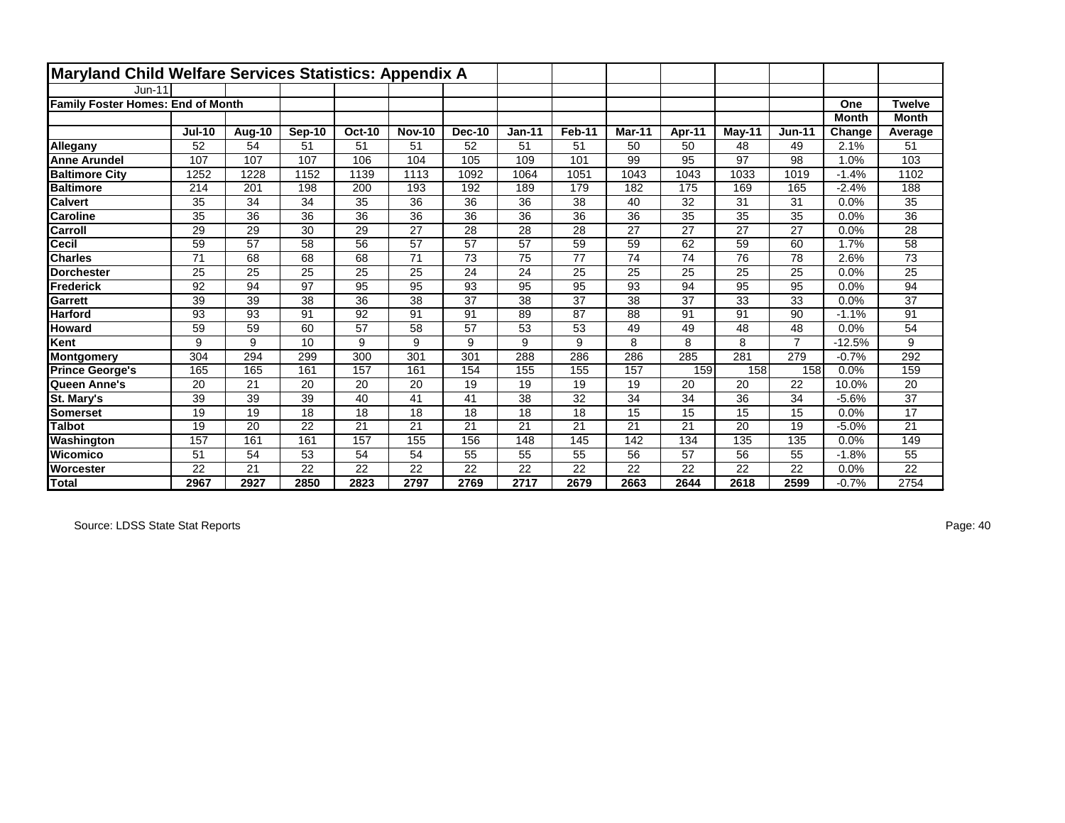| Maryland Child Welfare Services Statistics: Appendix A |                 |        |                 |                 |                 |               |                 |        |        |        |        |                |              |                 |
|--------------------------------------------------------|-----------------|--------|-----------------|-----------------|-----------------|---------------|-----------------|--------|--------|--------|--------|----------------|--------------|-----------------|
| <b>Jun-11</b>                                          |                 |        |                 |                 |                 |               |                 |        |        |        |        |                |              |                 |
| <b>Family Foster Homes: End of Month</b>               |                 |        |                 |                 |                 |               |                 |        |        |        |        |                | One          | <b>Twelve</b>   |
|                                                        |                 |        |                 |                 |                 |               |                 |        |        |        |        |                | <b>Month</b> | <b>Month</b>    |
|                                                        | <b>Jul-10</b>   | Aug-10 | Sep-10          | <b>Oct-10</b>   | <b>Nov-10</b>   | <b>Dec-10</b> | $Jan-11$        | Feb-11 | Mar-11 | Apr-11 | May-11 | <b>Jun-11</b>  | Change       | Average         |
| Allegany                                               | 52              | 54     | 51              | 51              | 51              | 52            | 51              | 51     | 50     | 50     | 48     | 49             | 2.1%         | 51              |
| <b>Anne Arundel</b>                                    | 107             | 107    | 107             | 106             | 104             | 105           | 109             | 101    | 99     | 95     | 97     | 98             | 1.0%         | 103             |
| <b>Baltimore City</b>                                  | 1252            | 1228   | 1152            | 1139            | 1113            | 1092          | 1064            | 1051   | 1043   | 1043   | 1033   | 1019           | $-1.4%$      | 1102            |
| <b>Baltimore</b>                                       | 214             | 201    | 198             | 200             | 193             | 192           | 189             | 179    | 182    | 175    | 169    | 165            | $-2.4%$      | 188             |
| <b>Calvert</b>                                         | 35              | 34     | 34              | 35              | 36              | 36            | 36              | 38     | 40     | 32     | 31     | 31             | 0.0%         | 35              |
| <b>Caroline</b>                                        | $\overline{35}$ | 36     | $\overline{36}$ | 36              | $\overline{36}$ | 36            | $\overline{36}$ | 36     | 36     | 35     | 35     | 35             | 0.0%         | $\overline{36}$ |
| Carroll                                                | 29              | 29     | 30              | 29              | 27              | 28            | 28              | 28     | 27     | 27     | 27     | 27             | 0.0%         | 28              |
| <b>Cecil</b>                                           | 59              | 57     | 58              | 56              | 57              | 57            | 57              | 59     | 59     | 62     | 59     | 60             | 1.7%         | 58              |
| <b>Charles</b>                                         | 71              | 68     | 68              | 68              | 71              | 73            | 75              | 77     | 74     | 74     | 76     | 78             | 2.6%         | 73              |
| <b>Dorchester</b>                                      | 25              | 25     | 25              | 25              | 25              | 24            | 24              | 25     | 25     | 25     | 25     | 25             | 0.0%         | 25              |
| Frederick                                              | 92              | 94     | 97              | $\overline{95}$ | 95              | 93            | 95              | 95     | 93     | 94     | 95     | 95             | 0.0%         | 94              |
| <b>Garrett</b>                                         | 39              | 39     | 38              | 36              | 38              | 37            | 38              | 37     | 38     | 37     | 33     | 33             | 0.0%         | 37              |
| <b>Harford</b>                                         | 93              | 93     | 91              | 92              | 91              | 91            | 89              | 87     | 88     | 91     | 91     | 90             | $-1.1%$      | 91              |
| <b>Howard</b>                                          | 59              | 59     | 60              | 57              | 58              | 57            | 53              | 53     | 49     | 49     | 48     | 48             | 0.0%         | 54              |
| Kent                                                   | 9               | 9      | 10              | 9               | 9               | 9             | 9               | 9      | 8      | 8      | 8      | $\overline{7}$ | $-12.5%$     | 9               |
| Montgomery                                             | 304             | 294    | 299             | 300             | 301             | 301           | 288             | 286    | 286    | 285    | 281    | 279            | $-0.7%$      | 292             |
| <b>Prince George's</b>                                 | 165             | 165    | 161             | 157             | 161             | 154           | 155             | 155    | 157    | 159    | 158    | 158            | 0.0%         | 159             |
| Queen Anne's                                           | 20              | 21     | 20              | 20              | 20              | 19            | 19              | 19     | 19     | 20     | 20     | 22             | 10.0%        | 20              |
| St. Mary's                                             | 39              | 39     | 39              | 40              | 41              | 41            | 38              | 32     | 34     | 34     | 36     | 34             | $-5.6%$      | 37              |
| Somerset                                               | 19              | 19     | 18              | 18              | 18              | 18            | 18              | 18     | 15     | 15     | 15     | 15             | 0.0%         | 17              |
| <b>Talbot</b>                                          | 19              | 20     | 22              | 21              | 21              | 21            | 21              | 21     | 21     | 21     | 20     | 19             | $-5.0%$      | 21              |
| Washington                                             | 157             | 161    | 161             | 157             | 155             | 156           | 148             | 145    | 142    | 134    | 135    | 135            | 0.0%         | 149             |
| <b>Wicomico</b>                                        | 51              | 54     | 53              | 54              | 54              | 55            | 55              | 55     | 56     | 57     | 56     | 55             | $-1.8%$      | 55              |
| <b>Worcester</b>                                       | 22              | 21     | 22              | 22              | 22              | 22            | 22              | 22     | 22     | 22     | 22     | 22             | 0.0%         | 22              |
| Total                                                  | 2967            | 2927   | 2850            | 2823            | 2797            | 2769          | 2717            | 2679   | 2663   | 2644   | 2618   | 2599           | $-0.7%$      | 2754            |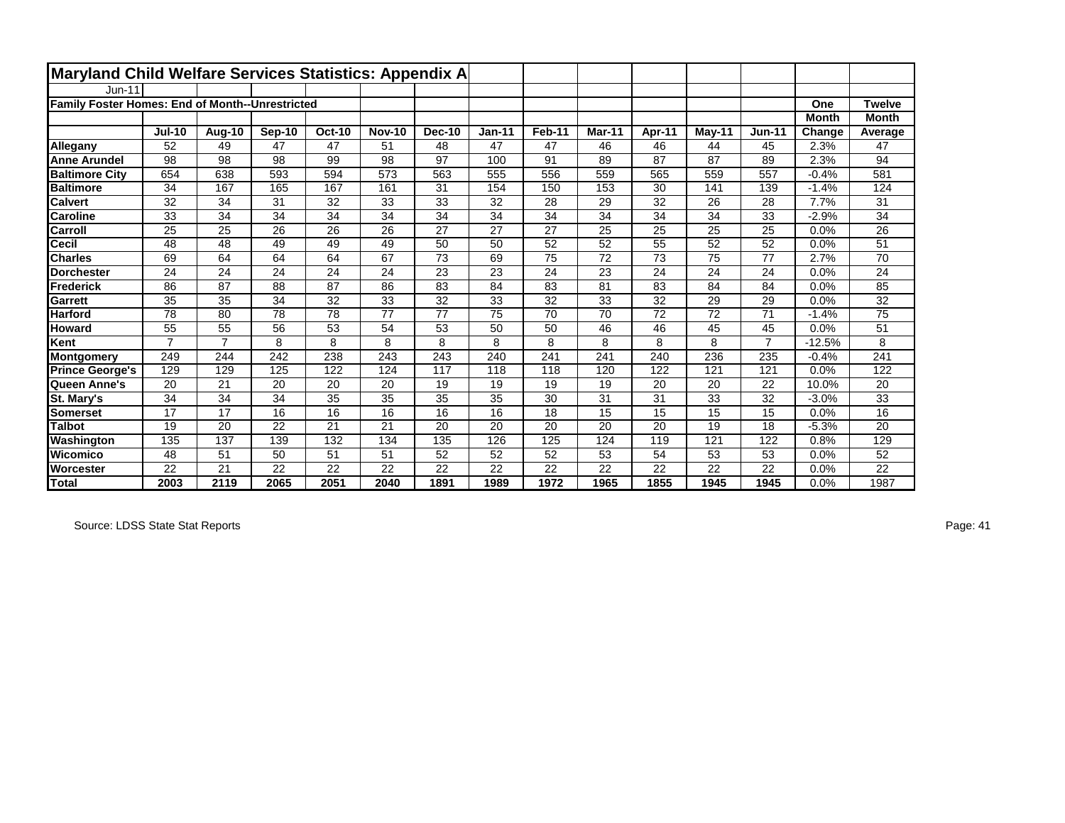| Maryland Child Welfare Services Statistics: Appendix A |                |                |        |                 |                 |        |               |        |        |        |                 |                |              |                 |
|--------------------------------------------------------|----------------|----------------|--------|-----------------|-----------------|--------|---------------|--------|--------|--------|-----------------|----------------|--------------|-----------------|
| <b>Jun-11</b>                                          |                |                |        |                 |                 |        |               |        |        |        |                 |                |              |                 |
| <b>Family Foster Homes: End of Month--Unrestricted</b> |                |                |        |                 |                 |        |               |        |        |        |                 |                | One          | <b>Twelve</b>   |
|                                                        |                |                |        |                 |                 |        |               |        |        |        |                 |                | <b>Month</b> | <b>Month</b>    |
|                                                        | <b>Jul-10</b>  | Aug-10         | Sep-10 | <b>Oct-10</b>   | <b>Nov-10</b>   | Dec-10 | <b>Jan-11</b> | Feb-11 | Mar-11 | Apr-11 | May-11          | $Jun-11$       | Change       | Average         |
| Allegany                                               | 52             | 49             | 47     | 47              | 51              | 48     | 47            | 47     | 46     | 46     | 44              | 45             | 2.3%         | 47              |
| <b>Anne Arundel</b>                                    | 98             | 98             | 98     | 99              | 98              | 97     | 100           | 91     | 89     | 87     | 87              | 89             | 2.3%         | 94              |
| <b>Baltimore City</b>                                  | 654            | 638            | 593    | 594             | 573             | 563    | 555           | 556    | 559    | 565    | 559             | 557            | $-0.4%$      | 581             |
| <b>Baltimore</b>                                       | 34             | 167            | 165    | 167             | 161             | 31     | 154           | 150    | 153    | 30     | 141             | 139            | $-1.4%$      | 124             |
| <b>Calvert</b>                                         | 32             | 34             | 31     | 32              | 33              | 33     | 32            | 28     | 29     | 32     | 26              | 28             | 7.7%         | 31              |
| <b>Caroline</b>                                        | 33             | 34             | 34     | 34              | $\overline{34}$ | 34     | 34            | 34     | 34     | 34     | 34              | 33             | $-2.9%$      | $\overline{34}$ |
| Carroll                                                | 25             | 25             | 26     | 26              | 26              | 27     | 27            | 27     | 25     | 25     | 25              | 25             | 0.0%         | 26              |
| Cecil                                                  | 48             | 48             | 49     | 49              | 49              | 50     | 50            | 52     | 52     | 55     | 52              | 52             | 0.0%         | 51              |
| <b>Charles</b>                                         | 69             | 64             | 64     | 64              | 67              | 73     | 69            | 75     | 72     | 73     | 75              | 77             | 2.7%         | 70              |
| <b>Dorchester</b>                                      | 24             | 24             | 24     | 24              | 24              | 23     | 23            | 24     | 23     | 24     | 24              | 24             | 0.0%         | 24              |
| <b>Frederick</b>                                       | 86             | 87             | 88     | 87              | 86              | 83     | 84            | 83     | 81     | 83     | 84              | 84             | 0.0%         | 85              |
| Garrett                                                | 35             | 35             | 34     | 32              | 33              | 32     | 33            | 32     | 33     | 32     | 29              | 29             | 0.0%         | 32              |
| Harford                                                | 78             | 80             | 78     | 78              | $\overline{77}$ | 77     | 75            | 70     | 70     | 72     | $\overline{72}$ | 71             | $-1.4%$      | 75              |
| <b>Howard</b>                                          | 55             | 55             | 56     | 53              | 54              | 53     | 50            | 50     | 46     | 46     | 45              | 45             | 0.0%         | 51              |
| Kent                                                   | $\overline{7}$ | $\overline{7}$ | 8      | 8               | 8               | 8      | 8             | 8      | 8      | 8      | 8               | $\overline{7}$ | $-12.5%$     | 8               |
| <b>Montgomery</b>                                      | 249            | 244            | 242    | 238             | 243             | 243    | 240           | 241    | 241    | 240    | 236             | 235            | $-0.4%$      | 241             |
| <b>Prince George's</b>                                 | 129            | 129            | 125    | 122             | 124             | 117    | 118           | 118    | 120    | 122    | 121             | 121            | 0.0%         | 122             |
| Queen Anne's                                           | 20             | 21             | 20     | 20              | 20              | 19     | 19            | 19     | 19     | 20     | 20              | 22             | 10.0%        | 20              |
| St. Mary's                                             | 34             | 34             | 34     | 35              | 35              | 35     | 35            | 30     | 31     | 31     | 33              | 32             | $-3.0%$      | $\overline{33}$ |
| <b>Somerset</b>                                        | 17             | 17             | 16     | 16              | 16              | 16     | 16            | 18     | 15     | 15     | 15              | 15             | 0.0%         | 16              |
| <b>Talbot</b>                                          | 19             | 20             | 22     | 21              | 21              | 20     | 20            | 20     | 20     | 20     | 19              | 18             | $-5.3%$      | 20              |
| Washington                                             | 135            | 137            | 139    | 132             | 134             | 135    | 126           | 125    | 124    | 119    | 121             | 122            | 0.8%         | 129             |
| Wicomico                                               | 48             | 51             | 50     | 51              | 51              | 52     | 52            | 52     | 53     | 54     | 53              | 53             | 0.0%         | 52              |
| Worcester                                              | 22             | 21             | 22     | $\overline{22}$ | 22              | 22     | 22            | 22     | 22     | 22     | 22              | 22             | 0.0%         | 22              |
| <b>Total</b>                                           | 2003           | 2119           | 2065   | 2051            | 2040            | 1891   | 1989          | 1972   | 1965   | 1855   | 1945            | 1945           | 0.0%         | 1987            |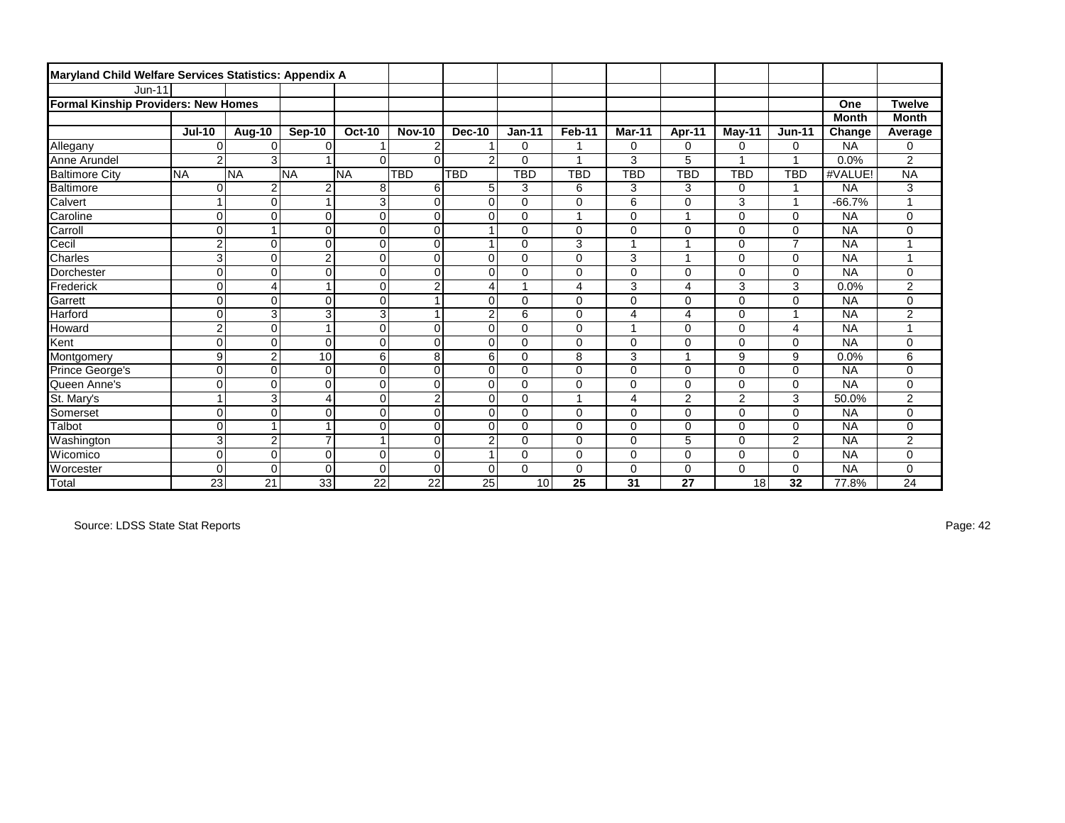| Maryland Child Welfare Services Statistics: Appendix A |                         |                |                |                         |                         |                |             |                         |            |                |                |                |              |                |
|--------------------------------------------------------|-------------------------|----------------|----------------|-------------------------|-------------------------|----------------|-------------|-------------------------|------------|----------------|----------------|----------------|--------------|----------------|
| <b>Jun-11</b>                                          |                         |                |                |                         |                         |                |             |                         |            |                |                |                |              |                |
| <b>Formal Kinship Providers: New Homes</b>             |                         |                |                |                         |                         |                |             |                         |            |                |                |                | One          | <b>Twelve</b>  |
|                                                        |                         |                |                |                         |                         |                |             |                         |            |                |                |                | <b>Month</b> | <b>Month</b>   |
|                                                        | <b>Jul-10</b>           | Aug-10         | Sep-10         | <b>Oct-10</b>           | <b>Nov-10</b>           | Dec-10         | $Jan-11$    | Feb-11                  | Mar-11     | Apr-11         | May-11         | <b>Jun-11</b>  | Change       | Average        |
| Allegany                                               | $\Omega$                | 0              | $\Omega$       |                         | 2                       |                | 0           | 1                       | 0          | 0              | 0              | 0              | <b>NA</b>    | 0              |
| Anne Arundel                                           | $\mathbf{2}$            | 3              |                | $\Omega$                | $\Omega$                | $\overline{2}$ | $\Omega$    | 1                       | 3          | 5              |                | 1              | 0.0%         | 2              |
| <b>Baltimore City</b>                                  | <b>NA</b>               | <b>NA</b>      | <b>NA</b>      | <b>NA</b>               | <b>TBD</b>              | TBD            | <b>TBD</b>  | <b>TBD</b>              | <b>TBD</b> | <b>TBD</b>     | <b>TBD</b>     | TBD            | #VALUE!      | <b>NA</b>      |
| Baltimore                                              | $\Omega$                | $\overline{c}$ | $\overline{2}$ | 8                       | 6                       | 5              | 3           | 6                       | 3          | 3              | 0              | $\overline{1}$ | <b>NA</b>    | 3              |
| Calvert                                                | $\mathbf{1}$            | $\Omega$       |                | 3                       | $\mathbf 0$             | $\mathbf 0$    | $\mathbf 0$ | $\mathbf 0$             | 6          | 0              | 3              | $\overline{1}$ | $-66.7%$     |                |
| Caroline                                               | $\overline{0}$          | 0              | $\mathbf 0$    | 0                       | $\mathbf 0$             | $\mathbf 0$    | 0           | $\overline{1}$          | 0          | 1              | 0              | $\mathbf 0$    | <b>NA</b>    | 0              |
| Carroll                                                | 0                       |                | $\Omega$       | $\Omega$                | $\mathbf 0$             |                | $\Omega$    | $\Omega$                | 0          | $\Omega$       | 0              | $\Omega$       | <b>NA</b>    | 0              |
| Cecil                                                  | $\overline{\mathbf{c}}$ | $\Omega$       | $\mathbf 0$    | $\mathbf 0$             | $\mathbf 0$             |                | 0           | 3                       |            |                | 0              | $\overline{7}$ | <b>NA</b>    |                |
| Charles                                                | 3                       | $\Omega$       | $\overline{c}$ | $\pmb{0}$               | $\mathbf 0$             | $\Omega$       | $\Omega$    | $\mathbf 0$             | 3          | ٠              | $\Omega$       | $\mathbf 0$    | <b>NA</b>    |                |
| Dorchester                                             | $\overline{0}$          | 0              | $\mathbf 0$    | $\mathbf 0$             | $\mathbf 0$             | $\mathbf 0$    | $\Omega$    | $\mathbf 0$             | 0          | 0              | 0              | $\mathbf 0$    | <b>NA</b>    | 0              |
| Frederick                                              | $\overline{0}$          | $\overline{4}$ |                | $\mathbf 0$             | $\overline{2}$          | 4              |             | 4                       | 3          | 4              | 3              | 3              | 0.0%         | $\overline{c}$ |
| Garrett                                                | $\overline{0}$          | $\Omega$       | $\Omega$       | $\mathbf 0$             | 1                       | $\Omega$       | 0           | $\mathbf 0$             | 0          | 0              | 0              | $\mathbf 0$    | <b>NA</b>    | 0              |
| <b>Harford</b>                                         | $\Omega$                | 3              | 3              | $\overline{3}$          | $\overline{\mathbf{1}}$ | $\overline{2}$ | 6           | $\mathbf 0$             | 4          | 4              | 0              | $\mathbf{1}$   | <b>NA</b>    | $\overline{2}$ |
| Howard                                                 | $\overline{c}$          | 0              |                | $\mathbf 0$             | $\mathbf 0$             | $\mathbf 0$    | 0           | $\mathbf 0$             |            | 0              | 0              | 4              | <b>NA</b>    |                |
| Kent                                                   | $\overline{0}$          | $\overline{0}$ | $\Omega$       | 0                       | $\mathbf 0$             | $\mathbf 0$    | 0           | $\mathbf 0$             | 0          | 0              | 0              | $\mathbf 0$    | <b>NA</b>    | 0              |
| Montgomery                                             | 9                       | $\overline{2}$ | 10             | 6                       | 8                       | 6              | 0           | 8                       | 3          | ×              | 9              | 9              | 0.0%         | 6              |
| Prince George's                                        | $\overline{0}$          | $\Omega$       | $\Omega$       | $\mathbf 0$             | $\mathbf 0$             | $\Omega$       | 0           | $\mathbf 0$             | $\Omega$   | $\Omega$       | 0              | $\mathbf 0$    | <b>NA</b>    | 0              |
| Queen Anne's                                           | 0                       | $\Omega$       | $\mathbf 0$    | $\mathbf 0$             | $\mathbf 0$             | $\mathbf 0$    | 0           | $\mathbf 0$             | 0          | 0              | 0              | $\mathbf 0$    | <b>NA</b>    | 0              |
| St. Mary's                                             | $\overline{1}$          | 3              | 4              | 0                       | $\overline{2}$          | $\mathbf 0$    | $\Omega$    | $\overline{\mathbf{1}}$ | 4          | $\overline{2}$ | $\overline{2}$ | 3              | 50.0%        | $\overline{c}$ |
| Somerset                                               | $\overline{0}$          | $\overline{0}$ | $\Omega$       | $\mathbf 0$             | $\mathbf 0$             | $\Omega$       | $\Omega$    | $\mathbf 0$             | 0          | 0              | 0              | $\Omega$       | <b>NA</b>    | 0              |
| Talbot                                                 | $\overline{0}$          | 1              |                | $\mathbf 0$             | $\mathbf 0$             | $\mathbf 0$    | 0           | $\mathbf 0$             | 0          | 0              | 0              | $\mathbf 0$    | <b>NA</b>    | 0              |
| Washington                                             | 3                       | $\overline{c}$ | $\overline{7}$ | $\overline{\mathbf{A}}$ | $\mathbf 0$             | $\overline{2}$ | $\Omega$    | $\mathbf 0$             | 0          | 5              | 0              | $\overline{2}$ | <b>NA</b>    | $\overline{c}$ |
| <b>Wicomico</b>                                        | 0                       | $\overline{0}$ | $\Omega$       | $\Omega$                | $\Omega$                |                | 0           | $\Omega$                | 0          | 0              | 0              | $\Omega$       | <b>NA</b>    | 0              |
| Worcester                                              | $\Omega$                | $\Omega$       | $\Omega$       | $\Omega$                | $\Omega$                | $\mathbf 0$    | $\Omega$    | $\mathbf 0$             | 0          | 0              | 0              | $\mathbf 0$    | <b>NA</b>    | 0              |
| Total                                                  | 23                      | 21             | 33             | 22                      | 22                      | 25             | 10          | 25                      | 31         | 27             | 18             | 32             | 77.8%        | 24             |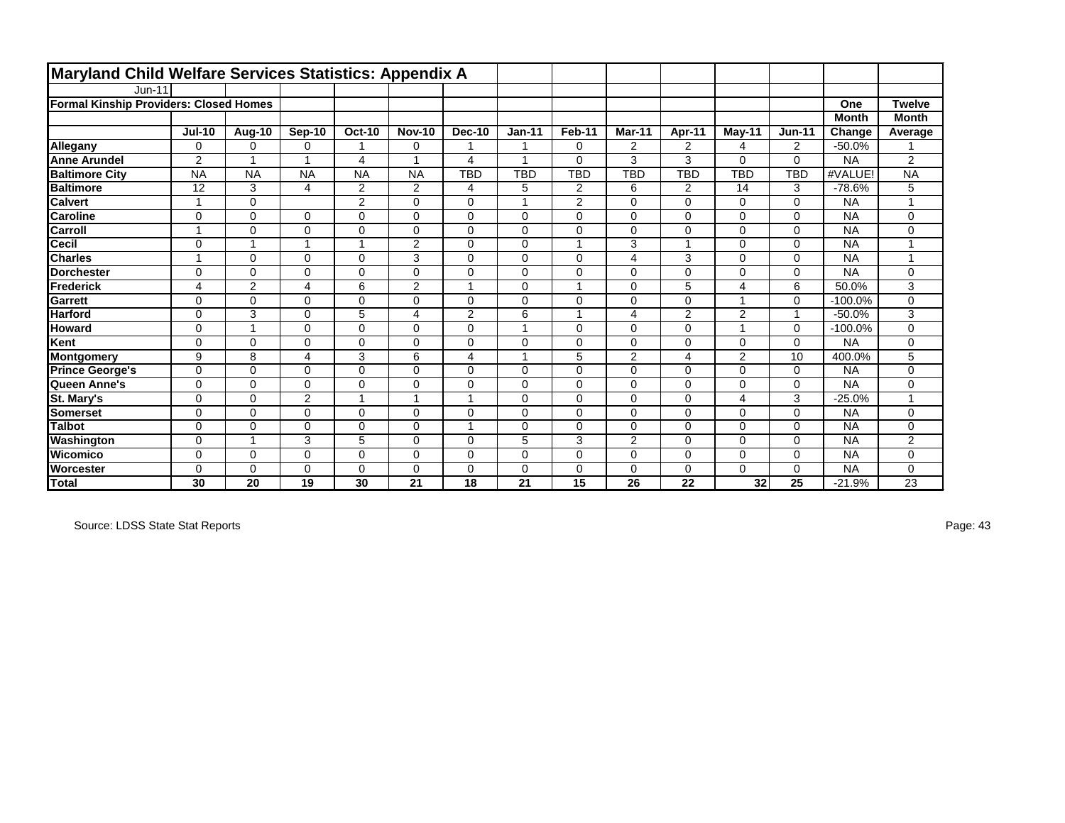| Maryland Child Welfare Services Statistics: Appendix A |                          |                |                |                |                |                |            |                  |                |                |            |               |              |                |
|--------------------------------------------------------|--------------------------|----------------|----------------|----------------|----------------|----------------|------------|------------------|----------------|----------------|------------|---------------|--------------|----------------|
| $Jun-11$                                               |                          |                |                |                |                |                |            |                  |                |                |            |               |              |                |
| <b>Formal Kinship Providers: Closed Homes</b>          |                          |                |                |                |                |                |            |                  |                |                |            |               | One          | <b>Twelve</b>  |
|                                                        |                          |                |                |                |                |                |            |                  |                |                |            |               | <b>Month</b> | <b>Month</b>   |
|                                                        | <b>Jul-10</b>            | Aug-10         | Sep-10         | <b>Oct-10</b>  | <b>Nov-10</b>  | <b>Dec-10</b>  | $Jan-11$   | Feb-11           | Mar-11         | Apr-11         | May-11     | <b>Jun-11</b> | Change       | Average        |
| Allegany                                               | 0                        | 0              | 0              | 1              | 0              | 1              |            | $\mathbf 0$      | $\overline{2}$ | 2              | 4          | 2             | $-50.0%$     |                |
| <b>Anne Arundel</b>                                    | $\overline{2}$           | 1              | 1              | 4              |                | 4              | и          | $\Omega$         | 3              | 3              | $\Omega$   | $\mathbf 0$   | <b>NA</b>    | $\overline{2}$ |
| <b>Baltimore City</b>                                  | <b>NA</b>                | <b>NA</b>      | <b>NA</b>      | <b>NA</b>      | <b>NA</b>      | TBD            | <b>TBD</b> | TBD              | <b>TBD</b>     | <b>TBD</b>     | <b>TBD</b> | TBD           | #VALUE!      | <b>NA</b>      |
| <b>Baltimore</b>                                       | 12                       | 3              | 4              | $\overline{2}$ | $\overline{c}$ | 4              | 5          | $\boldsymbol{2}$ | 6              | $\overline{2}$ | 14         | 3             | $-78.6%$     | 5              |
| <b>Calvert</b>                                         | -1                       | $\Omega$       |                | $\overline{2}$ | $\Omega$       | $\mathbf 0$    | 1          | 2                | $\Omega$       | $\Omega$       | $\Omega$   | $\mathbf 0$   | <b>NA</b>    |                |
| <b>Caroline</b>                                        | $\mathbf 0$              | 0              | $\Omega$       | 0              | 0              | $\mathbf 0$    | $\Omega$   | $\mathbf 0$      | $\Omega$       | $\Omega$       | 0          | $\mathbf 0$   | <b>NA</b>    | 0              |
| <b>Carroll</b>                                         | $\overline{\phantom{a}}$ | $\Omega$       | $\Omega$       | 0              | $\Omega$       | $\Omega$       | $\Omega$   | $\mathbf 0$      | $\Omega$       | $\Omega$       | $\Omega$   | $\mathbf 0$   | <b>NA</b>    | 0              |
| <b>Cecil</b>                                           | $\mathbf 0$              | 1              | 1              | $\mathbf{1}$   | $\overline{2}$ | $\Omega$       | $\Omega$   | 1                | 3              |                | 0          | $\mathbf 0$   | <b>NA</b>    |                |
| <b>Charles</b>                                         | и                        | $\mathbf 0$    | $\Omega$       | 0              | 3              | $\Omega$       | $\Omega$   | $\mathbf 0$      | 4              | 3              | $\Omega$   | $\mathbf 0$   | <b>NA</b>    |                |
| <b>Dorchester</b>                                      | $\mathbf 0$              | 0              | $\Omega$       | 0              | $\Omega$       | $\mathbf 0$    | $\Omega$   | $\mathbf 0$      | $\Omega$       | $\Omega$       | 0          | $\mathbf 0$   | <b>NA</b>    | $\mathbf 0$    |
| Frederick                                              | 4                        | $\overline{c}$ | 4              | 6              | 2              | $\overline{ }$ | $\Omega$   | 1                | $\Omega$       | 5              | 4          | 6             | 50.0%        | 3              |
| Garrett                                                | $\mathbf 0$              | $\Omega$       | $\Omega$       | 0              | $\Omega$       | $\Omega$       | $\Omega$   | $\mathbf 0$      | $\Omega$       | 0              |            | $\mathbf 0$   | $-100.0%$    | $\mathbf 0$    |
| <b>Harford</b>                                         | $\mathbf 0$              | 3              | $\Omega$       | 5              | 4              | 2              | 6          | 1                | 4              | $\overline{2}$ | 2          | $\mathbf{1}$  | $-50.0%$     | 3              |
| <b>Howard</b>                                          | $\mathbf 0$              | 1              | 0              | 0              | 0              | $\mathbf 0$    |            | $\mathbf 0$      | $\Omega$       | 0              |            | $\mathbf 0$   | $-100.0%$    | 0              |
| Kent                                                   | $\Omega$                 | 0              | $\Omega$       | 0              | $\Omega$       | $\Omega$       | $\Omega$   | $\mathbf 0$      | $\Omega$       | $\Omega$       | 0          | $\mathbf 0$   | <b>NA</b>    | $\mathbf 0$    |
| Montgomery                                             | 9                        | 8              | 4              | 3              | 6              | 4              |            | 5                | 2              | 4              | 2          | 10            | 400.0%       | 5              |
| <b>Prince George's</b>                                 | 0                        | 0              | $\Omega$       | 0              | $\Omega$       | $\Omega$       | $\Omega$   | $\mathbf 0$      | $\Omega$       | $\Omega$       | $\Omega$   | $\mathbf 0$   | <b>NA</b>    | $\mathbf 0$    |
| Queen Anne's                                           | $\mathbf 0$              | $\mathbf 0$    | 0              | 0              | 0              | $\mathbf 0$    | $\Omega$   | $\mathbf 0$      | $\Omega$       | $\Omega$       | 0          | $\mathbf 0$   | <b>NA</b>    | 0              |
| St. Mary's                                             | 0                        | 0              | $\overline{2}$ | 1              | 1              | 1              | $\Omega$   | $\mathbf 0$      | $\Omega$       | $\Omega$       | 4          | 3             | $-25.0%$     |                |
| <b>Somerset</b>                                        | $\mathbf 0$              | $\Omega$       | $\Omega$       | 0              | $\Omega$       | $\Omega$       | $\Omega$   | $\mathbf 0$      | $\Omega$       | $\Omega$       | $\Omega$   | $\mathbf 0$   | <b>NA</b>    | $\mathbf 0$    |
| <b>Talbot</b>                                          | $\mathbf 0$              | 0              | $\Omega$       | 0              | 0              | 1              | $\Omega$   | $\mathbf 0$      | $\Omega$       | $\Omega$       | 0          | $\mathbf 0$   | <b>NA</b>    | 0              |
| Washington                                             | $\mathbf 0$              | 1              | 3              | 5              | $\Omega$       | $\Omega$       | 5          | $\mathsf 3$      | 2              | $\Omega$       | $\Omega$   | $\mathbf 0$   | <b>NA</b>    | $\overline{c}$ |
| IWicomico                                              | $\Omega$                 | 0              | $\Omega$       | 0              | $\Omega$       | $\Omega$       | $\Omega$   | $\mathbf 0$      | $\Omega$       | $\Omega$       | $\Omega$   | $\Omega$      | <b>NA</b>    | $\mathbf 0$    |
| Worcester                                              | $\Omega$                 | 0              | 0              | 0              | 0              | $\Omega$       | 0          | 0                | $\Omega$       | 0              | $\Omega$   | $\mathbf 0$   | <b>NA</b>    | 0              |
| Total                                                  | 30                       | 20             | 19             | 30             | 21             | 18             | 21         | 15               | 26             | 22             | 32         | 25            | $-21.9%$     | 23             |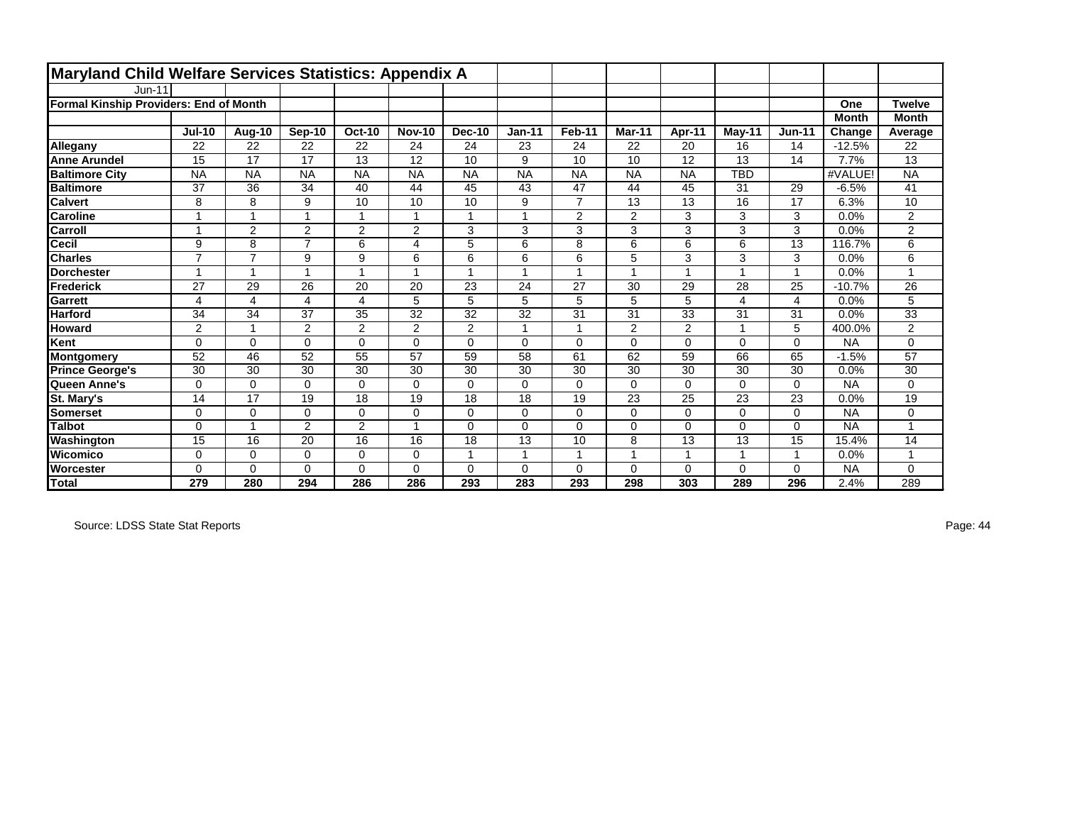| Maryland Child Welfare Services Statistics: Appendix A |                |                |                         |                |                |               |           |                |                         |                |            |                 |              |                |
|--------------------------------------------------------|----------------|----------------|-------------------------|----------------|----------------|---------------|-----------|----------------|-------------------------|----------------|------------|-----------------|--------------|----------------|
| $Jun-11$                                               |                |                |                         |                |                |               |           |                |                         |                |            |                 |              |                |
| Formal Kinship Providers: End of Month                 |                |                |                         |                |                |               |           |                |                         |                |            |                 | One          | <b>Twelve</b>  |
|                                                        |                |                |                         |                |                |               |           |                |                         |                |            |                 | <b>Month</b> | <b>Month</b>   |
|                                                        | <b>Jul-10</b>  | Aug-10         | Sep-10                  | <b>Oct-10</b>  | <b>Nov-10</b>  | <b>Dec-10</b> | $Jan-11$  | Feb-11         | Mar-11                  | Apr-11         | May-11     | <b>Jun-11</b>   | Change       | Average        |
| Allegany                                               | 22             | 22             | 22                      | 22             | 24             | 24            | 23        | 24             | 22                      | 20             | 16         | 14              | $-12.5%$     | 22             |
| <b>Anne Arundel</b>                                    | 15             | 17             | 17                      | 13             | 12             | 10            | 9         | 10             | 10                      | 12             | 13         | 14              | 7.7%         | 13             |
| <b>Baltimore City</b>                                  | <b>NA</b>      | <b>NA</b>      | <b>NA</b>               | <b>NA</b>      | <b>NA</b>      | <b>NA</b>     | <b>NA</b> | <b>NA</b>      | <b>NA</b>               | <b>NA</b>      | <b>TBD</b> |                 | #VALUE!      | <b>NA</b>      |
| <b>Baltimore</b>                                       | 37             | 36             | 34                      | 40             | 44             | 45            | 43        | 47             | 44                      | 45             | 31         | 29              | $-6.5%$      | 41             |
| <b>Calvert</b>                                         | 8              | 8              | 9                       | 10             | 10             | 10            | 9         | $\overline{7}$ | 13                      | 13             | 16         | 17              | 6.3%         | 10             |
| <b>Caroline</b>                                        | и              | 1              | 4                       | $\mathbf{1}$   |                | 1             |           | $\overline{c}$ | 2                       | 3              | 3          | 3               | 0.0%         | $\overline{2}$ |
| <b>Carroll</b>                                         | 4              | $\overline{2}$ | $\overline{2}$          | $\overline{2}$ | 2              | 3             | 3         | 3              | 3                       | 3              | 3          | 3               | 0.0%         | 2              |
| <b>Cecil</b>                                           | 9              | 8              | $\overline{7}$          | 6              | 4              | 5             | 6         | 8              | 6                       | 6              | 6          | 13              | 116.7%       | 6              |
| <b>Charles</b>                                         | $\overline{7}$ | $\overline{7}$ | 9                       | 9              | 6              | 6             | 6         | 6              | 5                       | 3              | 3          | 3               | 0.0%         | 6              |
| <b>Dorchester</b>                                      | $\overline{ }$ | 1              | 1                       | $\mathbf{1}$   | 4              | 1             | 1         | 1              | $\overline{\mathbf{A}}$ | $\overline{ }$ |            | $\mathbf{1}$    | 0.0%         |                |
| Frederick                                              | 27             | 29             | 26                      | 20             | 20             | 23            | 24        | 27             | 30                      | 29             | 28         | $\overline{25}$ | $-10.7%$     | 26             |
| Garrett                                                | 4              | 4              | $\overline{\mathbf{4}}$ | 4              | 5              | 5             | 5         | 5              | 5                       | 5              | 4          | $\overline{4}$  | 0.0%         | 5              |
| <b>Harford</b>                                         | 34             | 34             | 37                      | 35             | 32             | 32            | 32        | 31             | 31                      | 33             | 31         | 31              | 0.0%         | 33             |
| <b>Howard</b>                                          | 2              | 1              | 2                       | $\overline{c}$ | $\overline{2}$ | 2             |           | 1              | $\overline{2}$          | $\overline{2}$ |            | 5               | 400.0%       | $\overline{2}$ |
| Kent                                                   | $\Omega$       | $\Omega$       | $\Omega$                | 0              | $\Omega$       | $\Omega$      | $\Omega$  | $\mathbf 0$    | $\Omega$                | $\Omega$       | $\Omega$   | $\Omega$        | <b>NA</b>    | 0              |
| Montgomery                                             | 52             | 46             | 52                      | 55             | 57             | 59            | 58        | 61             | 62                      | 59             | 66         | 65              | $-1.5%$      | 57             |
| <b>Prince George's</b>                                 | 30             | 30             | 30                      | 30             | 30             | 30            | 30        | 30             | 30                      | 30             | 30         | 30              | 0.0%         | 30             |
| Queen Anne's                                           | 0              | $\mathbf 0$    | $\Omega$                | 0              | $\Omega$       | $\Omega$      | $\Omega$  | $\mathbf 0$    | $\Omega$                | $\Omega$       | $\Omega$   | $\mathbf 0$     | <b>NA</b>    | $\Omega$       |
| St. Mary's                                             | 14             | 17             | 19                      | 18             | 19             | 18            | 18        | 19             | 23                      | 25             | 23         | 23              | 0.0%         | 19             |
| Somerset                                               | $\Omega$       | $\Omega$       | $\Omega$                | 0              | $\Omega$       | $\Omega$      | $\Omega$  | $\mathbf 0$    | $\Omega$                | $\Omega$       | $\Omega$   | $\mathbf 0$     | <b>NA</b>    | 0              |
| <b>Talbot</b>                                          | $\Omega$       | 1              | $\overline{2}$          | $\overline{c}$ | 4              | $\Omega$      | $\Omega$  | $\mathbf 0$    | $\Omega$                | $\Omega$       | $\Omega$   | $\mathbf 0$     | <b>NA</b>    |                |
| Washington                                             | 15             | 16             | 20                      | 16             | 16             | 18            | 13        | 10             | 8                       | 13             | 13         | 15              | 15.4%        | 14             |
| Wicomico                                               | 0              | $\mathbf 0$    | $\Omega$                | 0              | 0              | 1             |           | 1              |                         |                |            | $\mathbf 1$     | 0.0%         |                |
| <b>Worcester</b>                                       | $\Omega$       | 0              | $\Omega$                | 0              | $\Omega$       | $\Omega$      | $\Omega$  | $\mathbf 0$    | $\Omega$                | $\Omega$       | 0          | $\mathbf 0$     | <b>NA</b>    | $\Omega$       |
| <b>Total</b>                                           | 279            | 280            | 294                     | 286            | 286            | 293           | 283       | 293            | 298                     | 303            | 289        | 296             | 2.4%         | 289            |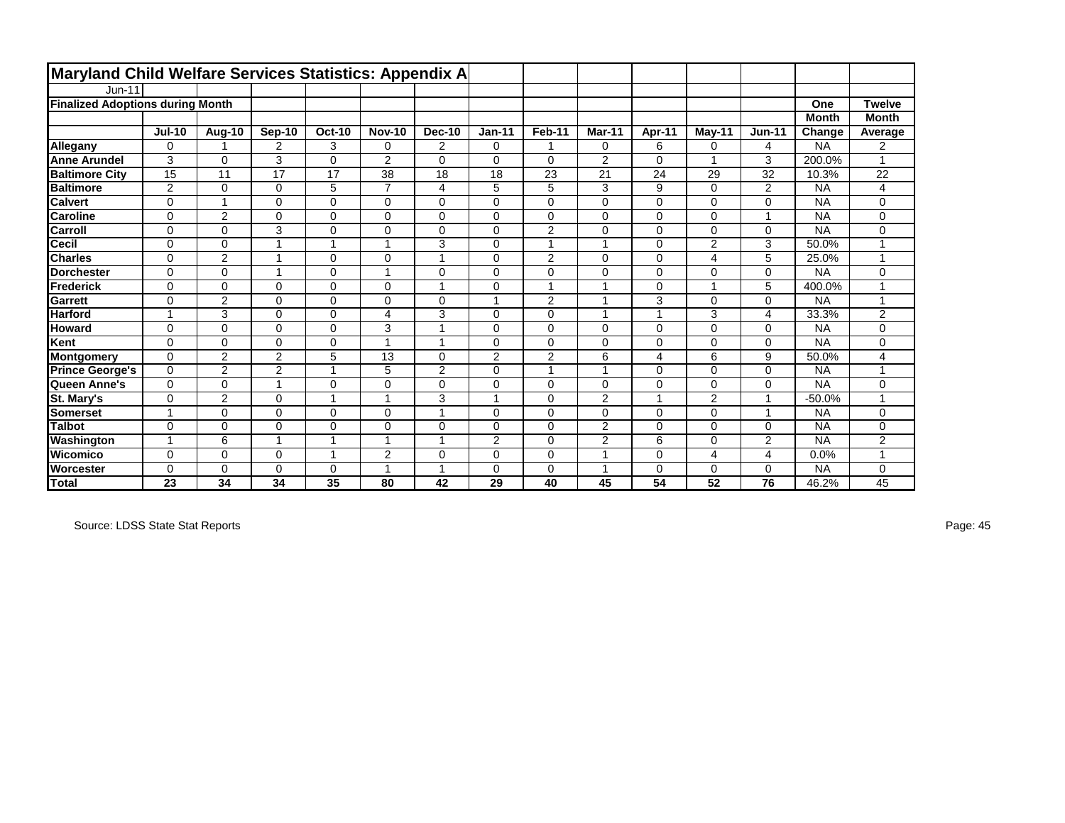| Maryland Child Welfare Services Statistics: Appendix A |                |                |                |                |                |                |                |                |                |             |                         |                |              |                |
|--------------------------------------------------------|----------------|----------------|----------------|----------------|----------------|----------------|----------------|----------------|----------------|-------------|-------------------------|----------------|--------------|----------------|
| $Jun-11$                                               |                |                |                |                |                |                |                |                |                |             |                         |                |              |                |
| <b>Finalized Adoptions during Month</b>                |                |                |                |                |                |                |                |                |                |             |                         |                | One          | <b>Twelve</b>  |
|                                                        |                |                |                |                |                |                |                |                |                |             |                         |                | <b>Month</b> | <b>Month</b>   |
|                                                        | <b>Jul-10</b>  | Aug-10         | <b>Sep-10</b>  | <b>Oct-10</b>  | <b>Nov-10</b>  | <b>Dec-10</b>  | $Jan-11$       | Feb-11         | Mar-11         | Apr-11      | $M$ ay-11               | $Jun-11$       | Change       | Average        |
| Allegany                                               | $\mathbf 0$    |                | 2              | 3              | 0              | $\overline{2}$ | $\mathbf 0$    |                | 0              | 6           | 0                       | 4              | <b>NA</b>    | $\overline{2}$ |
| <b>Anne Arundel</b>                                    | 3              | $\Omega$       | 3              | $\Omega$       | 2              | $\mathbf 0$    | $\Omega$       | $\Omega$       | $\overline{2}$ | $\Omega$    |                         | 3              | 200.0%       |                |
| <b>Baltimore City</b>                                  | 15             | 11             | 17             | 17             | 38             | 18             | 18             | 23             | 21             | 24          | 29                      | 32             | 10.3%        | 22             |
| <b>Baltimore</b>                                       | $\overline{2}$ | $\mathbf 0$    | 0              | 5              | $\overline{7}$ | 4              | 5              | 5              | 3              | 9           | 0                       | 2              | <b>NA</b>    | 4              |
| <b>Calvert</b>                                         | $\mathbf 0$    | $\overline{ }$ | 0              | $\mathbf 0$    | $\Omega$       | $\mathbf 0$    | $\mathbf 0$    | $\Omega$       | 0              | $\mathbf 0$ | $\Omega$                | 0              | <b>NA</b>    | $\Omega$       |
| <b>Caroline</b>                                        | $\mathbf 0$    | $\overline{2}$ | 0              | $\mathbf 0$    | $\Omega$       | $\mathbf 0$    | $\mathbf 0$    | $\overline{0}$ | 0              | $\mathbf 0$ | $\Omega$                | 1              | <b>NA</b>    | 0              |
| Carroll                                                | $\mathbf 0$    | $\Omega$       | 3              | $\mathbf 0$    | $\Omega$       | $\Omega$       | $\mathbf 0$    | $\overline{2}$ | 0              | $\Omega$    | $\Omega$                | 0              | <b>NA</b>    | $\Omega$       |
| <b>Cecil</b>                                           | $\mathbf 0$    | $\Omega$       | 1              | $\overline{1}$ | $\overline{1}$ | 3              | $\mathbf 0$    | $\overline{ }$ | 1              | $\mathbf 0$ | $\overline{2}$          | 3              | 50.0%        | $\overline{ }$ |
| <b>Charles</b>                                         | $\mathbf 0$    | $\overline{c}$ |                | $\mathbf 0$    | $\Omega$       | 1              | $\Omega$       | $\overline{c}$ | 0              | $\Omega$    | $\overline{4}$          | 5              | 25.0%        |                |
| <b>IDorchester</b>                                     | $\Omega$       | $\Omega$       | 1              | $\Omega$       | $\overline{1}$ | 0              | $\Omega$       | $\Omega$       | 0              | $\Omega$    | $\Omega$                | 0              | <b>NA</b>    | $\Omega$       |
| Frederick                                              | $\mathbf 0$    | $\Omega$       | $\Omega$       | $\mathbf 0$    | $\Omega$       |                | $\mathbf 0$    |                | 1              | $\Omega$    |                         | 5              | 400.0%       |                |
| Garrett                                                | $\Omega$       | $\overline{2}$ | $\Omega$       | $\Omega$       | $\Omega$       | $\Omega$       | $\overline{1}$ | $\overline{2}$ | 1              | 3           | $\Omega$                | 0              | <b>NA</b>    | 1              |
| <b>Harford</b>                                         | -1             | 3              | 0              | $\mathbf 0$    | 4              | 3              | $\mathbf 0$    | 0              | 1              | -1          | 3                       | 4              | 33.3%        | 2              |
| <b>Howard</b>                                          | $\mathbf 0$    | $\Omega$       | $\Omega$       | $\Omega$       | 3              | 1              | $\Omega$       | $\Omega$       | 0              | $\Omega$    | $\Omega$                | 0              | <b>NA</b>    | $\Omega$       |
| Kent                                                   | $\mathbf 0$    | 0              | $\mathbf 0$    | $\mathbf 0$    | $\overline{1}$ | 1              | $\mathbf 0$    | 0              | 0              | $\mathbf 0$ | $\mathbf 0$             | 0              | <b>NA</b>    | $\mathbf 0$    |
| Montgomery                                             | $\Omega$       | 2              | $\overline{2}$ | 5              | 13             | $\Omega$       | 2              | $\overline{2}$ | 6              | 4           | 6                       | 9              | 50.0%        | 4              |
| <b>Prince George's</b>                                 | $\mathbf 0$    | $\overline{2}$ | $\overline{2}$ | -1             | 5              | $\overline{2}$ | $\mathbf 0$    | $\overline{ }$ | 1              | $\mathbf 0$ | $\Omega$                | 0              | <b>NA</b>    | 1              |
| Queen Anne's                                           | $\mathbf 0$    | $\Omega$       | 1              | $\mathbf 0$    | $\Omega$       | $\mathbf 0$    | $\mathbf 0$    | $\Omega$       | 0              | $\mathbf 0$ | 0                       | 0              | <b>NA</b>    | $\Omega$       |
| <b>St. Mary's</b>                                      | $\Omega$       | 2              | $\Omega$       | -1             | $\overline{1}$ | 3              | -1             | $\Omega$       | 2              | -1          | 2                       | 1              | $-50.0%$     | 1              |
| Somerset                                               | -4             | $\Omega$       | $\mathbf 0$    | $\mathbf 0$    | $\Omega$       |                | $\mathbf 0$    | $\Omega$       | 0              | $\Omega$    | $\Omega$                | 1              | <b>NA</b>    | 0              |
| <b>Talbot</b>                                          | $\Omega$       | $\Omega$       | $\Omega$       | $\Omega$       | $\Omega$       | $\mathbf 0$    | $\Omega$       | $\Omega$       | $\overline{2}$ | $\Omega$    | $\Omega$                | $\overline{0}$ | <b>NA</b>    | $\Omega$       |
| Washington                                             | -1             | 6              | 1              | -1             | $\overline{1}$ | 1              | 2              | $\Omega$       | $\overline{2}$ | 6           | 0                       | $\overline{2}$ | <b>NA</b>    | 2              |
| Wicomico                                               | $\Omega$       | $\Omega$       | $\Omega$       | -1             | $\overline{2}$ | $\mathbf 0$    | $\mathbf 0$    | $\Omega$       | 1              | $\Omega$    | $\overline{\mathbf{4}}$ | 4              | 0.0%         | $\overline{ }$ |
| Worcester                                              | $\Omega$       | $\Omega$       | 0              | $\mathbf 0$    | $\overline{ }$ | 1              | $\mathbf 0$    | 0              | 1              | $\mathbf 0$ | 0                       | 0              | <b>NA</b>    | $\Omega$       |
| <b>Total</b>                                           | 23             | 34             | 34             | 35             | 80             | 42             | 29             | 40             | 45             | 54          | 52                      | 76             | 46.2%        | 45             |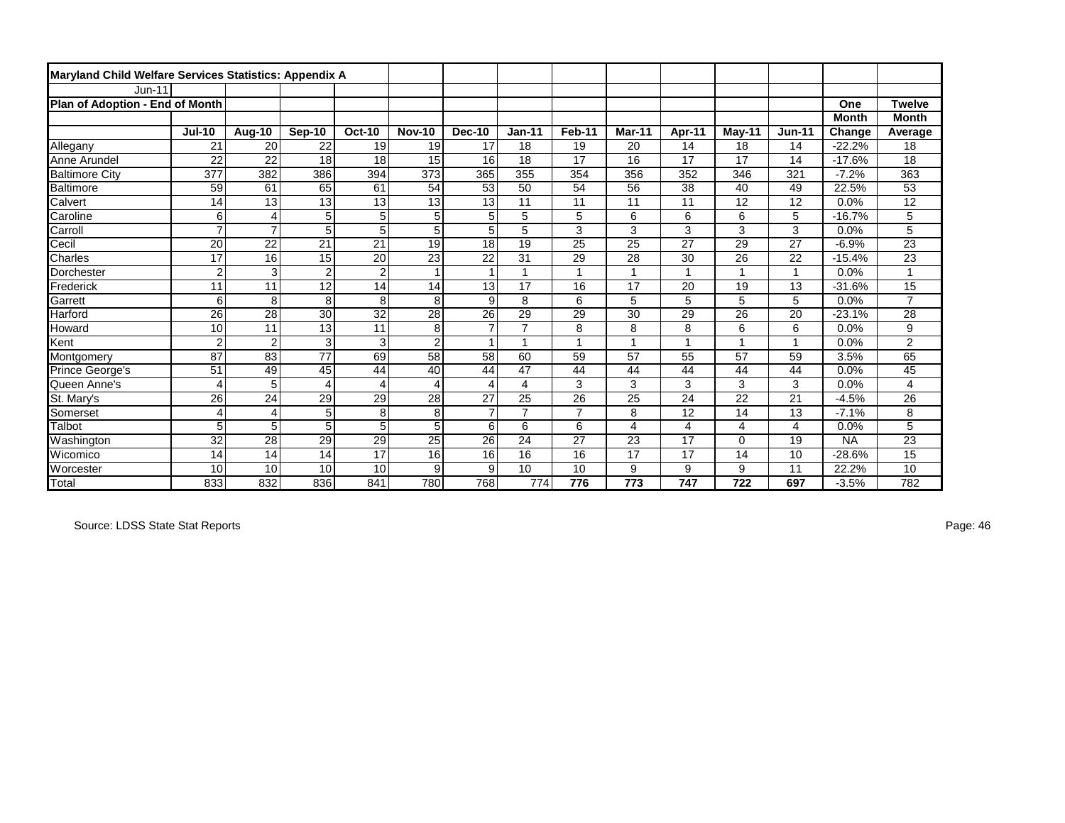| Maryland Child Welfare Services Statistics: Appendix A |                 |                |                 |                 |                 |                |                |                |        |                |        |                |              |                 |
|--------------------------------------------------------|-----------------|----------------|-----------------|-----------------|-----------------|----------------|----------------|----------------|--------|----------------|--------|----------------|--------------|-----------------|
| <b>Jun-11</b>                                          |                 |                |                 |                 |                 |                |                |                |        |                |        |                |              |                 |
| Plan of Adoption - End of Month                        |                 |                |                 |                 |                 |                |                |                |        |                |        |                | One          | <b>Twelve</b>   |
|                                                        |                 |                |                 |                 |                 |                |                |                |        |                |        |                | <b>Month</b> | <b>Month</b>    |
|                                                        | <b>Jul-10</b>   | <b>Aug-10</b>  | Sep-10          | <b>Oct-10</b>   | <b>Nov-10</b>   | Dec-10         | <b>Jan-11</b>  | Feb-11         | Mar-11 | Apr-11         | May-11 | <b>Jun-11</b>  | Change       | Average         |
| Allegany                                               | 21              | 20             | 22              | 19              | 19              | 17             | 18             | 19             | 20     | 14             | 18     | 14             | $-22.2%$     | 18              |
| Anne Arundel                                           | 22              | 22             | 18              | 18              | 15              | 16             | 18             | 17             | 16     | 17             | 17     | 14             | $-17.6%$     | 18              |
| <b>Baltimore City</b>                                  | 377             | 382            | 386             | 394             | 373             | 365            | 355            | 354            | 356    | 352            | 346    | 321            | $-7.2%$      | 363             |
| Baltimore                                              | 59              | 61             | 65              | 61              | 54              | 53             | 50             | 54             | 56     | 38             | 40     | 49             | 22.5%        | 53              |
| Calvert                                                | 14              | 13             | 13              | 13              | 13              | 13             | 11             | 11             | 11     | 11             | 12     | 12             | 0.0%         | 12              |
| Caroline                                               | 6               | 4              | 5               | 5               | 5               | 5              | 5              | 5              | 6      | 6              | 6      | 5              | $-16.7%$     | 5               |
| Carroll                                                | $\overline{7}$  | $\overline{7}$ | 5               | 5               | 5               | 5              | 5              | 3              | 3      | 3              | 3      | 3              | 0.0%         | 5               |
| Cecil                                                  | 20              | 22             | 21              | 21              | 19              | 18             | 19             | 25             | 25     | 27             | 29     | 27             | $-6.9%$      | 23              |
| Charles                                                | 17              | 16             | 15              | 20              | 23              | 22             | 31             | 29             | 28     | 30             | 26     | 22             | $-15.4%$     | 23              |
| Dorchester                                             | $\overline{2}$  | 3              | $\overline{2}$  | $\overline{2}$  | $\overline{1}$  | $\mathbf{1}$   | $\overline{A}$ | $\overline{1}$ | 1      | $\overline{1}$ |        | $\mathbf{1}$   | 0.0%         |                 |
| Frederick                                              | 11              | 11             | 12              | 14              | 14              | 13             | 17             | 16             | 17     | 20             | 19     | 13             | $-31.6%$     | $\overline{15}$ |
| Garrett                                                | 6               | 8              | 8               | $\overline{8}$  | 8               | 9              | 8              | 6              | 5      | 5              | 5      | 5              | 0.0%         | $\overline{7}$  |
| Harford                                                | 26              | 28             | $30$            | $\overline{32}$ | 28              | 26             | 29             | 29             | 30     | 29             | 26     | 20             | $-23.1%$     | 28              |
| Howard                                                 | 10              | 11             | 13              | 11              | 8               | $\overline{7}$ | $\overline{7}$ | 8              | 8      | 8              | 6      | 6              | 0.0%         | 9               |
| Kent                                                   | $\overline{2}$  | $\overline{2}$ | 3               | 3               | $\overline{c}$  | $\overline{1}$ | $\overline{ }$ | $\overline{1}$ |        | $\overline{1}$ |        | $\mathbf{1}$   | 0.0%         | 2               |
| Montgomery                                             | 87              | 83             | $\overline{77}$ | 69              | 58              | 58             | 60             | 59             | 57     | 55             | 57     | 59             | 3.5%         | 65              |
| Prince George's                                        | 51              | 49             | 45              | 44              | 40              | 44             | 47             | 44             | 44     | 44             | 44     | 44             | 0.0%         | 45              |
| Queen Anne's                                           | 4               | 5              | 4               | 4               | 4               | 4              | 4              | 3              | 3      | 3              | 3      | 3              | 0.0%         | 4               |
| St. Mary's                                             | 26              | 24             | 29              | 29              | 28              | 27             | 25             | 26             | 25     | 24             | 22     | 21             | $-4.5%$      | 26              |
| Somerset                                               | $\overline{4}$  | 4              | 5               | 8               | 8               | $\overline{7}$ | $\overline{7}$ | $\overline{7}$ | 8      | 12             | 14     | 13             | $-7.1%$      | 8               |
| Talbot                                                 | 5               | 5              | 5               | 5               | 5               | 6              | 6              | 6              | 4      | 4              | 4      | $\overline{4}$ | 0.0%         | 5               |
| Washington                                             | $\overline{32}$ | 28             | $\overline{29}$ | 29              | $\overline{25}$ | 26             | 24             | 27             | 23     | 17             | 0      | 19             | <b>NA</b>    | $\overline{23}$ |
| Wicomico                                               | 14              | 14             | 14              | 17              | 16              | 16             | 16             | 16             | 17     | 17             | 14     | 10             | $-28.6%$     | 15              |
| Worcester                                              | 10              | 10             | 10              | 10              | 9               | 9              | 10             | 10             | 9      | 9              | 9      | 11             | 22.2%        | 10              |
| <b>Total</b>                                           | 833             | 832            | 836             | 841             | 780             | 768            | 774            | 776            | 773    | 747            | 722    | 697            | $-3.5%$      | 782             |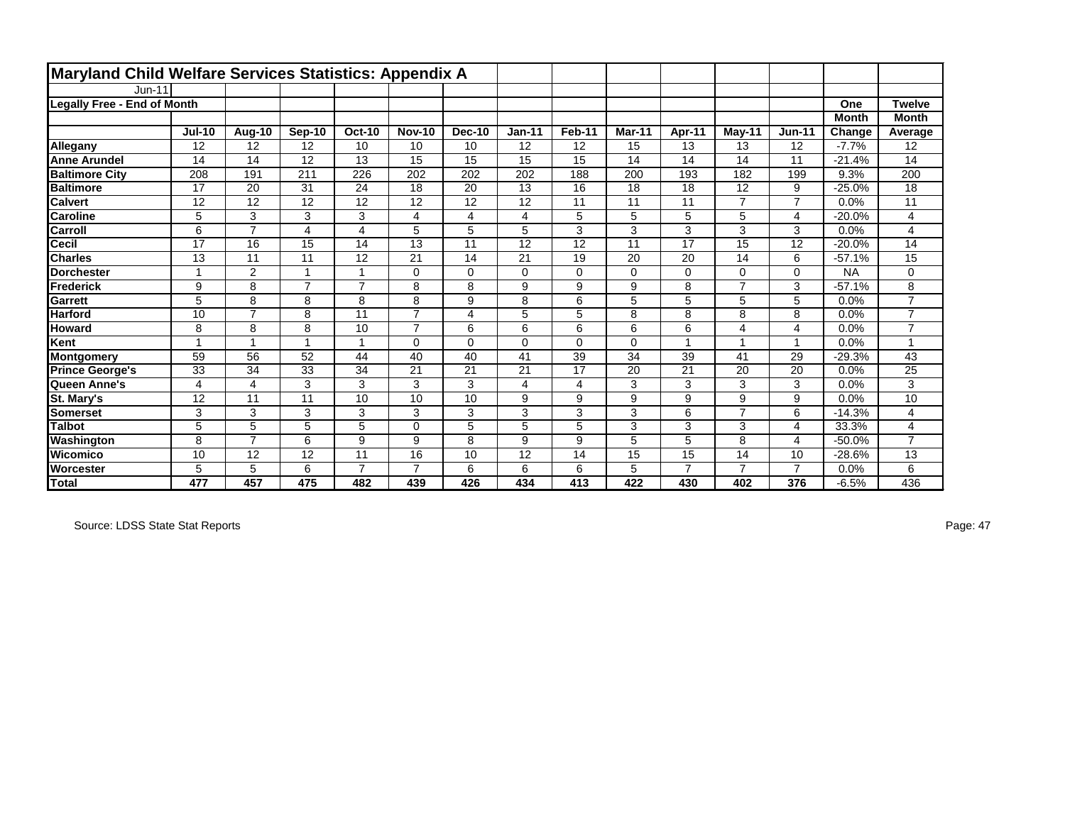| Maryland Child Welfare Services Statistics: Appendix A |                |                |                |                |                |          |          |          |          |                |                |                |              |                |
|--------------------------------------------------------|----------------|----------------|----------------|----------------|----------------|----------|----------|----------|----------|----------------|----------------|----------------|--------------|----------------|
| Jun-11                                                 |                |                |                |                |                |          |          |          |          |                |                |                |              |                |
| <b>Legally Free - End of Month</b>                     |                |                |                |                |                |          |          |          |          |                |                |                | One          | <b>Twelve</b>  |
|                                                        |                |                |                |                |                |          |          |          |          |                |                |                | <b>Month</b> | <b>Month</b>   |
|                                                        | <b>Jul-10</b>  | Aug-10         | Sep-10         | <b>Oct-10</b>  | <b>Nov-10</b>  | Dec-10   | $Jan-11$ | Feb-11   | Mar-11   | Apr-11         | May-11         | <b>Jun-11</b>  | Change       | Average        |
| Allegany                                               | 12             | 12             | 12             | 10             | 10             | 10       | 12       | 12       | 15       | 13             | 13             | 12             | $-7.7%$      | 12             |
| <b>Anne Arundel</b>                                    | 14             | 14             | 12             | 13             | 15             | 15       | 15       | 15       | 14       | 14             | 14             | 11             | $-21.4%$     | 14             |
| <b>Baltimore City</b>                                  | 208            | 191            | 211            | 226            | 202            | 202      | 202      | 188      | 200      | 193            | 182            | 199            | 9.3%         | 200            |
| <b>Baltimore</b>                                       | 17             | 20             | 31             | 24             | 18             | 20       | 13       | 16       | 18       | 18             | 12             | 9              | $-25.0%$     | 18             |
| <b>Calvert</b>                                         | 12             | 12             | 12             | 12             | 12             | 12       | 12       | 11       | 11       | 11             | $\overline{ }$ | $\overline{7}$ | 0.0%         | 11             |
| <b>Caroline</b>                                        | 5              | 3              | 3              | 3              | 4              | 4        | 4        | 5        | 5        | 5              | 5              | $\overline{4}$ | $-20.0\%$    | 4              |
| <b>Carroll</b>                                         | 6              | $\overline{7}$ | 4              | 4              | 5              | 5        | 5        | 3        | 3        | 3              | 3              | 3              | 0.0%         | $\overline{4}$ |
| <b>Cecil</b>                                           | 17             | 16             | 15             | 14             | 13             | 11       | 12       | 12       | 11       | 17             | 15             | 12             | $-20.0\%$    | 14             |
| <b>Charles</b>                                         | 13             | 11             | 11             | 12             | 21             | 14       | 21       | 19       | 20       | 20             | 14             | 6              | $-57.1%$     | 15             |
| <b>Dorchester</b>                                      | 1              | $\overline{2}$ | и              | 1              | $\Omega$       | $\Omega$ | $\Omega$ | 0        | $\Omega$ | $\Omega$       | $\Omega$       | $\Omega$       | <b>NA</b>    | $\mathbf 0$    |
| <b>Frederick</b>                                       | 9              | 8              | $\overline{7}$ | $\overline{7}$ | 8              | 8        | 9        | 9        | 9        | 8              | $\overline{ }$ | 3              | $-57.1%$     | 8              |
| Garrett                                                | 5              | 8              | 8              | 8              | 8              | 9        | 8        | 6        | 5        | 5              | 5              | 5              | 0.0%         | $\overline{7}$ |
| <b>Harford</b>                                         | 10             | $\overline{7}$ | 8              | 11             | $\overline{7}$ | 4        | 5        | 5        | 8        | 8              | 8              | 8              | 0.0%         | $\overline{7}$ |
| <b>Howard</b>                                          | 8              | 8              | 8              | 10             | $\overline{7}$ | 6        | 6        | 6        | 6        | 6              | 4              | $\overline{4}$ | 0.0%         | $\overline{7}$ |
| Kent                                                   | $\overline{1}$ | 1              | $\overline{ }$ | 1              | $\Omega$       | $\Omega$ | $\Omega$ | $\Omega$ | $\Omega$ | $\overline{ }$ |                | $\mathbf{1}$   | 0.0%         |                |
| Montgomery                                             | 59             | 56             | 52             | 44             | 40             | 40       | 41       | 39       | 34       | 39             | 41             | 29             | -29.3%       | 43             |
| <b>Prince George's</b>                                 | 33             | 34             | 33             | 34             | 21             | 21       | 21       | 17       | 20       | 21             | 20             | 20             | 0.0%         | 25             |
| Queen Anne's                                           | $\overline{4}$ | 4              | 3              | 3              | 3              | 3        | 4        | 4        | 3        | 3              | 3              | 3              | 0.0%         | 3              |
| <b>St. Mary's</b>                                      | 12             | 11             | 11             | 10             | 10             | 10       | 9        | 9        | 9        | 9              | 9              | 9              | 0.0%         | 10             |
| Somerset                                               | 3              | 3              | 3              | 3              | 3              | 3        | 3        | 3        | 3        | 6              | $\overline{ }$ | 6              | $-14.3%$     | 4              |
| <b>Talbot</b>                                          | 5              | 5              | 5              | 5              | 0              | 5        | 5        | 5        | 3        | 3              | 3              | $\overline{4}$ | 33.3%        | 4              |
| Washington                                             | 8              | $\overline{7}$ | 6              | 9              | 9              | 8        | 9        | 9        | 5        | 5              | 8              | $\overline{4}$ | $-50.0%$     | $\overline{7}$ |
| <b>Wicomico</b>                                        | 10             | 12             | 12             | 11             | 16             | 10       | 12       | 14       | 15       | 15             | 14             | 10             | $-28.6%$     | 13             |
| <b>Worcester</b>                                       | 5              | 5              | 6              | $\overline{7}$ | $\overline{7}$ | 6        | 6        | 6        | 5        | $\overline{7}$ | $\overline{ }$ | $\overline{7}$ | 0.0%         | 6              |
| Total                                                  | 477            | 457            | 475            | 482            | 439            | 426      | 434      | 413      | 422      | 430            | 402            | 376            | $-6.5%$      | 436            |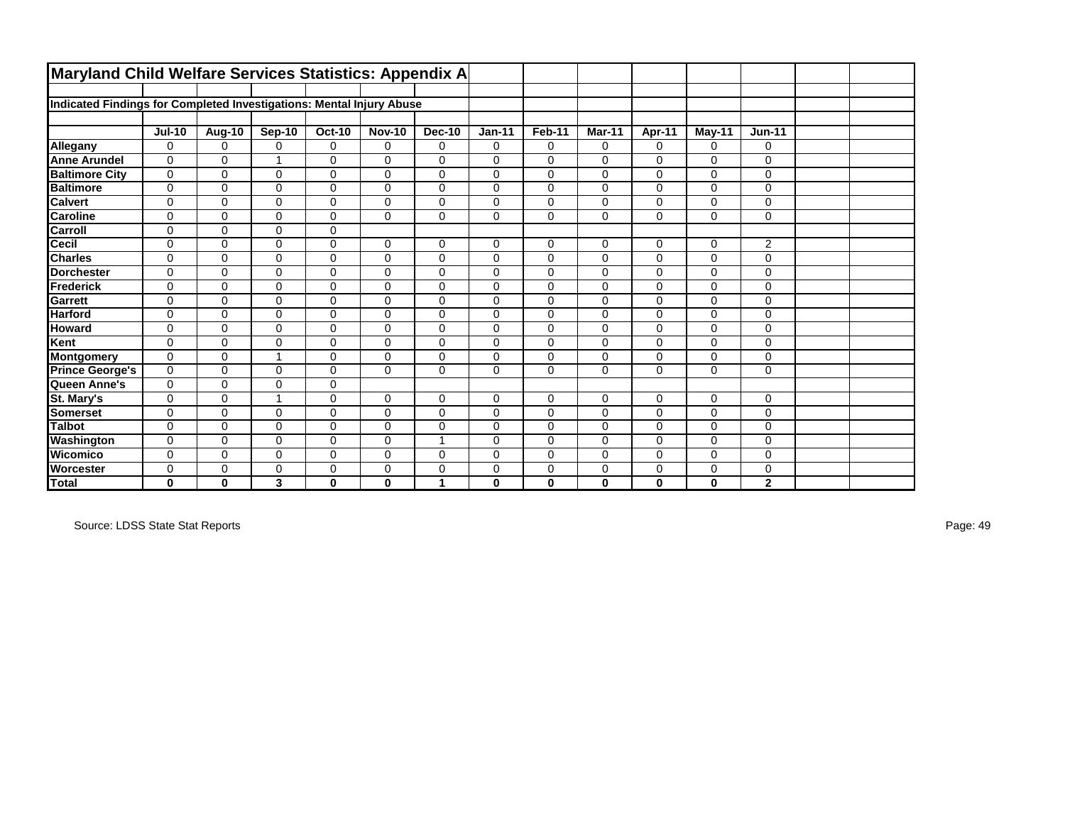| Maryland Child Welfare Services Statistics: Appendix A               |               |             |               |               |               |                |              |             |              |              |             |                |  |
|----------------------------------------------------------------------|---------------|-------------|---------------|---------------|---------------|----------------|--------------|-------------|--------------|--------------|-------------|----------------|--|
|                                                                      |               |             |               |               |               |                |              |             |              |              |             |                |  |
| Indicated Findings for Completed Investigations: Mental Injury Abuse |               |             |               |               |               |                |              |             |              |              |             |                |  |
|                                                                      |               |             |               |               |               |                |              |             |              |              |             |                |  |
|                                                                      | <b>Jul-10</b> | Aug-10      | <b>Sep-10</b> | <b>Oct-10</b> | <b>Nov-10</b> | Dec-10         | $Jan-11$     | Feb-11      | Mar-11       | Apr-11       | May-11      | $Jun-11$       |  |
| Allegany                                                             | $\Omega$      | $\Omega$    | 0             | $\mathbf 0$   | 0             | 0              | $\mathbf 0$  | 0           | $\Omega$     | $\Omega$     | $\Omega$    | 0              |  |
| <b>Anne Arundel</b>                                                  | $\Omega$      | $\Omega$    | 1             | $\Omega$      | $\Omega$      | 0              | $\Omega$     | $\Omega$    | $\Omega$     | $\Omega$     | $\Omega$    | $\Omega$       |  |
| <b>Baltimore City</b>                                                | $\mathbf 0$   | $\Omega$    | 0             | $\mathbf 0$   | $\Omega$      | 0              | 0            | $\Omega$    | 0            | $\mathbf 0$  | $\Omega$    | $\mathbf 0$    |  |
| <b>Baltimore</b>                                                     | $\mathbf 0$   | $\mathbf 0$ | 0             | $\mathbf 0$   | $\mathbf 0$   | 0              | $\mathbf 0$  | 0           | $\mathbf 0$  | $\mathbf 0$  | $\mathbf 0$ | $\mathbf 0$    |  |
| <b>Calvert</b>                                                       | $\mathbf 0$   | $\mathbf 0$ | 0             | $\mathbf 0$   | $\Omega$      | 0              | $\mathbf 0$  | 0           | $\mathbf 0$  | $\mathbf 0$  | $\mathbf 0$ | $\mathbf 0$    |  |
| <b>Caroline</b>                                                      | $\mathbf 0$   | 0           | 0             | $\mathbf 0$   | $\Omega$      | 0              | $\mathbf 0$  | $\Omega$    | $\mathbf 0$  | $\mathbf 0$  | $\Omega$    | $\mathbf 0$    |  |
| Carroll                                                              | $\mathbf 0$   | $\Omega$    | $\Omega$      | $\mathbf 0$   |               |                |              |             |              |              |             |                |  |
| Cecil                                                                | $\mathbf 0$   | $\Omega$    | 0             | $\mathbf 0$   | $\Omega$      | 0              | $\mathbf 0$  | 0           | $\mathbf 0$  | $\mathbf 0$  | $\mathbf 0$ | $\overline{2}$ |  |
| <b>Charles</b>                                                       | $\mathbf 0$   | 0           | 0             | $\mathbf 0$   | $\mathbf 0$   | 0              | $\mathbf 0$  | 0           | $\mathbf 0$  | $\mathbf 0$  | $\mathbf 0$ | $\mathbf 0$    |  |
| <b>Dorchester</b>                                                    | $\Omega$      | $\Omega$    | 0             | $\Omega$      | $\Omega$      | 0              | $\Omega$     | $\Omega$    | $\Omega$     | $\Omega$     | $\Omega$    | 0              |  |
| <b>Frederick</b>                                                     | $\mathbf 0$   | $\Omega$    | 0             | $\mathbf 0$   | $\Omega$      | 0              | 0            | 0           | $\Omega$     | $\mathbf 0$  | $\mathbf 0$ | $\mathbf 0$    |  |
| Garrett                                                              | $\mathbf 0$   | $\Omega$    | 0             | $\mathbf 0$   | $\Omega$      | 0              | $\mathbf 0$  | $\Omega$    | $\Omega$     | $\Omega$     | $\Omega$    | $\mathbf 0$    |  |
| <b>Harford</b>                                                       | $\mathbf 0$   | $\mathbf 0$ | 0             | $\mathbf 0$   | $\mathbf 0$   | 0              | $\mathbf 0$  | $\mathbf 0$ | $\mathbf 0$  | $\mathbf 0$  | $\mathbf 0$ | $\mathbf 0$    |  |
| <b>Howard</b>                                                        | $\mathbf 0$   | 0           | 0             | $\mathbf 0$   | $\mathbf 0$   | 0              | $\mathbf 0$  | 0           | $\mathbf 0$  | $\mathbf 0$  | $\mathbf 0$ | 0              |  |
| Kent                                                                 | $\Omega$      | 0           | 0             | $\mathbf 0$   | $\Omega$      | 0              | $\mathbf 0$  | $\Omega$    | $\Omega$     | $\mathbf 0$  | $\Omega$    | $\mathbf 0$    |  |
| <b>Montgomery</b>                                                    | $\mathbf 0$   | 0           | 1             | $\mathbf 0$   | $\Omega$      | 0              | 0            | 0           | 0            | $\mathbf 0$  | $\mathbf 0$ | $\mathbf 0$    |  |
| <b>Prince George's</b>                                               | $\mathbf 0$   | $\Omega$    | 0             | $\mathbf 0$   | $\Omega$      | 0              | $\mathbf 0$  | $\Omega$    | $\mathbf 0$  | $\mathbf 0$  | $\Omega$    | $\mathbf 0$    |  |
| Queen Anne's                                                         | $\mathbf 0$   | $\Omega$    | 0             | $\pmb{0}$     |               |                |              |             |              |              |             |                |  |
| St. Mary's                                                           | $\Omega$      | $\Omega$    | 1             | $\Omega$      | $\Omega$      | 0              | $\Omega$     | 0           | $\Omega$     | $\Omega$     | $\Omega$    | $\Omega$       |  |
| <b>Somerset</b>                                                      | $\mathbf 0$   | $\Omega$    | 0             | $\mathbf 0$   | $\Omega$      | 0              | $\mathbf 0$  | 0           | $\Omega$     | $\mathbf 0$  | $\mathbf 0$ | $\mathbf 0$    |  |
| <b>Talbot</b>                                                        | $\mathbf 0$   | $\Omega$    | 0             | $\mathbf 0$   | $\Omega$      | 0              | $\mathbf 0$  | $\Omega$    | $\Omega$     | $\Omega$     | $\Omega$    | $\mathbf 0$    |  |
| Washington                                                           | $\mathbf 0$   | $\Omega$    | 0             | $\mathbf 0$   | $\mathbf 0$   | $\overline{A}$ | $\mathbf 0$  | 0           | 0            | $\mathbf 0$  | $\mathbf 0$ | $\mathbf 0$    |  |
| Wicomico                                                             | $\mathbf 0$   | $\Omega$    | 0             | $\mathbf 0$   | $\Omega$      | 0              | $\Omega$     | $\Omega$    | $\Omega$     | $\Omega$     | $\Omega$    | $\mathbf 0$    |  |
| Worcester                                                            | $\mathbf 0$   | 0           | 0             | $\mathbf 0$   | 0             | 0              | $\mathbf 0$  | 0           | 0            | $\mathbf 0$  | $\mathbf 0$ | 0              |  |
| <b>Total</b>                                                         | 0             | $\bf{0}$    | 3             | $\bf{0}$      | $\bf{0}$      | 1              | $\mathbf{0}$ | 0           | $\mathbf{0}$ | $\mathbf{0}$ | $\bf{0}$    | $\mathbf{2}$   |  |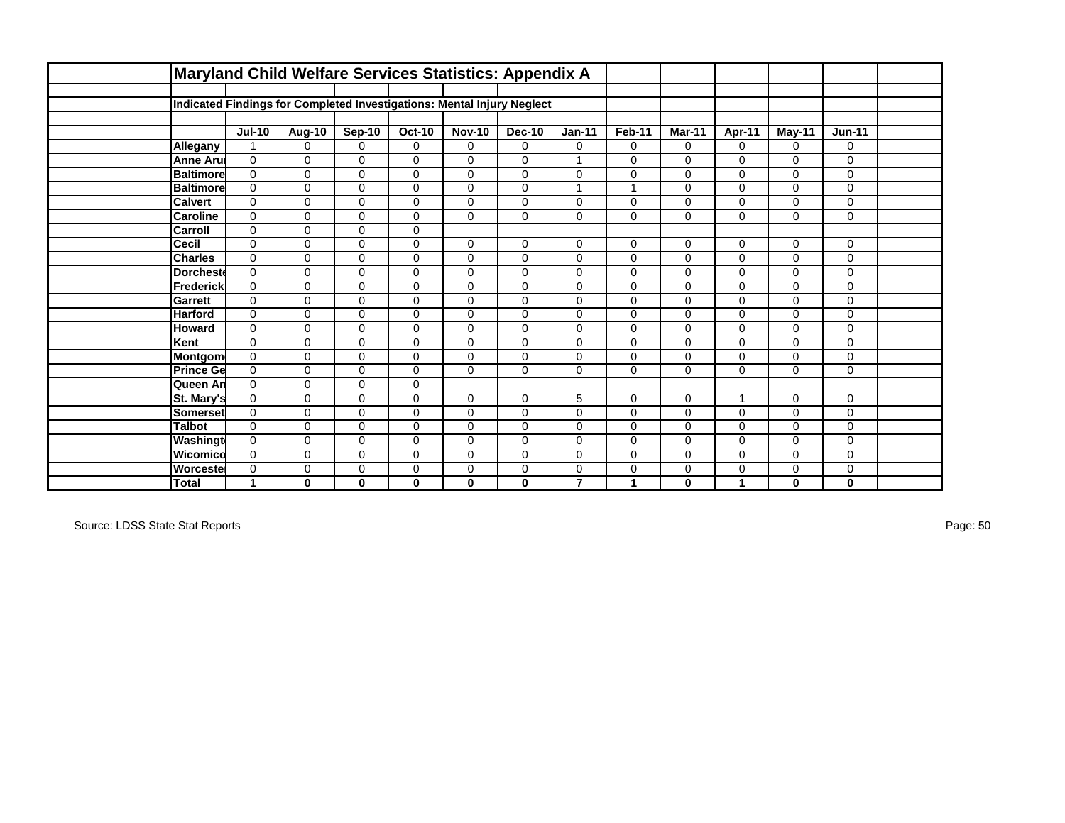|                  | Maryland Child Welfare Services Statistics: Appendix A                 |              |               |               |               |               |                |             |              |               |             |          |  |
|------------------|------------------------------------------------------------------------|--------------|---------------|---------------|---------------|---------------|----------------|-------------|--------------|---------------|-------------|----------|--|
|                  |                                                                        |              |               |               |               |               |                |             |              |               |             |          |  |
|                  | Indicated Findings for Completed Investigations: Mental Injury Neglect |              |               |               |               |               |                |             |              |               |             |          |  |
|                  |                                                                        |              |               |               |               |               |                |             |              |               |             |          |  |
|                  | <b>Jul-10</b>                                                          | Aug-10       | <b>Sep-10</b> | <b>Oct-10</b> | <b>Nov-10</b> | <b>Dec-10</b> | $Jan-11$       | Feb-11      | Mar-11       | <b>Apr-11</b> | May-11      | $Jun-11$ |  |
| Allegany         | $\overline{1}$                                                         | $\Omega$     | $\Omega$      | $\Omega$      | $\Omega$      | $\Omega$      | $\mathbf 0$    | $\Omega$    | $\Omega$     | $\Omega$      | $\Omega$    | 0        |  |
| <b>Anne Aru</b>  | $\Omega$                                                               | $\Omega$     | $\mathbf 0$   | $\Omega$      | $\Omega$      | $\Omega$      |                | $\Omega$    | $\Omega$     | $\Omega$      | $\Omega$    | $\Omega$ |  |
| <b>Baltimore</b> | $\Omega$                                                               | $\Omega$     | 0             | $\Omega$      | $\Omega$      | $\mathbf 0$   | $\mathbf 0$    | $\Omega$    | $\Omega$     | 0             | $\Omega$    | 0        |  |
| <b>Baltimore</b> | $\Omega$                                                               | $\mathbf 0$  | 0             | $\mathbf 0$   | $\mathbf 0$   | $\mathbf 0$   | $\mathbf{1}$   |             | $\mathbf 0$  | 0             | $\mathbf 0$ | 0        |  |
| <b>Calvert</b>   | $\Omega$                                                               | $\Omega$     | 0             | $\Omega$      | $\mathbf 0$   | $\mathbf 0$   | 0              | $\Omega$    | $\mathbf 0$  | 0             | $\mathbf 0$ | 0        |  |
| <b>Caroline</b>  | $\mathbf 0$                                                            | $\Omega$     | 0             | $\Omega$      | $\Omega$      | 0             | $\pmb{0}$      | $\mathbf 0$ | $\mathbf 0$  | 0             | $\mathbf 0$ | 0        |  |
| Carroll          | $\mathbf 0$                                                            | 0            | $\mathbf 0$   | $\mathbf 0$   |               |               |                |             |              |               |             |          |  |
| Cecil            | $\Omega$                                                               | $\Omega$     | 0             | $\Omega$      | $\Omega$      | $\mathbf 0$   | $\mathbf 0$    | $\Omega$    | $\mathbf 0$  | $\mathbf 0$   | $\mathbf 0$ | 0        |  |
| <b>Charles</b>   | $\mathbf 0$                                                            | 0            | $\mathbf 0$   | $\mathbf 0$   | $\mathbf 0$   | 0             | $\mathbf 0$    | $\mathbf 0$ | 0            | 0             | $\mathbf 0$ | 0        |  |
| <b>Dorchest</b>  | $\Omega$                                                               | $\Omega$     | $\mathbf 0$   | $\Omega$      | $\Omega$      | $\mathbf 0$   | $\mathbf 0$    | $\Omega$    | $\Omega$     | 0             | $\Omega$    | 0        |  |
| <b>Frederick</b> | $\Omega$                                                               | $\Omega$     | 0             | $\Omega$      | $\Omega$      | $\Omega$      | $\pmb{0}$      | $\Omega$    | $\Omega$     | $\Omega$      | $\Omega$    | 0        |  |
| Garrett          | $\Omega$                                                               | $\Omega$     | 0             | $\Omega$      | $\Omega$      | $\Omega$      | $\mathbf 0$    | $\Omega$    | $\Omega$     | 0             | $\Omega$    | 0        |  |
| <b>Harford</b>   | $\mathbf 0$                                                            | 0            | 0             | 0             | $\mathbf 0$   | $\mathbf 0$   | 0              | $\mathbf 0$ | $\mathbf 0$  | 0             | $\mathbf 0$ | 0        |  |
| Howard           | $\Omega$                                                               | $\Omega$     | 0             | $\Omega$      | $\mathbf 0$   | $\mathbf 0$   | 0              | $\Omega$    | $\mathbf 0$  | 0             | $\mathbf 0$ | 0        |  |
| Kent             | $\Omega$                                                               | $\Omega$     | $\mathbf 0$   | $\Omega$      | $\mathbf 0$   | $\mathbf 0$   | $\mathbf 0$    | $\mathbf 0$ | $\mathbf 0$  | 0             | $\mathbf 0$ | 0        |  |
| Montgom          | $\Omega$                                                               | $\Omega$     | $\mathbf 0$   | $\Omega$      | $\Omega$      | $\Omega$      | 0              | $\Omega$    | $\Omega$     | 0             | $\Omega$    | $\Omega$ |  |
| <b>Prince Ge</b> | $\mathbf 0$                                                            | 0            | 0             | $\mathbf 0$   | $\Omega$      | 0             | $\pmb{0}$      | $\mathbf 0$ | $\mathbf 0$  | 0             | $\mathbf 0$ | 0        |  |
| Queen An         | $\mathbf 0$                                                            | 0            | $\mathbf 0$   | $\mathbf 0$   |               |               |                |             |              |               |             |          |  |
| St. Mary's       | $\Omega$                                                               | $\Omega$     | 0             | $\mathbf 0$   | $\mathbf 0$   | $\mathbf 0$   | 5              | $\Omega$    | $\mathbf 0$  | 4             | $\Omega$    | 0        |  |
| Somerset         | $\Omega$                                                               | $\Omega$     | $\mathbf 0$   | $\Omega$      | $\Omega$      | $\Omega$      | $\mathbf 0$    | $\Omega$    | $\Omega$     | $\Omega$      | $\Omega$    | 0        |  |
| <b>Talbot</b>    | $\Omega$                                                               | $\Omega$     | 0             | $\Omega$      | $\Omega$      | $\mathbf 0$   | $\pmb{0}$      | $\Omega$    | $\Omega$     | 0             | $\Omega$    | 0        |  |
| Washingt         | $\mathbf 0$                                                            | $\mathbf 0$  | $\mathbf 0$   | $\mathbf 0$   | $\mathbf 0$   | $\mathbf 0$   | $\mathbf 0$    | $\Omega$    | $\mathbf 0$  | 0             | $\mathbf 0$ | 0        |  |
| Wicomico         | $\Omega$                                                               | $\Omega$     | $\mathbf 0$   | $\Omega$      | $\Omega$      | $\mathbf 0$   | $\mathbf 0$    | $\Omega$    | $\Omega$     | 0             | $\Omega$    | 0        |  |
| Worcestel        | $\mathbf 0$                                                            | 0            | 0             | 0             | $\mathbf 0$   | 0             | 0              | 0           | 0            | 0             | $\mathbf 0$ | 0        |  |
| <b>Total</b>     | $\mathbf{1}$                                                           | $\mathbf{0}$ | $\mathbf{0}$  | $\mathbf{0}$  | $\bf{0}$      | $\mathbf{0}$  | $\overline{7}$ | 1           | $\mathbf{0}$ | 1             | $\bf{0}$    | 0        |  |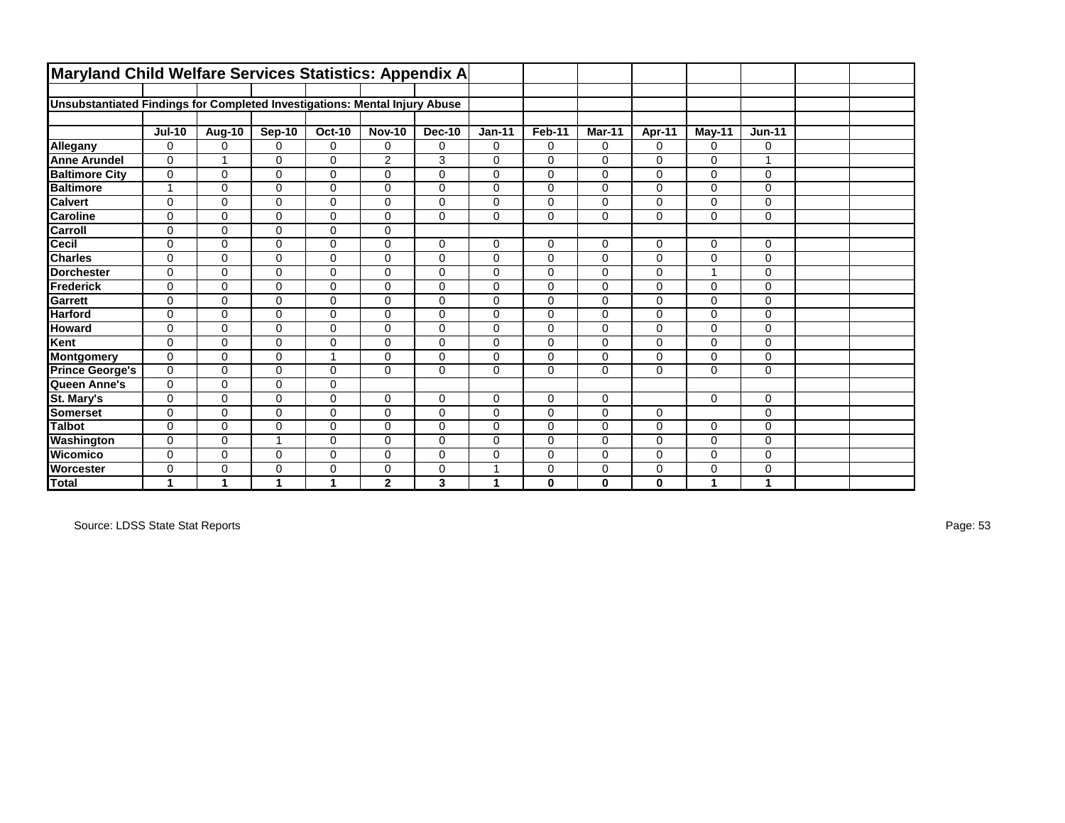| Maryland Child Welfare Services Statistics: Appendix A                     |                |               |               |               |               |               |             |             |              |             |              |              |  |
|----------------------------------------------------------------------------|----------------|---------------|---------------|---------------|---------------|---------------|-------------|-------------|--------------|-------------|--------------|--------------|--|
|                                                                            |                |               |               |               |               |               |             |             |              |             |              |              |  |
| Unsubstantiated Findings for Completed Investigations: Mental Injury Abuse |                |               |               |               |               |               |             |             |              |             |              |              |  |
|                                                                            |                |               |               |               |               |               |             |             |              |             |              |              |  |
|                                                                            | <b>Jul-10</b>  | <b>Aug-10</b> | <b>Sep-10</b> | <b>Oct-10</b> | <b>Nov-10</b> | <b>Dec-10</b> | $Jan-11$    | Feb-11      | Mar-11       | Apr-11      | $May-11$     | $Jun-11$     |  |
| Allegany                                                                   | $\mathbf 0$    | 0             | $\Omega$      | $\mathbf 0$   | 0             | 0             | $\mathbf 0$ | $\mathbf 0$ | $\Omega$     | $\Omega$    | 0            | 0            |  |
| <b>Anne Arundel</b>                                                        | $\Omega$       |               | $\Omega$      | $\Omega$      | 2             | 3             | $\Omega$    | $\Omega$    | $\Omega$     | $\Omega$    | $\Omega$     |              |  |
| <b>Baltimore City</b>                                                      | $\mathbf 0$    | $\mathbf 0$   | 0             | $\mathbf 0$   | 0             | 0             | 0           | $\Omega$    | 0            | $\Omega$    | 0            | $\mathbf 0$  |  |
| <b>Baltimore</b>                                                           | $\overline{1}$ | $\mathbf 0$   | 0             | $\mathbf 0$   | $\mathbf 0$   | 0             | $\mathbf 0$ | 0           | $\mathbf 0$  | $\mathbf 0$ | $\mathbf 0$  | 0            |  |
| <b>Calvert</b>                                                             | $\mathbf 0$    | $\mathbf 0$   | 0             | $\mathbf 0$   | $\mathbf 0$   | 0             | $\mathbf 0$ | 0           | $\mathbf 0$  | $\mathbf 0$ | $\Omega$     | $\mathbf 0$  |  |
| <b>Caroline</b>                                                            | $\mathbf 0$    | $\mathbf 0$   | 0             | $\mathbf 0$   | $\mathbf 0$   | 0             | $\mathbf 0$ | $\Omega$    | $\mathbf 0$  | $\Omega$    | $\Omega$     | $\mathbf{0}$ |  |
| Carroll                                                                    | $\mathbf 0$    | $\Omega$      | $\Omega$      | $\mathbf 0$   | $\Omega$      |               |             |             |              |             |              |              |  |
| Cecil                                                                      | $\mathbf 0$    | $\Omega$      | 0             | $\mathbf 0$   | $\mathbf 0$   | 0             | $\mathbf 0$ | $\mathbf 0$ | 0            | $\Omega$    | 0            | 0            |  |
| <b>Charles</b>                                                             | $\mathbf 0$    | $\mathbf{0}$  | 0             | $\mathbf 0$   | $\mathbf 0$   | 0             | $\mathbf 0$ | 0           | $\mathbf 0$  | $\mathbf 0$ | $\mathbf 0$  | 0            |  |
| <b>IDorchester</b>                                                         | $\Omega$       | $\Omega$      | $\Omega$      | $\Omega$      | $\Omega$      | 0             | $\mathbf 0$ | $\Omega$    | $\Omega$     | $\Omega$    | $\mathbf{1}$ | $\mathbf 0$  |  |
| Frederick                                                                  | $\mathbf 0$    | 0             | 0             | $\mathbf 0$   | 0             | 0             | 0           | 0           | $\Omega$     | $\mathbf 0$ | $\mathbf 0$  | $\mathbf{0}$ |  |
| <b>Garrett</b>                                                             | $\mathbf 0$    | $\Omega$      | 0             | $\mathbf 0$   | $\Omega$      | 0             | $\mathbf 0$ | $\Omega$    | $\Omega$     | $\Omega$    | $\Omega$     | $\mathbf{0}$ |  |
| <b>Harford</b>                                                             | $\mathbf 0$    | $\mathbf 0$   | 0             | $\mathbf 0$   | $\mathbf 0$   | 0             | $\mathbf 0$ | 0           | $\mathbf 0$  | $\mathbf 0$ | $\mathbf 0$  | 0            |  |
| <b>Howard</b>                                                              | $\mathbf 0$    | $\mathbf{0}$  | 0             | $\mathbf 0$   | $\mathbf 0$   | 0             | $\mathbf 0$ | 0           | $\mathbf 0$  | $\mathbf 0$ | $\mathbf 0$  | $\mathbf 0$  |  |
| Kent                                                                       | $\mathbf 0$    | $\mathbf 0$   | 0             | $\mathbf 0$   | $\Omega$      | 0             | $\mathbf 0$ | $\Omega$    | $\Omega$     | $\Omega$    | $\Omega$     | 0            |  |
| Montgomery                                                                 | $\mathbf 0$    | 0             | 0             | 1             | $\Omega$      | 0             | 0           | 0           | 0            | $\mathbf 0$ | 0            | $\mathbf{0}$ |  |
| <b>Prince George's</b>                                                     | $\mathbf 0$    | $\mathbf 0$   | 0             | $\mathbf 0$   | $\Omega$      | 0             | $\mathbf 0$ | $\Omega$    | $\mathbf 0$  | $\Omega$    | $\Omega$     | 0            |  |
| Queen Anne's                                                               | $\mathbf 0$    | $\mathbf 0$   | 0             | $\pmb{0}$     |               |               |             |             |              |             |              |              |  |
| St. Mary's                                                                 | $\mathbf 0$    | $\Omega$      | 0             | $\mathbf 0$   | $\Omega$      | 0             | $\mathbf 0$ | 0           | $\Omega$     |             | $\Omega$     | $\mathbf 0$  |  |
| <b>Somerset</b>                                                            | $\mathbf 0$    | $\mathbf 0$   | 0             | $\mathbf 0$   | 0             | 0             | $\mathbf 0$ | 0           | $\mathbf 0$  | $\mathbf 0$ |              | $\mathbf 0$  |  |
| <b>Talbot</b>                                                              | $\mathbf 0$    | $\Omega$      | 0             | $\mathbf 0$   | $\Omega$      | 0             | 0           | $\Omega$    | $\Omega$     | $\Omega$    | $\Omega$     | $\pmb{0}$    |  |
| Washington                                                                 | $\mathbf 0$    | $\mathbf 0$   | 1             | $\mathbf 0$   | $\mathbf 0$   | 0             | $\mathbf 0$ | 0           | 0            | $\mathbf 0$ | $\mathbf 0$  | $\mathbf 0$  |  |
| Wicomico                                                                   | $\mathbf 0$    | $\Omega$      | $\Omega$      | $\mathbf 0$   | $\Omega$      | 0             | $\mathbf 0$ | $\Omega$    | $\Omega$     | $\Omega$    | $\Omega$     | 0            |  |
| <b>Worcester</b>                                                           | $\mathbf 0$    | 0             | 0             | $\mathbf 0$   | 0             | 0             | 1           | 0           | 0            | $\mathbf 0$ | 0            | 0            |  |
| Total                                                                      | 1              | 1             | 1             | 1             | $\mathbf{2}$  | 3             | 1           | 0           | $\mathbf{0}$ | $\bf{0}$    | 1            | $\mathbf{1}$ |  |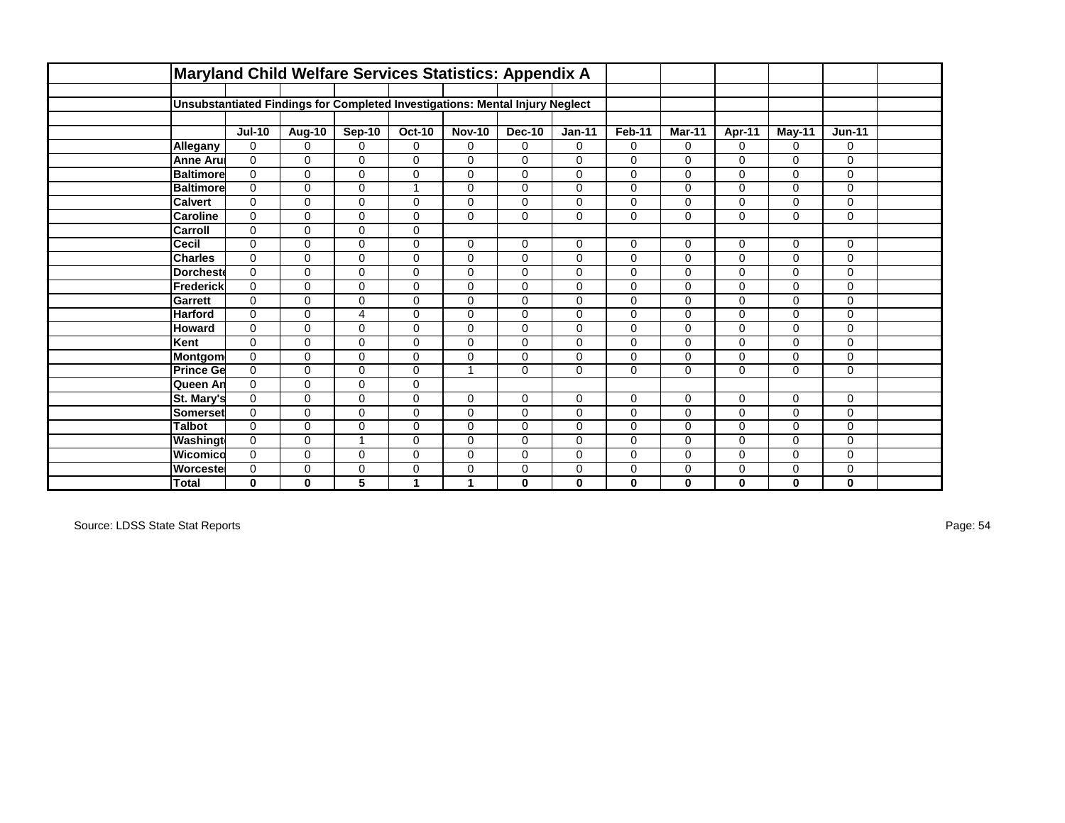|                  | Maryland Child Welfare Services Statistics: Appendix A                       |              |                         |               |                |               |             |              |              |               |             |          |  |
|------------------|------------------------------------------------------------------------------|--------------|-------------------------|---------------|----------------|---------------|-------------|--------------|--------------|---------------|-------------|----------|--|
|                  |                                                                              |              |                         |               |                |               |             |              |              |               |             |          |  |
|                  | Unsubstantiated Findings for Completed Investigations: Mental Injury Neglect |              |                         |               |                |               |             |              |              |               |             |          |  |
|                  |                                                                              |              |                         |               |                |               |             |              |              |               |             |          |  |
|                  | <b>Jul-10</b>                                                                | Aug-10       | <b>Sep-10</b>           | <b>Oct-10</b> | <b>Nov-10</b>  | <b>Dec-10</b> | $Jan-11$    | Feb-11       | Mar-11       | <b>Apr-11</b> | May-11      | $Jun-11$ |  |
| Allegany         | $\Omega$                                                                     | $\Omega$     | $\Omega$                | $\Omega$      | $\Omega$       | $\Omega$      | $\Omega$    | $\Omega$     | $\Omega$     | $\Omega$      | $\Omega$    | 0        |  |
| <b>Anne Aru</b>  | $\Omega$                                                                     | $\Omega$     | $\mathbf 0$             | $\Omega$      | $\Omega$       | $\Omega$      | $\mathbf 0$ | $\Omega$     | $\Omega$     | $\Omega$      | $\Omega$    | $\Omega$ |  |
| <b>Baltimore</b> | $\Omega$                                                                     | $\Omega$     | 0                       | $\Omega$      | $\Omega$       | $\Omega$      | $\mathbf 0$ | $\Omega$     | $\Omega$     | 0             | $\Omega$    | 0        |  |
| <b>Baltimore</b> | $\Omega$                                                                     | $\mathbf 0$  | 0                       |               | $\mathbf 0$    | $\mathbf 0$   | 0           | $\Omega$     | $\mathbf 0$  | 0             | $\mathbf 0$ | 0        |  |
| <b>Calvert</b>   | $\Omega$                                                                     | $\Omega$     | 0                       | $\Omega$      | $\mathbf 0$    | $\mathbf 0$   | 0           | $\Omega$     | $\mathbf 0$  | 0             | $\mathbf 0$ | 0        |  |
| <b>Caroline</b>  | $\mathbf 0$                                                                  | $\Omega$     | 0                       | $\Omega$      | $\Omega$       | $\mathbf{0}$  | $\pmb{0}$   | $\mathbf{0}$ | $\mathbf 0$  | 0             | $\mathbf 0$ | 0        |  |
| Carroll          | $\mathbf 0$                                                                  | 0            | $\mathbf 0$             | $\mathbf 0$   |                |               |             |              |              |               |             |          |  |
| Cecil            | $\Omega$                                                                     | $\Omega$     | 0                       | $\Omega$      | $\Omega$       | $\mathbf 0$   | $\mathbf 0$ | $\Omega$     | $\mathbf 0$  | $\mathbf 0$   | $\mathbf 0$ | 0        |  |
| <b>Charles</b>   | $\mathbf 0$                                                                  | 0            | $\mathbf 0$             | $\mathbf 0$   | $\mathbf 0$    | 0             | $\mathbf 0$ | $\mathbf 0$  | 0            | 0             | $\mathbf 0$ | 0        |  |
| <b>Dorchest</b>  | $\Omega$                                                                     | $\Omega$     | $\mathbf 0$             | $\Omega$      | $\Omega$       | $\mathbf{0}$  | $\mathbf 0$ | $\Omega$     | $\Omega$     | 0             | $\Omega$    | 0        |  |
| <b>Frederick</b> | $\Omega$                                                                     | $\Omega$     | 0                       | $\Omega$      | $\Omega$       | $\Omega$      | $\pmb{0}$   | $\Omega$     | $\Omega$     | $\Omega$      | $\Omega$    | 0        |  |
| Garrett          | $\Omega$                                                                     | $\Omega$     | 0                       | $\Omega$      | $\Omega$       | $\Omega$      | $\mathbf 0$ | $\Omega$     | $\Omega$     | 0             | $\Omega$    | 0        |  |
| <b>Harford</b>   | $\mathbf 0$                                                                  | 0            | 4                       | 0             | $\mathbf 0$    | $\mathbf 0$   | 0           | $\mathbf 0$  | $\mathbf 0$  | 0             | $\mathbf 0$ | 0        |  |
| <b>Howard</b>    | $\Omega$                                                                     | $\Omega$     | 0                       | $\Omega$      | $\mathbf 0$    | $\mathbf 0$   | 0           | $\Omega$     | $\mathbf 0$  | 0             | $\mathbf 0$ | 0        |  |
| Kent             | $\Omega$                                                                     | $\Omega$     | $\mathbf 0$             | $\Omega$      | $\mathbf 0$    | $\mathbf 0$   | $\mathbf 0$ | $\mathbf 0$  | $\mathbf 0$  | 0             | $\mathbf 0$ | 0        |  |
| Montgom          | $\Omega$                                                                     | $\Omega$     | $\mathbf 0$             | $\Omega$      | $\Omega$       | $\Omega$      | 0           | $\Omega$     | $\Omega$     | 0             | $\Omega$    | 0        |  |
| <b>Prince Ge</b> | $\mathbf 0$                                                                  | 0            | 0                       | $\mathbf 0$   | $\overline{ }$ | $\mathbf 0$   | $\pmb{0}$   | $\mathbf 0$  | $\mathbf 0$  | 0             | $\mathbf 0$ | 0        |  |
| Queen An         | $\mathbf 0$                                                                  | 0            | $\mathbf 0$             | $\mathbf 0$   |                |               |             |              |              |               |             |          |  |
| St. Mary's       | $\Omega$                                                                     | $\Omega$     | 0                       | $\mathbf 0$   | $\mathbf 0$    | $\mathbf 0$   | $\mathbf 0$ | $\Omega$     | $\mathbf 0$  | 0             | $\Omega$    | 0        |  |
| Somerset         | $\Omega$                                                                     | $\Omega$     | $\mathbf 0$             | $\Omega$      | $\Omega$       | $\Omega$      | $\mathbf 0$ | $\Omega$     | $\Omega$     | 0             | $\Omega$    | 0        |  |
| <b>Talbot</b>    | $\Omega$                                                                     | $\Omega$     | 0                       | $\mathbf 0$   | $\Omega$       | $\mathbf 0$   | $\pmb{0}$   | $\Omega$     | $\Omega$     | 0             | $\Omega$    | 0        |  |
| Washingt         | $\mathbf 0$                                                                  | $\mathbf 0$  | $\mathbf{1}$            | $\mathbf 0$   | $\mathbf 0$    | $\mathbf 0$   | $\mathbf 0$ | $\Omega$     | $\mathbf 0$  | 0             | $\mathbf 0$ | 0        |  |
| Wicomico         | $\Omega$                                                                     | $\Omega$     | $\mathbf 0$             | $\Omega$      | $\Omega$       | $\mathbf 0$   | $\mathbf 0$ | $\Omega$     | $\Omega$     | 0             | $\Omega$    | 0        |  |
| Worcestel        | $\mathbf 0$                                                                  | 0            | 0                       | 0             | 0              | 0             | 0           | 0            | 0            | 0             | $\mathbf 0$ | 0        |  |
| <b>Total</b>     | $\mathbf{0}$                                                                 | $\mathbf{0}$ | $\overline{\mathbf{5}}$ | 1             | 1              | $\mathbf{0}$  | $\bf{0}$    | $\mathbf{0}$ | $\mathbf{0}$ | $\mathbf{0}$  | $\bf{0}$    | 0        |  |